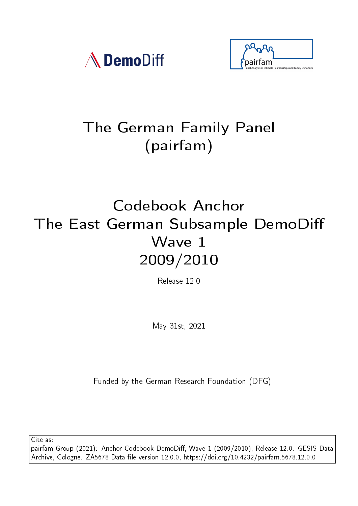



# The German Family Panel (pairfam)

# Codebook Anchor The East German Subsample DemoDi Wave 1 2009/2010

Release 12.0

May 31st, 2021

Funded by the German Research Foundation (DFG)

Cite as:

pairfam Group (2021): Anchor Codebook DemoDiff, Wave 1 (2009/2010), Release 12.0. GESIS Data Archive, Cologne. ZA5678 Data file version 12.0.0, https://doi.org/10.4232/pairfam.5678.12.0.0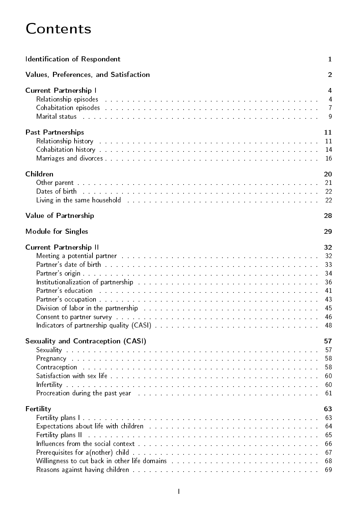# **Contents**

| <b>Identification of Respondent</b>                                                                                                                                                                                            | $\mathbf{1}$   |
|--------------------------------------------------------------------------------------------------------------------------------------------------------------------------------------------------------------------------------|----------------|
| Values, Preferences, and Satisfaction                                                                                                                                                                                          | $\overline{2}$ |
| <b>Current Partnership I</b>                                                                                                                                                                                                   | 4              |
| Relationship episodes and a contract the contract of the contract of the contract of the contract of                                                                                                                           | $\overline{4}$ |
|                                                                                                                                                                                                                                | $\overline{7}$ |
| Marital status the company of the contract of the company of the company of the company of the company of the company of the company of the company of the company of the company of the company of the company of the company | 9              |
| <b>Past Partnerships</b>                                                                                                                                                                                                       | 11             |
| Relationship history and a subsequently and a subsequently and a subsequently set of the set of the set of the                                                                                                                 | 11             |
|                                                                                                                                                                                                                                | 14             |
| Marriages and divorces with a state of the state of the state of the state of the state of the state of the state of the state of the state of the state of the state of the state of the state of the state of the state of t | 16             |
| Children                                                                                                                                                                                                                       | 20             |
|                                                                                                                                                                                                                                | 21             |
| Dates of birth the common contract of the common contract of the common contract of the common contract of the                                                                                                                 | 22             |
| Living in the same household and a contract the contract of the contract of the same house of the                                                                                                                              | 22             |
| Value of Partnership                                                                                                                                                                                                           | 28             |
| <b>Module for Singles</b>                                                                                                                                                                                                      | 29             |
| <b>Current Partnership II</b>                                                                                                                                                                                                  | 32             |
| Meeting a potential partner and a contract of the contract of the contract of the contract of the contract of                                                                                                                  | 32             |
| Partner's date of birth <b>English Community Control</b>                                                                                                                                                                       | 33             |
|                                                                                                                                                                                                                                | 34             |
| Institutionalization of partnership and all contained and all contained and the set of the set of the set of t                                                                                                                 | 36             |
| Partner's education research and contain the contract of the contract of the contract of the contract of the contract of the contract of the contract of the contract of the contract of the contract of the contract of the c | 41             |
| Partner's occupation with the state of the state of the state of the state of the state of the state of the state of the state of the state of the state of the state of the state of the state of the state of the state of t | 43             |
|                                                                                                                                                                                                                                | 45             |
| Consent to partner survey we are also assessed as a conservation of the conservation of the conservation of the                                                                                                                | 46             |
|                                                                                                                                                                                                                                | 48             |
| <b>Sexuality and Contraception (CASI)</b>                                                                                                                                                                                      | 57             |
|                                                                                                                                                                                                                                | 57             |
| Pregnancy described and a consequence of the contract of the consequence of the consequence of the consequence of the consequence of the consequence of the consequence of the consequence of the consequence of the consequen | 58             |
| Contraception the contract of the contract of the contract of the contract of the contract of the contract of the contract of the contract of the contract of the contract of the contract of the contract of the contract of  | 58             |
|                                                                                                                                                                                                                                | 60             |
| Infertility a consequence of a consequence of the consequence of the consequence of the consequence of the consequence                                                                                                         | 60             |
| Procreation during the past year and a contract to contract the contract of the contract of the past year.                                                                                                                     | 61             |
| Fertility                                                                                                                                                                                                                      | 63             |
|                                                                                                                                                                                                                                | 63             |
|                                                                                                                                                                                                                                | 64             |
| Fertility plans II and a constant of the contract of the construction of the constant of the constant of                                                                                                                       | 65             |
| Influences from the social context with a subsequently and a subsequently and the set of the set of the set of                                                                                                                 | 66             |
|                                                                                                                                                                                                                                | 67             |
|                                                                                                                                                                                                                                | 68             |
| Reasons against having children the contract of the contract of the contract of the contract of the contract of                                                                                                                | 69             |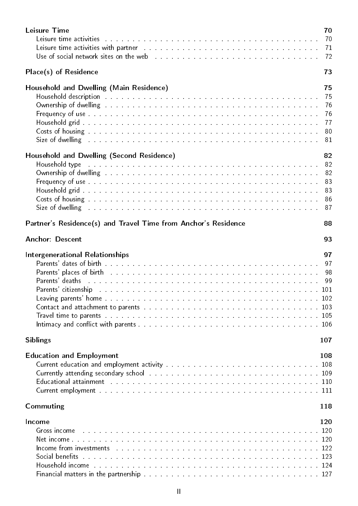| <b>Leisure Time</b><br>Leisure time activities and and an annual material contract of the contract of the contract of the contract of<br>Leisure time activities with partner and account of the contract of the state of the state of the state of the                                                                                                                                                                                                                                                                                                                                                                                                                                                                                           | 70<br>70<br>71<br>72                   |
|---------------------------------------------------------------------------------------------------------------------------------------------------------------------------------------------------------------------------------------------------------------------------------------------------------------------------------------------------------------------------------------------------------------------------------------------------------------------------------------------------------------------------------------------------------------------------------------------------------------------------------------------------------------------------------------------------------------------------------------------------|----------------------------------------|
| Place(s) of Residence                                                                                                                                                                                                                                                                                                                                                                                                                                                                                                                                                                                                                                                                                                                             | 73                                     |
| Household and Dwelling (Main Residence)<br>Household description the contract of the contract of the contract of the contract of the contract of the contr<br>Frequency of use the contract of the contract of the contract of the contract of the contract of the contract of<br>Costs of housing the community of the contract of the contract of the community of the community of the community of the community of the community of the community of the community of the community of the community of the<br>Size of dwelling the contract of the contract of the contract of the contract of the contract of the contract of the contract of the contract of the contract of the contract of the contract of the contract of the contract | 75<br>75<br>76<br>76<br>77<br>80<br>81 |
| Household and Dwelling (Second Residence)<br>Household type research and a series are a series and a series and a series are a series of the series of the<br>Ownership of dwelling the state of the state of the state of the state of the state of the state of the state of the state of the state of the state of the state of the state of the state of the state of the state of the s<br>Frequency of use the contract of the contract of the contract of the contract of the contract of the<br>Costs of housing the contract of the contract of the contract of the contract of the contract of the contract of<br>Size of dwelling the contract of the contract of the contract of the contract of the contract of                      | 82<br>82<br>82<br>83<br>83<br>86<br>87 |
| Partner's Residence(s) and Travel Time from Anchor's Residence                                                                                                                                                                                                                                                                                                                                                                                                                                                                                                                                                                                                                                                                                    | 88                                     |
| <b>Anchor: Descent</b>                                                                                                                                                                                                                                                                                                                                                                                                                                                                                                                                                                                                                                                                                                                            | 93                                     |
| <b>Intergenerational Relationships</b><br>Parents' dates of birth with a contract to the contract of the contract of the contract of the contract of the<br><b>Parents' places of birth</b> the contract of the contract of the contract of the contract of the contract of the contract of the contract of the contract of the contract of the contract of the contract of the contract of the<br>Parents' deaths and a communication of the community of the community and a community of the community of the community of the community of the community of the community of the community of the community of the community<br>Parents' citizenship and a contract the contract of the contract of the contract of the contract of the 101   | 97<br>97<br>98<br>99                   |
| <b>Siblings</b>                                                                                                                                                                                                                                                                                                                                                                                                                                                                                                                                                                                                                                                                                                                                   | 107                                    |
| <b>Education and Employment</b><br>Current education and employment activity the substitution of the substitution of the 108<br>Educational attainment the service of the service of the service of the service of the service of the service of the service of the service of the service of the service of the service of the service of the service of the<br>Commuting                                                                                                                                                                                                                                                                                                                                                                        | 108<br>118                             |
| Income<br>Gross income the contract of the contract of the contract of the contract of the contract of the 120<br>Income from investments decomposed and the contract of the contract of the contract of the set of the set of t<br>Social benefits we are assessed as a conservation of the conservation of the set of the set of the set of the s                                                                                                                                                                                                                                                                                                                                                                                               | 120                                    |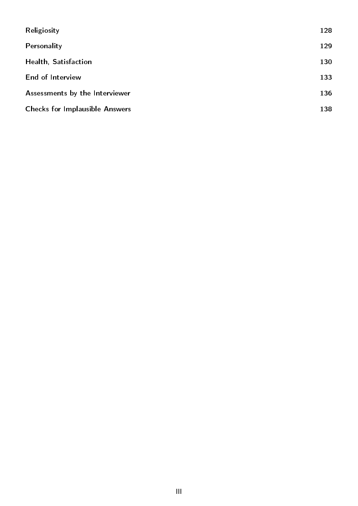| Religiosity                           | 128 |
|---------------------------------------|-----|
| Personality                           | 129 |
| Health, Satisfaction                  | 130 |
| End of Interview                      | 133 |
| Assessments by the Interviewer        | 136 |
| <b>Checks for Implausible Answers</b> | 138 |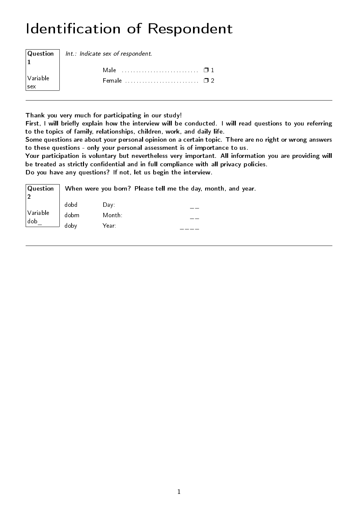# <span id="page-4-0"></span>Identification of Respondent

|                    | $ $ Question $ $ Int.: Indicate sex of respondent.    |  |
|--------------------|-------------------------------------------------------|--|
|                    |                                                       |  |
|                    |                                                       |  |
| $\sqrt{}$ Variable | Female $\ldots$ . $\ldots$ . $\ldots$ . $\Box$ $\Box$ |  |
| $\vert_{\rm sex}$  |                                                       |  |

Thank you very much for participating in our study!

First, I will briefly explain how the interview will be conducted. I will read questions to you referring to the topics of family, relationships, children, work, and daily life.

Some questions are about your personal opinion on a certain topic. There are no right or wrong answers to these questions - only your personal assessment is of importance to us.

Your participation is voluntary but nevertheless very important. All information you are providing will be treated as strictly confidential and in full compliance with all privacy policies.

Do you have any questions? If not, let us begin the interview.

| $\vert$ Question $\vert$ |      |        |  | When were you born? Please tell me the day, month, and year. |
|--------------------------|------|--------|--|--------------------------------------------------------------|
|                          | dobd | Dav:   |  |                                                              |
| $\big\vert$ Variable     | dobm | Month: |  |                                                              |
| dob                      | doby | Year:  |  |                                                              |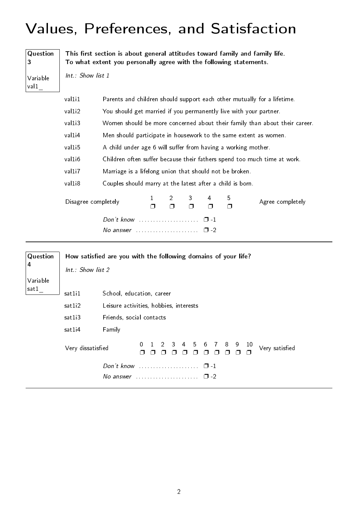## <span id="page-5-0"></span>Values, Preferences, and Satisfaction

| Question<br>3    | This first section is about general attitudes toward family and family life.<br>To what extent you personally agree with the following statements. |                                                                |                                                                            |             |   |             |              |                                                                          |  |  |  |  |  |  |
|------------------|----------------------------------------------------------------------------------------------------------------------------------------------------|----------------------------------------------------------------|----------------------------------------------------------------------------|-------------|---|-------------|--------------|--------------------------------------------------------------------------|--|--|--|--|--|--|
| Variable<br>val1 | Int.: Show list 1                                                                                                                                  |                                                                |                                                                            |             |   |             |              |                                                                          |  |  |  |  |  |  |
|                  | val1i1                                                                                                                                             |                                                                |                                                                            |             |   |             |              | Parents and children should support each other mutually for a lifetime.  |  |  |  |  |  |  |
|                  | val1i2                                                                                                                                             |                                                                | You should get married if you permanently live with your partner.          |             |   |             |              |                                                                          |  |  |  |  |  |  |
|                  | val1i3                                                                                                                                             |                                                                | Women should be more concerned about their family than about their career. |             |   |             |              |                                                                          |  |  |  |  |  |  |
|                  | val1i4                                                                                                                                             |                                                                | Men should participate in housework to the same extent as women.           |             |   |             |              |                                                                          |  |  |  |  |  |  |
|                  | val1i5                                                                                                                                             | A child under age 6 will suffer from having a working mother.  |                                                                            |             |   |             |              |                                                                          |  |  |  |  |  |  |
|                  | val1i6                                                                                                                                             |                                                                |                                                                            |             |   |             |              | Children often suffer because their fathers spend too much time at work. |  |  |  |  |  |  |
|                  | val1i7                                                                                                                                             | Marriage is a lifelong union that should not be broken.        |                                                                            |             |   |             |              |                                                                          |  |  |  |  |  |  |
|                  | val1i8                                                                                                                                             | Couples should marry at the latest after a child is born.      |                                                                            |             |   |             |              |                                                                          |  |  |  |  |  |  |
|                  | Disagree completely                                                                                                                                |                                                                | 1<br>⊓                                                                     | 2<br>Π.     | ⊓ | 4<br>$\Box$ | 5<br>$\Box$  | Agree completely                                                         |  |  |  |  |  |  |
|                  |                                                                                                                                                    |                                                                |                                                                            |             |   | $\Box$ -1   |              |                                                                          |  |  |  |  |  |  |
|                  |                                                                                                                                                    |                                                                |                                                                            |             |   | $\Box$ -2   |              |                                                                          |  |  |  |  |  |  |
| Question         |                                                                                                                                                    | How satisfied are you with the following domains of your life? |                                                                            |             |   |             |              |                                                                          |  |  |  |  |  |  |
| 4                | Int.: Show list 2                                                                                                                                  |                                                                |                                                                            |             |   |             |              |                                                                          |  |  |  |  |  |  |
| Variable         |                                                                                                                                                    |                                                                |                                                                            |             |   |             |              |                                                                          |  |  |  |  |  |  |
| sat1             | sat1i1                                                                                                                                             | School, education, career                                      |                                                                            |             |   |             |              |                                                                          |  |  |  |  |  |  |
|                  | sat1i2                                                                                                                                             | Leisure activities, hobbies, interests                         |                                                                            |             |   |             |              |                                                                          |  |  |  |  |  |  |
|                  | sat1i3                                                                                                                                             | Friends, social contacts                                       |                                                                            |             |   |             |              |                                                                          |  |  |  |  |  |  |
|                  | sat1i4                                                                                                                                             | Family                                                         |                                                                            |             |   |             |              |                                                                          |  |  |  |  |  |  |
|                  | Very dissatisfied                                                                                                                                  |                                                                | 0.                                                                         | $2 \quad 3$ | 4 |             | 5 6 7 8 9 10 | Very satisfied                                                           |  |  |  |  |  |  |

❐ ❐ ❐ ❐ ❐ ❐ ❐ ❐ ❐ ❐ ❐

Don't know . . . . . . . . . . . . . . . . . . . . . ❐ -1 No answer  $\dots\dots\dots\dots\dots\dots \quad \Box$  -2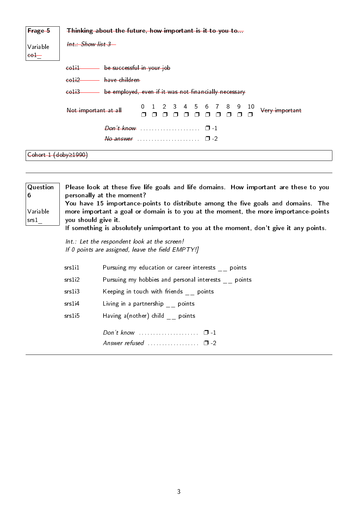| Frage 5              | Thinking about the future, how important is it to you to                                                    |  |  |  |  |  |
|----------------------|-------------------------------------------------------------------------------------------------------------|--|--|--|--|--|
| Variable<br>$-$      | $Int.:$ Show list $3-$                                                                                      |  |  |  |  |  |
|                      | be successful in your job<br>$-$                                                                            |  |  |  |  |  |
|                      | coli2 have children                                                                                         |  |  |  |  |  |
|                      | be employed, even if it was not financially necessary<br>$-6$                                               |  |  |  |  |  |
|                      | 1 2 3 4 5 6 7 8 9<br>10<br>$\overline{0}$<br>Not important at all<br>Very important<br><b>------</b><br>n n |  |  |  |  |  |
|                      | $\Box$ -1                                                                                                   |  |  |  |  |  |
|                      | No answer<br>$\Box$ -2                                                                                      |  |  |  |  |  |
| Cohort 1 (doby≥1990) |                                                                                                             |  |  |  |  |  |
|                      |                                                                                                             |  |  |  |  |  |

| Question<br>6<br>Variable<br>srs1 | you should give it. | Please look at these five life goals and life domains. How important are these to you<br>personally at the moment?<br>You have 15 importance-points to distribute among the five goals and domains. The<br>more important a goal or domain is to you at the moment, the more importance-points<br>If something is absolutely unimportant to you at the moment, don't give it any points. |
|-----------------------------------|---------------------|------------------------------------------------------------------------------------------------------------------------------------------------------------------------------------------------------------------------------------------------------------------------------------------------------------------------------------------------------------------------------------------|
|                                   |                     | Int.: Let the respondent look at the screen!<br>If 0 points are assigned, leave the field EMPTY!]                                                                                                                                                                                                                                                                                        |
|                                   | srs1i1              | Pursuing my education or career interests points                                                                                                                                                                                                                                                                                                                                         |
|                                   | srs1i2              | Pursuing my hobbies and personal interests points                                                                                                                                                                                                                                                                                                                                        |
|                                   | srs1i3              | Keeping in touch with friends points                                                                                                                                                                                                                                                                                                                                                     |

srs1i4 Living in a partnership \_\_ points

srs1i5 Having a(nother) child \_\_ points

Don't know . . . . . . . . . . . . . . . . . . . . . ❐ -1

| Answer refused | . |  |
|----------------|---|--|
|                |   |  |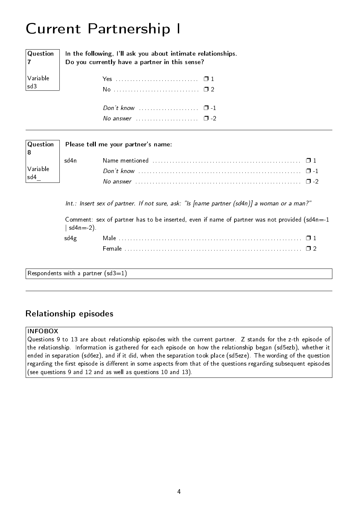# <span id="page-7-0"></span>Current Partnership I

| $ $ Question<br>$\vert$ 7                                                   | In the following, I'll ask you about intimate relationships.<br>Do you currently have a partner in this sense? |
|-----------------------------------------------------------------------------|----------------------------------------------------------------------------------------------------------------|
| $\left  \begin{array}{c} \text{Variable} \\ \text{sd3} \end{array} \right $ |                                                                                                                |
|                                                                             |                                                                                                                |
|                                                                             |                                                                                                                |

| $\sqrt{2}$ No answer expressions in the $\sqrt{2}$ -2 |  |  |  |  |  |  |  |  |  |  |  |  |
|-------------------------------------------------------|--|--|--|--|--|--|--|--|--|--|--|--|

| Question                                                                                                         | Please tell me your partner's name: |                                                                                                                                         |  |  |  |  |  |  |  |
|------------------------------------------------------------------------------------------------------------------|-------------------------------------|-----------------------------------------------------------------------------------------------------------------------------------------|--|--|--|--|--|--|--|
|                                                                                                                  | 'sd4n                               | Name mentioned $\ldots \ldots \ldots \ldots \ldots \ldots \ldots \ldots \ldots \ldots \ldots \ldots \square 1$                          |  |  |  |  |  |  |  |
| $\begin{bmatrix} \downarrow \\ \downarrow \\ \downarrow \\ \downarrow \\ \downarrow \\ \downarrow \end{bmatrix}$ |                                     |                                                                                                                                         |  |  |  |  |  |  |  |
|                                                                                                                  |                                     | No answer $\ldots$ $\ldots$ $\ldots$ $\ldots$ $\ldots$ $\ldots$ $\ldots$ $\ldots$ $\ldots$ $\ldots$ $\ldots$ $\ldots$ $\ldots$ $\ldots$ |  |  |  |  |  |  |  |

 $Int.:$  Insert sex of partner. If not sure, ask: "Is [name partner (sd4n)] a woman or a man?"

Comment: sex of partner has to be inserted, even if name of partner was not provided ( $sd4n=1$  $| sd4n == 2)$ . sd4g Male . . . . . . . . . . . . . . . . . . . . . . . . . . . . . . . . . . . . . . . . . . . . . . . . . . . . . . . . . . . . . . . . ❐ 1 Female . . . . . . . . . . . . . . . . . . . . . . . . . . . . . . . . . . . . . . . . . . . . . . . . . . . . . . . . . . . . . . ❐ 2

Respondents with a partner  $(sd3=1)$ 

### <span id="page-7-1"></span>Relationship episodes

#### INFOBOX

Questions 9 to 13 are about relationship episodes with the current partner. Z stands for the z-th episode of the relationship. Information is gathered for each episode on how the relationship began (sd5ezb), whether it ended in separation (sd6ez), and if it did, when the separation took place (sd5eze). The wording of the question regarding the first episode is different in some aspects from that of the questions regarding subsequent episodes (see questions 9 and 12 and as well as questions 10 and 13).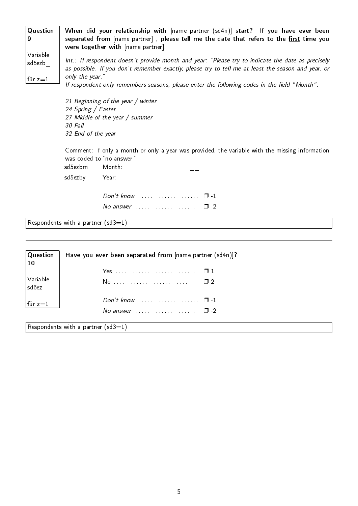| Question<br>⊺9     | When did your relationship with [name partner (sd4n)] start? If you have ever been<br>separated from [name partner], please tell me the date that refers to the first time you<br>were together with [name partner].       |
|--------------------|----------------------------------------------------------------------------------------------------------------------------------------------------------------------------------------------------------------------------|
| Variable<br>sd5ezb | Int.: If respondent doesn't provide month and year: "Please try to indicate the date as precisely<br>as possible. If you don't remember exactly, please try to tell me at least the season and year, or<br>only the year." |
| $ $ für z $=1$     | If respondent only remembers seasons, please enter the following codes in the field "Month":                                                                                                                               |

21 Beginning of the year / winter 24 Spring / Easter 27 Middle of the year / summer 30 Fall 32 End of the year

Comment: If only a month or only a year was provided, the variable with the missing information was coded to "no answer."

| sd5ezbm Month: |                    |  |
|----------------|--------------------|--|
| sd5ezby Year:  |                    |  |
|                |                    |  |
|                | No answer $\Box$ 2 |  |

Respondents with a partner  $(sd3=1)$ 

| $ $ Question<br>$\vert$ 10          | Have you ever been separated from [name partner (sd4n)]?          |  |  |
|-------------------------------------|-------------------------------------------------------------------|--|--|
|                                     |                                                                   |  |  |
| $ {\sf Variable} $<br>$ $ sd $6$ ez |                                                                   |  |  |
| $\vert$ für z $=$ 1                 | Don't know $\ldots$ $\ldots$ $\ldots$ $\ldots$ $\ldots$ $\Box$ -1 |  |  |
|                                     | No answer $\ldots$ $\ldots$ $\ldots$ $\ldots$ $\Box$ -2           |  |  |
|                                     | Respondents with a partner (sd3=1)                                |  |  |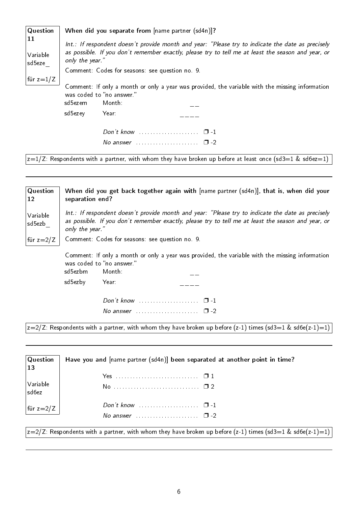| <b>Question</b>          | When did you separate from [name partner (sd4n)]?                                                                                                                                                                          |  |  |
|--------------------------|----------------------------------------------------------------------------------------------------------------------------------------------------------------------------------------------------------------------------|--|--|
| 11<br>Variable<br>sd5eze | Int.: If respondent doesn't provide month and year: "Please try to indicate the date as precisely<br>as possible. If you don't remember exactly, please try to tell me at least the season and year, or<br>only the year." |  |  |
|                          | Comment: Codes for seasons: see question no. 9.                                                                                                                                                                            |  |  |
| für z $=1/Z$             | Comment: If only a month or only a year was provided, the variable with the missing information<br>was coded to "no answer."<br>sd5ezem<br>Month:<br>sd5ezey<br>Year:                                                      |  |  |
|                          | Don't know $\ldots \ldots \ldots \ldots \ldots \quad \Box -1$<br>No answer $\cdots$ $\Box$ -2                                                                                                                              |  |  |
|                          | $ z{=}1/Z$ : Respondents with a partner, with whom they have broken up before at least once (sd3=1 & sd6ez=1) $\,$                                                                                                         |  |  |

| <b>Question</b><br>12 | When did you get back together again with [name partner (sd4n)], that is, when did your<br>separation end?                                                                                                                 |  |  |
|-----------------------|----------------------------------------------------------------------------------------------------------------------------------------------------------------------------------------------------------------------------|--|--|
| Variable<br>sd5ezb    | Int.: If respondent doesn't provide month and year: "Please try to indicate the date as precisely<br>as possible. If you don't remember exactly, please try to tell me at least the season and year, or<br>only the year." |  |  |
| für z $=2/Z$          | Comment: Codes for seasons: see question no. 9.                                                                                                                                                                            |  |  |
|                       | Comment: If only a month or only a year was provided, the variable with the missing information<br>was coded to "no answer."<br>sd5ezbm<br>Month:<br>sd5ezby<br>Year:                                                      |  |  |
|                       |                                                                                                                                                                                                                            |  |  |

 $\sqrt{z=2/Z}$ : Respondents with a partner, with whom they have broken up before  $(z-1)$  times  $(sd3=1 \& sd6e(z-1)=1)$ 

No answer  $\dots\dots\dots\dots\dots\dots$   $\square$  -2

| Question<br>$\vert$ 13    | Have you and [name partner (sd4n)] been separated at another point in time?                                   |
|---------------------------|---------------------------------------------------------------------------------------------------------------|
|                           |                                                                                                               |
| $\big $ Variable<br>sd6ez |                                                                                                               |
| für z=2/Z                 | Don't know $\ldots$ $\ldots$ $\ldots$ $\ldots$ $\Box$ -1                                                      |
|                           | No answer $\ldots$ $\ldots$ $\ldots$ $\ldots$ $\Box$ -2                                                       |
|                           | $ z=2/Z$ : Respondents with a partner, with whom they have broken up before (z-1) times (sd3=1 & sd6e(z-1)=1) |

6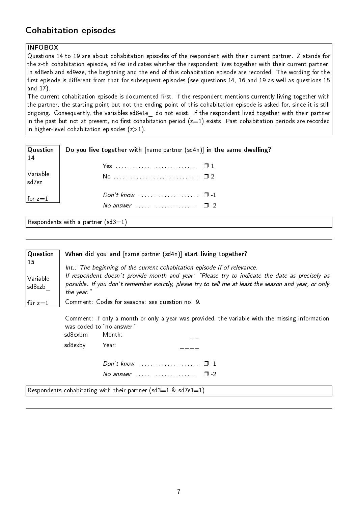## <span id="page-10-0"></span>Cohabitation episodes

#### INFOBOX

Questions 14 to 19 are about cohabitation episodes of the respondent with their current partner. Z stands for the z-th cohabitation episode, sd7ez indicates whether the respondent lives together with their current partner. In sd8ezb and sd9eze, the beginning and the end of this cohabitation episode are recorded. The wording for the first episode is different from that for subsequent episodes (see questions 14, 16 and 19 as well as questions 15 and 17).

The current cohabitation episode is documented first. If the respondent mentions currently living together with the partner, the starting point but not the ending point of this cohabitation episode is asked for, since it is still ongoing. Consequently, the variables sd8e1e\_ do not exist. If the respondent lived together with their partner in the past but not at present, no first cohabitation period  $(z=1)$  exists. Past cohabitation periods are recorded in higher-level cohabitation episodes  $(z>1)$ .

| $\mid$ Question $\mid$<br>14 | Do you live together with $[name\ partner (sd4n)]$ in the same dwelling? |  |  |  |
|------------------------------|--------------------------------------------------------------------------|--|--|--|
|                              |                                                                          |  |  |  |
| Variable<br> sd7ez           |                                                                          |  |  |  |
| for $z=1$                    |                                                                          |  |  |  |
|                              | No answer $\ldots \ldots \ldots \ldots \ldots \square$ -2                |  |  |  |

Respondents with a partner  $(sd3=1)$ 

| $\sqrt{Q}$ uestion<br><b>15</b><br>Variable<br>sd8ezb | When did you and [name partner (sd4n)] start living together?<br>Int.: The beginning of the current cohabitation episode if of relevance.<br>If respondent doesn't provide month and year: "Please try to indicate the date as precisely as<br>possible. If you don't remember exactly, please try to tell me at least the season and year, or only<br>the year." |                                     |                                                                                                 |  |
|-------------------------------------------------------|-------------------------------------------------------------------------------------------------------------------------------------------------------------------------------------------------------------------------------------------------------------------------------------------------------------------------------------------------------------------|-------------------------------------|-------------------------------------------------------------------------------------------------|--|
| $ $ für z $=1$                                        | Comment: Codes for seasons: see question no. 9.                                                                                                                                                                                                                                                                                                                   |                                     |                                                                                                 |  |
|                                                       | sd8exbm                                                                                                                                                                                                                                                                                                                                                           | was coded to "no answer."<br>Month: | Comment: If only a month or only a year was provided, the variable with the missing information |  |
|                                                       | sd8exby                                                                                                                                                                                                                                                                                                                                                           | Year:                               |                                                                                                 |  |
|                                                       |                                                                                                                                                                                                                                                                                                                                                                   |                                     |                                                                                                 |  |
|                                                       |                                                                                                                                                                                                                                                                                                                                                                   |                                     | No answer $\ldots \ldots \ldots \ldots \ldots \square$ -2                                       |  |
|                                                       |                                                                                                                                                                                                                                                                                                                                                                   |                                     | Respondents cohabitating with their partner (sd3=1 & sd7e1=1)                                   |  |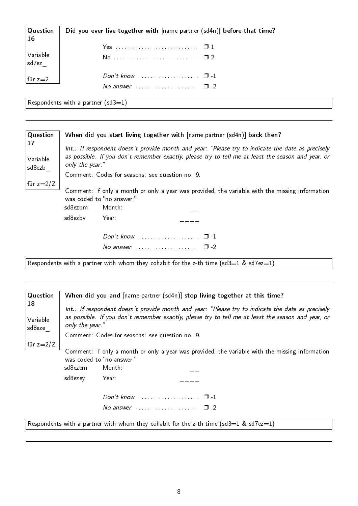| $\vert$ Question<br> 16                                                 | Did you ever live together with [name partner (sd4n)] before that time? |
|-------------------------------------------------------------------------|-------------------------------------------------------------------------|
|                                                                         |                                                                         |
| $\begin{array}{ l } \hline \text{Variable} \\ \text{sd7ez} \end{array}$ |                                                                         |
| $\vert$ für z=2                                                         | Don't know $\ldots$ $\ldots$ $\ldots$ $\ldots$ $\Box$ -1                |
|                                                                         | No answer $\ldots$ $\ldots$ $\ldots$ $\ldots$ $\Box$ -2                 |
| $\triangleright$                                                        | the company's company's problems.                                       |

Respondents with a partner (sd3=1)

| Question                 | When did you start living together with [name partner (sd4n)] back then?                                                                                                                                                   |  |  |  |
|--------------------------|----------------------------------------------------------------------------------------------------------------------------------------------------------------------------------------------------------------------------|--|--|--|
| 17<br>Variable<br>sd8ezb | Int.: If respondent doesn't provide month and year: "Please try to indicate the date as precisely<br>as possible. If you don't remember exactly, please try to tell me at least the season and year, or<br>only the year." |  |  |  |
|                          | Comment: Codes for seasons: see question no. 9.                                                                                                                                                                            |  |  |  |
| für z $=2/Z$             | Comment: If only a month or only a year was provided, the variable with the missing information<br>was coded to "no answer."<br>sd8ezbm<br>Month:                                                                          |  |  |  |
|                          | sd8ezby<br>Year:                                                                                                                                                                                                           |  |  |  |
|                          | No answer $\ldots \ldots \ldots \ldots \ldots \square$ -2                                                                                                                                                                  |  |  |  |

Respondents with a partner with whom they cohabit for the z-th time (sd3=1 & sd7ez=1)

| <b>Question</b>          |                                                                                                                                                                                                                            |                                     | When did you and [name partner (sd4n)] stop living together at this time?                       |
|--------------------------|----------------------------------------------------------------------------------------------------------------------------------------------------------------------------------------------------------------------------|-------------------------------------|-------------------------------------------------------------------------------------------------|
| 18<br>Variable<br>sd8eze | Int.: If respondent doesn't provide month and year: "Please try to indicate the date as precisely<br>as possible. If you don't remember exactly, please try to tell me at least the season and year, or<br>only the year." |                                     |                                                                                                 |
|                          |                                                                                                                                                                                                                            |                                     | Comment: Codes for seasons: see question no. 9.                                                 |
| für z $=2/Z$             | sd8ezem                                                                                                                                                                                                                    | was coded to "no answer."<br>Month: | Comment: If only a month or only a year was provided, the variable with the missing information |
|                          | sd8ezey                                                                                                                                                                                                                    | Year:                               |                                                                                                 |
|                          |                                                                                                                                                                                                                            |                                     |                                                                                                 |
|                          |                                                                                                                                                                                                                            |                                     | No answer $\ldots \ldots \ldots \ldots \ldots \square$ -2                                       |
|                          |                                                                                                                                                                                                                            |                                     | Respondents with a partner with whom they cohabit for the z-th time (sd3=1 & sd7ez=1)           |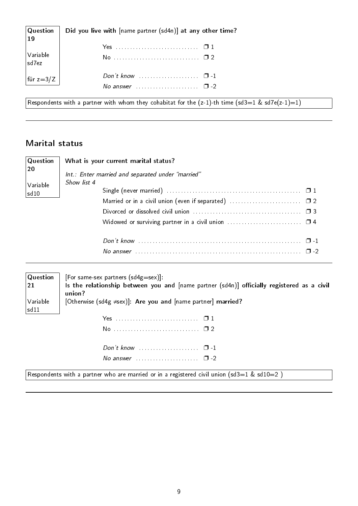| $\vert$ Question<br>19 | Did you live with [name partner (sd4n)] at any other time?           |
|------------------------|----------------------------------------------------------------------|
|                        |                                                                      |
| Variable<br> sd7ez     |                                                                      |
| für z=3/Z              | Don't know $\ldots \ldots \ldots \ldots \ldots \ldots \quad \Box$ -1 |
|                        | No answer $\ldots \ldots \ldots \ldots \ldots \quad \Box -2$         |

Respondents with a partner with whom they cohabitat for the (z-1)-th time (sd3=1 & sd7e(z-1)=1)

### <span id="page-12-0"></span>Marital status

| $\sqrt{Q}$ uestion | What is your current marital status?              |
|--------------------|---------------------------------------------------|
| 20                 | Int.: Enter married and separated under "married" |
| $\sqrt{}$ Variable | Show list 4                                       |
| sd10               |                                                   |
|                    |                                                   |
|                    |                                                   |
|                    |                                                   |
|                    |                                                   |
|                    |                                                   |

| $\sqrt{Q}$ uestion | [For same-sex partners $(sd4g=sex)$ ]:                                                     |
|--------------------|--------------------------------------------------------------------------------------------|
| 21                 | Is the relationship between you and [name partner (sd4n)] officially registered as a civil |
|                    | union?                                                                                     |
| Variable<br> sd11  | [Otherwise (sd4g $\neq$ sex)]: Are you and [name partner] married?                         |
|                    |                                                                                            |

| Don't know $\cdots$ $\cdots$ $\cdots$                   |  |
|---------------------------------------------------------|--|
| No answer $\ldots$ $\ldots$ $\ldots$ $\ldots$ $\Box$ -2 |  |

Respondents with a partner who are married or in a registered civil union  $(sd3=1 \& sd10=2)$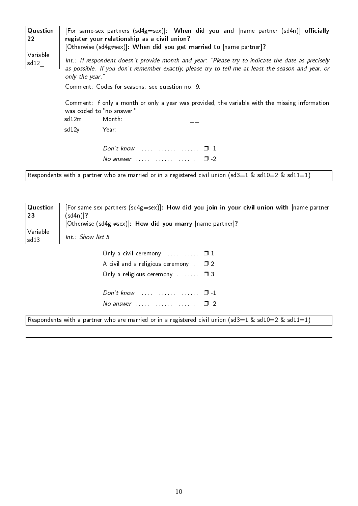| Question<br>22<br>Variable<br>5d12 |                                                 | [For same-sex partners (sd4g=sex)]: When did you and $[name$ partner $(sd4n)]$ officially<br>register your relationship as a civil union?<br>[Otherwise (sd4g=sex)]: When did you get married to [name partner]? |  |
|------------------------------------|-------------------------------------------------|------------------------------------------------------------------------------------------------------------------------------------------------------------------------------------------------------------------|--|
|                                    | only the year."                                 | Int.: If respondent doesn't provide month and year: "Please try to indicate the date as precisely<br>as possible. If you don't remember exactly, please try to tell me at least the season and year, or          |  |
|                                    | Comment: Codes for seasons: see question no. 9. |                                                                                                                                                                                                                  |  |
|                                    |                                                 | Comment: If only a month or only a year was provided, the variable with the missing information<br>was coded to "no answer."                                                                                     |  |
|                                    | sd12m                                           | Month:                                                                                                                                                                                                           |  |
|                                    | sd12y                                           | Year:                                                                                                                                                                                                            |  |
|                                    |                                                 | Don't know $\ldots \ldots \ldots \ldots \ldots \quad \Box$ -1                                                                                                                                                    |  |
|                                    |                                                 | No answer $\ldots \ldots \ldots \ldots \ldots \quad \Box$ -2                                                                                                                                                     |  |

Respondents with a partner who are married or in a registered civil union  $(sd3=1 \& sd10=2 \& sd11=1)$ 

| Question     | [For same-sex partners (sd4g=sex)]: How did you join in your civil union with [name partner                                                                                           |  |
|--------------|---------------------------------------------------------------------------------------------------------------------------------------------------------------------------------------|--|
| $ 23\rangle$ | (sd4n)]?                                                                                                                                                                              |  |
| Variable     | [Otherwise (sd4g $\neq$ sex)]: How did you marry [name partner]?                                                                                                                      |  |
| sd13         | $Int.$ : Show list 5                                                                                                                                                                  |  |
|              | Only a civil ceremony $\ldots$ $\ldots$ $\Box$ 1<br>A civil and a religious ceremony $\Box$ 2<br>Only a religious ceremony $\Box$ 3<br>No answer $\cdots$ $\cdots$ $\cdots$ $\Box$ -2 |  |

Respondents with a partner who are married or in a registered civil union  $(sd3=1 \& sd10=2 \& sd11=1)$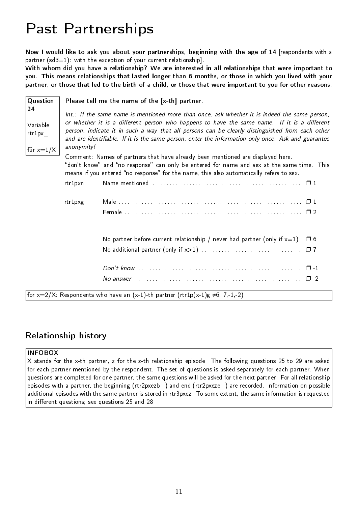## <span id="page-14-0"></span>Past Partnerships

Now I would like to ask you about your partnerships, beginning with the age of 14 [respondents with a partner  $(sd3=1)$ : with the exception of your current relationship].

With whom did you have a relationship? We are interested in all relationships that were important to you. This means relationships that lasted longer than 6 months, or those in which you lived with your partner, or those that led to the birth of a child, or those that were important to you for other reasons.

| Question                           | Please tell me the name of the [x-th] partner.                                                                                                                                                                                                                                                       |                                                                                                                                                                                                                                                                          |  |  |
|------------------------------------|------------------------------------------------------------------------------------------------------------------------------------------------------------------------------------------------------------------------------------------------------------------------------------------------------|--------------------------------------------------------------------------------------------------------------------------------------------------------------------------------------------------------------------------------------------------------------------------|--|--|
| 24                                 | Int.: If the same name is mentioned more than once, ask whether it is indeed the same person,                                                                                                                                                                                                        |                                                                                                                                                                                                                                                                          |  |  |
| Variable<br>rtr1px                 | or whether it is a different person who happens to have the same name. If it is a different<br>person, indicate it in such a way that all persons can be clearly distinguished from each other<br>and are identifiable. If it is the same person, enter the information only once. Ask and guarantee |                                                                                                                                                                                                                                                                          |  |  |
| $\left  \text{für } x=1/X \right $ | anonymity!                                                                                                                                                                                                                                                                                           |                                                                                                                                                                                                                                                                          |  |  |
|                                    |                                                                                                                                                                                                                                                                                                      | Comment: Names of partners that have already been mentioned are displayed here.<br>"don't know" and "no response" can only be entered for name and sex at the same time. This<br>means if you entered "no response" for the name, this also automatically refers to sex. |  |  |
|                                    | rtr1pxn                                                                                                                                                                                                                                                                                              |                                                                                                                                                                                                                                                                          |  |  |
|                                    | rtr1pxg                                                                                                                                                                                                                                                                                              |                                                                                                                                                                                                                                                                          |  |  |
|                                    |                                                                                                                                                                                                                                                                                                      |                                                                                                                                                                                                                                                                          |  |  |
|                                    |                                                                                                                                                                                                                                                                                                      |                                                                                                                                                                                                                                                                          |  |  |
|                                    |                                                                                                                                                                                                                                                                                                      | No partner before current relationship / never had partner (only if $x=1$ )<br>□ 6                                                                                                                                                                                       |  |  |
|                                    |                                                                                                                                                                                                                                                                                                      |                                                                                                                                                                                                                                                                          |  |  |
|                                    |                                                                                                                                                                                                                                                                                                      |                                                                                                                                                                                                                                                                          |  |  |
|                                    |                                                                                                                                                                                                                                                                                                      |                                                                                                                                                                                                                                                                          |  |  |
|                                    |                                                                                                                                                                                                                                                                                                      | for $x=2/X$ : Respondents who have an $(x-1)$ -th partner $(rtr1p(x-1)g \neq 6, 7,-1,-2)$                                                                                                                                                                                |  |  |

#### <span id="page-14-1"></span>Relationship history

#### INFOBOX

X stands for the x-th partner, z for the z-th relationship episode. The following questions 25 to 29 are asked for each partner mentioned by the respondent. The set of questions is asked separately for each partner. When questions are completed for one partner, the same questions will be asked for the next partner. For all relationship episodes with a partner, the beginning (rtr2pxezb) and end (rtr2pxeze) are recorded. Information on possible additional episodes with the same partner is stored in rtr3pxez. To some extent, the same information is requested in different questions; see questions 25 and 28.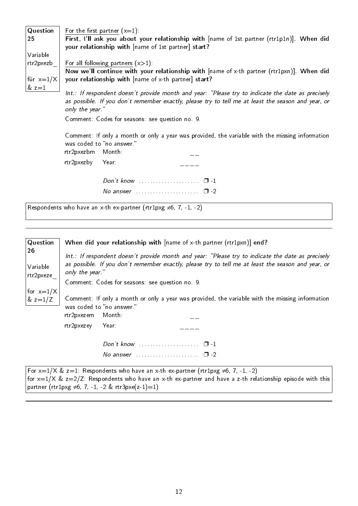Question 25 Variable rtr2pxezb\_ für  $x=1/X$  $& z=1$ For the first partner  $(x=1)$ : First, I'll ask you about your relationship with [name of 1st partner (rtr1p1n)]. When did your relationship with [name of 1st partner] start? For all following partners  $(x>1)$ : Now we'll continue with your relationship with [name of x-th partner (rtr1pxn)]. When did your relationship with [name of x-th partner] start? Int.: If respondent doesn't provide month and year: "Please try to indicate the date as precisely as possible. If you don't remember exactly, please try to tell me at least the season and year, or only the year." Comment: Codes for seasons: see question no. 9.

> Comment: If only a month or only a year was provided, the variable with the missing information was coded to "no answer."<br>rtr2pxezbm Month

| rtr2pxezbm Month: |                    |  |
|-------------------|--------------------|--|
| rtr2pxezby Year:  |                    |  |
|                   |                    |  |
|                   | No answer $\Box$ 2 |  |

Respondents who have an x-th ex-partner (rtr1pxg  $\neq 6$ , 7, -1, -2)

| Question              | When did your relationship with [name of x-th partner (rtr1pxn)] end?                                                                                                                                   |  |  |
|-----------------------|---------------------------------------------------------------------------------------------------------------------------------------------------------------------------------------------------------|--|--|
| 26                    | Int.: If respondent doesn't provide month and year: "Please try to indicate the date as precisely<br>as possible. If you don't remember exactly, please try to tell me at least the season and year, or |  |  |
| Variable<br>rtr2pxeze | only the year."                                                                                                                                                                                         |  |  |
|                       | Comment: Codes for seasons: see question no. 9.                                                                                                                                                         |  |  |
| for $x=1/X$           |                                                                                                                                                                                                         |  |  |
| $\&z=1/Z$             | Comment: If only a month or only a year was provided, the variable with the missing information                                                                                                         |  |  |
|                       | was coded to "no answer."                                                                                                                                                                               |  |  |
|                       | rtr2pxezem<br>Month :                                                                                                                                                                                   |  |  |
|                       | rtr2pxezey<br>Year:                                                                                                                                                                                     |  |  |
|                       | Don't know $\ldots \ldots \ldots \ldots \ldots \quad \Box -1$                                                                                                                                           |  |  |
|                       | No answer $\ldots \ldots \ldots \ldots \ldots \square$ -2                                                                                                                                               |  |  |
|                       | For $x=1/X$ $\& z=1$ Respondents who have an x-th ex-partner (rtr1pxg $\neq$ 6 7 -1 -2)                                                                                                                 |  |  |

 $\mathsf{for}~\mathsf{x}{=}1/\mathsf{X}~\&~\mathsf{z}{=}1$ : Respondents who have an x-th ex-partner (rtr $1$ pxg ≠6, 7, -1, -2) for  $x=1/X$  &  $z=2/Z$ : Respondents who have an x-th ex-partner and have a z-th relationship episode with this partner (rtr1pxg  $\neq 6, 7, -1, -2$  & rtr3pxe(z-1)=1)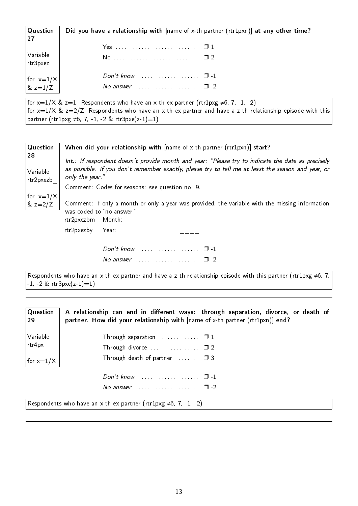| $\mid$ Question<br> 27                                                      | Did you have a relationship with [name of x-th partner (rtr1pxn)] at any other time? |
|-----------------------------------------------------------------------------|--------------------------------------------------------------------------------------|
|                                                                             |                                                                                      |
| $\begin{array}{c} \big \,\text{Variable} \atop \text{rtr3pxez} \end{array}$ |                                                                                      |
|                                                                             |                                                                                      |
| $\begin{vmatrix} \text{for } x=1/X \\ \text{& } z=1/Z \end{vmatrix}$        | No answer $\ldots$ $\ldots$ $\ldots$ $\ldots$ $\Box$ -2                              |

for  $x=1/X$  &  $z=1$ : Respondents who have an x-th ex-partner (rtr1pxg  $\neq 6$ , 7, -1, -2) for  $x=1/X$  &  $z=2/Z$ : Respondents who have an x-th ex-partner and have a z-th relationship episode with this partner (rtr1pxg ≠6, 7, -1, -2 & rtr3pxe(z-1)=1)



Respondents who have an x-th ex-partner and have a z-th relationship episode with this partner (rtr1pxg  $\neq 6, 7$ , -1, -2 & rtr3pxe(z-1)=1)

| Question<br>29                                                        | A relationship can end in different ways: through separation, divorce, or death of<br>partner. How did your relationship with [name of x-th partner (rtr1pxn)] end? |  |
|-----------------------------------------------------------------------|---------------------------------------------------------------------------------------------------------------------------------------------------------------------|--|
| Variable                                                              | Through separation $\ldots$ $\Box$ 1                                                                                                                                |  |
| rtr4px                                                                |                                                                                                                                                                     |  |
| for $x=1/X$                                                           | Through death of partner $\ldots \ldots \square$ 3                                                                                                                  |  |
|                                                                       |                                                                                                                                                                     |  |
|                                                                       | No answer $\ldots \ldots \ldots \ldots \ldots \square$ -2                                                                                                           |  |
| Respondents who have an x-th ex-partner (rtr1pxg $\neq$ 6, 7, -1, -2) |                                                                                                                                                                     |  |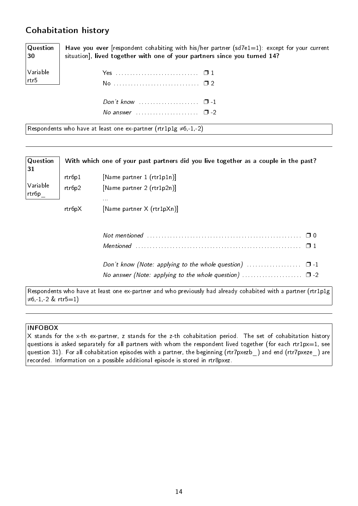## <span id="page-17-0"></span>Cohabitation history

**Question** 30 Have you ever [respondent cohabiting with his/her partner (sd7e1=1): except for your current situation], lived together with one of your partners since you turned 14?

| Variable  <br>rtr5 |                                                              |  |
|--------------------|--------------------------------------------------------------|--|
|                    | No answer $\ldots \ldots \ldots \ldots \ldots \quad \Box -2$ |  |

Respondents who have at least one ex-partner ( $rtr1p1g \neq 6,-1,-2$ )

| Question<br>31    |        | With which one of your past partners did you live together as a couple in the past?                           |
|-------------------|--------|---------------------------------------------------------------------------------------------------------------|
|                   | rtr6p1 | [Name partner 1 (rtr1p1n)]                                                                                    |
| Variable<br>rtr6p | rtr6p2 | [Name partner 2 (rtr1p2n)]<br>$\alpha$ and                                                                    |
|                   | rtr6pX | [Name partner X (rtr1pXn)]                                                                                    |
|                   |        |                                                                                                               |
|                   |        |                                                                                                               |
|                   |        | Don't know (Note: applying to the whole question) $\ldots$ $\Box$ -1                                          |
|                   |        |                                                                                                               |
|                   |        | Respondents who have at least one ex-partner and who previously had already cohabited with a partner (rtr1p1g |

≠6,-1,-2 & rtr5=1)

#### INFOBOX

X stands for the x-th ex-partner, z stands for the z-th cohabitation period. The set of cohabitation history questions is asked separately for all partners with whom the respondent lived together (for each rtr1px=1, see question 31). For all cohabitation episodes with a partner, the beginning (rtr7pxezb ) and end (rtr7pxeze) are recorded. Information on a possible additional episode is stored in rtr8pxez.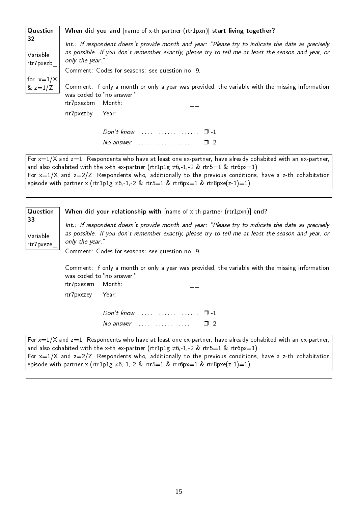| Question                    | When did you and [name of x-th partner (rtr1pxn)] start living together?                                                                                                                                                                                                      |
|-----------------------------|-------------------------------------------------------------------------------------------------------------------------------------------------------------------------------------------------------------------------------------------------------------------------------|
| 32<br>Variable<br>rtr7pxezb | Int.: If respondent doesn't provide month and year: "Please try to indicate the date as precisely<br>as possible. If you don't remember exactly, please try to tell me at least the season and year, or<br>only the year."<br>Comment: Codes for seasons: see question no. 9. |
| for $x=1/X$<br>& $z=1/Z$    | Comment: If only a month or only a year was provided, the variable with the missing information<br>was coded to "no answer."<br>rtr7pxezbm<br>Month:<br>rtr7pxezby<br>Year:                                                                                                   |
|                             | Don't know $\cdots$ $\Box$ $\Box$<br>No answer $\ldots \ldots \ldots \ldots \ldots \quad \Box$ -2<br>For $x=1/X$ and $z=1$ : Respondents who have at least one ex-partner, have already cohabited with an ex-partner,                                                         |

and also cohabited with the x-th ex-partner (rtr1p1g  $\neq$ 6,-1,-2 & rtr5=1 & rtr6px=1) For  $x=1/X$  and  $z=2/Z$ : Respondents who, additionally to the previous conditions, have a z-th cohabitation episode with partner x (rtr1p1g  $\neq 6, -1, -2$  & rtr5=1 & rtr6px=1 & rtr8pxe(z-1)=1)

| Question                    | When did your relationship with $[name of x-th partner (rtr1pxn)]$ end?                                                                                                                                                    |  |  |
|-----------------------------|----------------------------------------------------------------------------------------------------------------------------------------------------------------------------------------------------------------------------|--|--|
| 33<br>Variable<br>rtr7pxeze | Int.: If respondent doesn't provide month and year: "Please try to indicate the date as precisely<br>as possible. If you don't remember exactly, please try to tell me at least the season and year, or<br>only the year." |  |  |
|                             | Comment: Codes for seasons: see question no. 9.                                                                                                                                                                            |  |  |
|                             | Comment: If only a month or only a year was provided, the variable with the missing information<br>was coded to "no answer."<br>Month:<br>rtr7pxezem                                                                       |  |  |
|                             | rtr7pxezey<br>Year:                                                                                                                                                                                                        |  |  |
|                             | Don't know $\cdots$ $\cdots$ $\cdots$<br>No answer $\ldots \ldots \ldots \ldots \ldots \square$ -2                                                                                                                         |  |  |
|                             | For $x=1/X$ and $z=1$ : Respondents who have at least one ex-partner, have already cohabited with an ex-partner,<br>and also cohabited with the x-th ex-partner (rtr1p1g $\neq$ 6 -1 -2 & rtr5 -1 & rtr6px -1)             |  |  |

d with the x-th ex-partner (rtr1p1g ≠6,-1,-2 & rtr5=1 & rtr6px=1) For  $x=1/X$  and  $z=2/Z$ : Respondents who, additionally to the previous conditions, have a z-th cohabitation episode with partner x (rtr1p1g  $\neq 6, -1, -2$  & rtr5=1 & rtr6px=1 & rtr8pxe(z-1)=1)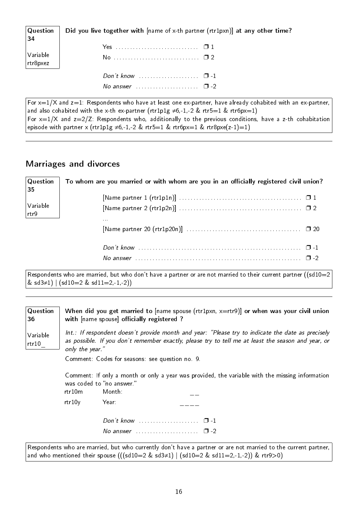| $\mathsf{Q}$ uestion<br>34 | Did you live together with [name of x-th partner (rtr1pxn)] at any other time? |
|----------------------------|--------------------------------------------------------------------------------|
|                            |                                                                                |
| Variable<br>rtr8pxez       |                                                                                |
|                            |                                                                                |
|                            | No answer $\ldots \ldots \ldots \ldots \ldots \ldots \square$ -2               |

For  $x=1/X$  and  $z=1$ : Respondents who have at least one ex-partner, have already cohabited with an ex-partner, and also cohabited with the x-th ex-partner (rtr1p1g  $\neq$ 6,-1,-2 & rtr5=1 & rtr6px=1) For  $x=1/X$  and  $z=2/Z$ : Respondents who, additionally to the previous conditions, have a z-th cohabitation episode with partner x (rtr1p1g  $\neq$ 6,-1,-2 & rtr5=1 & rtr6px=1 & rtr8pxe(z-1)=1)

#### <span id="page-19-0"></span>Marriages and divorces

| Question<br>35              | To whom are you married or with whom are you in an officially registered civil union? |
|-----------------------------|---------------------------------------------------------------------------------------|
|                             |                                                                                       |
| Variable<br>$\vert$ rtr $9$ | 1.1.1                                                                                 |
|                             |                                                                                       |
|                             |                                                                                       |
|                             |                                                                                       |

Respondents who are married, but who don't have a partner or are not married to their current partner ((sd10=2 & sd3≠1) | (sd10=2 & sd11=2,-1,-2))

| Question<br>36       | When did you get married to $[name space (rt1pxn, x=rtr9)]$ or when was your civil union<br>with [name spouse] officially registered ?                                                                                     |                                                                       |  |
|----------------------|----------------------------------------------------------------------------------------------------------------------------------------------------------------------------------------------------------------------------|-----------------------------------------------------------------------|--|
| Variable<br>rtr $10$ | Int.: If respondent doesn't provide month and year: "Please try to indicate the date as precisely<br>as possible. If you don't remember exactly, please try to tell me at least the season and year, or<br>only the year." |                                                                       |  |
|                      | Comment: Codes for seasons: see question no. 9.                                                                                                                                                                            |                                                                       |  |
|                      | Comment: If only a month or only a year was provided, the variable with the missing information<br>was coded to "no answer."                                                                                               |                                                                       |  |
|                      | rtr10m                                                                                                                                                                                                                     | Month:                                                                |  |
|                      | rtr10y                                                                                                                                                                                                                     | Year:                                                                 |  |
|                      |                                                                                                                                                                                                                            | Don't know $\ldots \ldots \ldots \ldots \ldots \ldots \quad \Box - 1$ |  |
|                      |                                                                                                                                                                                                                            | No answer $\ldots \ldots \ldots \ldots \ldots \quad \Box -2$          |  |
|                      |                                                                                                                                                                                                                            |                                                                       |  |

Respondents who are married, but who currently don't have a partner or are not married to the current partner, and who mentioned their spouse (((sd10=2 & sd3≠1) | (sd10=2 & sd11=2,-1,-2)) & rtr9>0)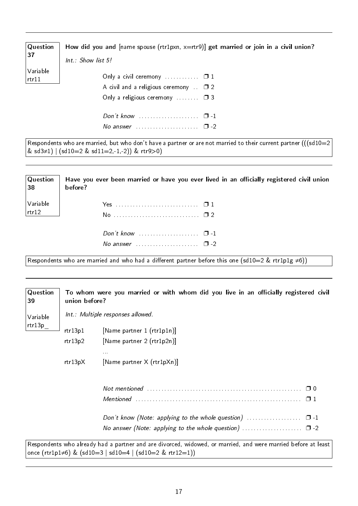| $\mid$ Question<br> 37   | How did you and $[name space (rtr1pxn, x=rtr9)]$ get married or join in a civil union?                                                           |
|--------------------------|--------------------------------------------------------------------------------------------------------------------------------------------------|
|                          | Int.: Show list 5!                                                                                                                               |
| Variable<br>$ $ rtr $11$ | Only a civil ceremony $\ldots \ldots \ldots \square 1$<br>A civil and a religious ceremony $\Box$ 2<br>Only a religious ceremony $\Box$ $\Box$ 3 |
|                          | Don't know $\ldots$ $\ldots$ $\ldots$ $\ldots$ $\ldots$ $\Box$ -1<br>No answer $\ldots \ldots \ldots \ldots \ldots \square$ -2                   |

 $\sqrt{\frac{1}{100}}$  Respondents who are married, but who don't have a partner or are not married to their current partner (((sd10=2) & sd3≠1) | (sd10=2 & sd11=2,-1,-2)) & rtr9>0)

| $\sqrt{Q}$ uestion<br>38                                                                           | Have you ever been married or have you ever lived in an officially registered civil union<br>before? |  |
|----------------------------------------------------------------------------------------------------|------------------------------------------------------------------------------------------------------|--|
| $\sqrt{}$ Variable<br>rtr12                                                                        |                                                                                                      |  |
|                                                                                                    | Don't know $\ldots \ldots \ldots \ldots \ldots \quad \Box -1$                                        |  |
|                                                                                                    | No answer $\cdots$ $\cdots$ $\cdots$                                                                 |  |
| Respondents who are married and who had a different partner before this one (sd10=2 & rtr1p1g ≠6)) |                                                                                                      |  |

| Question<br>39     | union before? | To whom were you married or with whom did you live in an officially registered civil                                                                                             |
|--------------------|---------------|----------------------------------------------------------------------------------------------------------------------------------------------------------------------------------|
| Variable<br>rtr13p |               | Int.: Multiple responses allowed.                                                                                                                                                |
|                    | rtr13p1       | [Name partner 1 (rtr1p1n)]                                                                                                                                                       |
|                    | rtr13p2       | [Name partner 2 (rtr1p2n)]<br>0.0.0                                                                                                                                              |
|                    | rtr13pX       | [Name partner X (rtr1pXn)]                                                                                                                                                       |
|                    |               | Mentioned                                                                                                                                                                        |
|                    |               |                                                                                                                                                                                  |
|                    |               | Respondents who already had a partner and are divorced, widowed, or married, and were married before at least<br>once (rtr1p1 $\neq$ 6) & (sd10=3   sd10=4   (sd10=2 & rtr12=1)) |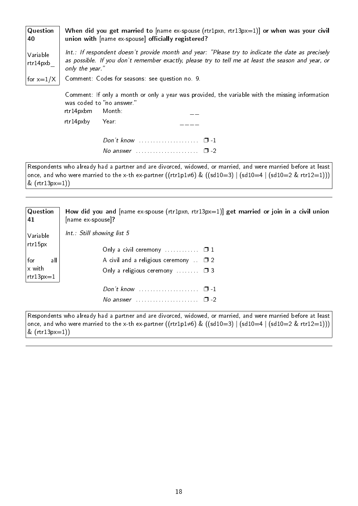| Question<br>40       | When did you get married to $[name ex-spouse (rtr1pxn, rtr13px=1)]$ or when was your civil<br>union with [name ex-spouse] officially registered?                                                                           |  |  |
|----------------------|----------------------------------------------------------------------------------------------------------------------------------------------------------------------------------------------------------------------------|--|--|
| Variable<br>rtr14pxb | Int.: If respondent doesn't provide month and year: "Please try to indicate the date as precisely<br>as possible. If you don't remember exactly, please try to tell me at least the season and year, or<br>only the year." |  |  |
| for $x=1/X$          | Comment: Codes for seasons: see question no. 9.                                                                                                                                                                            |  |  |
|                      | Comment: If only a month or only a year was provided, the variable with the missing information<br>was coded to "no answer."<br>rtr14pxbm<br>Month:                                                                        |  |  |
|                      | rtr14pxby<br>Year:                                                                                                                                                                                                         |  |  |
|                      |                                                                                                                                                                                                                            |  |  |
|                      | No answer $\ldots \ldots \ldots \ldots \ldots \quad \Box$ -2                                                                                                                                                               |  |  |
|                      | Decondents who already had a partner and are diversed widewed or married and were married before at least                                                                                                                  |  |  |

 $\vert$  Respondents who already had a partner and are divorced, widowed, or married, and were married before at least once, and who were married to the x-th ex-partner ((rtr1p1≠6) & ((sd10=3) | (sd10=4 | (sd10=2 & rtr12=1))) & (rtr13px=1))

| $\sqrt{Q}$ uestion                             | How did you and $[name ex-spouse (rtr1pxn, rtr13px=1)]$ get married or join in a civil union                          |  |  |
|------------------------------------------------|-----------------------------------------------------------------------------------------------------------------------|--|--|
| 41                                             | $[name ex-spouse]$ ?                                                                                                  |  |  |
| Variable                                       | $Int.:$ Still showing list 5                                                                                          |  |  |
| $ $ rtr $15$ px                                | Only a civil ceremony $\ldots \ldots \ldots \square 1$                                                                |  |  |
| $ $ for<br>all<br>$x$ with<br>$ $ rtr $13px=1$ | A civil and a religious ceremony $\Box$ 2<br>Only a religious ceremony $\Box$ $\Box$ 3                                |  |  |
|                                                | Don't know $\ldots$ $\ldots$ $\ldots$ $\ldots$ $\Box$ -1<br>No answer $\ldots \ldots \ldots \ldots \ldots \square$ -2 |  |  |

Respondents who already had a partner and are divorced, widowed, or married, and were married before at least once, and who were married to the x-th ex-partner ((rtr1p1≠6) & ((sd10=3) | (sd10=4 | (sd10=2 & rtr12=1)))  $& (rtr13px=1))$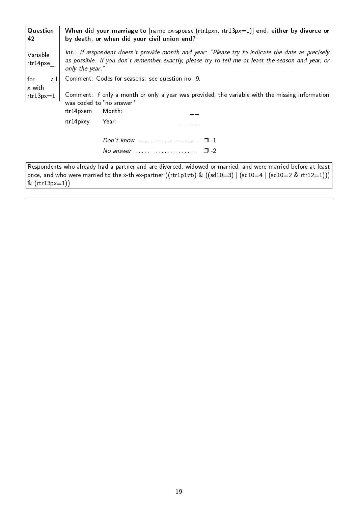| Question<br>42        | When did your marriage to $[name ex-spouse (rtr1pxn, rtr13px=1)]$ end, either by divorce or<br>by death, or when did your civil union end?                                                                                        |  |  |
|-----------------------|-----------------------------------------------------------------------------------------------------------------------------------------------------------------------------------------------------------------------------------|--|--|
| Variable<br>rtr14pxe  | Int.: If respondent doesn't provide month and year: "Please try to indicate the date as precisely<br>as possible. If you don't remember exactly, please try to tell me at least the season and year, or<br>only the year."        |  |  |
| all<br>for            | Comment: Codes for seasons: see question no. 9.                                                                                                                                                                                   |  |  |
| x with<br>$rtr13px=1$ | Comment: If only a month or only a year was provided, the variable with the missing information<br>was coded to "no answer."<br>rtr14pxem<br>Month:                                                                               |  |  |
|                       | rtr14pxey<br>Year:                                                                                                                                                                                                                |  |  |
|                       | Don't know $\ldots \ldots \ldots \ldots \ldots \quad \Box$ -1                                                                                                                                                                     |  |  |
|                       | No answer $\cdots$ $\cdots$ $\cdots$                                                                                                                                                                                              |  |  |
|                       | Respondents who already had a partner and are divorced, widowed or married, and were married before at least<br>once, and who were married to the x-th ex-partner ((rtr1p1 $\neq$ 6) & ((sd10=3)   (sd10=4   (sd10=2 & rtr12=1))) |  |  |

 $\kappa$  (rtr13px=1))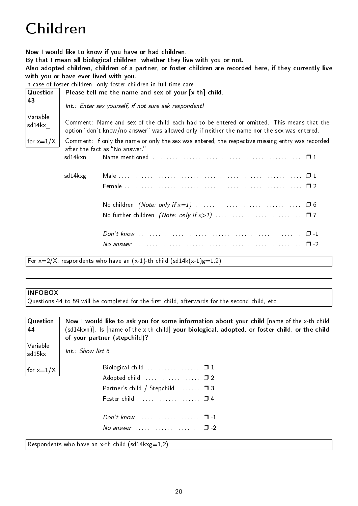# <span id="page-23-0"></span>Children

Now I would like to know if you have or had children.

By that I mean all biological children, whether they live with you or not.

Also adopted children, children of a partner, or foster children are recorded here, if they currently live with you or have ever lived with you.

In case of foster children: only foster children in full-time care

| Question           | Please tell me the name and sex of your [x-th] child.                                                                                                                                    |                                                                             |  |  |
|--------------------|------------------------------------------------------------------------------------------------------------------------------------------------------------------------------------------|-----------------------------------------------------------------------------|--|--|
| 43                 | Int.: Enter sex yourself, if not sure ask respondent!                                                                                                                                    |                                                                             |  |  |
| Variable<br>sd14kx | Comment: Name and sex of the child each had to be entered or omitted. This means that the<br>option "don't know/no answer" was allowed only if neither the name nor the sex was entered. |                                                                             |  |  |
| for $x=1/X$        | Comment: If only the name or only the sex was entered, the respective missing entry was recorded<br>after the fact as "No answer."                                                       |                                                                             |  |  |
|                    | sd14kxn                                                                                                                                                                                  |                                                                             |  |  |
|                    | sd14kxg                                                                                                                                                                                  |                                                                             |  |  |
|                    |                                                                                                                                                                                          |                                                                             |  |  |
|                    |                                                                                                                                                                                          |                                                                             |  |  |
|                    |                                                                                                                                                                                          |                                                                             |  |  |
|                    |                                                                                                                                                                                          |                                                                             |  |  |
|                    |                                                                                                                                                                                          |                                                                             |  |  |
|                    |                                                                                                                                                                                          | For $x=2/X$ : respondents who have an $(x-1)$ -th child $(sd14k(x-1)g=1,2)$ |  |  |

#### INFOBOX

Questions 44 to 59 will be completed for the first child, afterwards for the second child, etc.

| Question<br>44                                       | Now I would like to ask you for some information about your child [name of the x-th child<br>(sd14kxn)]. Is [name of the x-th child] your biological, adopted, or foster child, or the child<br>of your partner (stepchild)? |  |  |
|------------------------------------------------------|------------------------------------------------------------------------------------------------------------------------------------------------------------------------------------------------------------------------------|--|--|
| Variable<br>sd15kx                                   | $Int :$ Show list 6                                                                                                                                                                                                          |  |  |
| for $x=1/X$                                          |                                                                                                                                                                                                                              |  |  |
|                                                      | Adopted child  02                                                                                                                                                                                                            |  |  |
|                                                      | Partner's child / Stepchild $\Box$ 3                                                                                                                                                                                         |  |  |
|                                                      |                                                                                                                                                                                                                              |  |  |
|                                                      |                                                                                                                                                                                                                              |  |  |
|                                                      | No answer $\ldots \ldots \ldots \ldots \ldots \square$ -2                                                                                                                                                                    |  |  |
| Respondents who have an x-th child (sd14 $kxg=1,2$ ) |                                                                                                                                                                                                                              |  |  |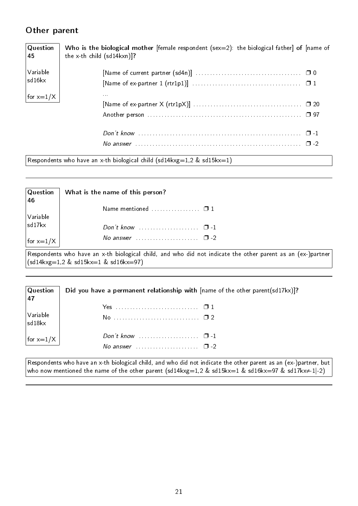### <span id="page-24-0"></span>Other parent

| Question<br>45 | Who is the biological mother [female respondent ( $sex=2$ ): the biological father] of [name of<br>the x-th child $(sd14kxn)$ ? |
|----------------|---------------------------------------------------------------------------------------------------------------------------------|
| Variable       |                                                                                                                                 |
| sd16kx         |                                                                                                                                 |
| for $x=1/X$    | 1.1.1                                                                                                                           |
|                |                                                                                                                                 |
|                |                                                                                                                                 |
|                |                                                                                                                                 |
|                |                                                                                                                                 |

Respondents who have an x-th biological child (sd14kxg=1,2 & sd15kx=1)

| $\sf Q$ uestion<br>46 | What is the name of this person?                                                                                                                                                                  |
|-----------------------|---------------------------------------------------------------------------------------------------------------------------------------------------------------------------------------------------|
|                       | Name mentioned $\ldots$ $\Box$ 1                                                                                                                                                                  |
| Variable<br> sd17kx   |                                                                                                                                                                                                   |
| for $x=1/X$           | No answer $\ldots \ldots \ldots \ldots \ldots \square$ -2                                                                                                                                         |
|                       | Respondents who have an x-th biological child, and who did not indicate the other parent as an (ex-)partner<br>$\left( \frac{\text{sd14kxg}=1.2 \text{ \& sd15kx}=1 \text{ \& sd16kx}=97 \right)$ |

| $ $ Question<br> 47        | Did you have a permanent relationship with $[name of the other parent(sd17kx)]$ ?                         |  |  |  |
|----------------------------|-----------------------------------------------------------------------------------------------------------|--|--|--|
|                            |                                                                                                           |  |  |  |
| $\big $ Variable<br>sd18kx |                                                                                                           |  |  |  |
| for $x=1/X$                | Don't know $\cdots$ $\cdots$ $\cdots$ $\cdots$<br>No answer $\ldots$ $\ldots$ $\ldots$ $\ldots$ $\Box$ -2 |  |  |  |

Respondents who have an x-th biological child, and who did not indicate the other parent as an (ex-)partner, but who now mentioned the name of the other parent (sd14kxg=1,2 & sd15kx=1 & sd16kx=97 & sd17kx $\neq$ 1|-2)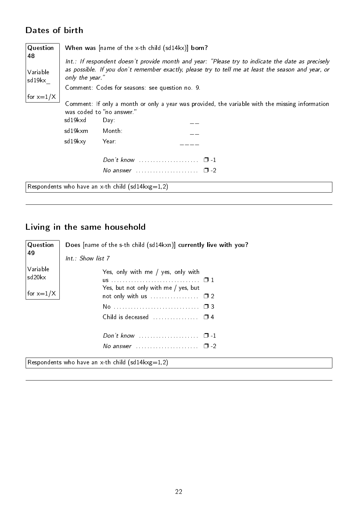## <span id="page-25-0"></span>Dates of birth

| Question                                                                                               | When was [name of the x-th child (sd14kx)] born?<br>Int.: If respondent doesn't provide month and year: "Please try to indicate the date as precisely<br>as possible. If you don't remember exactly, please try to tell me at least the season and year, or<br>only the year."<br>Comment: Codes for seasons: see question no. 9. |                                                                                                                            |  |  |
|--------------------------------------------------------------------------------------------------------|-----------------------------------------------------------------------------------------------------------------------------------------------------------------------------------------------------------------------------------------------------------------------------------------------------------------------------------|----------------------------------------------------------------------------------------------------------------------------|--|--|
| 48<br>Variable<br>sd19kx                                                                               |                                                                                                                                                                                                                                                                                                                                   |                                                                                                                            |  |  |
| for $x=1/X$<br>was coded to "no answer."<br>sd 19 kxd<br>Day:<br>sd19kxm<br>Month:<br>sd19kxy<br>Year: |                                                                                                                                                                                                                                                                                                                                   | Comment: If only a month or only a year was provided, the variable with the missing information                            |  |  |
|                                                                                                        |                                                                                                                                                                                                                                                                                                                                   | Don't know $\ldots \ldots \ldots \ldots \ldots \quad \Box$ -1<br>No answer $\ldots \ldots \ldots \ldots \ldots \square$ -2 |  |  |
|                                                                                                        |                                                                                                                                                                                                                                                                                                                                   | Respondents who have an x-th child (sd14 $kxg=1,2$ )                                                                       |  |  |

## <span id="page-25-1"></span>Living in the same household

| Question                                             | Does [name of the s-th child (sd14kxn)] currently live with you?                          |  |
|------------------------------------------------------|-------------------------------------------------------------------------------------------|--|
| 49                                                   | $Int.$ : Show list $7$                                                                    |  |
| Variable<br>sd20kx<br>for $x=1/X$                    | Yes, only with me / yes, only with<br>Yes, but not only with me / yes, but                |  |
|                                                      | $Don't know \dots \dots \dots \dots \dots \dots \dots$<br>$\Box$ -1<br>No answer $\Box$ 2 |  |
| Respondents who have an x-th child (sd14 $kxg=1,2$ ) |                                                                                           |  |

22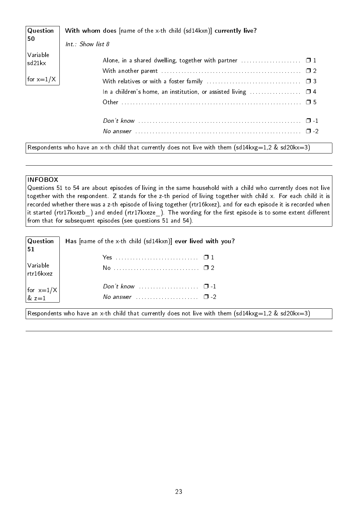| Question            | With whom does [name of the x-th child (sd14kxn)] currently live?                                         |
|---------------------|-----------------------------------------------------------------------------------------------------------|
| 50                  | $Int.$ : Show list 8                                                                                      |
| Variable<br> sd21kx |                                                                                                           |
|                     |                                                                                                           |
| for $x=1/X$         |                                                                                                           |
|                     |                                                                                                           |
|                     |                                                                                                           |
|                     |                                                                                                           |
|                     |                                                                                                           |
|                     | Respondents who have an x-th child that currently does not live with them (sd14 $kxg=1,2$ & sd20 $kx=3$ ) |

#### INFOBOX

Questions 51 to 54 are about episodes of living in the same household with a child who currently does not live together with the respondent. Z stands for the z-th period of living together with child x. For each child it is recorded whether there was a z-th episode of living together (rtr16kxez), and for each episode it is recorded when it started (rtr17kxezb\_) and ended (rtr17kxeze\_). The wording for the first episode is to some extent different from that for subsequent episodes (see questions 51 and 54).

| $\sqrt{Q}$ uestion<br>51                                    | Has [name of the x-th child (sd14kxn)] ever lived with you?                                        |
|-------------------------------------------------------------|----------------------------------------------------------------------------------------------------|
|                                                             |                                                                                                    |
| Variable<br>$\vert$ rtr16 $k$ xez                           |                                                                                                    |
|                                                             |                                                                                                    |
| $\begin{vmatrix} \text{for } x=1/X \\ \& z=1 \end{vmatrix}$ | No answer $\ldots \ldots \ldots \ldots \ldots \square$ -2                                          |
|                                                             | Respondents who have an x-th child that currently does not live with them (sd14kxg=1,2 & sd20kx=3) |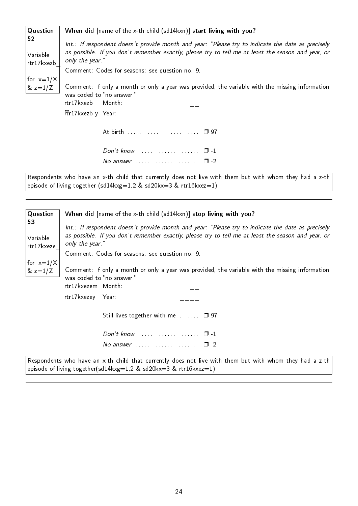| Question                     | When did [name of the x-th child (sd14kxn)] start living with you?                                                                                                                                                                                                            |  |  |  |
|------------------------------|-------------------------------------------------------------------------------------------------------------------------------------------------------------------------------------------------------------------------------------------------------------------------------|--|--|--|
| 52<br>Variable<br>rtr17kxezb | Int.: If respondent doesn't provide month and year: "Please try to indicate the date as precisely<br>as possible. If you don't remember exactly, please try to tell me at least the season and year, or<br>only the year."<br>Comment: Codes for seasons: see question no. 9. |  |  |  |
| for $x=1/X$<br>& $z=1/Z$     | Comment: If only a month or only a year was provided, the variable with the missing information<br>was coded to "no answer."<br>rtr17kxezb<br>Month:                                                                                                                          |  |  |  |
|                              | Ptr17kxezb y Year:                                                                                                                                                                                                                                                            |  |  |  |
|                              | At birth  □ 97                                                                                                                                                                                                                                                                |  |  |  |
|                              |                                                                                                                                                                                                                                                                               |  |  |  |
|                              | No answer $\ldots \ldots \ldots \ldots \ldots \ldots \square$ -2                                                                                                                                                                                                              |  |  |  |
|                              | Respondents who have an x-th child that currently does not live with them but with whom they had a z-th                                                                                                                                                                       |  |  |  |

<code> $|$ episode</code> of living together (sd14kxg=1,2 & sd20kx=3 & rtr16kxez=1)  $\,$ 

Question 53 Variable rtr17kxeze\_ for  $x=1/X$  $& z=1/Z$ When did [name of the x-th child (sd14kxn)] stop living with you? Int.: If respondent doesn't provide month and year: "Please try to indicate the date as precisely as possible. If you don't remember exactly, please try to tell me at least the season and year, or only the year." Comment: Codes for seasons: see question no. 9. Comment: If only a month or only a year was provided, the variable with the missing information was coded to "no answer." rtr17kxezem Month: \_\_ rtr17kxezey Year: \_\_\_\_ Still lives together with me . . . . . . □ 97 Don't know  $\ldots$ . . . . . . . . . . . . . .  $\Box$  -1 No answer  $\ldots$  . . . . . . . . . . . . . . .  $\Box$  -2 Respondents who have an x-th child that currently does not live with them but with whom they had a z-th episode of living together(sd14kxg=1,2 & sd20kx=3 & rtr16kxez=1)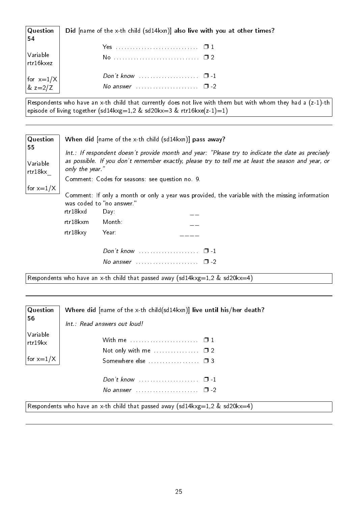| $\mid$ Question<br>54                                                | Did [name of the x-th child (sd14kxn)] also live with you at other times? |  |  |
|----------------------------------------------------------------------|---------------------------------------------------------------------------|--|--|
|                                                                      |                                                                           |  |  |
| Variable<br>$\vert$ rtr16 $k$ xez                                    |                                                                           |  |  |
|                                                                      |                                                                           |  |  |
| $\begin{vmatrix} \text{for } x=1/X \\ \text{& } z=2/Z \end{vmatrix}$ | No answer $\ldots \ldots \ldots \ldots \ldots \quad \Box -2$              |  |  |

Respondents who have an x-th child that currently does not live with them but with whom they had a (z-1)-th episode of living together (sd14kxg=1,2 & sd20kx=3 & rtr16kxe(z-1)=1)

| Question                  | When did [name of the x-th child (sd14kxn)] pass away?                                                                                                                                                                     |                                                                                                                                      |  |  |  |
|---------------------------|----------------------------------------------------------------------------------------------------------------------------------------------------------------------------------------------------------------------------|--------------------------------------------------------------------------------------------------------------------------------------|--|--|--|
| 55<br>Variable<br>rtr18kx | Int.: If respondent doesn't provide month and year: "Please try to indicate the date as precisely<br>as possible. If you don't remember exactly, please try to tell me at least the season and year, or<br>only the year." |                                                                                                                                      |  |  |  |
|                           | Comment: Codes for seasons: see question no. 9.                                                                                                                                                                            |                                                                                                                                      |  |  |  |
| for $x=1/X$               | rtr18kxd                                                                                                                                                                                                                   | Comment: If only a month or only a year was provided, the variable with the missing information<br>was coded to "no answer."<br>Day: |  |  |  |
|                           | rtr18kxm                                                                                                                                                                                                                   | Month:                                                                                                                               |  |  |  |
|                           | rtr18kxy                                                                                                                                                                                                                   | Year:                                                                                                                                |  |  |  |
|                           |                                                                                                                                                                                                                            |                                                                                                                                      |  |  |  |

| No answer | п. |
|-----------|----|
|           |    |

Respondents who have an x-th child that passed away (sd14kxg=1,2 & sd20kx=4)

| Question            | Where did [name of the x-th child(sd14kxn)] live until his/her death?                              |  |  |  |  |  |  |  |
|---------------------|----------------------------------------------------------------------------------------------------|--|--|--|--|--|--|--|
| 56                  | Int.: Read answers out loud!                                                                       |  |  |  |  |  |  |  |
| Variable<br>rtr19kx |                                                                                                    |  |  |  |  |  |  |  |
| for $x=1/X$         |                                                                                                    |  |  |  |  |  |  |  |
|                     | Don't know $\ldots \ldots \ldots \ldots \ldots \quad \Box$ -1                                      |  |  |  |  |  |  |  |
|                     | No answer $\cdots$ $\cdots$ $\cdots$ $\Box$ -2                                                     |  |  |  |  |  |  |  |
| D.                  | <b>The Community of the Community of the Community</b><br>$\sqrt{111}$<br>1001<br>100<br>$\lambda$ |  |  |  |  |  |  |  |

Respondents who have an x-th child that passed away (sd14kxg=1,2 & sd20kx=4)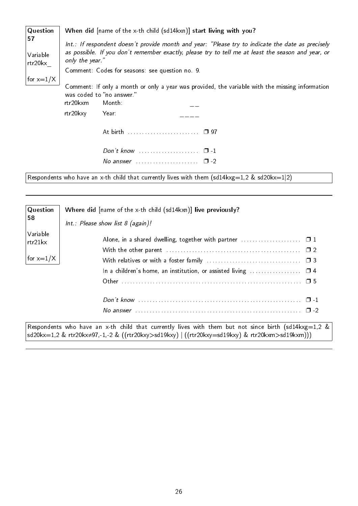| Question                  | When did [name of the x-th child (sd14kxn)] start living with you?                                                                                                                                                         |  |  |  |  |  |  |  |  |
|---------------------------|----------------------------------------------------------------------------------------------------------------------------------------------------------------------------------------------------------------------------|--|--|--|--|--|--|--|--|
| 57<br>Variable<br>rtr20kx | Int.: If respondent doesn't provide month and year: "Please try to indicate the date as precisely<br>as possible. If you don't remember exactly, please try to tell me at least the season and year, or<br>only the year." |  |  |  |  |  |  |  |  |
|                           | Comment: Codes for seasons: see question no. 9.                                                                                                                                                                            |  |  |  |  |  |  |  |  |
| for $x=1/X$               | Comment: If only a month or only a year was provided, the variable with the missing information<br>was coded to "no answer."<br>rtr20kxm<br>Month:<br>rtr20kxy<br>Year:                                                    |  |  |  |  |  |  |  |  |
|                           |                                                                                                                                                                                                                            |  |  |  |  |  |  |  |  |
|                           | Don't know $\ldots \ldots \ldots \ldots \ldots \quad \Box -1$                                                                                                                                                              |  |  |  |  |  |  |  |  |
|                           | No answer $\ldots \ldots \ldots \ldots \ldots \square$ -2                                                                                                                                                                  |  |  |  |  |  |  |  |  |

Respondents who have an x-th child that currently lives with them (sd14kxg=1,2 & sd20kx=1|2)

| Question            | Where did [name of the x-th child (sd14kxn)] live previously?                                                                                                                                           |
|---------------------|---------------------------------------------------------------------------------------------------------------------------------------------------------------------------------------------------------|
| 58                  | $Int.:$ Please show list 8 (again)!                                                                                                                                                                     |
| Variable<br>rtr21kx | Alone, in a shared dwelling, together with partner $\ldots \ldots \ldots \ldots \ldots$                                                                                                                 |
|                     |                                                                                                                                                                                                         |
| for $x=1/X$         |                                                                                                                                                                                                         |
|                     |                                                                                                                                                                                                         |
|                     |                                                                                                                                                                                                         |
|                     |                                                                                                                                                                                                         |
|                     |                                                                                                                                                                                                         |
|                     | Respondents who have an x-th child that currently lives with them but not since birth (sd14kxg=1,2 &<br>sd20kx=1,2 & rtr20kx≠97,-1,-2 & ((rtr20kxy>sd19kxy)   ((rtr20kxy=sd19kxy) & rtr20kxm>sd19kxm))) |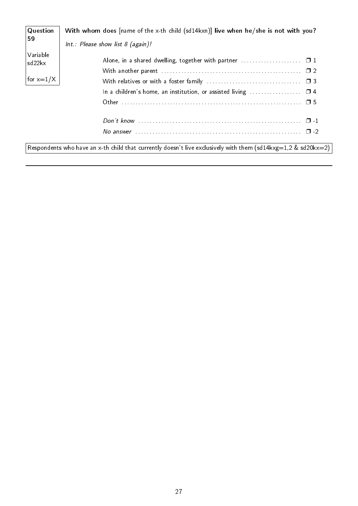| Question           | With whom does [name of the x-th child (sd14kxn)] live when he/she is not with you?                           |
|--------------------|---------------------------------------------------------------------------------------------------------------|
| 59                 | Int.: Please show list $8$ (again)!                                                                           |
| Variable<br>sd22kx |                                                                                                               |
|                    |                                                                                                               |
| for $x=1/X$        |                                                                                                               |
|                    | In a children's home, an institution, or assisted living $\Box$ 4                                             |
|                    |                                                                                                               |
|                    |                                                                                                               |
|                    |                                                                                                               |
|                    | Respondents who have an x-th child that currently doesn't live exclusively with them (sd14kxg=1,2 & sd20kx=2) |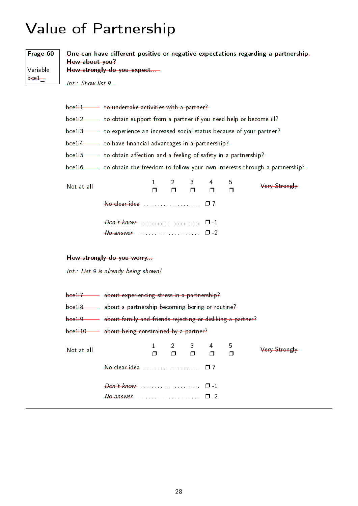# <span id="page-31-0"></span>Value of Partnership

| Frage 60<br>Variable<br>$bee1$ — | How about you?<br>$Int.:$ Show list $9-$                                                                                                                                                                                                | How strongly do you expect                                                                                                                                                                                                                                       |                        |                          |             |             |             | One can have different positive or negative expectations regarding a partnership. |  |
|----------------------------------|-----------------------------------------------------------------------------------------------------------------------------------------------------------------------------------------------------------------------------------------|------------------------------------------------------------------------------------------------------------------------------------------------------------------------------------------------------------------------------------------------------------------|------------------------|--------------------------|-------------|-------------|-------------|-----------------------------------------------------------------------------------|--|
|                                  |                                                                                                                                                                                                                                         | bcelil to undertake activities with a partner?<br>bce1i2 - to obtain support from a partner if you need help or become ill?<br>bce1i3 to experience an increased social status because of your partner?<br>bceli4 to have financial advantages in a partnership? |                        |                          |             |             |             |                                                                                   |  |
|                                  | bce1i5 - to obtain affection and a feeling of safety in a partnership?<br>bce1i6 - to obtain the freedom to follow your own interests through a partnership?                                                                            |                                                                                                                                                                                                                                                                  |                        |                          |             |             |             |                                                                                   |  |
|                                  | Not at all                                                                                                                                                                                                                              |                                                                                                                                                                                                                                                                  | $\mathbf{1}$<br>$\Box$ | $\overline{2}$<br>$\Box$ | 3<br>$\Box$ | 4<br>$\Box$ | 5<br>$\Box$ | Very Strongly                                                                     |  |
|                                  |                                                                                                                                                                                                                                         |                                                                                                                                                                                                                                                                  |                        |                          |             |             |             |                                                                                   |  |
|                                  | How strongly do you worry                                                                                                                                                                                                               |                                                                                                                                                                                                                                                                  |                        |                          |             |             |             |                                                                                   |  |
|                                  | Int.: List 9 is already being shown!                                                                                                                                                                                                    |                                                                                                                                                                                                                                                                  |                        |                          |             |             |             |                                                                                   |  |
|                                  | bce1i7 about experiencing stress in a partnership?<br>bceli8 about a partnership becoming boring or routine?<br>about family and friends rejecting or disliking a partner?<br>bee1i9<br>bce1i10 - about being constrained by a partner? |                                                                                                                                                                                                                                                                  |                        |                          |             |             |             |                                                                                   |  |
|                                  | Not at all                                                                                                                                                                                                                              |                                                                                                                                                                                                                                                                  | $\mathbf{1}$<br>Π      | $\overline{2}$<br>σ      | 3<br>$\Box$ | 4<br>$\Box$ | 5<br>$\Box$ | Very Strongly                                                                     |  |
|                                  |                                                                                                                                                                                                                                         |                                                                                                                                                                                                                                                                  |                        |                          |             |             |             |                                                                                   |  |
|                                  |                                                                                                                                                                                                                                         |                                                                                                                                                                                                                                                                  |                        |                          |             |             |             |                                                                                   |  |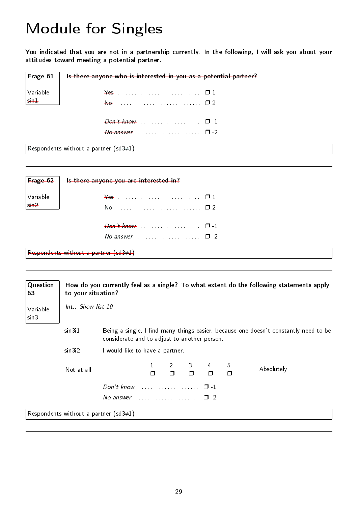## <span id="page-32-0"></span>Module for Singles

You indicated that you are not in a partnership currently. In the following, I will ask you about your attitudes toward meeting a potential partner.

| <b>Frage 61</b>         | Is there anyone who is interested in you as a potential partner? |
|-------------------------|------------------------------------------------------------------|
| Variable                | $\frac{1}{2}$                                                    |
| $\frac{1}{\sin \theta}$ | $\theta$                                                         |
|                         |                                                                  |
|                         |                                                                  |
|                         | Respondents without a partner $(sd3\neq 1)$                      |

Frage 62 Variable sin2 Is there anyone you are interested in? Yes . . . . . . . . . . . . . . . . . . . . . . . . . . . . . ❐ 1 No . . . . . . . . . . . . . . . . . . . . . . . . . . . . . . ❐ 2 Don't know . . . . . . . . . . . . . . . . . . . . . ❐ -1  $N_o$  answer  $\cdots$  . . . . . . . . . . . . . . . .  $\Box$  -2 Respondents without a partner (sd3≠1)

| Question<br>63   | How do you currently feel as a single? To what extent do the following statements apply<br>to your situation?  |                                              |  |  |  |  |  |                                                                                      |
|------------------|----------------------------------------------------------------------------------------------------------------|----------------------------------------------|--|--|--|--|--|--------------------------------------------------------------------------------------|
| Variable<br>sin3 | Int.: Show list 10                                                                                             |                                              |  |  |  |  |  |                                                                                      |
|                  | sin3i1                                                                                                         | considerate and to adjust to another person. |  |  |  |  |  | Being a single, I find many things easier, because one doesn't constantly need to be |
|                  | sin3i2                                                                                                         | I would like to have a partner.              |  |  |  |  |  |                                                                                      |
|                  | 5<br>$\begin{array}{ccccccc}\n2 & 3 & 4 \\ \Box & \Box & \Box & \Box\n\end{array}$<br>Absolutely<br>Not at all |                                              |  |  |  |  |  |                                                                                      |
|                  |                                                                                                                |                                              |  |  |  |  |  |                                                                                      |
|                  | No answer $\ldots \ldots \ldots \ldots \ldots \quad \Box -2$                                                   |                                              |  |  |  |  |  |                                                                                      |
|                  | Respondents without a partner (sd3 $\neq$ 1)                                                                   |                                              |  |  |  |  |  |                                                                                      |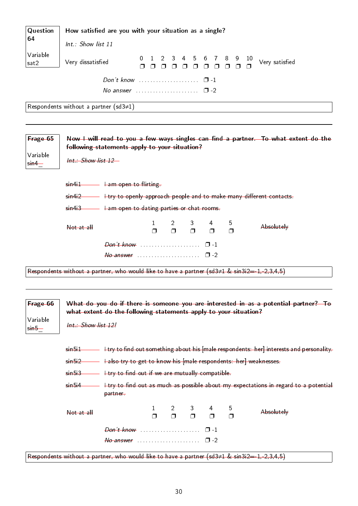| Question         | How satisfied are you with your situation as a single?                                                                               |                |  |  |  |  |  |  |  |
|------------------|--------------------------------------------------------------------------------------------------------------------------------------|----------------|--|--|--|--|--|--|--|
| 64               | Int.: Show list 11                                                                                                                   |                |  |  |  |  |  |  |  |
| Variable<br>sat2 | 0 1 2 3 4 5 6 7 8 9 10<br>חחחחחחחחח<br>Very dissatisfied                                                                             | Very satisfied |  |  |  |  |  |  |  |
|                  |                                                                                                                                      |                |  |  |  |  |  |  |  |
|                  | No answer $\cdots$ $\Box$ -2                                                                                                         |                |  |  |  |  |  |  |  |
|                  | Respondents without a partner (sd3 $\neq$ 1)                                                                                         |                |  |  |  |  |  |  |  |
|                  |                                                                                                                                      |                |  |  |  |  |  |  |  |
| Frage 65         | Now I will read to you a few ways singles can find a partner. To what extent do the<br>following statements apply to your situation? |                |  |  |  |  |  |  |  |

 $sin4i2$   $+try$  to openly approach people and to make many different contacts.

3  $\Box$ 

4 ❐ 5  $\Box$ 

Absolutely

2  $\Box$ 

sin5\_ Int.: Show list 12! sin5i1 **I filter interest ind out something about his [male respondents: her] interests and personality.** sin5i2 **I also try to get to know his [male respondents: her] weaknesses.** 

 $sin4i3$   $\longrightarrow$   $tan$  open to dating parties or chat rooms.

 $\Box$ 

Respondents without a partner, who would like to have a partner (sd3≠1 & sin3i2=-1,-2,3,4,5)

what extent do the following statements apply to your situation?

Don't know . . . . . . . . . . . . . . . . . . □ -1  $N\sigma$  answer  $\ldots \ldots \ldots \ldots \ldots \square$  -2

Variable sin4\_

Frage 66

Variable

Int.: Show list 12

 $sin4i1$   $\longrightarrow$   $tan$  open to flirting.

 $\begin{array}{ccc} \text{Not at all} & 1 \\ \end{array}$ 

 $sin5i3$   $+try$  to find out if we are mutually compatible.

 $sin5i4$   $\longrightarrow$   $\pm$ try to find out as much as possible about my expectations in regard to a potential partner.

What do you do if there is someone you are interested in as a potential partner? To

| -Not-at-all |                                             | 1 2 3 4<br>п п п п |  | h | Absolutely |
|-------------|---------------------------------------------|--------------------|--|---|------------|
|             | $Don't know$ $\Box$                         |                    |  |   |            |
|             | $\theta$ answer expressions and $\theta$ -2 |                    |  |   |            |

Respondents without a partner, who would like to have a partner (sd3≠1 & sin3i2=-1,-2,3,4,5)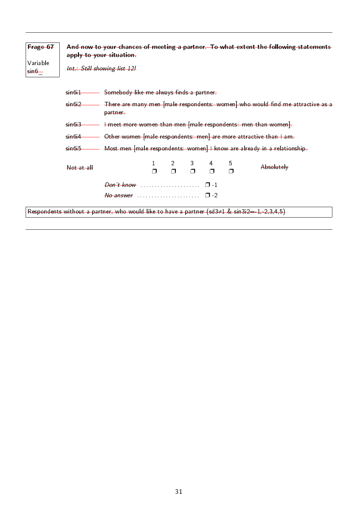| Frage 67<br>Variable<br>$\frac{1}{\sin \theta}$ | And now to your chances of meeting a partner. To what extent the following statements<br>apply to your situation<br>Int.: Still showing list 12! |                                                                                                     |        |        |             |   |             |                                                                                |
|-------------------------------------------------|--------------------------------------------------------------------------------------------------------------------------------------------------|-----------------------------------------------------------------------------------------------------|--------|--------|-------------|---|-------------|--------------------------------------------------------------------------------|
|                                                 | $sin6+1$                                                                                                                                         | Somebody like me always finds a partner                                                             |        |        |             |   |             |                                                                                |
|                                                 | $sin6+2$                                                                                                                                         | partner                                                                                             |        |        |             |   |             | There are many men [male respondents: women] who would find me attractive as a |
|                                                 | I meet more women than men [male respondents: men than women].<br>sin6i3                                                                         |                                                                                                     |        |        |             |   |             |                                                                                |
|                                                 | sin6 <sub>i4</sub>                                                                                                                               |                                                                                                     |        |        |             |   |             | Other women [male respondents: men] are more attractive than I am.             |
|                                                 | sin6i5                                                                                                                                           |                                                                                                     |        |        |             |   |             | Most men [male respondents: women] I know are already in a relationship.       |
|                                                 | Not at all                                                                                                                                       |                                                                                                     | $\Box$ | $\Box$ | 3<br>$\Box$ | Π | 5<br>$\Box$ | Absolutely                                                                     |
|                                                 |                                                                                                                                                  |                                                                                                     |        |        |             |   |             |                                                                                |
|                                                 | $\theta$ answer expansion $\Box$ -2                                                                                                              |                                                                                                     |        |        |             |   |             |                                                                                |
|                                                 |                                                                                                                                                  | Respondents without a partner, who would like to have a partner (sd3 $\neq$ 1 & sin3i2=-1,-2,3,4,5) |        |        |             |   |             |                                                                                |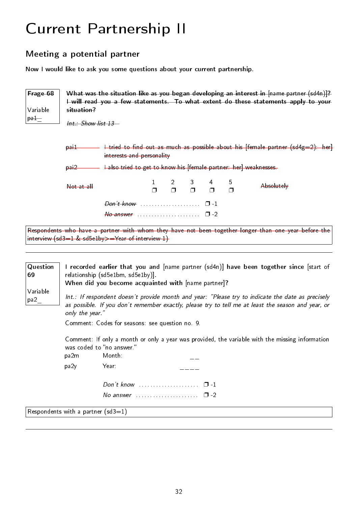# <span id="page-35-0"></span>Current Partnership II

## <span id="page-35-1"></span>Meeting a potential partner

Now I would like to ask you some questions about your current partnership.

| Frage 68<br>Variable | What was the situation like as you began developing an interest in [name partner (sd4n)]?<br>I will read you a few statements. To what extent do these statements apply to your<br>situation? |                                                                   |  |  |  |  |             |                                                                                                      |  |
|----------------------|-----------------------------------------------------------------------------------------------------------------------------------------------------------------------------------------------|-------------------------------------------------------------------|--|--|--|--|-------------|------------------------------------------------------------------------------------------------------|--|
| $p$ a $+$            | $Int$ Show list 13                                                                                                                                                                            |                                                                   |  |  |  |  |             |                                                                                                      |  |
|                      | <del>pail</del>                                                                                                                                                                               | interests and personality                                         |  |  |  |  |             | I tried to find out as much as possible about his [female partner (sd4g=2): her]                     |  |
|                      | $par2$                                                                                                                                                                                        | I also tried to get to know his [female partner: her] weaknesses- |  |  |  |  |             |                                                                                                      |  |
|                      | $Not$ at all                                                                                                                                                                                  |                                                                   |  |  |  |  | 5<br>$\Box$ | Absolutely                                                                                           |  |
|                      |                                                                                                                                                                                               |                                                                   |  |  |  |  |             |                                                                                                      |  |
|                      |                                                                                                                                                                                               |                                                                   |  |  |  |  |             |                                                                                                      |  |
|                      |                                                                                                                                                                                               |                                                                   |  |  |  |  |             | Respondents who have a partner with whom they have not been together longer than one year before the |  |

interview (sd3=1 & sd5e1by>=Year of interview-1)

| Question<br>69<br>Variable<br>pa2 | I recorded earlier that you and [name partner (sd4n)] have been together since [start of<br>relationship (sd5e1bm, sd5e1by).<br>When did you become acquainted with [name partner]?                                        |                                                                                                                                        |  |  |  |  |  |  |  |
|-----------------------------------|----------------------------------------------------------------------------------------------------------------------------------------------------------------------------------------------------------------------------|----------------------------------------------------------------------------------------------------------------------------------------|--|--|--|--|--|--|--|
|                                   | Int.: If respondent doesn't provide month and year: "Please try to indicate the date as precisely<br>as possible. If you don't remember exactly, please try to tell me at least the season and year, or<br>only the year." |                                                                                                                                        |  |  |  |  |  |  |  |
|                                   |                                                                                                                                                                                                                            | Comment: Codes for seasons: see question no 9.                                                                                         |  |  |  |  |  |  |  |
|                                   | pa2m                                                                                                                                                                                                                       | Comment: If only a month or only a year was provided, the variable with the missing information<br>was coded to "no answer."<br>Month: |  |  |  |  |  |  |  |
|                                   | pa2y                                                                                                                                                                                                                       | Year:                                                                                                                                  |  |  |  |  |  |  |  |
|                                   |                                                                                                                                                                                                                            | Don't know $\ldots$ $\ldots$ $\ldots$ $\ldots$ $\Box$ -1                                                                               |  |  |  |  |  |  |  |
|                                   |                                                                                                                                                                                                                            | No answer $\ldots \ldots \ldots \ldots \ldots \quad \Box -2$                                                                           |  |  |  |  |  |  |  |
|                                   |                                                                                                                                                                                                                            | Respondents with a partner (sd3=1)                                                                                                     |  |  |  |  |  |  |  |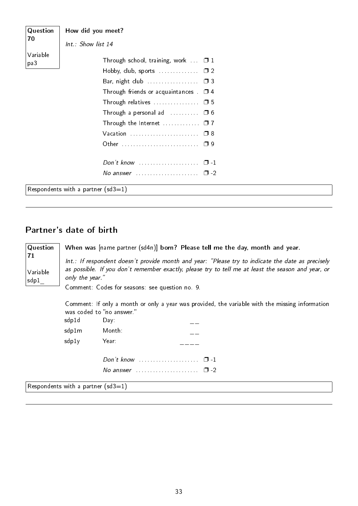| Question        | How did you meet?                                                                                                                                                                                                                                                   |
|-----------------|---------------------------------------------------------------------------------------------------------------------------------------------------------------------------------------------------------------------------------------------------------------------|
| 70              | Int.: Show list 14                                                                                                                                                                                                                                                  |
| Variable<br>pa3 | Through school, training, work $\Box$ 1<br>Hobby, club, sports $\ldots$ , $\Box$ 2<br>Through friends or acquaintances $\Box$ 4<br>Through relatives $\ldots$ $\Box$ 5<br>Through a personal ad $\ldots \ldots \square 6$<br>Through the Internet $\ldots$ $\Box$ 7 |
|                 | No answer $\ldots \ldots \ldots \ldots \ldots \square$ -2                                                                                                                                                                                                           |
|                 | Respondents with a partner (sd3=1)                                                                                                                                                                                                                                  |

### Partner's date of birth

**Question** 71 Variable sdp1\_

When was [name partner (sd4n)] born? Please tell me the day, month and year.

Int.: If respondent doesn't provide month and year: "Please try to indicate the date as precisely as possible. If you don't remember exactly, please try to tell me at least the season and year, or only the year."

Comment: Codes for seasons: see question no. 9.

Comment: If only a month or only a year was provided, the variable with the missing information was coded to no answer.

| sdp1d | Day:                                                                                                                                                                                                                          |          |
|-------|-------------------------------------------------------------------------------------------------------------------------------------------------------------------------------------------------------------------------------|----------|
| sdp1m | Month:                                                                                                                                                                                                                        |          |
| sdp1y | Year:                                                                                                                                                                                                                         |          |
|       |                                                                                                                                                                                                                               | $\Box$ 1 |
|       | No answer contained and the manufacturers and the manufacturers and the manufacturers are the manufacturers and the manufacturers and the manufacturers and the manufacturers are the manufacturers and the manufacturers and | ר ⊓      |

Respondents with a partner  $(sd3=1)$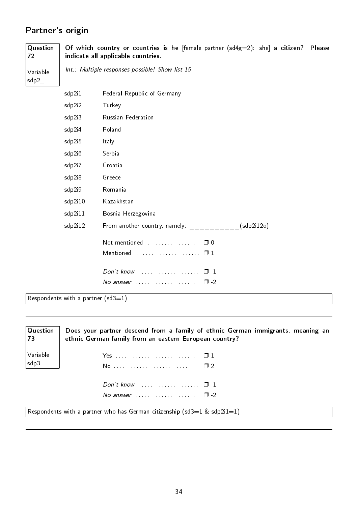# Partner's origin

| Question<br>72                  |                                       | Of which country or countries is he ffemale partner $(sd4g=2)$ : she a citizen? Please<br>indicate all applicable countries. |
|---------------------------------|---------------------------------------|------------------------------------------------------------------------------------------------------------------------------|
| Variable<br>$sdp2$ <sub>_</sub> |                                       | Int.: Multiple responses possible! Show list 15                                                                              |
|                                 | sdp2i1                                | Federal Republic of Germany                                                                                                  |
|                                 | sdp2i2                                | Turkey                                                                                                                       |
|                                 | sdp2i3                                | Russian Federation                                                                                                           |
|                                 | sdp2i4                                | Poland                                                                                                                       |
|                                 | sdp2i5                                | Italy                                                                                                                        |
|                                 | sdp2i6                                | Serbia                                                                                                                       |
|                                 | sdp2i7                                | Croatia                                                                                                                      |
|                                 | sdp2i8                                | Greece                                                                                                                       |
|                                 | sdp2i9                                | Romania                                                                                                                      |
|                                 | sdp2i10                               | Kazakhstan                                                                                                                   |
|                                 | sdp2i11                               | Bosnia-Herzegovina                                                                                                           |
|                                 | sdp2i12                               | From another country, namely: $\frac{1}{2}$ __________(sdp2i12o)                                                             |
|                                 |                                       | Not mentioned<br>$\Box$ 0                                                                                                    |
|                                 |                                       | Mentioned $\ldots \ldots \ldots \ldots \ldots \ldots \square 1$                                                              |
|                                 |                                       | Don't know<br>$\Box$ 1                                                                                                       |
|                                 |                                       | $\Box$ -2                                                                                                                    |
|                                 | $Bogonodontc with a partor (cd3 - 1)$ |                                                                                                                              |

 $\vert$  Respondents with a partner (sd3=1)

| Question | Does your partner descend from a family of ethnic German immigrants, meaning an                                   |
|----------|-------------------------------------------------------------------------------------------------------------------|
| 73       | ethnic German family from an eastern European country?                                                            |
| Variable |                                                                                                                   |
| sdp3     |                                                                                                                   |
|          | Don't know $\cdots$ $\cdots$ $\cdots$                                                                             |
|          | No answer $\cdots$ $\cdots$ $\Box$ -2<br>Respondents with a partner who has German citizenship (sd3=1 & sdp2i1=1) |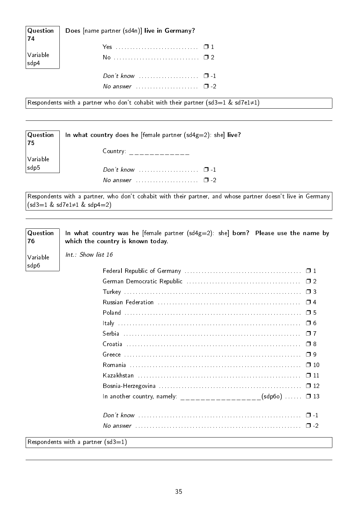| Question<br> 74                  | Does [name partner (sd4n)] live in Germany?   |  |
|----------------------------------|-----------------------------------------------|--|
| $\vert$ Variable<br>$\vert$ sdp4 |                                               |  |
|                                  | No answer $\cdots$ $\cdots$ $\cdots$ $\cdots$ |  |

Respondents with a partner who don't cohabit with their partner (sd3=1 & sd7e1≠1)

| Question  <br> 75     | In what country does he [female partner ( $sd4g=2$ ): she] live? |
|-----------------------|------------------------------------------------------------------|
| Variable              | Country: $\qquad \qquad \overline{\qquad}$                       |
| $\frac{1}{1}$ sdp $5$ | Don't know $\cdots$ $\cdots$ $\cdots$                            |
|                       | No answer $\cdots$ , $\cdots$ , $\Box$ -2                        |

Respondents with a partner, who don't cohabit with their partner, and whose partner doesn't live in Germany (sd3=1 & sd7e1≠1 & sdp4=2)

| Question<br>76   | In what country was he [female partner $(sd4g=2)$ : she] born? Please use the name by<br>which the country is known today. |          |
|------------------|----------------------------------------------------------------------------------------------------------------------------|----------|
| Variable<br>sdp6 | Int.: Show list 16                                                                                                         |          |
|                  |                                                                                                                            |          |
|                  |                                                                                                                            |          |
|                  |                                                                                                                            |          |
|                  |                                                                                                                            |          |
|                  |                                                                                                                            |          |
|                  |                                                                                                                            |          |
|                  |                                                                                                                            |          |
|                  |                                                                                                                            | $\Box$ 8 |
|                  |                                                                                                                            | $\Box$ 9 |
|                  |                                                                                                                            |          |
|                  |                                                                                                                            |          |
|                  |                                                                                                                            |          |
|                  | In another country, namely: ____________________(sdp60) $\Box$ 13                                                          |          |
|                  |                                                                                                                            |          |
|                  |                                                                                                                            |          |
|                  | Respondents with a partner ( $sd3=1$ )                                                                                     |          |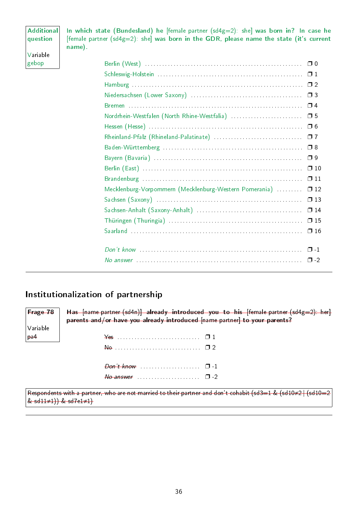| <b>Additional</b><br>question | In which state (Bundesland) he [female partner $(sd4g=2)$ : she] was born in? In case he<br>[female partner $(sd4g=2)$ : she] was born in the GDR, please name the state (it's current<br>name). |
|-------------------------------|--------------------------------------------------------------------------------------------------------------------------------------------------------------------------------------------------|
| Variable                      |                                                                                                                                                                                                  |
| gebop                         |                                                                                                                                                                                                  |
|                               |                                                                                                                                                                                                  |
|                               |                                                                                                                                                                                                  |
|                               |                                                                                                                                                                                                  |
|                               |                                                                                                                                                                                                  |
|                               |                                                                                                                                                                                                  |
|                               |                                                                                                                                                                                                  |
|                               | $\Box$ 7                                                                                                                                                                                         |
|                               |                                                                                                                                                                                                  |
|                               |                                                                                                                                                                                                  |
|                               |                                                                                                                                                                                                  |
|                               | $\Box$ 11                                                                                                                                                                                        |
|                               | Mecklenburg-Vorpommern (Mecklenburg-Western Pomerania)<br>$\Box$ 12                                                                                                                              |
|                               | $\square$ 13                                                                                                                                                                                     |
|                               | $\Box$ 14                                                                                                                                                                                        |
|                               | $\Box$ 15                                                                                                                                                                                        |
|                               |                                                                                                                                                                                                  |
|                               |                                                                                                                                                                                                  |
|                               |                                                                                                                                                                                                  |

# Institutionalization of partnership

| $F$ rage 78    | Has $[name path]$ already introduced you to his $[female path]$ hands $[644g=2)$ . |
|----------------|------------------------------------------------------------------------------------|
|                | parents and/or have you already introduced [name partner] to your parents?         |
| Variable       |                                                                                    |
| <sub>pa4</sub> | $\frac{1}{2}$                                                                      |
|                | $\theta$                                                                           |
|                | $\theta$ on't know                                                                 |

Respondents with a partner, who are not married to their partner and don't cohabit (sd3=1 & (sd10≠2 | (sd10=2 & sd11≠1)) & sd7e1≠1)

 $N_o$  answer  $\ldots$  . . . . . . . . . . . . . .  $\Box$  -2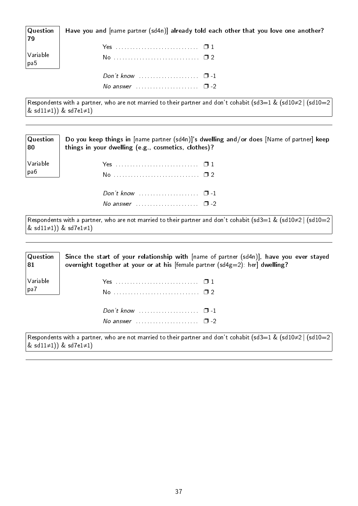Question Have you and [name partner (sd4n)] already told each other that you love one another?

| $\begin{array}{ l } \textsf{Variable} \ \hline \textsf{pa5} \end{array}$ | Yes  □ 1<br>No <u>0</u> 2 |  |
|--------------------------------------------------------------------------|---------------------------|--|
|                                                                          |                           |  |

Respondents with a partner, who are not married to their partner and don't cohabit (sd3=1 & (sd10≠2 | (sd10=2) & sd11≠1)) & sd7e1≠1)

No answer  $\ldots$  . . . . . . . . . . . . . . .  $\Box$  -2

No answer  $\cdots$  .  $\Box$  -2

| $\mid$ Question  | Do you keep things in [name partner (sd4n)]'s dwelling and/or does [Name of partner] keep |
|------------------|-------------------------------------------------------------------------------------------|
| $\vert 80 \vert$ | things in your dwelling (e.g., cosmetics, clothes)?                                       |
| Variable         |                                                                                           |
| pa6              | No  1 2                                                                                   |
|                  |                                                                                           |

Respondents with a partner, who are not married to their partner and don't cohabit (sd3=1 & (sd10≠2 | (sd10=2) & sd11≠1)) & sd7e1≠1)

| $\sqrt{\mathsf{Q}}$ uestion<br>81 | Since the start of your relationship with $[name of partner (sd4n)],$ have you ever stayed<br>overnight together at your or at his [female partner $(sd4g=2)$ : her] dwelling? |
|-----------------------------------|--------------------------------------------------------------------------------------------------------------------------------------------------------------------------------|
| Variable<br>$ $ pa $7$            |                                                                                                                                                                                |
|                                   | Don't know $\ldots$ $\ldots$ $\ldots$ $\ldots$ $\Box$ -1                                                                                                                       |
|                                   | No answer $\ldots$ , $\ldots$ , $\Box$ -2                                                                                                                                      |
|                                   | Respondents with a partner, who are not married to their partner and don't cohabit (sd3=1 & (sd10≠2   (sd10=2                                                                  |

& sd11≠1)) & sd7e1≠1)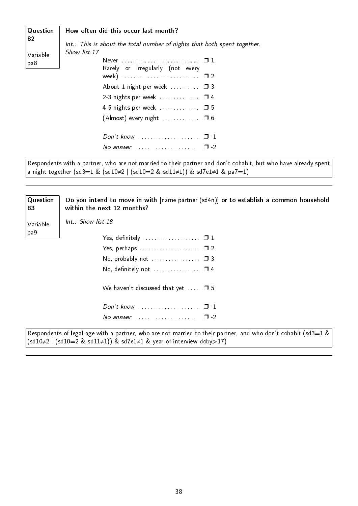#### How often did this occur last month?

| Question        | How often did this occur last month?                                                                                                                        |
|-----------------|-------------------------------------------------------------------------------------------------------------------------------------------------------------|
| 82              | Int.: This is about the total number of nights that both spent together.                                                                                    |
| Variable<br>pa8 | Show list 17<br>Rarely or irregularly (not every<br>week) $\ldots \ldots \ldots \ldots \ldots \ldots \ldots \ldots \square 2$<br>About 1 night per week  03 |
|                 | 2-3 nights per week $\ldots$ $\Box$ 4                                                                                                                       |
|                 | 4-5 nights per week  05                                                                                                                                     |
|                 |                                                                                                                                                             |
|                 | Don't know $\ldots$ $\ldots$ $\ldots$ $\ldots$ $\Box$ -1                                                                                                    |
|                 | No answer $\ldots \ldots \ldots \ldots \ldots \ldots \square$ -2                                                                                            |
|                 |                                                                                                                                                             |

Respondents with a partner, who are not married to their partner and don't cohabit, but who have already spent a night together (sd3=1 & (sd10≠2 | (sd10=2 & sd11≠1)) & sd7e1≠1 & pa7=1)

| Question<br>83 | Do you intend to move in with [name partner (sd4n)] or to establish a common household<br>within the next 12 months? |
|----------------|----------------------------------------------------------------------------------------------------------------------|
| Variable       | $Int: Show$ list 18                                                                                                  |
| pa9            |                                                                                                                      |
|                | Yes, perhaps $\ldots$ $\ldots$ $\ldots$ $\ldots$ $\ldots$ $\Box$ 2                                                   |
|                | No, probably not $\ldots$ $\Box$ 3                                                                                   |
|                | No, definitely not $\ldots$ $\Box$ 4                                                                                 |
|                | We haven't discussed that yet $\Box$ 5                                                                               |
|                | $Don't know \dots \dots \dots \dots \dots \dots$<br>$\Box$ 1                                                         |
|                | $\Box$                                                                                                               |
|                |                                                                                                                      |

Respondents of legal age with a partner, who are not married to their partner, and who don't cohabit (sd3=1 &  $\vert$ (sd10≠2 |(sd10=2 & sd11≠1)) & sd7e1≠1 & year of interview-doby>17)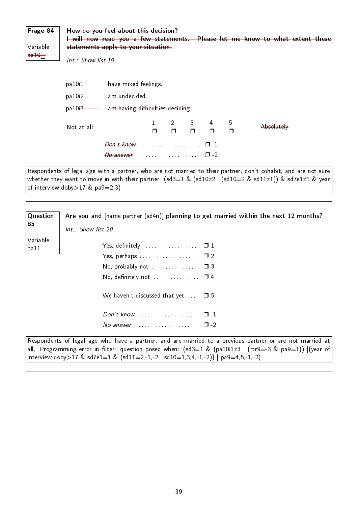| Frage 84<br>Variable<br>$p=10$ |                                     | How do you feel about this decision?<br>I will now read you a few statements. Please let me know to what extent these<br>statements apply to your situation.<br>$Int$ Show list 19 |        |                             |             |             |             |                                                                                                                                                                                                                                                |
|--------------------------------|-------------------------------------|------------------------------------------------------------------------------------------------------------------------------------------------------------------------------------|--------|-----------------------------|-------------|-------------|-------------|------------------------------------------------------------------------------------------------------------------------------------------------------------------------------------------------------------------------------------------------|
|                                |                                     | pa10i1 - Have mixed feelings                                                                                                                                                       |        |                             |             |             |             |                                                                                                                                                                                                                                                |
|                                |                                     | pa10i2 - Ham undecided                                                                                                                                                             |        |                             |             |             |             |                                                                                                                                                                                                                                                |
|                                |                                     | pa10i3 - Ham having difficulties deciding                                                                                                                                          |        |                             |             |             |             |                                                                                                                                                                                                                                                |
|                                | Not at all                          |                                                                                                                                                                                    | $\Box$ | $2 \qquad \qquad$<br>$\Box$ | 3<br>$\Box$ | 4<br>$\Box$ | 5<br>$\Box$ | Absolutely                                                                                                                                                                                                                                     |
|                                |                                     |                                                                                                                                                                                    |        |                             |             |             |             |                                                                                                                                                                                                                                                |
|                                |                                     | $\theta$ answer expressions and $\Box$ -2                                                                                                                                          |        |                             |             |             |             |                                                                                                                                                                                                                                                |
|                                | of interview-doby > 17 & $pa9=2 3)$ |                                                                                                                                                                                    |        |                             |             |             |             | Respondents of legal age with a partner, who are not married to their partner, don't cohabit, and are not sure<br>whether they want to move in with their partner. $(sd3=1 \& (sd10\neq 2 \mid (sd10=2 \& sd11\neq 1)) \& sd7e1\neq 1 \& year$ |
| Question<br>n r                |                                     |                                                                                                                                                                                    |        |                             |             |             |             | Are you and [name partner (sd4n)] planning to get married within the next 12 months?                                                                                                                                                           |

| 85       |  |
|----------|--|
| Variable |  |
| pa 11    |  |

Int.: Show list 20

| Yes, definitely $\dots\dots\dots\dots\dots\dots\quad\Box$ 1 |  |
|-------------------------------------------------------------|--|
| Yes, perhaps $\ldots$ $\ldots$ $\ldots$ $\ldots$ $\Box$ 2   |  |
|                                                             |  |
|                                                             |  |
| We haven't discussed that yet $\Box$ 5                      |  |
| $Don't know$ $\Box$                                         |  |
| No answer $\ldots$ $\square$ -2                             |  |

| Respondents of legal age who have a partner, and are married to a previous partner or are not married at           |
|--------------------------------------------------------------------------------------------------------------------|
| all. Programming error in filter: question posed when: $(sd3=1 \& (pa10i1\neq 3 \mid (rtr9=-3 \& pa9=1))$ (year of |
| interview-doby>17 & sd7e1=1 & $(sd11=2,-1,-2   sd10=1,3,4,-1,-2))   pa9=4,5,-1,-2)$                                |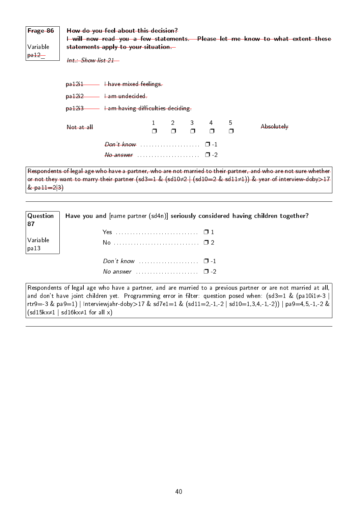| Frage 86<br>Variable<br>$p=12$ |            | How do you feel about this decision?<br>I will now read you a few statements. Please let me know to what extent these<br>statements apply to your situation-<br>Int.: Show list 21 – |  |   |   |   |             |                                                                                                                                                                                                                              |
|--------------------------------|------------|--------------------------------------------------------------------------------------------------------------------------------------------------------------------------------------|--|---|---|---|-------------|------------------------------------------------------------------------------------------------------------------------------------------------------------------------------------------------------------------------------|
|                                |            | pa12i1 - Have mixed feelings<br>pa12i2 - Ham undecided<br>$p_0$ a 12i3 $\longrightarrow$ Lam having difficulties deciding                                                            |  |   |   |   |             |                                                                                                                                                                                                                              |
|                                | Not at all |                                                                                                                                                                                      |  | Π | 3 | 4 | 5<br>$\Box$ | Absolutely                                                                                                                                                                                                                   |
|                                |            |                                                                                                                                                                                      |  |   |   |   |             |                                                                                                                                                                                                                              |
|                                |            |                                                                                                                                                                                      |  |   |   |   |             |                                                                                                                                                                                                                              |
|                                |            |                                                                                                                                                                                      |  |   |   |   |             | Respondents of legal age who have a partner, who are not married to their partner, and who are not sure whether<br>or not they want to marry their partner (sd3=1 & (sd10≠2   (sd10=2 & sd11≠1)) & year of interview-doby>17 |

 $&$  pa $11=2|3)$ 

**Question** 87 Variable pa13 Have you and [name partner (sd4n)] seriously considered having children together? Yes . . . . . . . . . . . . . . . . . . . . . . . . . . . . . ❐ 1 No . . . . . . . . . . . . . . . . . . . . . . . . . . . . . . ❐ 2 Don't know  $\ldots$  . . . . . . . . . . . . . .  $\Box$  -1 No answer  $\ldots$ . . . . . . . . . . . . . . .  $\Box$  -2

Respondents of legal age who have a partner, and are married to a previous partner or are not married at all, and don't have joint children yet. Programming error in filter: question posed when: (sd3=1 & (pa10i1≠-3 | rtr9=-3 & pa9=1) | Interviewjahr-doby>17 & sd7e1=1 & (sd11=2,-1,-2 | sd10=1,3,4,-1,-2)) | pa9=4,5,-1,-2 &  $(sd15kx\neq1 | sd16kx\neq1 for all x)$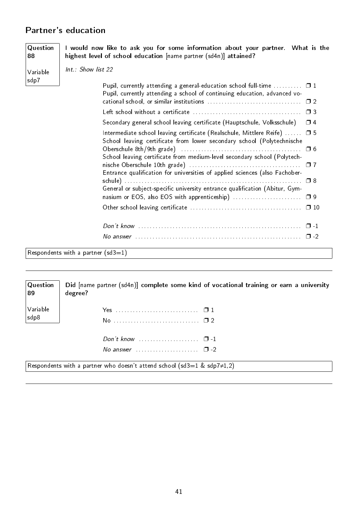### Partner's education

**Question** I would now like to ask you for some information about your partner. What is the highest level of school education [name partner (sd4n)] attained?

Variable sdp7

Variable sdp8

88

Int.: Show list 22

| Pupil, currently attending a general-education school full-time $\Box$ 1<br>Pupil, currently attending a school of continuing education, advanced vo-   |          |
|---------------------------------------------------------------------------------------------------------------------------------------------------------|----------|
|                                                                                                                                                         |          |
|                                                                                                                                                         |          |
| Secondary general school leaving certificate (Hauptschule, Volksschule)                                                                                 | $\Box$ 4 |
| Intermediate school leaving certificate (Realschule, Mittlere Reife) $\Box$ 5<br>School leaving certificate from lower secondary school (Polytechnische |          |
| School leaving certificate from medium-level secondary school (Polytech-                                                                                |          |
| Entrance qualification for universities of applied sciences (also Fachober-                                                                             |          |
| General or subject-specific university entrance qualification (Abitur, Gym-                                                                             |          |
| nasium or EOS, also EOS with apprenticeship)  □ 9                                                                                                       |          |
|                                                                                                                                                         |          |
|                                                                                                                                                         |          |
|                                                                                                                                                         |          |
| $\sim$ $\sim$ $\sim$                                                                                                                                    |          |

Respondents with a partner  $(sd3=1)$ 

**Question** 89 Did [name partner (sd4n)] complete some kind of vocational training or earn a university degree?

| Don't know $\ldots$ $\ldots$ $\ldots$ $\ldots$ $\Box$ -1<br>No answer $\ldots$ , $\ldots$ , $\Box$ -2 |  |
|-------------------------------------------------------------------------------------------------------|--|

Respondents with a partner who doesn't attend school (sd3=1 & sdp7≠1,2)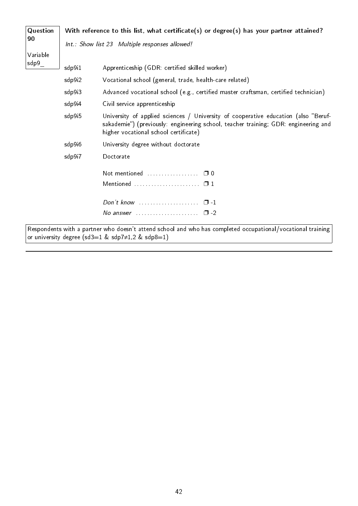| Question            | With reference to this list, what certificate(s) or degree(s) has your partner attained? |                                                                                                                                                                                                                    |  |  |  |  |  |
|---------------------|------------------------------------------------------------------------------------------|--------------------------------------------------------------------------------------------------------------------------------------------------------------------------------------------------------------------|--|--|--|--|--|
| 90                  | Int.: Show list 23 Multiple responses allowed!                                           |                                                                                                                                                                                                                    |  |  |  |  |  |
| Variable            |                                                                                          |                                                                                                                                                                                                                    |  |  |  |  |  |
| $\mathsf{sdp9}_{-}$ | sdp9i1                                                                                   | Apprenticeship (GDR: certified skilled worker)                                                                                                                                                                     |  |  |  |  |  |
|                     | sdp9i2                                                                                   | Vocational school (general, trade, health-care related)                                                                                                                                                            |  |  |  |  |  |
|                     | sdp9i3                                                                                   | Advanced vocational school (e.g., certified master craftsman, certified technician)                                                                                                                                |  |  |  |  |  |
|                     | sdp9i4                                                                                   | Civil service apprenticeship                                                                                                                                                                                       |  |  |  |  |  |
|                     | sdp9i5                                                                                   | University of applied sciences / University of cooperative education (also "Beruf-<br>sakademie") (previously: engineering school, teacher training; GDR: engineering and<br>higher vocational school certificate) |  |  |  |  |  |
|                     | sdp9i6                                                                                   | University degree without doctorate                                                                                                                                                                                |  |  |  |  |  |
|                     | sdp9i7                                                                                   | Doctorate                                                                                                                                                                                                          |  |  |  |  |  |
|                     |                                                                                          |                                                                                                                                                                                                                    |  |  |  |  |  |
|                     |                                                                                          |                                                                                                                                                                                                                    |  |  |  |  |  |
|                     |                                                                                          | Don't know $\cdots$ $\cdots$ $\cdots$                                                                                                                                                                              |  |  |  |  |  |
|                     |                                                                                          | No answer $\ldots \ldots \ldots \ldots \ldots \quad \Box$ -2                                                                                                                                                       |  |  |  |  |  |

 $\vert$  or university degree (sd3=1 & sdp7≠1,2 & sdp8=1)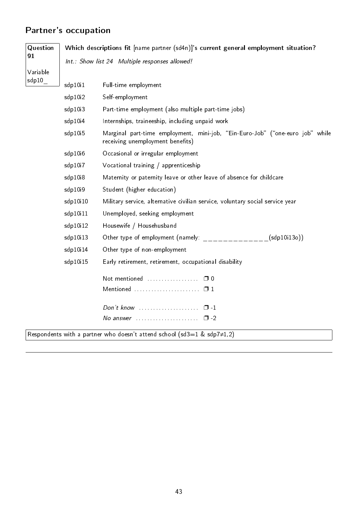# Partner's occupation

| Question                         | Which descriptions fit [name partner (sd4n)]'s current general employment situation? |                                                                                                                   |              |  |  |  |  |
|----------------------------------|--------------------------------------------------------------------------------------|-------------------------------------------------------------------------------------------------------------------|--------------|--|--|--|--|
| 91                               |                                                                                      | Int.: Show list 24 Multiple responses allowed!                                                                    |              |  |  |  |  |
| Variable<br>$\mathsf{sdp10}_{-}$ |                                                                                      |                                                                                                                   |              |  |  |  |  |
|                                  | sdp10i1                                                                              | Full-time employment                                                                                              |              |  |  |  |  |
|                                  | sdp10i2                                                                              | Self-employment                                                                                                   |              |  |  |  |  |
|                                  | sdp10i3                                                                              | Part-time employment (also multiple part-time jobs)                                                               |              |  |  |  |  |
|                                  | sdp10i4                                                                              | Internships, traineeship, including unpaid work                                                                   |              |  |  |  |  |
|                                  | sdp10i5                                                                              | Marginal part-time employment, mini-job, "Ein-Euro-Job" ("one-euro job" while<br>receiving unemployment benefits) |              |  |  |  |  |
|                                  | sdp10i6                                                                              | Occasional or irregular employment                                                                                |              |  |  |  |  |
|                                  | sdp10i7                                                                              | Vocational training / apprenticeship                                                                              |              |  |  |  |  |
|                                  | sdp10i8                                                                              | Maternity or paternity leave or other leave of absence for childcare                                              |              |  |  |  |  |
|                                  | sdp10i9                                                                              | Student (higher education)                                                                                        |              |  |  |  |  |
|                                  | sdp10i10                                                                             | Military service, alternative civilian service, voluntary social service year                                     |              |  |  |  |  |
|                                  | sdp10i11                                                                             | Unemployed, seeking employment                                                                                    |              |  |  |  |  |
|                                  | sdp10i12                                                                             | Housewife / Househusband                                                                                          |              |  |  |  |  |
|                                  | sdp10i13                                                                             | Other type of employment (namely:                                                                                 | (sdp10i130)) |  |  |  |  |
|                                  | sdp10i14                                                                             | Other type of non-employment                                                                                      |              |  |  |  |  |
|                                  | sdp10i15                                                                             | Early retirement, retirement, occupational disability                                                             |              |  |  |  |  |
|                                  |                                                                                      |                                                                                                                   |              |  |  |  |  |
|                                  |                                                                                      |                                                                                                                   |              |  |  |  |  |
|                                  |                                                                                      |                                                                                                                   |              |  |  |  |  |
|                                  |                                                                                      | No answer $\ldots \ldots \ldots \ldots \ldots \square$ -2                                                         |              |  |  |  |  |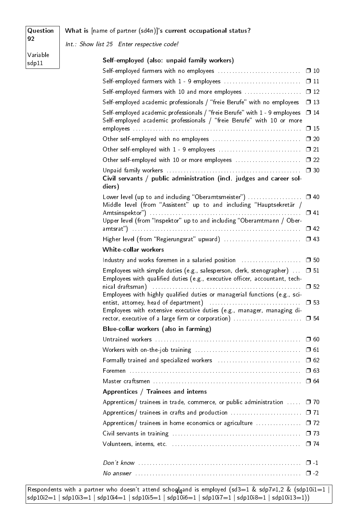### What is [name of partner (sd4n)]'s current occupational status?

Int.: Show list 25 Enter respective code!

Variable sdp11

92

**Question** 

| $\square$ 10<br>Self-employed farmers with 1 - 9 employees<br>$\Box$ 11<br>Self-employed farmers with 10 and more employees<br>$\Box$ 12<br>Self-employed academic professionals / "freie Berufe" with no employees<br>$\Box$ 13<br>Self-employed academic professionals / "freie Berufe" with 1 - 9 employees<br>$\Box$ 14<br>Self-employed academic professionals / "freie Berufe" with 10 or more<br>$\square$ 15<br>$\square$ 20<br>Other self-employed with 1 - 9 employees<br>$\square$ 21<br>Other self-employed with 10 or more employees<br>$\square$ 22<br>$\square$ 30<br>Civil servants / public administration (incl. judges and career sol-<br>diers)<br>Lower level (up to and including "Oberamtsmeister")<br>$\Box$ 40<br>Middle level (from "Assistent" up to and including "Hauptsekretär /<br>$\Box$ 41<br>Upper level (from "Inspektor" up to and including "Oberamtmann / Ober-<br>$\Box$ 42<br>White-collar workers<br>Industry and works foremen in a salaried position [1] [1] Industry and works foremen in a salaried position [1<br>$\square$ 50<br>Employees with simple duties (e.g., salesperson, clerk, stenographer)<br>$\square$ 51<br>Employees with qualified duties (e.g., executive officer, accountant, tech-<br>nical draftsman) (1999) (1999) (1999) (1999) (1999) (1999) (1999) (1999) (1999) (1999) (1999) (1999)<br>$\square$ 52<br>Employees with highly qualified duties or managerial functions (e.g., sci-<br>$\square$ 53<br>Employees with extensive executive duties (e.g., manager, managing di-<br>Blue-collar workers (also in farming)<br>$\Box$ 60<br>$\Box$ 61<br>$\Box$ 62<br>$\Box$ 63<br>Foremen<br>$\square$ 64<br>Apprentices / Trainees and interns<br>Apprentices/ trainees in trade, commerce, or public administration<br>$\square$ 70<br>Apprentices/ trainees in crafts and production<br>$\Box$ 71<br>Apprentices/ trainees in home economics or agriculture<br>$\Box$ 72<br>$\Box$ 73<br>$\Box$ 74<br>$\Box$ -1<br>$\Box$ -2 | Self-employed (also: unpaid family workers) |  |
|----------------------------------------------------------------------------------------------------------------------------------------------------------------------------------------------------------------------------------------------------------------------------------------------------------------------------------------------------------------------------------------------------------------------------------------------------------------------------------------------------------------------------------------------------------------------------------------------------------------------------------------------------------------------------------------------------------------------------------------------------------------------------------------------------------------------------------------------------------------------------------------------------------------------------------------------------------------------------------------------------------------------------------------------------------------------------------------------------------------------------------------------------------------------------------------------------------------------------------------------------------------------------------------------------------------------------------------------------------------------------------------------------------------------------------------------------------------------------------------------------------------------------------------------------------------------------------------------------------------------------------------------------------------------------------------------------------------------------------------------------------------------------------------------------------------------------------------------------------------------------------------------------------------------------------------------------------------------------------------------------|---------------------------------------------|--|
|                                                                                                                                                                                                                                                                                                                                                                                                                                                                                                                                                                                                                                                                                                                                                                                                                                                                                                                                                                                                                                                                                                                                                                                                                                                                                                                                                                                                                                                                                                                                                                                                                                                                                                                                                                                                                                                                                                                                                                                                    |                                             |  |
|                                                                                                                                                                                                                                                                                                                                                                                                                                                                                                                                                                                                                                                                                                                                                                                                                                                                                                                                                                                                                                                                                                                                                                                                                                                                                                                                                                                                                                                                                                                                                                                                                                                                                                                                                                                                                                                                                                                                                                                                    |                                             |  |
|                                                                                                                                                                                                                                                                                                                                                                                                                                                                                                                                                                                                                                                                                                                                                                                                                                                                                                                                                                                                                                                                                                                                                                                                                                                                                                                                                                                                                                                                                                                                                                                                                                                                                                                                                                                                                                                                                                                                                                                                    |                                             |  |
|                                                                                                                                                                                                                                                                                                                                                                                                                                                                                                                                                                                                                                                                                                                                                                                                                                                                                                                                                                                                                                                                                                                                                                                                                                                                                                                                                                                                                                                                                                                                                                                                                                                                                                                                                                                                                                                                                                                                                                                                    |                                             |  |
|                                                                                                                                                                                                                                                                                                                                                                                                                                                                                                                                                                                                                                                                                                                                                                                                                                                                                                                                                                                                                                                                                                                                                                                                                                                                                                                                                                                                                                                                                                                                                                                                                                                                                                                                                                                                                                                                                                                                                                                                    |                                             |  |
|                                                                                                                                                                                                                                                                                                                                                                                                                                                                                                                                                                                                                                                                                                                                                                                                                                                                                                                                                                                                                                                                                                                                                                                                                                                                                                                                                                                                                                                                                                                                                                                                                                                                                                                                                                                                                                                                                                                                                                                                    |                                             |  |
|                                                                                                                                                                                                                                                                                                                                                                                                                                                                                                                                                                                                                                                                                                                                                                                                                                                                                                                                                                                                                                                                                                                                                                                                                                                                                                                                                                                                                                                                                                                                                                                                                                                                                                                                                                                                                                                                                                                                                                                                    |                                             |  |
|                                                                                                                                                                                                                                                                                                                                                                                                                                                                                                                                                                                                                                                                                                                                                                                                                                                                                                                                                                                                                                                                                                                                                                                                                                                                                                                                                                                                                                                                                                                                                                                                                                                                                                                                                                                                                                                                                                                                                                                                    |                                             |  |
|                                                                                                                                                                                                                                                                                                                                                                                                                                                                                                                                                                                                                                                                                                                                                                                                                                                                                                                                                                                                                                                                                                                                                                                                                                                                                                                                                                                                                                                                                                                                                                                                                                                                                                                                                                                                                                                                                                                                                                                                    |                                             |  |
|                                                                                                                                                                                                                                                                                                                                                                                                                                                                                                                                                                                                                                                                                                                                                                                                                                                                                                                                                                                                                                                                                                                                                                                                                                                                                                                                                                                                                                                                                                                                                                                                                                                                                                                                                                                                                                                                                                                                                                                                    |                                             |  |
|                                                                                                                                                                                                                                                                                                                                                                                                                                                                                                                                                                                                                                                                                                                                                                                                                                                                                                                                                                                                                                                                                                                                                                                                                                                                                                                                                                                                                                                                                                                                                                                                                                                                                                                                                                                                                                                                                                                                                                                                    |                                             |  |
|                                                                                                                                                                                                                                                                                                                                                                                                                                                                                                                                                                                                                                                                                                                                                                                                                                                                                                                                                                                                                                                                                                                                                                                                                                                                                                                                                                                                                                                                                                                                                                                                                                                                                                                                                                                                                                                                                                                                                                                                    |                                             |  |
|                                                                                                                                                                                                                                                                                                                                                                                                                                                                                                                                                                                                                                                                                                                                                                                                                                                                                                                                                                                                                                                                                                                                                                                                                                                                                                                                                                                                                                                                                                                                                                                                                                                                                                                                                                                                                                                                                                                                                                                                    |                                             |  |
|                                                                                                                                                                                                                                                                                                                                                                                                                                                                                                                                                                                                                                                                                                                                                                                                                                                                                                                                                                                                                                                                                                                                                                                                                                                                                                                                                                                                                                                                                                                                                                                                                                                                                                                                                                                                                                                                                                                                                                                                    |                                             |  |
|                                                                                                                                                                                                                                                                                                                                                                                                                                                                                                                                                                                                                                                                                                                                                                                                                                                                                                                                                                                                                                                                                                                                                                                                                                                                                                                                                                                                                                                                                                                                                                                                                                                                                                                                                                                                                                                                                                                                                                                                    |                                             |  |
|                                                                                                                                                                                                                                                                                                                                                                                                                                                                                                                                                                                                                                                                                                                                                                                                                                                                                                                                                                                                                                                                                                                                                                                                                                                                                                                                                                                                                                                                                                                                                                                                                                                                                                                                                                                                                                                                                                                                                                                                    |                                             |  |
|                                                                                                                                                                                                                                                                                                                                                                                                                                                                                                                                                                                                                                                                                                                                                                                                                                                                                                                                                                                                                                                                                                                                                                                                                                                                                                                                                                                                                                                                                                                                                                                                                                                                                                                                                                                                                                                                                                                                                                                                    |                                             |  |
|                                                                                                                                                                                                                                                                                                                                                                                                                                                                                                                                                                                                                                                                                                                                                                                                                                                                                                                                                                                                                                                                                                                                                                                                                                                                                                                                                                                                                                                                                                                                                                                                                                                                                                                                                                                                                                                                                                                                                                                                    |                                             |  |
|                                                                                                                                                                                                                                                                                                                                                                                                                                                                                                                                                                                                                                                                                                                                                                                                                                                                                                                                                                                                                                                                                                                                                                                                                                                                                                                                                                                                                                                                                                                                                                                                                                                                                                                                                                                                                                                                                                                                                                                                    |                                             |  |
|                                                                                                                                                                                                                                                                                                                                                                                                                                                                                                                                                                                                                                                                                                                                                                                                                                                                                                                                                                                                                                                                                                                                                                                                                                                                                                                                                                                                                                                                                                                                                                                                                                                                                                                                                                                                                                                                                                                                                                                                    |                                             |  |
|                                                                                                                                                                                                                                                                                                                                                                                                                                                                                                                                                                                                                                                                                                                                                                                                                                                                                                                                                                                                                                                                                                                                                                                                                                                                                                                                                                                                                                                                                                                                                                                                                                                                                                                                                                                                                                                                                                                                                                                                    |                                             |  |
|                                                                                                                                                                                                                                                                                                                                                                                                                                                                                                                                                                                                                                                                                                                                                                                                                                                                                                                                                                                                                                                                                                                                                                                                                                                                                                                                                                                                                                                                                                                                                                                                                                                                                                                                                                                                                                                                                                                                                                                                    |                                             |  |
|                                                                                                                                                                                                                                                                                                                                                                                                                                                                                                                                                                                                                                                                                                                                                                                                                                                                                                                                                                                                                                                                                                                                                                                                                                                                                                                                                                                                                                                                                                                                                                                                                                                                                                                                                                                                                                                                                                                                                                                                    |                                             |  |
|                                                                                                                                                                                                                                                                                                                                                                                                                                                                                                                                                                                                                                                                                                                                                                                                                                                                                                                                                                                                                                                                                                                                                                                                                                                                                                                                                                                                                                                                                                                                                                                                                                                                                                                                                                                                                                                                                                                                                                                                    |                                             |  |
|                                                                                                                                                                                                                                                                                                                                                                                                                                                                                                                                                                                                                                                                                                                                                                                                                                                                                                                                                                                                                                                                                                                                                                                                                                                                                                                                                                                                                                                                                                                                                                                                                                                                                                                                                                                                                                                                                                                                                                                                    |                                             |  |
|                                                                                                                                                                                                                                                                                                                                                                                                                                                                                                                                                                                                                                                                                                                                                                                                                                                                                                                                                                                                                                                                                                                                                                                                                                                                                                                                                                                                                                                                                                                                                                                                                                                                                                                                                                                                                                                                                                                                                                                                    |                                             |  |
|                                                                                                                                                                                                                                                                                                                                                                                                                                                                                                                                                                                                                                                                                                                                                                                                                                                                                                                                                                                                                                                                                                                                                                                                                                                                                                                                                                                                                                                                                                                                                                                                                                                                                                                                                                                                                                                                                                                                                                                                    |                                             |  |
|                                                                                                                                                                                                                                                                                                                                                                                                                                                                                                                                                                                                                                                                                                                                                                                                                                                                                                                                                                                                                                                                                                                                                                                                                                                                                                                                                                                                                                                                                                                                                                                                                                                                                                                                                                                                                                                                                                                                                                                                    |                                             |  |
|                                                                                                                                                                                                                                                                                                                                                                                                                                                                                                                                                                                                                                                                                                                                                                                                                                                                                                                                                                                                                                                                                                                                                                                                                                                                                                                                                                                                                                                                                                                                                                                                                                                                                                                                                                                                                                                                                                                                                                                                    |                                             |  |
|                                                                                                                                                                                                                                                                                                                                                                                                                                                                                                                                                                                                                                                                                                                                                                                                                                                                                                                                                                                                                                                                                                                                                                                                                                                                                                                                                                                                                                                                                                                                                                                                                                                                                                                                                                                                                                                                                                                                                                                                    |                                             |  |
|                                                                                                                                                                                                                                                                                                                                                                                                                                                                                                                                                                                                                                                                                                                                                                                                                                                                                                                                                                                                                                                                                                                                                                                                                                                                                                                                                                                                                                                                                                                                                                                                                                                                                                                                                                                                                                                                                                                                                                                                    |                                             |  |
|                                                                                                                                                                                                                                                                                                                                                                                                                                                                                                                                                                                                                                                                                                                                                                                                                                                                                                                                                                                                                                                                                                                                                                                                                                                                                                                                                                                                                                                                                                                                                                                                                                                                                                                                                                                                                                                                                                                                                                                                    |                                             |  |
|                                                                                                                                                                                                                                                                                                                                                                                                                                                                                                                                                                                                                                                                                                                                                                                                                                                                                                                                                                                                                                                                                                                                                                                                                                                                                                                                                                                                                                                                                                                                                                                                                                                                                                                                                                                                                                                                                                                                                                                                    |                                             |  |

Respondents with a partner who doesn't attend scho $q\nmid q$ and is employed (sd3=1 & sdp7≠1,2 & (sdp10i1=1 |  $\frac{44}{15}$ sdp10i2=1 | sdp10i3=1 | sdp10i4=1 | sdp10i5=1 | sdp $10i6=1$  | sdp $10i7=1$  | sdp $10i8=1$  | sdp $10i13=1$ ))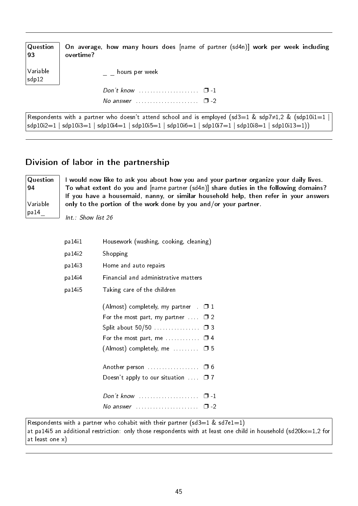| $\sqrt{Q}$ uestion<br> 93 | On average, how many hours does [name of partner (sd4n)] work per week including<br>overtime?              |
|---------------------------|------------------------------------------------------------------------------------------------------------|
| Variable<br>sdp12         | hours per week                                                                                             |
|                           |                                                                                                            |
|                           | No answer $\ldots \ldots \ldots \ldots \ldots \square$ -2                                                  |
|                           | Respondents with a partner who doesn't attend school and is employed (sd3=1 & sdp7 $\neq$ 1,2 & (sdp10i1=1 |

sdp10i2=1 | sdp10i3=1 | sdp10i4=1 | sdp10i5=1 | sdp10i6=1 | sdp10i7=1 | sdp10i8=1 | sdp10i13=1))

### Division of labor in the partnership

**Question** 94 Variable pa14\_

I would now like to ask you about how you and your partner organize your daily lives. To what extent do you and [name partner (sd4n)] share duties in the following domains? If you have a housemaid, nanny, or similar household help, then refer in your answers only to the portion of the work done by you and/or your partner.

Int.: Show list 26

| pa 14 i 1 | Housework (washing, cooking, cleaning)                           |  |
|-----------|------------------------------------------------------------------|--|
| pa 14i2   | Shopping                                                         |  |
| pa 14i3   | Home and auto repairs                                            |  |
| pa 14 i 4 | Financial and administrative matters                             |  |
| pa 14 i 5 | Taking care of the children                                      |  |
|           | (Almost) completely, my partner $\Box$ 1                         |  |
|           | For the most part, my partner $\dots$ $\Box$ 2                   |  |
|           | Split about 50/50 □ 3                                            |  |
|           | For the most part, me $\dots\dots\dots \square$ 4                |  |
|           | (Almost) completely, me $\ldots \ldots \square$ 5                |  |
|           |                                                                  |  |
|           | Doesn't apply to our situation $\Box$ 7                          |  |
|           |                                                                  |  |
|           | No answer $\ldots \ldots \ldots \ldots \ldots \ldots \square$ -2 |  |

Respondents with a partner who cohabit with their partner (sd3=1 & sd7e1=1) at pa14i5 an additional restriction: only those respondents with at least one child in household (sd20kx=1,2 for at least one x)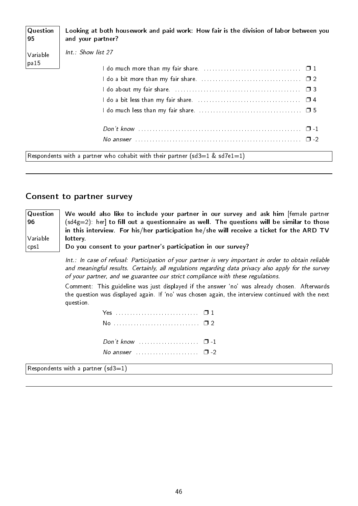| Question<br>95    | Looking at both housework and paid work: How fair is the division of labor between you<br>and your partner? |  |  |
|-------------------|-------------------------------------------------------------------------------------------------------------|--|--|
| Variable<br> pa15 | Int.: Show list 27                                                                                          |  |  |
|                   | I do much more than my fair share. $\ldots \ldots \ldots \ldots \ldots \ldots \ldots \ldots \quad \Box$ 1   |  |  |
|                   |                                                                                                             |  |  |
|                   | $\Box$ 3                                                                                                    |  |  |
|                   |                                                                                                             |  |  |
|                   |                                                                                                             |  |  |
|                   | $\Box$ 1                                                                                                    |  |  |
|                   | $\Box$ 2                                                                                                    |  |  |
|                   | Respondents with a partner who cohabit with their partner (sd3=1 & sd7e1=1)                                 |  |  |

### Consent to partner survey

| Question           | We would also like to include your partner in our survey and ask him fremale partner          |
|--------------------|-----------------------------------------------------------------------------------------------|
| 96                 | $(sd4g=2)$ : her] to fill out a questionnaire as well. The questions will be similar to those |
|                    | in this interview. For his/her participation he/she will receive a ticket for the ARD TV      |
| Variable           | lottery.                                                                                      |
| $\epsilon$ cps $1$ | Do you consent to your partner's participation in our survey?                                 |

Int.: In case of refusal: Participation of your partner is very important in order to obtain reliable and meaningful results. Certainly, all regulations regarding data privacy also apply for the survey of your partner, and we guarantee our strict compliance with these regulations.

Comment: This guideline was just displayed if the answer `no' was already chosen. Afterwards the question was displayed again. If `no' was chosen again, the interview continued with the next question.

| Don't know $\ldots$ $\ldots$ $\ldots$ $\ldots$ $\Box$ -1 |  |
|----------------------------------------------------------|--|
|                                                          |  |

Respondents with a partner  $(sd3=1)$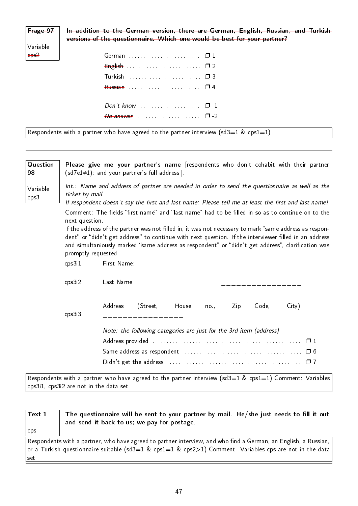## Frage 97

In addition to the German version, there are German, English, Russian, and Turkish versions of the questionnaire. Which one would be best for your partner?

| Variable         |
|------------------|
| eps <sub>2</sub> |

| German  01   |  |
|--------------|--|
|              |  |
| Turkish  □ 3 |  |
|              |  |
|              |  |
|              |  |
|              |  |
|              |  |

Respondents with a partner who have agreed to the partner interview (sd3=1 & cps1=1)

| Question<br>98   |                                         | Please give me your partner's name [respondents who don't cohabit with their partner<br>$(sd7e1\neq 1)$ and your partner's full address.                                                                                                                                                                             |  |  |
|------------------|-----------------------------------------|----------------------------------------------------------------------------------------------------------------------------------------------------------------------------------------------------------------------------------------------------------------------------------------------------------------------|--|--|
| Variable<br>cps3 | ticket by mail.                         | Int.: Name and address of partner are needed in order to send the questionnaire as well as the<br>If respondent doesn't say the first and last name: Please tell me at least the first and last name!                                                                                                                |  |  |
|                  | next question.                          | Comment: The fields "first name" and "last name" had to be filled in so as to continue on to the                                                                                                                                                                                                                     |  |  |
|                  | promptly requested.                     | If the address of the partner was not filled in, it was not necessary to mark "same address as respon-<br>dent" or "didn't get address" to continue with next question. If the interviewer filled in an address<br>and simultaniously marked "same address as respondent" or "didn't get address", clarification was |  |  |
|                  | cps3i1                                  | First Name:                                                                                                                                                                                                                                                                                                          |  |  |
|                  | cps3i2                                  | Last Name:                                                                                                                                                                                                                                                                                                           |  |  |
|                  | cps3i3                                  | Address<br>(Street, House<br>Code,<br>$City)$ :<br>Zip<br>no.<br>_ _ _ _ _ _ _ _ _ _ _ _ _ _ _                                                                                                                                                                                                                       |  |  |
|                  |                                         | Note: the following categories are just for the 3rd item (address)                                                                                                                                                                                                                                                   |  |  |
|                  |                                         |                                                                                                                                                                                                                                                                                                                      |  |  |
|                  |                                         |                                                                                                                                                                                                                                                                                                                      |  |  |
|                  |                                         |                                                                                                                                                                                                                                                                                                                      |  |  |
|                  | cps3i1, cps3i2 are not in the data set. | Respondents with a partner who have agreed to the partner interview (sd3=1 & cps1=1) Comment: Variables                                                                                                                                                                                                              |  |  |

| $\sf{Text}~1$                                                                                                   | The questionnaire will be sent to your partner by mail. He/she just needs to fill it out<br>and send it back to us; we pay for postage. |  |
|-----------------------------------------------------------------------------------------------------------------|-----------------------------------------------------------------------------------------------------------------------------------------|--|
| $ $ cps                                                                                                         |                                                                                                                                         |  |
| Respondents with a partner, who have agreed to partner interview, and who find a German, an English, a Russian, |                                                                                                                                         |  |
| or a Turkish questionnaire suitable (sd3=1 & cps1=1 & cps2>1) Comment: Variables cps are not in the data $\mid$ |                                                                                                                                         |  |
| $ $ set $ $                                                                                                     |                                                                                                                                         |  |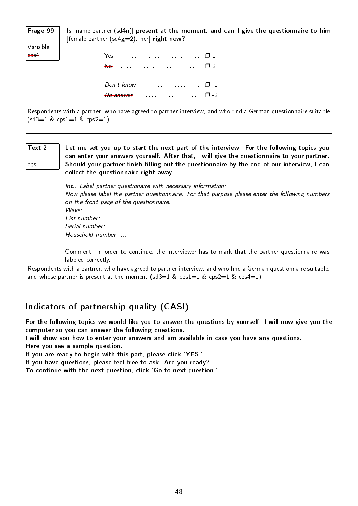Frage 99 Is [name partner (sd4n)] present at the moment, and can I give the questionnaire to him  $[female$  partner  $(sd4g=2)$ : her] right now?

| Variable |  |
|----------|--|
| eps4     |  |

| $\frac{1}{2}$ |  |
|---------------|--|
|               |  |
|               |  |

Respondents with a partner, who have agreed to partner interview, and who find a German questionnaire suitable  $(sd3=1 \& cps1=1 \& cps2=1)$ 

Text 2 cps Let me set you up to start the next part of the interview. For the following topics you can enter your answers yourself. After that, I will give the questionnaire to your partner. Should your partner finish filling out the questionnaire by the end of our interview, I can collect the questionnaire right away.

> Int.: Label partner questionaire with necessary information: Now please label the partner questionnaire. For that purpose please enter the following numbers on the front page of the questionnaire: Wave: ... List number: ... Serial number: ... Household number: ...

> Comment: In order to continue, the interviewer has to mark that the partner questionnaire was labeled correctly.

Respondents with a partner, who have agreed to partner interview, and who find a German questionnaire suitable, and whose partner is present at the moment  $(sd3=1 \& csp3=1 \& csp3=1 \& csp4=1)$ 

### Indicators of partnership quality (CASI)

For the following topics we would like you to answer the questions by yourself. I will now give you the computer so you can answer the following questions.

I will show you how to enter your answers and am available in case you have any questions.

Here you see a sample question.

If you are ready to begin with this part, please click `YES.'

If you have questions, please feel free to ask. Are you ready?

To continue with the next question, click `Go to next question.'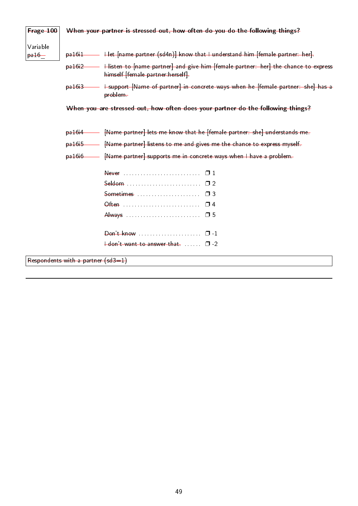| Frage 100        |                                      | When your partner is stressed out, how often do you do the following things?                                                     |
|------------------|--------------------------------------|----------------------------------------------------------------------------------------------------------------------------------|
| Variable         |                                      |                                                                                                                                  |
| <del>pa 16</del> |                                      | pa16i1 - Het [name partner (sd4n)] know that I understand him [female partner: her].                                             |
|                  |                                      | pa16i2 - Histen to [name partner] and give him [female partner: her] the chance to express<br>himself [female partner: herself]. |
|                  |                                      | pa16i3 - I support [Name of partner] in concrete ways when he ffemale partner: she] has a<br>problem-                            |
|                  |                                      | When you are stressed out, how often does your partner do the following things?                                                  |
|                  | <del>pa 16i 4 -</del>                | [Name partner] lets me know that he [female partner: she] understands me.                                                        |
|                  |                                      | pa16i5 - [Name partner] listens to me and gives me the chance to express myself.                                                 |
|                  |                                      | pa16i6 - [Name partner] supports me in concrete ways when I have a problem.                                                      |
|                  |                                      |                                                                                                                                  |
|                  |                                      |                                                                                                                                  |
|                  |                                      | Sometimes $\ldots$ $\ldots$ $\ldots$ $\ldots$ $\Box$ 3                                                                           |
|                  |                                      |                                                                                                                                  |
|                  |                                      |                                                                                                                                  |
|                  |                                      |                                                                                                                                  |
|                  |                                      | $\frac{1}{1}$ don't want to answer that $\ldots$ $\Box$ -2                                                                       |
|                  | Respondents with a partner $(sd3=1)$ |                                                                                                                                  |
|                  |                                      |                                                                                                                                  |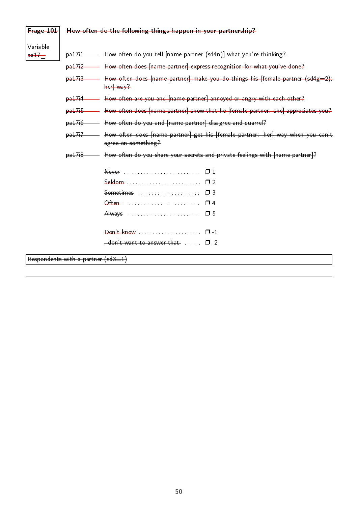| Frage 101           |                                      | How often do the following things happen in your partnership?                                            |
|---------------------|--------------------------------------|----------------------------------------------------------------------------------------------------------|
| Variable<br>$pa17-$ |                                      | pa17i1 - How often do you tell [name partner (sd4n)] what you're thinking?                               |
|                     |                                      | pa17i2 - How often does [name partner] express recognition for what you've done?                         |
|                     |                                      | pa17i3 - How often does [name partner] make you do things his [female partner (sd4g=2).<br>$her$ way $2$ |
|                     |                                      | pa17i4 - How often are you and [name partner] annoyed or angry with each other?                          |
|                     | $6a + 76$                            | —— How often does [name partner] show that he [female partner: she] appreciates you?                     |
|                     | $p_0 + 76$                           | - How often do you and [name partner] disagree and quarrel?                                              |
|                     | $p$ a $17+7$                         | How often does [name partner] get his [female partner: her] way when you can't<br>agree on something?    |
|                     | p <sub>a</sub> 17 <sub>i</sub> 8     | How often do you share your secrets and private feelings with [name partner]?                            |
|                     |                                      |                                                                                                          |
|                     |                                      | Seldom  02                                                                                               |
|                     |                                      | $S$ ometimes $\Box$                                                                                      |
|                     |                                      |                                                                                                          |
|                     |                                      |                                                                                                          |
|                     |                                      | Don't know $\ldots$ $\ldots$ $\ldots$ $\ldots$ $\ldots$ $\Box$ -1                                        |
|                     |                                      | $\dots$ $\Box$ -2                                                                                        |
|                     | Respondents with a partner $(sd3=1)$ |                                                                                                          |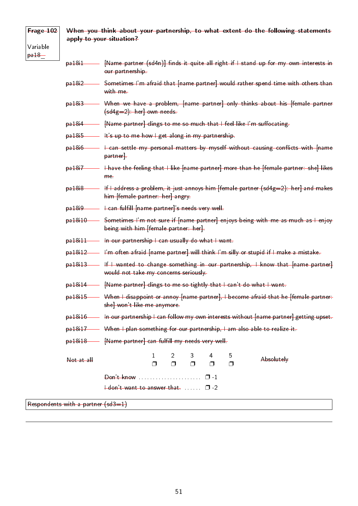## Frage 102 Variable

pa18\_

### When you think about your partnership, to what extent do the following statements apply to your situation?

pa18i1 [Name partner (sd4n)] finds it quite all right if I stand up for my own interests in our partnership.

- pa18i2 Sometimes I'm afraid that [name partner] would rather spend time with others than with me
- pa18i3 When we have a problem, [name partner] only thinks about his [female partner (sd4g=2): her] own needs.
- pa18i4 [Name partner] clings to me so much that I feel like I'm suffocating.
- pa18i5 It's up to me how I get along in my partnership.
- $p$ a18i6  $\longrightarrow$  I can settle my personal matters by myself without causing conflicts with [name partner].
- pa18i7 **I** have the feeling that I like [name partner] more than he [female partner: she] likes me.
- $p$ a18i8 If I address a problem, it just annoys him [female partner (sd4g=2): her] and makes him [female partner: her] angry.
- pa18i9 Fean fulfill [name partner]'s needs very well.
- pa18i10 Sometimes I'm not sure if [name partner] enjoys being with me as much as I enjoy being with him [female partner: her].
- pa18i11 In our partnership I can usually do what I want.
- pa18i12 I'm often afraid [name partner] will think I'm silly or stupid if I make a mistake.
- pa18i13 If I wanted to change something in our partnership, I know that [name partner] would not take my concerns seriously.
- pa18i14 [Name partner] clings to me so tightly that I can't do what I want.
- pa18i15 When I disappoint or annoy [name partner], I become afraid that he [female partner: she] won't like me anymore.
- pa18i16 **In our partnership I can follow my own interests without [name partner] getting upset.**
- pa18i17 When I plan something for our partnership, I am also able to realize it.
- pa18i18 [Name partner] can fulfill my needs very well.

| <del>Not at all</del> |                                                |  | $1 \t2 \t3 \t4 \t5$<br>п п п п |  | Absolutely |
|-----------------------|------------------------------------------------|--|--------------------------------|--|------------|
|                       | $\mathsf{Don't know}$ $\Box$                   |  |                                |  |            |
|                       | $\frac{1}{2}$ don't want to answer that $\Box$ |  |                                |  |            |

Respondents with a partner (sd3=1)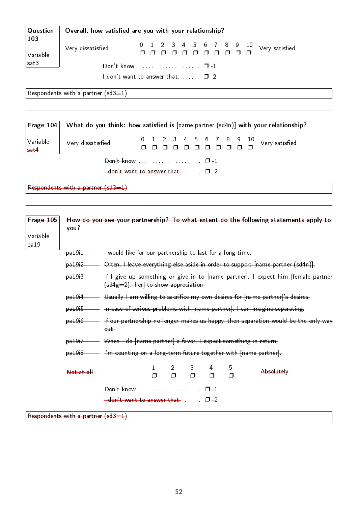| Question              | Overall, how satisfied are you with your relationship?                                                                                      |  |  |  |  |
|-----------------------|---------------------------------------------------------------------------------------------------------------------------------------------|--|--|--|--|
| 103<br>Variable       | 4<br>.5<br>6<br>89<br>-10<br>0<br>Very dissatisfied<br>Very satisfied<br>$\Box$<br>$\Box$<br>$\Box$<br>$\Box$<br>$\Box$<br>$\Box$<br>$\Box$ |  |  |  |  |
| sat3                  |                                                                                                                                             |  |  |  |  |
|                       | I don't want to answer that. $\Box$ $\Box$ -2                                                                                               |  |  |  |  |
|                       | Respondents with a partner (sd3=1)                                                                                                          |  |  |  |  |
|                       |                                                                                                                                             |  |  |  |  |
| Frage 104             | What do you think: how satisfied is [name partner (sd4n)] with your relationship?                                                           |  |  |  |  |
| Variable<br>sat4      | 4 5 6 7 8 9<br>3 <sup>2</sup><br>10<br>Very satisfied<br>Very dissatisfied<br>n n n<br>0000<br>$\Box$                                       |  |  |  |  |
|                       |                                                                                                                                             |  |  |  |  |
|                       | $\frac{1}{2}$ don't want to answer that $\ldots$ $\Box$ -2                                                                                  |  |  |  |  |
|                       | Respondents with a partner $(sd3=1)$                                                                                                        |  |  |  |  |
|                       |                                                                                                                                             |  |  |  |  |
| Frage 105<br>Variable | How do you see your partnership? To what extent do the following statements apply to<br>y <sub>0</sub> u <sup>2</sup>                       |  |  |  |  |

| <del>pa 19+1 -</del> |  | I would like for our partnership to last for a long time- |
|----------------------|--|-----------------------------------------------------------|
|                      |  |                                                           |

- pa19i2 **Often, I leave everything else aside in order to support [name partner (sd4n)]**.
- pa19i3 **If I give up something or give in to [name partner]**, I expect him [female partner (sd4g=2): her] to show appreciation.
- pa19i4 Usually I am willing to sacrifice my own desires for [name partner]'s desires.
- pa19i5 In case of serious problems with [name partner], I can imagine separating.
- pa19i6 If our partnership no longer makes us happy, then separation would be the only way out.
- pa19i7 When I do [name partner] a favor, I expect something in return.
- pa19i8 I'm counting on a long-term future together with [name partner].

| Not at all |                                                                 |  | 1 2 3 4 5<br>n n n n | $\Box$ | Absolutely |
|------------|-----------------------------------------------------------------|--|----------------------|--------|------------|
|            | $\theta$ on't know $\ldots$ $\ldots$ $\ldots$ $\ldots$ $\Box$ 1 |  |                      |        |            |
|            | $\frac{1}{2}$ don't want to answer that $\Box$ $\Box$           |  |                      |        |            |
|            | $\sim$ $\sim$ $\sim$ $\sim$ $\sim$ $\sim$ $\sim$                |  |                      |        |            |

Respondents with a partner (sd3=1)

pa19\_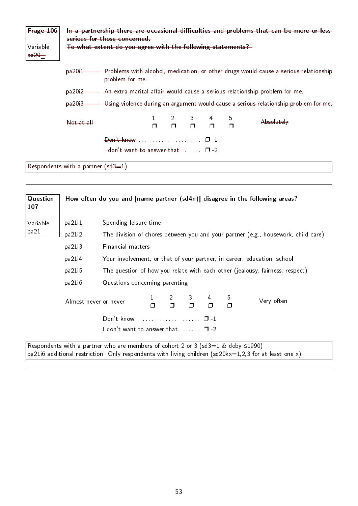| Frage 106<br>Variable<br>$pa20-$ | In a partnership there are occasional difficulties and problems that can be more or less<br>serious for those concerned<br>To what extent do you agree with the following statements? |                                                            |  |        |  |  |             |                                                                                      |
|----------------------------------|---------------------------------------------------------------------------------------------------------------------------------------------------------------------------------------|------------------------------------------------------------|--|--------|--|--|-------------|--------------------------------------------------------------------------------------|
|                                  | <del>pa20i1</del>                                                                                                                                                                     | problem for me-                                            |  |        |  |  |             | Problems with alcohol, medication, or other drugs would cause a serious relationship |
|                                  | <del>pa20i2</del>                                                                                                                                                                     |                                                            |  |        |  |  |             | An extra-marital affair would cause a serious relationship problem for me.           |
|                                  | pa20.3                                                                                                                                                                                |                                                            |  |        |  |  |             | Using violence during an argument would cause a serious relationship problem for me- |
|                                  | $Not$ at all                                                                                                                                                                          |                                                            |  | $\Box$ |  |  | 5<br>$\Box$ | Absolutely                                                                           |
|                                  |                                                                                                                                                                                       |                                                            |  |        |  |  |             |                                                                                      |
|                                  |                                                                                                                                                                                       | $\frac{1}{2}$ don't want to answer that $\ldots$ $\Box$ -2 |  |        |  |  |             |                                                                                      |
|                                  | Respondents with a partner $(sd3=1)$                                                                                                                                                  |                                                            |  |        |  |  |             |                                                                                      |

| Question<br>107 |                                                                                   |                                                                                        |  |                     |              |   |             | How often do you and [name partner (sd4n)] disagree in the following areas?       |
|-----------------|-----------------------------------------------------------------------------------|----------------------------------------------------------------------------------------|--|---------------------|--------------|---|-------------|-----------------------------------------------------------------------------------|
| Variable        | pa21i1                                                                            | Spending leisure time                                                                  |  |                     |              |   |             |                                                                                   |
| pa21            | pa21i2                                                                            |                                                                                        |  |                     |              |   |             | The division of chores between you and your partner (e.g., housework, child care) |
|                 | pa21i3                                                                            | Financial matters                                                                      |  |                     |              |   |             |                                                                                   |
|                 | pa21i4<br>Your involvement, or that of your partner, in career, education, school |                                                                                        |  |                     |              |   |             |                                                                                   |
|                 | pa21 <sub>15</sub>                                                                |                                                                                        |  |                     |              |   |             | The question of how you relate with each other (jealousy, fairness, respect)      |
|                 | pa21i6                                                                            | Questions concerning parenting                                                         |  |                     |              |   |             |                                                                                   |
|                 | Almost never or never                                                             |                                                                                        |  | $\overline{2}$<br>Π | $\mathbf{3}$ | 4 | 5<br>$\Box$ | Very often                                                                        |
|                 |                                                                                   | Don't know  0-1                                                                        |  |                     |              |   |             |                                                                                   |
|                 | I don't want to answer that. $\Box$ $\Box$ -2                                     |                                                                                        |  |                     |              |   |             |                                                                                   |
|                 |                                                                                   | Respondents with a partner who are members of cohort 2 or 3 (sd3=1 & doby $\leq$ 1990) |  |                     |              |   |             |                                                                                   |

pa21i6 additional restriction: Only respondents with living children (sd20kx=1,2,3 for at least one x)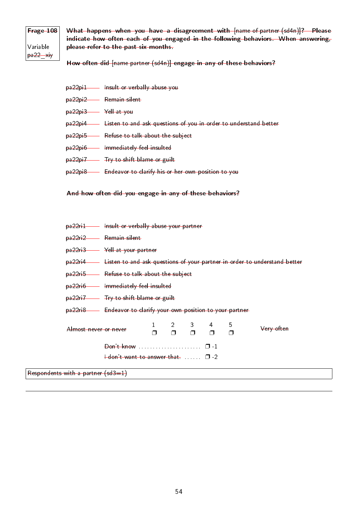## Frage 108 Variable pa22\_xiy

What happens when you have a disagreement with [name of partner (sd4n)]? Please indicate how often each of you engaged in the following behaviors. When answering, please refer to the past six months.

How often did [name partner (sd4n)] engage in any of these behaviors?

- pa22pi1 Insult or verbally abuse you
- pa22pi2 Remain silent
- pa22pi3 Yell at you
- pa22pi4 Listen to and ask questions of you in order to understand better
- pa22pi5 Refuse to talk about the subject
- pa22pi6 Immediately feel insulted
- pa<sub>22pi7</sub> Try to shift blame or guilt
- pa22pi8 Endeavor to clarify his or her own position to you

#### And how often did you engage in any of these behaviors?

- pa22ri1 Insult or verbally abuse your partner
- pa22ri2 Remain silent
- pa22ri3 Yell at your partner
- pa22ri4 Listen to and ask questions of your partner in order to understand better
- pa22ri5 Refuse to talk about the subject
- pa22ri6 Immediately feel insulted
- pa22ri7 Try to shift blame or guilt
- pa22ri8 Endeavor to clarify your own position to your partner

| Almost never or never |                                                                                                                  |  | $1 \quad 2 \quad 3 \quad 4$<br>п п п п | - 5 | <del>Very often</del> |
|-----------------------|------------------------------------------------------------------------------------------------------------------|--|----------------------------------------|-----|-----------------------|
|                       | $\theta$ on't know $\cdots$ $\cdots$ $\cdots$ $\cdots$ $\cdots$<br>$\pm$ don't want to answer that $\Box$ $\Box$ |  |                                        |     |                       |

Respondents with a partner (sd3=1)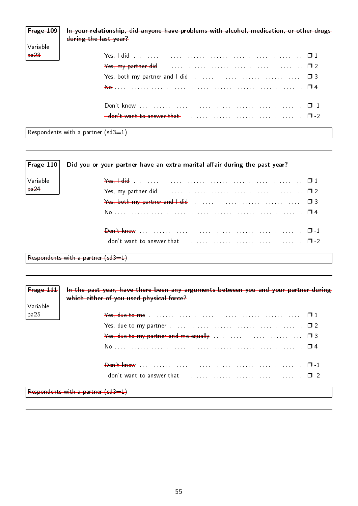| $F$ rage 109<br>  Variable<br>  Variable | In your relationship, did anyone have problems with alcohol, medication, or other drugs<br>during the last year?                                                                                                                                                                                                    |  |
|------------------------------------------|---------------------------------------------------------------------------------------------------------------------------------------------------------------------------------------------------------------------------------------------------------------------------------------------------------------------|--|
| pa23                                     | $\frac{1}{2}$ $\frac{1}{2}$ $\frac{1}{2}$ $\frac{1}{2}$ $\frac{1}{2}$ $\frac{1}{2}$ $\frac{1}{2}$ $\frac{1}{2}$ $\frac{1}{2}$ $\frac{1}{2}$ $\frac{1}{2}$ $\frac{1}{2}$ $\frac{1}{2}$ $\frac{1}{2}$ $\frac{1}{2}$ $\frac{1}{2}$ $\frac{1}{2}$ $\frac{1}{2}$ $\frac{1}{2}$ $\frac{1}{2}$ $\frac{1}{2}$ $\frac{1}{2}$ |  |
|                                          |                                                                                                                                                                                                                                                                                                                     |  |
|                                          |                                                                                                                                                                                                                                                                                                                     |  |
|                                          |                                                                                                                                                                                                                                                                                                                     |  |
|                                          |                                                                                                                                                                                                                                                                                                                     |  |
|                                          |                                                                                                                                                                                                                                                                                                                     |  |

 $\sqrt{\mathsf{Response}}$  Respondents with a partner  $\mathsf{(sd3=1)}$ 

| $ $ Frage $-110 $               | Did you or your partner have an extra-marital affair during the past year?                                                                                                                                                                                                                                          |
|---------------------------------|---------------------------------------------------------------------------------------------------------------------------------------------------------------------------------------------------------------------------------------------------------------------------------------------------------------------|
| Variable                        | $\frac{1}{2}$ $\frac{1}{2}$ $\frac{1}{2}$ $\frac{1}{2}$ $\frac{1}{2}$ $\frac{1}{2}$ $\frac{1}{2}$ $\frac{1}{2}$ $\frac{1}{2}$ $\frac{1}{2}$ $\frac{1}{2}$ $\frac{1}{2}$ $\frac{1}{2}$ $\frac{1}{2}$ $\frac{1}{2}$ $\frac{1}{2}$ $\frac{1}{2}$ $\frac{1}{2}$ $\frac{1}{2}$ $\frac{1}{2}$ $\frac{1}{2}$ $\frac{1}{2}$ |
| $\frac{1}{1}$ pa $\frac{24}{1}$ |                                                                                                                                                                                                                                                                                                                     |
|                                 |                                                                                                                                                                                                                                                                                                                     |
|                                 |                                                                                                                                                                                                                                                                                                                     |
|                                 |                                                                                                                                                                                                                                                                                                                     |
|                                 |                                                                                                                                                                                                                                                                                                                     |
|                                 | Decondente with a next ex $(d-1)$                                                                                                                                                                                                                                                                                   |

Respondents with a partner  $(sd3=1)$ 

| $F$ rage $111$ | In the past year, have there been any arguments between you and your partner during<br>which either of you used physical force? |  |
|----------------|---------------------------------------------------------------------------------------------------------------------------------|--|
| Variable       |                                                                                                                                 |  |
| pa25           |                                                                                                                                 |  |
|                | Yes, due to my partner $\ldots \ldots \ldots \ldots \ldots \ldots \ldots \ldots \ldots \ldots \ldots \ldots \square 2$          |  |
|                |                                                                                                                                 |  |
|                |                                                                                                                                 |  |
|                |                                                                                                                                 |  |
|                |                                                                                                                                 |  |
|                | Respondents with a partner (sd3=1)                                                                                              |  |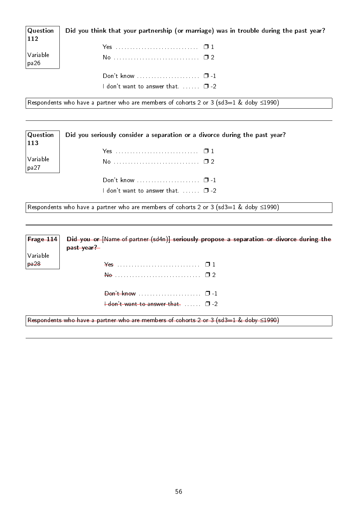| Question<br>112  | Did you think that your partnership (or marriage) was in trouble during the past year? |
|------------------|----------------------------------------------------------------------------------------|
|                  |                                                                                        |
| Variable<br>pa26 |                                                                                        |
|                  |                                                                                        |
|                  | $^{\prime}$ don't want to answer that. $\Box$ -2 $\Box$                                |

Respondents who have a partner who are members of cohorts 2 or 3 (sd3=1 & doby ≤1990)

**Question** 113 Variable pa27 Did you seriously consider a separation or a divorce during the past year? Yes . . . . . . . . . . . . . . . . . . . . . . . . . . . . . ❐ 1 No . . . . . . . . . . . . . . . . . . . . . . . . . . . . . . ❐ 2 Don't know . . . . . . . . . . . . . . . . . . . . . . ❐ -1 I don't want to answer that.  $\dots \dots$   $\Box$  -2

Respondents who have a partner who are members of cohorts 2 or 3 (sd3=1 & doby  $\leq$ 1990)

| Frage $114$ | Did you or [Name of partner (sd4n)] seriously propose a separation or divorce during the<br>past year? |
|-------------|--------------------------------------------------------------------------------------------------------|
| Variable    |                                                                                                        |
| pa28        | $\frac{1}{2}$                                                                                          |
|             |                                                                                                        |
|             | Don't know $\dots \dots \dots \dots \dots \dots \dots \square$ -1                                      |
|             | $+$ don't want to answer that. $\Box$ $-2$                                                             |
|             | Respondents who have a partner who are members of cohorts 2 or 3 (sd3=1 & doby $\leq$ 1990)            |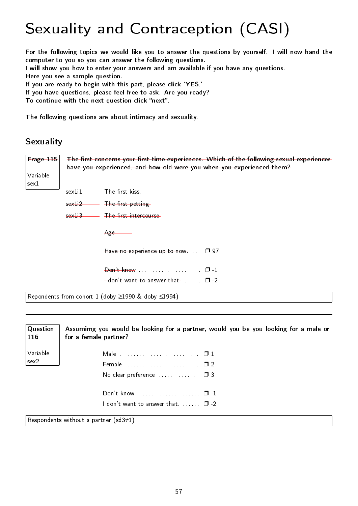# Sexuality and Contraception (CASI)

For the following topics we would like you to answer the questions by yourself. I will now hand the computer to you so you can answer the following questions. I will show you how to enter your answers and am available if you have any questions.

Here you see a sample question.

If you are ready to begin with this part, please click 'YES.'

If you have questions, please feel free to ask. Are you ready?

To continue with the next question click "next".

The following questions are about intimacy and sexuality.

### Sexuality

| Frage 115            | The first concerns your first-time experiences. Which of the following sexual experiences<br>have you experienced, and how old were you when you experienced them? |  |  |  |  |  |  |  |
|----------------------|--------------------------------------------------------------------------------------------------------------------------------------------------------------------|--|--|--|--|--|--|--|
| Variable<br>$sex1 -$ |                                                                                                                                                                    |  |  |  |  |  |  |  |
|                      | sex1i1 The first kiss                                                                                                                                              |  |  |  |  |  |  |  |
|                      | sex1i2 The first petting-                                                                                                                                          |  |  |  |  |  |  |  |
|                      | sex113 The first intercourse                                                                                                                                       |  |  |  |  |  |  |  |
|                      | $Age \_\_$                                                                                                                                                         |  |  |  |  |  |  |  |
|                      | Have no experience up to now. $\square$ 97                                                                                                                         |  |  |  |  |  |  |  |
|                      |                                                                                                                                                                    |  |  |  |  |  |  |  |
|                      | $\frac{1}{1}$ don't want to answer that $\ldots$ $\Box$ -2                                                                                                         |  |  |  |  |  |  |  |
|                      | Repondents from cohort 1 (doby ≥1990 & doby ≤1994)                                                                                                                 |  |  |  |  |  |  |  |

| Question<br> 116 | Assumimg you would be looking for a partner, would you be you looking for a male or<br>for a female partner? |
|------------------|--------------------------------------------------------------------------------------------------------------|
| Variable         |                                                                                                              |
| sex2             |                                                                                                              |
|                  | No clear preference $\ldots$ $\Box$ 3                                                                        |
|                  |                                                                                                              |
|                  | I don't want to answer that. $\Box$ $\Box$ -2                                                                |
|                  | Respondents without a partner (sd3 $\neq$ 1)                                                                 |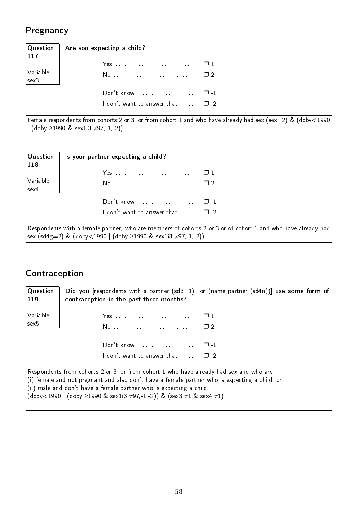### Pregnancy

|                                                                          | Question   Are you expecting a child?<br> 117 |
|--------------------------------------------------------------------------|-----------------------------------------------|
|                                                                          |                                               |
| $\begin{array}{ l } \text{Variable} \text{ } & \text{scale} \end{array}$ | No  1 2                                       |
|                                                                          | Don't know $\square$ -1                       |
|                                                                          | I don't want to answer that $\square$ -2      |

Female respondents from cohorts 2 or 3, or from cohort 1 and who have already had sex (sex=2) & (doby<1990 | (doby ≥1990 & sex1i3 ≠97,-1,-2))

| $\sqrt{Q}$ uestion $\sqrt{Q}$<br>$\vert$ 118 | Is your partner expecting a child?                                         |
|----------------------------------------------|----------------------------------------------------------------------------|
| $\sqrt{\frac{1}{2}}$<br>$ $ sex 4            | No  1 2                                                                    |
|                                              | Don't know $\square$ -1<br>I don't want to answer that. $\ldots$ $\Box$ -2 |

Respondents with a female partner, who are members of cohorts 2 or 3 or of cohort 1 and who have already had sex (sd4g=2) & (doby<1990 | (doby ≥1990 & sex1i3 ≠97,-1,-2))

## Contraception

Question 119 Variable sex5 Did you [respondents with a partner (sd3=1): or (name partner (sd4n))] use some form of contraception in the past three months? Yes . . . . . . . . . . . . . . . . . . . . . . . . . . . . . ❐ 1 No . . . . . . . . . . . . . . . . . . . . . . . . . . . . . . ❐ 2 Don't know . . . . . . . . . . . . . . . . . . . . . . ❐ -1 I don't want to answer that.  $\Box$ ...  $\Box$  -2 Respondents from cohorts 2 or 3, or from cohort 1 who have already had sex and who are (i) female and not pregnant and also don't have a female partner who is expecting a child, or

(ii) male and don't have a female partner who is expecting a child (doby<1990 | (doby ≥1990 & sex1i3 ≠97,-1,-2)) & (sex3 ≠1 & sex4 ≠1)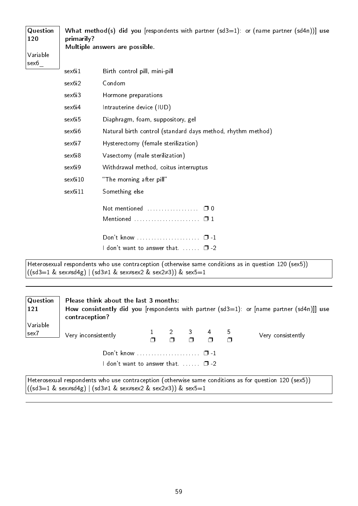| Question<br>120  | What method(s) did you [respondents with partner (sd3=1): or (name partner (sd4n))] use<br>primarily?<br>Multiple answers are possible. |                                                                                                                                                                     |  |  |  |  |  |
|------------------|-----------------------------------------------------------------------------------------------------------------------------------------|---------------------------------------------------------------------------------------------------------------------------------------------------------------------|--|--|--|--|--|
| Variable<br>sex6 |                                                                                                                                         |                                                                                                                                                                     |  |  |  |  |  |
|                  | sex6i1                                                                                                                                  | Birth control pill, mini-pill                                                                                                                                       |  |  |  |  |  |
|                  | sex6i2                                                                                                                                  | Condom                                                                                                                                                              |  |  |  |  |  |
|                  | sex6i3                                                                                                                                  | Hormone preparations                                                                                                                                                |  |  |  |  |  |
|                  | sex6i4                                                                                                                                  | Intrauterine device (IUD)                                                                                                                                           |  |  |  |  |  |
|                  | sex6i5                                                                                                                                  | Diaphragm, foam, suppository, gel                                                                                                                                   |  |  |  |  |  |
|                  | sex6i6                                                                                                                                  | Natural birth control (standard days method, rhythm method)                                                                                                         |  |  |  |  |  |
|                  | sex6i7<br>Hysterectomy (female sterilization)                                                                                           |                                                                                                                                                                     |  |  |  |  |  |
|                  | sex6i8                                                                                                                                  | Vasectomy (male sterilization)                                                                                                                                      |  |  |  |  |  |
|                  | sex6i9                                                                                                                                  | Withdrawal method, coitus interruptus                                                                                                                               |  |  |  |  |  |
|                  | sex6i10                                                                                                                                 | "The morning after pill"                                                                                                                                            |  |  |  |  |  |
|                  | sex6i11                                                                                                                                 | Something else                                                                                                                                                      |  |  |  |  |  |
|                  |                                                                                                                                         | Not mentioned<br>$\Box$ 0                                                                                                                                           |  |  |  |  |  |
|                  |                                                                                                                                         | Mentioned<br>$\Box$ 1                                                                                                                                               |  |  |  |  |  |
|                  |                                                                                                                                         | Don't know<br>$\Box$ $\Box$                                                                                                                                         |  |  |  |  |  |
|                  |                                                                                                                                         | I don't want to answer that. $\Box$ $\Box$ -2                                                                                                                       |  |  |  |  |  |
|                  |                                                                                                                                         | Heterosexual respondents who use contraception (otherwise same conditions as in question 120 (sex5))<br>((sd3=1 & sex≠sd4g)   (sd3≠1 & sex≠sex2 & sex2≠3)) & sex5=1 |  |  |  |  |  |
| Question         |                                                                                                                                         | Please think about the last 3 months:                                                                                                                               |  |  |  |  |  |

| $\vert$ 121             | contraception?                                                                                        |  |                    | How consistently did you [respondents with partner $(sd3=1)$ : or [name partner $(sd4n)$ ]] use |
|-------------------------|-------------------------------------------------------------------------------------------------------|--|--------------------|-------------------------------------------------------------------------------------------------|
| Variable<br>$ $ sex $7$ | Very inconsistently                                                                                   |  | $2 \t 3 \t 4 \t 5$ | Very consistently                                                                               |
|                         |                                                                                                       |  |                    |                                                                                                 |
|                         | <code>ldon't</code> want to answer that. $\Box$ -2 $\Box$                                             |  |                    |                                                                                                 |
|                         | Heterosexual respondents who use contraception (otherwise same conditions as for question 120 (sex5)) |  |                    |                                                                                                 |

((sd3=1 & sex≠sd4g) | (sd3≠1 & sex≠sex2 & sex2≠3)) & sex5=1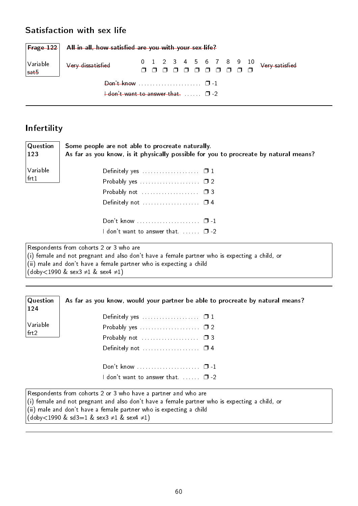### Satisfaction with sex life

|                    | $\mathsf{Frage}\ 122$ All in all, how satisfied are you with your sex life? |  |  |  |  |  |  |
|--------------------|-----------------------------------------------------------------------------|--|--|--|--|--|--|
| Variable  <br>sat5 | Very dissatisfied                                                           |  |  |  |  |  |  |
|                    | $\frac{1}{2}$ don't want to answer that $\Box$ $\Box$                       |  |  |  |  |  |  |
|                    |                                                                             |  |  |  |  |  |  |

## Infertility

| Question<br>123                               | Some people are not able to procreate naturally.<br>As far as you know, is it physically possible for you to procreate by natural means?                                                                       |
|-----------------------------------------------|----------------------------------------------------------------------------------------------------------------------------------------------------------------------------------------------------------------|
| Variable                                      | Definitely yes $\ldots$ $\Box$ 1                                                                                                                                                                               |
| frt1                                          | Probably yes $\ldots$ $\ldots$ $\ldots$ $\ldots$ $\Box$ 2                                                                                                                                                      |
|                                               | Probably not $\ldots \ldots \ldots \ldots \ldots \quad \Box$ 3                                                                                                                                                 |
|                                               |                                                                                                                                                                                                                |
|                                               |                                                                                                                                                                                                                |
|                                               | I don't want to answer that. $\Box$ -2                                                                                                                                                                         |
| $(doby < 1990 \& sex3 \neq 1 \& sex4 \neq 1)$ | Respondents from cohorts 2 or 3 who are<br>(i) female and not pregnant and also don't have a female partner who is expecting a child, or<br>(ii) male and don't have a female partner who is expecting a child |

| $\sqrt{Q}$ uestion<br> 124 | As far as you know, would your partner be able to procreate by natural means? |
|----------------------------|-------------------------------------------------------------------------------|
|                            | Definitely yes $\ldots$ $\Box$ 1                                              |
| Variable                   |                                                                               |
| $ $ frt $2$                | Probably not $\ldots \ldots \ldots \ldots \ldots \square$ 3                   |
|                            |                                                                               |
|                            | Don't know $\square$ -1                                                       |
|                            | <code>l</code> don't want to answer that. $\Box$ . $\Box$ -2 $\Box$           |

Respondents from cohorts 2 or 3 who have a partner and who are (i) female and not pregnant and also don't have a female partner who is expecting a child, or (ii) male and don't have a female partner who is expecting a child (doby<1990 & sd3=1 & sex3 ≠1 & sex4 ≠1)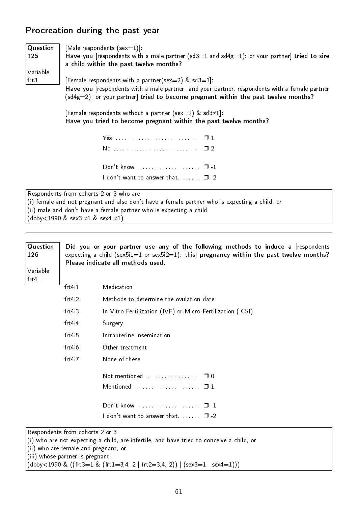### Procreation during the past year

| $\sqrt{Q}$ uestion | [Male respondents $(sex=1)$ ]:                                                                                                                                                                                                                |
|--------------------|-----------------------------------------------------------------------------------------------------------------------------------------------------------------------------------------------------------------------------------------------|
| 125                | Have you [respondents with a male partner (sd3=1 and sd4g=1): or your partner] tried to sire<br>a child within the past twelve months?                                                                                                        |
| Variable           |                                                                                                                                                                                                                                               |
| $ $ frt $3 $       | [Female respondents with a partner(sex=2) & sd3=1]:<br>Have you [respondents with a male partner: and your partner, respondents with a female partner<br>$(sd4g=2)$ : or your partner tried to become pregnant within the past twelve months? |

[Female respondents without a partner (sex=2) & sd3≠1]: Have you tried to become pregnant within the past twelve months?

| Don't know $\ldots$ $\ldots$ $\ldots$ $\ldots$ $\ldots$ $\Box$ -1 |  |
|-------------------------------------------------------------------|--|
| I don't want to answer that. $\Box$ -2                            |  |
|                                                                   |  |

Respondents from cohorts 2 or 3 who are (i) female and not pregnant and also don't have a female partner who is expecting a child, or (ii) male and don't have a female partner who is expecting a child  $(doby < 1990 \& \text{sex3} \neq 1 \& \text{sex4} \neq 1)$ 

| Question<br>126<br>Variable<br>frt4 | Did you or your partner use any of the following methods to induce a respondents<br>expecting a child (sex5i1=1 or sex5i2=1): this pregnancy within the past twelve months?<br>Please indicate all methods used. |                                                                                          |  |  |  |  |  |  |  |
|-------------------------------------|------------------------------------------------------------------------------------------------------------------------------------------------------------------------------------------------------------------|------------------------------------------------------------------------------------------|--|--|--|--|--|--|--|
|                                     | frt4i1                                                                                                                                                                                                           | Medication                                                                               |  |  |  |  |  |  |  |
|                                     | frt4i2                                                                                                                                                                                                           | Methods to determine the ovulation date                                                  |  |  |  |  |  |  |  |
|                                     | frt4i3                                                                                                                                                                                                           | In-Vitro-Fertilization (IVF) or Micro-Fertilization (ICSI)                               |  |  |  |  |  |  |  |
|                                     | $frt4$ <sub>i</sub> 4                                                                                                                                                                                            | Surgery                                                                                  |  |  |  |  |  |  |  |
|                                     | frt4i5                                                                                                                                                                                                           | Intrauterine Insemination                                                                |  |  |  |  |  |  |  |
|                                     | frt4i6                                                                                                                                                                                                           | Other treatment                                                                          |  |  |  |  |  |  |  |
|                                     | frt4i7                                                                                                                                                                                                           | None of these                                                                            |  |  |  |  |  |  |  |
|                                     |                                                                                                                                                                                                                  | Not mentioned<br>$\Box$ 0                                                                |  |  |  |  |  |  |  |
|                                     |                                                                                                                                                                                                                  | Mentioned $\ldots \ldots \ldots \ldots \ldots \ldots \square 1$                          |  |  |  |  |  |  |  |
|                                     |                                                                                                                                                                                                                  |                                                                                          |  |  |  |  |  |  |  |
|                                     | I don't want to answer that. $\Box$ -2                                                                                                                                                                           |                                                                                          |  |  |  |  |  |  |  |
|                                     | Respondents from cohorts 2 or 3                                                                                                                                                                                  |                                                                                          |  |  |  |  |  |  |  |
|                                     |                                                                                                                                                                                                                  | (i) who are not expecting a child, are infertile, and have tried to conceive a child, or |  |  |  |  |  |  |  |
|                                     |                                                                                                                                                                                                                  | (ii) who are female and pregnant, or                                                     |  |  |  |  |  |  |  |
|                                     | (iii) whose partner is pregnant                                                                                                                                                                                  | $(doby<1990 \& ((frt3=1 \& (frt1=3,4,-2 \mid frt2=3,4,-2))   (sex3=1 \mid sex4=1)))$     |  |  |  |  |  |  |  |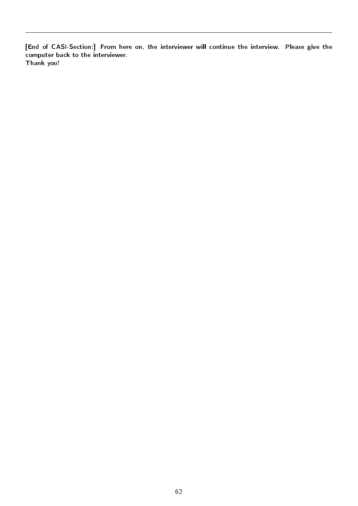[End of CASI-Section:] From here on, the interviewer will continue the interview. Please give the computer back to the interviewer. Thank you!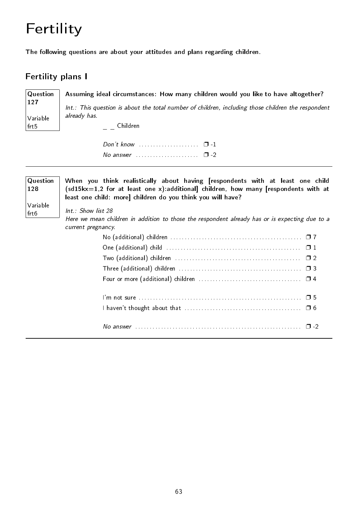# Fertility

The following questions are about your attitudes and plans regarding children.

### Fertility plans I

**Question** 127 Variable  $|$ frt $5$ Assuming ideal circumstances: How many children would you like to have altogether? Int.: This question is about the total number of children, including those children the respondent already has.  $=$   $-$  Children

> $Don't know$  . . . . . . . . . . . . . . . .  $\Box$  -1 No answer  $\cdots$  . . . . . . . . . . . . . . .  $\Box$  -2

| Question<br>128<br>Variable<br>frt6 | When you think realistically about having [respondents with at least one child<br>$(sd15kx=1,2$ for at least one x):additional] children, how many [respondents with at<br>least one child: more] children do you think you will have?<br>Int.: Show list 28<br>Here we mean children in addition to those the respondent already has or is expecting due to a<br>current pregnancy. |
|-------------------------------------|--------------------------------------------------------------------------------------------------------------------------------------------------------------------------------------------------------------------------------------------------------------------------------------------------------------------------------------------------------------------------------------|
|                                     | Two (additional) children $\ldots \ldots \ldots \ldots \ldots \ldots \ldots \ldots \ldots \ldots \ldots \ldots \square 2$                                                                                                                                                                                                                                                            |
|                                     | Three (additional) children $\ldots \ldots \ldots \ldots \ldots \ldots \ldots \ldots \ldots \ldots \ldots \ldots \quad \Box$ 3                                                                                                                                                                                                                                                       |
|                                     |                                                                                                                                                                                                                                                                                                                                                                                      |
|                                     | No answer $\ldots \ldots \ldots \ldots \ldots \ldots \ldots \ldots \ldots \ldots \ldots \ldots \ldots \quad \Box$ -2                                                                                                                                                                                                                                                                 |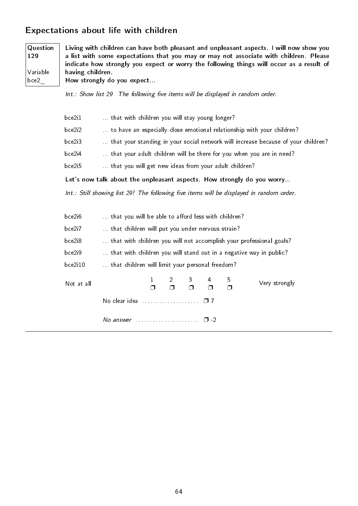### Expectations about life with children

**Question** 129 Variable bce2\_ Living with children can have both pleasant and unpleasant aspects. I will now show you a list with some expectations that you may or may not associate with children. Please indicate how strongly you expect or worry the following things will occur as a result of having children. How strongly do you expect...

 $Int.:$  Show list 29 The following five items will be displayed in random order.

| bce2i1 | that with children you will stay young longer?                                    |
|--------|-----------------------------------------------------------------------------------|
| bce2i2 | to have an especially close emotional relationship with your children?            |
| bce2i3 | that your standing in your social network will increase because of your children? |
| bce2i4 | that your adult children will be there for you when you are in need?              |
| bce2i5 | that you will get new ideas from your adult children?                             |

Let's now talk about the unpleasant aspects. How strongly do you worry...

Int.: Still showing list 29! The following five items will be displayed in random order.

| bce2i6     | that you will be able to afford less with children?                 |        |  |             |    |             |               |  |
|------------|---------------------------------------------------------------------|--------|--|-------------|----|-------------|---------------|--|
| bce2i7     | that children will put you under nervous strain?                    |        |  |             |    |             |               |  |
| bce2i8     | that with children you will not accomplish your professional goals? |        |  |             |    |             |               |  |
| bce2i9     | that with children you will stand out in a negative way in public?  |        |  |             |    |             |               |  |
| bce2i10    | that children will limit your personal freedom?                     |        |  |             |    |             |               |  |
| Not at all |                                                                     | $\Box$ |  | $1 \t2 \t3$ | -4 | 5<br>$\Box$ | Very strongly |  |
|            | No clear idea $\ldots \ldots \ldots \ldots \ldots \square 7$        |        |  |             |    |             |               |  |
|            | No answer $\ldots$ , $\ldots$ , $\ldots$ , $\Box$ -2                |        |  |             |    |             |               |  |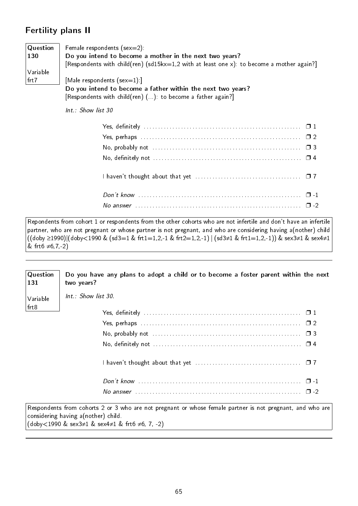### Fertility plans II

| $\mid$ Question | Female respondents (sex=2):                                                               |
|-----------------|-------------------------------------------------------------------------------------------|
| $\vert$ 130     | Do you intend to become a mother in the next two years?                                   |
|                 | [Respondents with child(ren) (sd15kx=1,2 with at least one x): to become a mother again?] |
| Variable        |                                                                                           |
| $ $ frt $7$     | [Male respondents $(sex=1)$ ]                                                             |
|                 | Do you intend to become a father within the next two years?                               |
|                 | [Respondents with child(ren) (): to become a father again?]                               |

Int.: Show list 30

Repondents from cohort 1 or respondents from the other cohorts who are not infertile and don't have an infertile partner, who are not pregnant or whose partner is not pregnant, and who are considering having a(nother) child ((doby ≥1990)|(doby<1990 & (sd3=1 & frt1=1,2,-1 & frt2=1,2,-1) | (sd3≠1 & frt1=1,2,-1)) & sex3≠1 & sex4≠1 & frt6 ≠6,7,-2)

| Question<br>131 | Do you have any plans to adopt a child or to become a foster parent within the next<br>two years?                                                                                                                       |
|-----------------|-------------------------------------------------------------------------------------------------------------------------------------------------------------------------------------------------------------------------|
| Variable        | Int.: Show list 30.                                                                                                                                                                                                     |
| $ $ frt $8 $    |                                                                                                                                                                                                                         |
|                 |                                                                                                                                                                                                                         |
|                 |                                                                                                                                                                                                                         |
|                 | No, definitely not $\dots\dots\dots\dots\dots\dots\dots\dots\dots\dots\dots\dots\dots\dots\dots\Box$ 4                                                                                                                  |
|                 |                                                                                                                                                                                                                         |
|                 |                                                                                                                                                                                                                         |
|                 | No answer $\ldots$ $\ldots$ $\ldots$ $\ldots$ $\ldots$ $\ldots$ $\ldots$ $\ldots$ $\ldots$ $\ldots$ $\ldots$ $\ldots$ $\ldots$ $\Box$ -2                                                                                |
|                 | Respondents from cohorts 2 or 3 who are not pregnant or whose female partner is not pregnant, and who are<br>considering having a(nother) child.<br>$(doby < 1990 \& sex3 \neq 1 \& sex4 \neq 1 \& frt6 \neq 6, 7, -2)$ |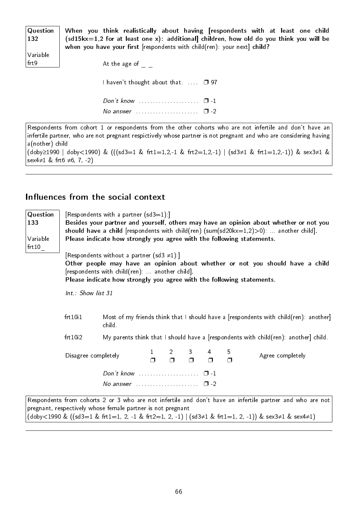| Question<br>  132 | When you think realistically about having [respondents with at least one child<br>$(sd15kx=1,2$ for at least one x): additional] children, how old do you think you will be<br>when you have your first [respondents with child(ren): your next] child? |
|-------------------|---------------------------------------------------------------------------------------------------------------------------------------------------------------------------------------------------------------------------------------------------------|
| Variable          |                                                                                                                                                                                                                                                         |
| frt9              | At the age of                                                                                                                                                                                                                                           |
|                   |                                                                                                                                                                                                                                                         |
|                   | I haven't thought about that. $\Box$ 97                                                                                                                                                                                                                 |
|                   |                                                                                                                                                                                                                                                         |
|                   |                                                                                                                                                                                                                                                         |
|                   | No answer $\Box$ -2                                                                                                                                                                                                                                     |

Respondents from cohort 1 or respondents from the other cohorts who are not infertile and don't have an infertile partner, who are not pregnant respictively whose partner is not pregnant and who are considering having a(nother) child (doby≥1990 | doby<1990) & (((sd3=1 & frt1=1,2,-1 & frt2=1,2,-1) | (sd3≠1 & frt1=1,2,-1)) & sex3≠1 &

sex4≠1 & frt6 ≠6, 7, -2)

### Influences from the social context

| Question<br>133<br>Variable<br>frt10 | [Respondents with a partner $(sd3=1)$ .]<br>Besides your partner and yourself, others may have an opinion about whether or not you<br>should have a child [respondents with child(ren) (sum(sd20 $kx=1,2$ )>0):  another child].<br>Please indicate how strongly you agree with the following statements.<br>[Respondents without a partner (sd3 $\neq$ 1).]<br>Other people may have an opinion about whether or not you should have a child<br>[respondents with child(ren):  another child].<br>Please indicate how strongly you agree with the following statements.<br>Int.: Show list 31 |                                                                                                |                     |                     |             |             |             |                                                                                                                                                                                                                  |  |
|--------------------------------------|------------------------------------------------------------------------------------------------------------------------------------------------------------------------------------------------------------------------------------------------------------------------------------------------------------------------------------------------------------------------------------------------------------------------------------------------------------------------------------------------------------------------------------------------------------------------------------------------|------------------------------------------------------------------------------------------------|---------------------|---------------------|-------------|-------------|-------------|------------------------------------------------------------------------------------------------------------------------------------------------------------------------------------------------------------------|--|
|                                      | frt1011                                                                                                                                                                                                                                                                                                                                                                                                                                                                                                                                                                                        | Most of my friends think that I should have a [respondents with child(ren): another]<br>child. |                     |                     |             |             |             |                                                                                                                                                                                                                  |  |
|                                      | frt10i2                                                                                                                                                                                                                                                                                                                                                                                                                                                                                                                                                                                        |                                                                                                |                     |                     |             |             |             | My parents think that I should have a [respondents with child(ren): another] child.                                                                                                                              |  |
|                                      | Disagree completely                                                                                                                                                                                                                                                                                                                                                                                                                                                                                                                                                                            |                                                                                                | $1 \quad$<br>$\Box$ | $2 \quad$<br>$\Box$ | 3<br>$\Box$ | 4<br>$\Box$ | 5<br>$\Box$ | Agree completely                                                                                                                                                                                                 |  |
|                                      |                                                                                                                                                                                                                                                                                                                                                                                                                                                                                                                                                                                                | Don't know $\cdots$ $\cdots$ $\cdots$                                                          |                     |                     |             |             |             |                                                                                                                                                                                                                  |  |
|                                      |                                                                                                                                                                                                                                                                                                                                                                                                                                                                                                                                                                                                | No answer $\ldots$ , $\ldots$ , $\Box$ -2                                                      |                     |                     |             |             |             |                                                                                                                                                                                                                  |  |
|                                      |                                                                                                                                                                                                                                                                                                                                                                                                                                                                                                                                                                                                | pregnant, respectively whose female partner is not pregnant                                    |                     |                     |             |             |             | Respondents from cohorts 2 or 3 who are not infertile and don't have an infertile partner and who are not<br>(doby<1990 & ((sd3=1 & frt1=1, 2, -1 & frt2=1, 2, -1)   (sd3≠1 & frt1=1, 2, -1)) & sex3≠1 & sex4≠1) |  |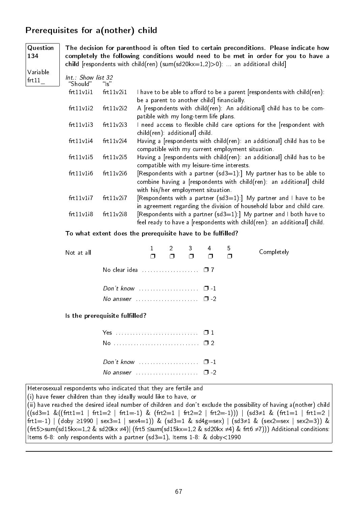## Prerequisites for a(nother) child

134

**Question** The decision for parenthood is often tied to certain preconditions. Please indicate how completely the following conditions would need to be met in order for you to have a child [respondents with child(ren) (sum(sd20kx=1,2)>0): ... an additional child]

| Variable<br>frt11 | Int.: Show list 32<br>"Should" | $^{\prime\prime}$ s $^{\prime\prime}$ |                                                                                                                                                                                 |
|-------------------|--------------------------------|---------------------------------------|---------------------------------------------------------------------------------------------------------------------------------------------------------------------------------|
|                   | frt11v1i1                      | frt11v2i1                             | I have to be able to afford to be a parent [respondents with child(ren):<br>be a parent to another child] financially.                                                          |
|                   | frt11v1i2                      | frt11v2i2                             | A [respondents with child(ren): An additional] child has to be com-<br>patible with my long-term life plans.                                                                    |
|                   | frt11v1i3                      | frt11v2i3                             | I need access to flexible child care options for the [respondent with<br>child(ren): additionall child.                                                                         |
|                   | frt11v1i4                      | frt11v2i4                             | Having a [respondents with child(ren): an additional] child has to be<br>compatible with my current employment situation.                                                       |
|                   | frt11v1i5                      | frt11v2i5                             | Having a [respondents with child(ren): an additional] child has to be<br>compatible with my leisure-time interests.                                                             |
|                   | frt11v1i6                      | frt11v2i6                             | [Respondents with a partner (sd3=1):] My partner has to be able to<br>combine having a [respondents with child(ren): an additional] child<br>with his/her employment situation. |
|                   | frt11v1i7                      | frt11v2i7                             | [Respondents with a partner $(sd3=1)$ .] My partner and I have to be<br>in agreement regarding the division of household labor and child care.                                  |
|                   | frt11v1i8                      | frt11v2i8                             | [Respondents with a partner $(sd3=1)$ .] My partner and I both have to<br>feel ready to have a [respondents with child(ren): an additional] child.                              |

To what extent does the prerequisite have to be fulfilled?

| Not at all |                                                           |  |  | $\Box$ | $1 \quad 2 \quad 3 \quad 4 \quad 5$ | $\Box$ | Completely |  |  |  |
|------------|-----------------------------------------------------------|--|--|--------|-------------------------------------|--------|------------|--|--|--|
|            |                                                           |  |  |        |                                     |        |            |  |  |  |
|            |                                                           |  |  |        |                                     |        |            |  |  |  |
|            | No answer $\ldots \ldots \ldots \ldots \ldots \square$ -2 |  |  |        |                                     |        |            |  |  |  |
|            | Is the prerequisite fulfilled?                            |  |  |        |                                     |        |            |  |  |  |

Is the prerequisite fulfilled?

| Yes $\ldots$ $\ldots$ $\ldots$ $\ldots$ $\ldots$         |  |
|----------------------------------------------------------|--|
|                                                          |  |
|                                                          |  |
| Don't know $\ldots$ $\ldots$ $\ldots$ $\ldots$ $\Box$ -1 |  |
| No answer $\cdots$ $\Box$ -2                             |  |

Heterosexual respondents who indicated that they are fertile and

(i) have fewer children than they ideally would like to have, or

(ii) have reached the desired ideal number of children and don't exclude the possibility of having a(nother) child  $((sd3=1 \& ((frtt1=1 \mid frt1=2 \mid frt1=-1) \& (frt2=1 \mid frt2=2 \mid frt2=-1))) | (sd3≠1 \& (frt1=1 \mid frt1=2 \mid frt1=2 \mid frt1=3))$ frt1=-1) | (doby ≥1990 | sex3=1 | sex4=1)) & (sd3=1 & sd4g=sex) | (sd3≠1 & (sex2=sex | sex2=3)) & (frt5>sum(sd15kx=1,2 & sd20kx ≠4)| (frt5 ≤sum(sd15kx=1,2 & sd20kx ≠4) & frt6 ≠7))) Additional conditions: Items 6-8: only respondents with a partner (sd3=1), Items 1-8: & doby<1990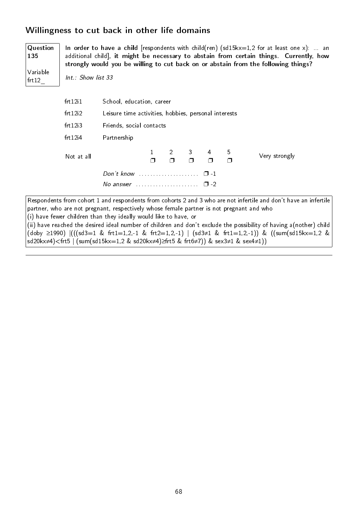### Willingness to cut back in other life domains

| Question<br>135   | In order to have a child [respondents with child(ren) (sd15kx=1,2 for at least one x):  an<br>additional child], it might be necessary to abstain from certain things. Currently, how<br>strongly would you be willing to cut back on or abstain from the following things? |                                                                                             |  |             |                          |             |             |                                                                                                                  |
|-------------------|-----------------------------------------------------------------------------------------------------------------------------------------------------------------------------------------------------------------------------------------------------------------------------|---------------------------------------------------------------------------------------------|--|-------------|--------------------------|-------------|-------------|------------------------------------------------------------------------------------------------------------------|
| Variable<br>frt12 | Int.: Show list 33                                                                                                                                                                                                                                                          |                                                                                             |  |             |                          |             |             |                                                                                                                  |
|                   | frt12 <sub>i</sub> 1                                                                                                                                                                                                                                                        | School, education, career                                                                   |  |             |                          |             |             |                                                                                                                  |
|                   | frt12i2                                                                                                                                                                                                                                                                     | Leisure time activities, hobbies, personal interests<br>frt12i3<br>Friends, social contacts |  |             |                          |             |             |                                                                                                                  |
|                   |                                                                                                                                                                                                                                                                             |                                                                                             |  |             |                          |             |             |                                                                                                                  |
|                   | frt12 <sub>1</sub> 4<br>Partnership                                                                                                                                                                                                                                         |                                                                                             |  |             |                          |             |             |                                                                                                                  |
|                   | Not at all                                                                                                                                                                                                                                                                  |                                                                                             |  | 2<br>$\Box$ | 3 <sup>7</sup><br>$\Box$ | 4<br>$\Box$ | 5<br>$\Box$ | Very strongly                                                                                                    |
|                   | Don't know $\ldots$ $\ldots$ $\ldots$ $\ldots$ $\ldots$ $\Box$ -1                                                                                                                                                                                                           |                                                                                             |  |             |                          |             |             |                                                                                                                  |
|                   | No answer $\ldots \ldots \ldots \ldots \ldots \square$ -2                                                                                                                                                                                                                   |                                                                                             |  |             |                          |             |             |                                                                                                                  |
|                   |                                                                                                                                                                                                                                                                             |                                                                                             |  |             |                          |             |             | Respondents from cohort 1 and respondents from cohorts 2 and 3 who are not infertile and don't have an infertile |

partner, who are not pregnant, respectively whose female partner is not pregnant and who

(i) have fewer children than they ideally would like to have, or

(ii) have reached the desired ideal number of children and don't exclude the possibility of having a(nother) child (doby ≥1990)  $|(((sd3=1 \& frt1=1,2,-1 \& frt2=1,2,-1) | (sd3≠1 \& frt1=1,2,-1)) \& ((sum(sd15kx=1,2 \& frt1=1,2,-1))$ sd20kx≠4)<frt5 | (sum(sd15kx=1,2 & sd20kx≠4)≥frt5 & frt6≠7)) & sex3≠1 & sex4≠1))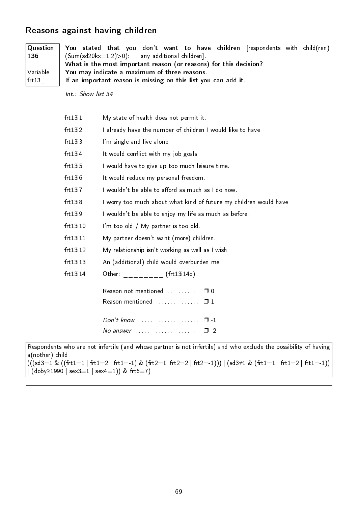#### Reasons against having children

| Question<br>$\vert$ 136 $\vert$ | You stated that you don't want to have children frespondents with child(ren)<br>$(Sum(sd20kx=1,2)>0)$ : any additional children]. |  |  |  |  |  |
|---------------------------------|-----------------------------------------------------------------------------------------------------------------------------------|--|--|--|--|--|
|                                 | What is the most important reason (or reasons) for this decision?                                                                 |  |  |  |  |  |
| Variable                        | You may indicate a maximum of three reasons.                                                                                      |  |  |  |  |  |
| $ $ frt $13$                    | If an important reason is missing on this list you can add it.                                                                    |  |  |  |  |  |
|                                 | Int.: Show list 34                                                                                                                |  |  |  |  |  |

| frt13i1  | My state of health does not permit it.                             |
|----------|--------------------------------------------------------------------|
| frt13i2  | I already have the number of children I would like to have.        |
| frt13i3  | I'm single and live alone.                                         |
| frt13i4  | It would conflict with my job goals.                               |
| frt13i5  | I would have to give up too much leisure time.                     |
| frt13i6  | It would reduce my personal freedom.                               |
| frt13i7  | I wouldn't be able to afford as much as I do now.                  |
| frt13i8  | I worry too much about what kind of future my children would have. |
| frt13i9  | I wouldn't be able to enjoy my life as much as before.             |
| frt13i10 | I'm too old / My partner is too old.                               |
| frt13i11 | My partner doesn't want (more) children.                           |
| frt13i12 | My relationship isn't working as well as I wish.                   |
| frt13i13 | An (additional) child would overburden me.                         |
| frt13i14 | Other: (frt13i14o)                                                 |
|          | Reason not mentioned $\ldots \ldots \square 0$                     |
|          | Reason mentioned $\ldots \ldots \ldots \quad \Box$ 1               |
|          | Don't know $\cdots$ $\cdots$ $\cdots$                              |
|          | $\square$ - 2                                                      |

Respondents who are not infertile (and whose partner is not infertile) and who exclude the possibility of having a(nother) child  $((\text{(sd3}=1 \& ((\text{frt1}=1 \mid \text{frt1}=2 \mid \text{frt1}=-1) \& (\text{frt2}=1 \mid \text{frt2}=2 \mid \text{frt2}=-1)))) \mid (\text{sd3}\neq 1 \& (\text{frt1}=1 \mid \text{frt1}=2 \mid \text{frt1}=-1))$  $|($  (doby≥1990  $|$  sex3=1  $|$  sex4=1)) & frt6=7)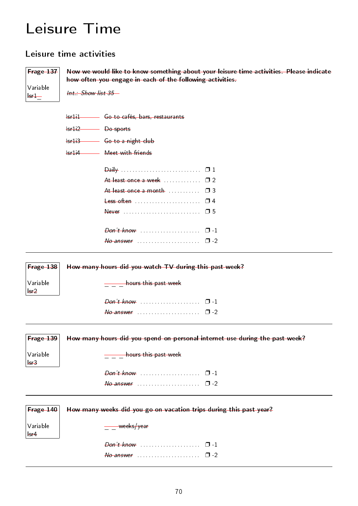### Leisure Time

#### Leisure time activities

Frage 137 Variable  $-$ Now we would like to know something about your leisure time activities. Please indicate how often you engage in each of the following activities. Int.: Show list 35 Isr1i1 Go to cafés, bars, restaurants Isr1i2 Do sports Isr1i3 **Go to a night club** Isr1i4 Meet with friends Daily . . . . . . . . . . . . . . . . . . . . . . . . . . . . ❐ 1 At least once a week . . . . . . . . . . . . 0 2 At least once a month  $\ldots$  .  $\Box$  3 Less often . . . . . . . . . . . . . . . . . . . . . . . ❐ 4 Never . . . . . . . . . . . . . . . . . . . . . . . . . . . ❐ 5  $Don't know$  . . . . . . . . . . . . . . . .  $\Box$  -1  $N_o$  answer  $\ldots$  . . . . . . . . . . . . . . . .  $\Box$  -2 Frage 138 Variable lsr2 How many hours did you watch TV during this past week? \_\_ \_ hours this past week Don't know . . . . . . . . . . . . . . . . . . . . . ❐ -1  $N_o$  answer  $\ldots$  . . . . . . . . . . . . . . . .  $\Box$  -2 Frage 139 Variable lsr3 How many hours did you spend on personal internet use during the past week? **\_\_\_\_\_\_\_\_hours** this past week  $Don't know$  . . . . . . . . . . . . . . . .  $\Box$  -1  $N_{\odot}$  answer  $\ldots \ldots \ldots \ldots \square$  -2 Frage 140 Variable lsr4 How many weeks did you go on vacation trips during this past year?  $\frac{\ }{2}$  weeks/year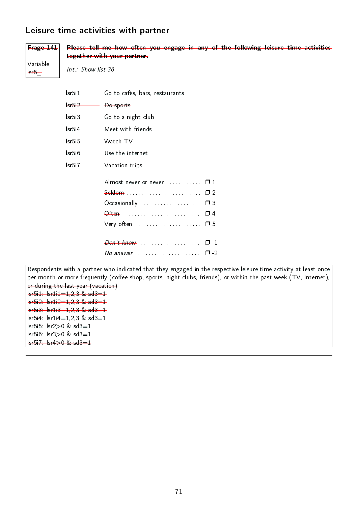#### Leisure time activities with partner



lsr5i3 Go to a night club

lsr5i4 Meet with friends

lsr5i5 Watch TV

lsr5i6 Use the internet

lsr5i7 Vacation trips

| Almost never or never  0 1 |  |
|----------------------------|--|
| Seldom  02                 |  |
|                            |  |
|                            |  |
|                            |  |
|                            |  |
|                            |  |
|                            |  |
|                            |  |

Respondents with a partner who indicated that they engaged in the respective leisure time activity at least once per month or more frequently (coffee shop, sports, night clubs, friends), or within the past week (TV, Internet), or during the last year (vacation) lsr5i1: lsr1i1=1,2,3 & sd3=1  $lsr5i2:$   $lsr1i2=1,2,3$  &  $sd3=1$  $lsr5i3: 1sr1i3=1,2,3 & s d3=1$  $lsr5i4:$   $lsr1i4=1,2,3$  &  $sd3=1$ lsr5i5: lsr2>0 & sd3=1 lsr5i6: lsr3>0 & sd3=1 lsr5i7: lsr4>0 & sd3=1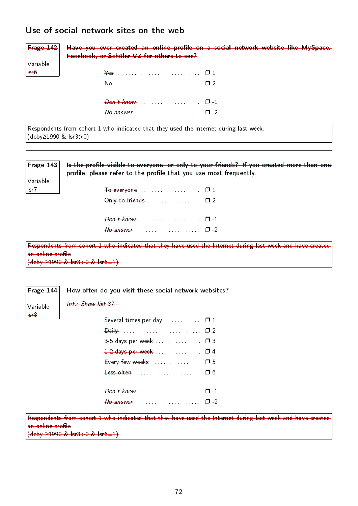#### Use of social network sites on the web

| $ $ Frage 142 $ $       | Have you ever created an online profile on a social network website like MySpace,     |
|-------------------------|---------------------------------------------------------------------------------------|
|                         | Facebook, or Schüler VZ for others to see?                                            |
| Variable                |                                                                                       |
| $  \cdot \cdot \cdot  $ |                                                                                       |
|                         |                                                                                       |
|                         |                                                                                       |
|                         | $\theta$ answer $\ldots$ $\ldots$ $\ldots$ $\ldots$ $\ldots$ $\theta$ -2              |
| (doby≥1990 & Isr3>0)    | Respondents from cohort 1 who indicated that they used the Internet during last week. |

| Frage 143         | Is the profile visible to everyone, or only to your friends? If you created more than one<br>profile, please refer to the profile that you use most frequently. |
|-------------------|-----------------------------------------------------------------------------------------------------------------------------------------------------------------|
| Variable          |                                                                                                                                                                 |
| H <sub>str</sub>  |                                                                                                                                                                 |
|                   | Only to friends $\ldots$ $\Box$ 2                                                                                                                               |
|                   |                                                                                                                                                                 |
|                   |                                                                                                                                                                 |
|                   | Respondents from cohort 1 who indicated that they have used the Internet during last week and have created                                                      |
| an online profile |                                                                                                                                                                 |
|                   | $\left(\frac{\text{doby}}{21990 \& \text{lsr3} > 0 \& \text{lsr6} = 1}\right)$                                                                                  |

| <b>Frage 144</b> How often do you visit these social network websites?                                                                                                                                                                                                                                              |
|---------------------------------------------------------------------------------------------------------------------------------------------------------------------------------------------------------------------------------------------------------------------------------------------------------------------|
| $\frac{1}{2}$ $\frac{1}{2}$ $\frac{1}{2}$ $\frac{1}{2}$ $\frac{1}{2}$ $\frac{1}{2}$ $\frac{1}{2}$ $\frac{1}{2}$ $\frac{1}{2}$ $\frac{1}{2}$ $\frac{1}{2}$ $\frac{1}{2}$ $\frac{1}{2}$ $\frac{1}{2}$ $\frac{1}{2}$ $\frac{1}{2}$ $\frac{1}{2}$ $\frac{1}{2}$ $\frac{1}{2}$ $\frac{1}{2}$ $\frac{1}{2}$ $\frac{1}{2}$ |

| Variable |
|----------|
| هيءا     |

Int.: Show list 37

| Several times per day  0 1        |  |
|-----------------------------------|--|
|                                   |  |
| 3-5 days per week  0 3            |  |
| $1-2$ days per week  0 4          |  |
| Every few weeks $\ldots$ $\Box$ 5 |  |
|                                   |  |
|                                   |  |
|                                   |  |
| $\theta$ answer $\cdots$ $\cdots$ |  |

Respondents from cohort 1 who indicated that they have used the Internet during last week and have created an online profile

(doby ≥1990 & lsr3>0 & lsr6=1)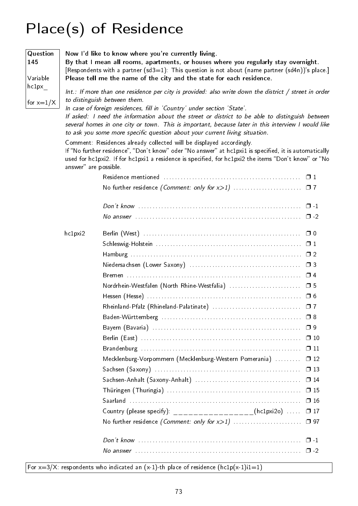# Place(s) of Residence

| Question<br>145<br>Variable |                                                                                                                                                                                                                                                                                                                | Now I'd like to know where you're currently living.<br>By that I mean all rooms, apartments, or houses where you regularly stay overnight.<br>[Respondents with a partner (sd3=1): This question is not about (name partner (sd4n))'s place.]<br>Please tell me the name of the city and the state for each residence.                                                                                                                                                                                     |              |  |  |  |  |  |  |  |  |
|-----------------------------|----------------------------------------------------------------------------------------------------------------------------------------------------------------------------------------------------------------------------------------------------------------------------------------------------------------|------------------------------------------------------------------------------------------------------------------------------------------------------------------------------------------------------------------------------------------------------------------------------------------------------------------------------------------------------------------------------------------------------------------------------------------------------------------------------------------------------------|--------------|--|--|--|--|--|--|--|--|
| hc1px<br>for $x=1/X$        |                                                                                                                                                                                                                                                                                                                | $Int.:$ If more than one residence per city is provided: also write down the district / street in order<br>to distinguish between them.<br>In case of foreign residences, fill in 'Country' under section 'State'.<br>If asked: I need the information about the street or district to be able to distinguish between<br>several homes in one city or town. This is important, because later in this interview I would like<br>to ask you some more specific question about your current living situation. |              |  |  |  |  |  |  |  |  |
|                             | Comment: Residences already collected will be displayed accordingly.<br>If "No further residence", "Don't know" oder "No answer" at hc1pxi1 is specified, it is automatically<br>used for hc1pxi2. If for hc1pxi1 a residence is specified, for hc1pxi2 the items "Don't know" or "No<br>answer" are possible. |                                                                                                                                                                                                                                                                                                                                                                                                                                                                                                            |              |  |  |  |  |  |  |  |  |
|                             |                                                                                                                                                                                                                                                                                                                |                                                                                                                                                                                                                                                                                                                                                                                                                                                                                                            |              |  |  |  |  |  |  |  |  |
|                             |                                                                                                                                                                                                                                                                                                                |                                                                                                                                                                                                                                                                                                                                                                                                                                                                                                            |              |  |  |  |  |  |  |  |  |
|                             |                                                                                                                                                                                                                                                                                                                |                                                                                                                                                                                                                                                                                                                                                                                                                                                                                                            |              |  |  |  |  |  |  |  |  |
|                             |                                                                                                                                                                                                                                                                                                                |                                                                                                                                                                                                                                                                                                                                                                                                                                                                                                            |              |  |  |  |  |  |  |  |  |
|                             | hc1pxi2                                                                                                                                                                                                                                                                                                        |                                                                                                                                                                                                                                                                                                                                                                                                                                                                                                            |              |  |  |  |  |  |  |  |  |
|                             |                                                                                                                                                                                                                                                                                                                |                                                                                                                                                                                                                                                                                                                                                                                                                                                                                                            |              |  |  |  |  |  |  |  |  |
|                             |                                                                                                                                                                                                                                                                                                                |                                                                                                                                                                                                                                                                                                                                                                                                                                                                                                            |              |  |  |  |  |  |  |  |  |
|                             |                                                                                                                                                                                                                                                                                                                |                                                                                                                                                                                                                                                                                                                                                                                                                                                                                                            |              |  |  |  |  |  |  |  |  |
|                             |                                                                                                                                                                                                                                                                                                                |                                                                                                                                                                                                                                                                                                                                                                                                                                                                                                            |              |  |  |  |  |  |  |  |  |
|                             |                                                                                                                                                                                                                                                                                                                | Nordrhein-Westfalen (North Rhine-Westfalia)  □ 5                                                                                                                                                                                                                                                                                                                                                                                                                                                           |              |  |  |  |  |  |  |  |  |
|                             |                                                                                                                                                                                                                                                                                                                |                                                                                                                                                                                                                                                                                                                                                                                                                                                                                                            |              |  |  |  |  |  |  |  |  |
|                             |                                                                                                                                                                                                                                                                                                                |                                                                                                                                                                                                                                                                                                                                                                                                                                                                                                            |              |  |  |  |  |  |  |  |  |
|                             |                                                                                                                                                                                                                                                                                                                |                                                                                                                                                                                                                                                                                                                                                                                                                                                                                                            |              |  |  |  |  |  |  |  |  |
|                             |                                                                                                                                                                                                                                                                                                                |                                                                                                                                                                                                                                                                                                                                                                                                                                                                                                            |              |  |  |  |  |  |  |  |  |
|                             |                                                                                                                                                                                                                                                                                                                |                                                                                                                                                                                                                                                                                                                                                                                                                                                                                                            | $\Box$ 10    |  |  |  |  |  |  |  |  |
|                             |                                                                                                                                                                                                                                                                                                                |                                                                                                                                                                                                                                                                                                                                                                                                                                                                                                            | $\Box$ 11    |  |  |  |  |  |  |  |  |
|                             |                                                                                                                                                                                                                                                                                                                | Mecklenburg-Vorpommern (Mecklenburg-Western Pomerania)                                                                                                                                                                                                                                                                                                                                                                                                                                                     | $\Box$ 12    |  |  |  |  |  |  |  |  |
|                             |                                                                                                                                                                                                                                                                                                                |                                                                                                                                                                                                                                                                                                                                                                                                                                                                                                            | $\Box$ 13    |  |  |  |  |  |  |  |  |
|                             |                                                                                                                                                                                                                                                                                                                |                                                                                                                                                                                                                                                                                                                                                                                                                                                                                                            | $\Box$ 14    |  |  |  |  |  |  |  |  |
|                             |                                                                                                                                                                                                                                                                                                                |                                                                                                                                                                                                                                                                                                                                                                                                                                                                                                            |              |  |  |  |  |  |  |  |  |
|                             |                                                                                                                                                                                                                                                                                                                |                                                                                                                                                                                                                                                                                                                                                                                                                                                                                                            | $\square$ 16 |  |  |  |  |  |  |  |  |
|                             |                                                                                                                                                                                                                                                                                                                | Country (please specify): __________________(hc1pxi2o)                                                                                                                                                                                                                                                                                                                                                                                                                                                     | $\square$ 17 |  |  |  |  |  |  |  |  |
|                             |                                                                                                                                                                                                                                                                                                                | No further residence (Comment: only for x>1)                                                                                                                                                                                                                                                                                                                                                                                                                                                               | 口 97         |  |  |  |  |  |  |  |  |
|                             |                                                                                                                                                                                                                                                                                                                |                                                                                                                                                                                                                                                                                                                                                                                                                                                                                                            | $\Box$ 1     |  |  |  |  |  |  |  |  |
|                             |                                                                                                                                                                                                                                                                                                                |                                                                                                                                                                                                                                                                                                                                                                                                                                                                                                            |              |  |  |  |  |  |  |  |  |

For  $x=3/X$ : respondents who indicated an  $(x-1)$ -th place of residence  $(hc1p(x-1)i1=1)$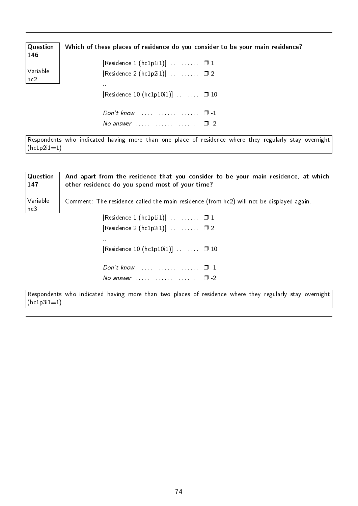| $\sqrt{Q}$ uestion<br>146     | Which of these places of residence do you consider to be your main residence? |
|-------------------------------|-------------------------------------------------------------------------------|
|                               | [Residence 1 (hc1p1i1)] $\ldots \ldots \ldots$ $\Box$ 1                       |
| $\sqrt{}$ Variable<br>$ $ hc2 | [Residence 2 (hc1p2i1)] $\ldots \ldots \ldots \square 2$<br>0.001             |
|                               | [Residence 10 (hc1p10i1)] $\Box$ $\Box$ 10                                    |
|                               | No answer $\ldots \ldots \ldots \ldots \ldots \quad \Box -2$                  |

Respondents who indicated having more than one place of residence where they regularly stay overnight  $(hc1p2i1=1)$ 

| Question<br>147 | And apart from the residence that you consider to be your main residence, at which<br>other residence do you spend most of your time? |
|-----------------|---------------------------------------------------------------------------------------------------------------------------------------|
| Variable<br>hc3 | Comment: The residence called the main residence (from hc2) will not be displayed again.                                              |
|                 | [Residence 1 (hc1p1i1)] $\ldots \ldots \ldots \square 1$                                                                              |
|                 | [Residence 2 (hc1p2i1)] $\ldots \ldots \ldots$ $\Box$ 2                                                                               |
|                 | 1.111                                                                                                                                 |
|                 | [Residence 10 (hc1p10i1)] $\Box$ $\Box$ 10                                                                                            |
|                 | Don't know $\ldots \ldots \ldots \ldots \ldots \quad \Box -1$                                                                         |
|                 | No answer $\ldots$ , $\ldots$ , $\Box$ -2                                                                                             |
| $(hc1p3i1=1)$   | Respondents who indicated having more than two places of residence where they regularly stay overnight                                |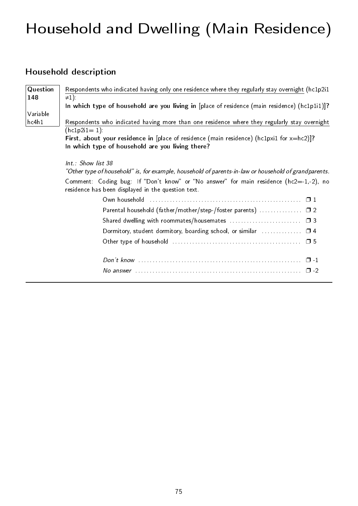# Household and Dwelling (Main Residence)

### Household description

| Question | Respondents who indicated having only one residence where they regularly stay overnight (hc1p2i1                                             |
|----------|----------------------------------------------------------------------------------------------------------------------------------------------|
| 148      | $\neq$ 1).<br>In which type of household are you living in [place of residence (main residence) (hc1p1i1)]?                                  |
| Variable |                                                                                                                                              |
| hc4h1    | Respondents who indicated having more than one residence where they regularly stay overnight                                                 |
|          | $(hc1p2i1=1)$ :                                                                                                                              |
|          | First, about your residence in [place of residence (main residence) (hc1pxi1 for $x = hc2$ )]?                                               |
|          | In which type of household are you living there?                                                                                             |
|          |                                                                                                                                              |
|          | Int.: Show list 38                                                                                                                           |
|          | "Other type of household" is, for example, household of parents-in-law or household of grandparents.                                         |
|          | Comment: Coding bug: If "Don't know" or "No answer" for main residence (hc2=-1,-2), no<br>residence has been displayed in the question text. |
|          |                                                                                                                                              |
|          | Parental household (father/mother/step-/foster parents)  □ 2                                                                                 |
|          |                                                                                                                                              |
|          | Dormitory, student dormitory, boarding school, or similar  04                                                                                |
|          |                                                                                                                                              |
|          |                                                                                                                                              |
|          |                                                                                                                                              |
|          |                                                                                                                                              |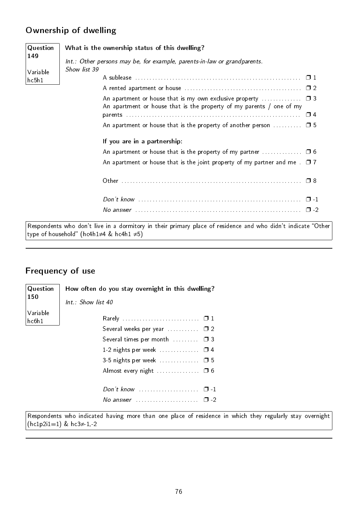#### Ownership of dwelling

| Question<br>149   | What is the ownership status of this dwelling?<br>Int.: Other persons may be, for example, parents-in-law or grandparents. |
|-------------------|----------------------------------------------------------------------------------------------------------------------------|
| Variable<br>hcbh1 | Show list 39                                                                                                               |
|                   | An apartment or house that is the property of my parents / one of my                                                       |
|                   | An apartment or house that is the property of another person $\dots\dots\dots\Box$ 5                                       |
|                   | If you are in a partnership:                                                                                               |
|                   | An apartment or house that is the property of my partner $\ldots \ldots \ldots \square 6$                                  |
|                   | An apartment or house that is the joint property of my partner and me $\Box$ 7                                             |
|                   |                                                                                                                            |
|                   |                                                                                                                            |
|                   |                                                                                                                            |

Respondents who don't live in a dormitory in their primary place of residence and who didn't indicate "Other  $|$ type of household" (hc4h1≠4 & hc4h1 ≠5)

### Frequency of use

| Question<br>150 | How often do you stay overnight in this dwelling?<br>Int.: Show list 40 |  |
|-----------------|-------------------------------------------------------------------------|--|
| Variable        |                                                                         |  |
| hcb1            | Several weeks per year $\dots\dots\dots \square$ 2                      |  |
|                 |                                                                         |  |
|                 | Several times per month $\ldots$ $\ldots$ $\Box$ 3                      |  |
|                 | 1-2 nights per week $\Box$ 4                                            |  |
|                 | 3-5 nights per week $\Box$ $\Box$ 5                                     |  |
|                 | Almost every night $\ldots$ $\Box$ 6                                    |  |
|                 |                                                                         |  |
|                 |                                                                         |  |
|                 |                                                                         |  |
|                 |                                                                         |  |

Respondents who indicated having more than one place of residence in which they regularly stay overnight  $(hc1p2i1=1)$  &  $hc3≠1,-2$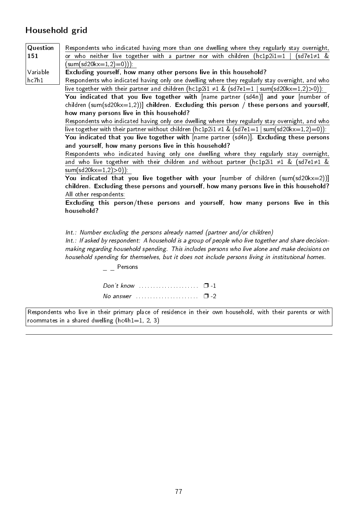### Household grid

| Question | Respondents who indicated having more than one dwelling where they regularly stay overnight,                                                                                      |
|----------|-----------------------------------------------------------------------------------------------------------------------------------------------------------------------------------|
| 151      | or who neither live together with a partner nor with children (hc1p2i1=1<br>$(sd7e1\neq 1 \&$                                                                                     |
|          | (sum(sd20kx=1,2)=0))).                                                                                                                                                            |
| Variable | Excluding yourself, how many other persons live in this household?                                                                                                                |
| hc7h1    | Respondents who indicated having only one dwelling where they regularly stay overnight, and who                                                                                   |
|          | live together with their partner and children (hc1p2i1 $\neq$ 1 & (sd7e1=1   sum(sd20kx=1,2)>0)):                                                                                 |
|          | You indicated that you live together with [name partner (sd4n)] and your [number of                                                                                               |
|          | children (sum(sd20kx=1,2))] children. Excluding this person / these persons and yourself,                                                                                         |
|          | how many persons live in this household?                                                                                                                                          |
|          | Respondents who indicated having only one dwelling where they regularly stay overnight, and who                                                                                   |
|          | live together with their partner without children (hc1p2i1 $\neq$ 1 & (sd7e1=1   sum(sd20kx=1,2)=0)):                                                                             |
|          | You indicated that you live together with [name partner (sd4n)]. Excluding these persons                                                                                          |
|          | and yourself, how many persons live in this household?                                                                                                                            |
|          | Respondents who indicated having only one dwelling where they regularly stay overnight,                                                                                           |
|          | and who live together with their children and without partner (hc1p2i1 $\neq$ 1 & (sd7e1 $\neq$ 1 &                                                                               |
|          | $sum(sd20kx=1,2)>0$ ):                                                                                                                                                            |
|          | You indicated that you live together with your $[number of children (sum(sd20kx=2))]$<br>children. Excluding these persons and yourself, how many persons live in this household? |
|          | All other respondents:                                                                                                                                                            |
|          | Excluding this person/these persons and yourself, how many persons live in this                                                                                                   |
|          | household?                                                                                                                                                                        |
|          |                                                                                                                                                                                   |
|          |                                                                                                                                                                                   |
|          | Int.: Number excluding the persons already named (partner and/or children)                                                                                                        |
|          | Int.: If asked by respondent: A household is a group of people who live together and share decision-                                                                              |
|          | making regarding household spending. This includes persons who live alone and make decisions on                                                                                   |

household spending for themselves, but it does not include persons living in institutional homes.

 $=$   $-$  Persons

| Don't know $\ldots$ $\ldots$ $\ldots$ $\ldots$ $\ldots$ $\Box$ -1 |  |  |  |  |  |  |  |  |  |  |  |
|-------------------------------------------------------------------|--|--|--|--|--|--|--|--|--|--|--|
| $\sqrt{2}$ No answer expressed to the set of $\sqrt{2}$ -2        |  |  |  |  |  |  |  |  |  |  |  |

Respondents who live in their primary place of residence in their own household, with their parents or with roommates in a shared dwelling  $(hc4h1=1, 2, 3)$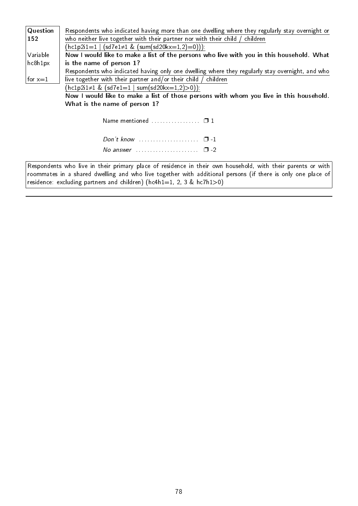| Question  | Respondents who indicated having more than one dwelling where they regularly stay overnight or  |
|-----------|-------------------------------------------------------------------------------------------------|
| 152       | who neither live together with their partner nor with their child / children                    |
|           | $(hclp2i1=1   (sd7e1 \neq 1 \& (sum(sd20kx=1,2)=0)))$ :                                         |
| Variable  | Now I would like to make a list of the persons who live with you in this household. What        |
| hc8h1px   | is the name of person 1?                                                                        |
|           | Respondents who indicated having only one dwelling where they regularly stay overnight, and who |
| for $x=1$ | live together with their partner and/or their child / children                                  |
|           | $(hclp2i1\neq 1 \& (sd7e1=1 \mid sum(sd20kx=1,2)>0)).$                                          |
|           | Now I would like to make a list of those persons with whom you live in this household.          |
|           | What is the name of person 1?                                                                   |
|           |                                                                                                 |
|           | Name mentioned  01                                                                              |
|           |                                                                                                 |
|           |                                                                                                 |
|           | No answer $\ldots \ldots \ldots \ldots \ldots \square$ -2                                       |

Respondents who live in their primary place of residence in their own household, with their parents or with roommates in a shared dwelling and who live together with additional persons (if there is only one place of residence: excluding partners and children) ( $h$ c4h1=1, 2, 3 & hc7h1>0)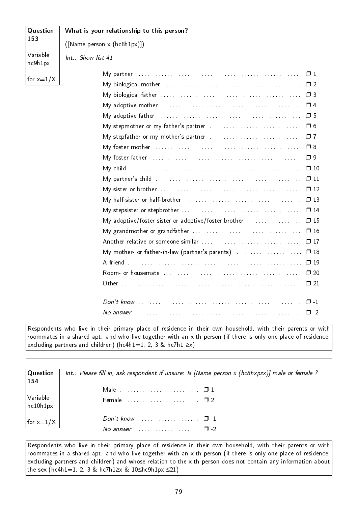| Question            | What is your relationship to this person?                                                                               |  |
|---------------------|-------------------------------------------------------------------------------------------------------------------------|--|
| 153                 | ([Name person x (hc8h1px)])                                                                                             |  |
| Variable<br>hc9h1px | Int.: Show list 41                                                                                                      |  |
|                     |                                                                                                                         |  |
| for $x=1/X$         |                                                                                                                         |  |
|                     |                                                                                                                         |  |
|                     | My adoptive mother $\ldots \ldots \ldots \ldots \ldots \ldots \ldots \ldots \ldots \ldots \ldots \ldots \square 4$      |  |
|                     |                                                                                                                         |  |
|                     |                                                                                                                         |  |
|                     | $\square$ 7                                                                                                             |  |
|                     |                                                                                                                         |  |
|                     |                                                                                                                         |  |
|                     | $\square$ 10<br>My child                                                                                                |  |
|                     | My partner's child $\ldots \ldots \ldots \ldots \ldots \ldots \ldots \ldots \ldots \ldots \ldots \ldots \ldots \Box 11$ |  |
|                     | $\Box$ 12                                                                                                               |  |
|                     | $\Box$ 13                                                                                                               |  |
|                     |                                                                                                                         |  |
|                     | My adoptive/foster sister or adoptive/foster brother  0 15                                                              |  |
|                     | $\square$ 16                                                                                                            |  |
|                     |                                                                                                                         |  |
|                     | My mother- or father-in-law (partner's parents)  0 18                                                                   |  |
|                     |                                                                                                                         |  |
|                     | $\Box$ 20                                                                                                               |  |
|                     |                                                                                                                         |  |
|                     |                                                                                                                         |  |
|                     | No answer $\ldots \ldots \ldots \ldots \ldots \ldots \ldots \ldots \ldots \ldots \ldots \ldots \ldots \square$ -2       |  |

Respondents who live in their primary place of residence in their own household, with their parents or with roommates in a shared apt. and who live together with an x-th person (if there is only one place of residence: excluding partners and children) (hc4h1=1, 2, 3 & hc7h1  $\geq$ x)

Question 154 Variable hc10h1px for  $x=1/X$ Int.: Please fill in, ask respondent if unsure: Is [Name person x (hc8hxpzx)] male or female ? Male . . . . . . . . . . . . . . . . . . . . . . . . . . . . ❐ 1 Female . . . . . . . . . . . . . . . . . . . . . . . . . . ❐ 2 Don't know . . . . . . . . . . . . . . . . . □ -1 No answer  $\ldots$ . . . . . . . . . . . . . . .  $\Box$  -2

Respondents who live in their primary place of residence in their own household, with their parents or with roommates in a shared apt. and who live together with an x-th person (if there is only one place of residence: excluding partners and children) and whose relation to the x-th person does not contain any information about the sex (hc4h1=1, 2, 3 & hc7h1≥x & 10≤hc9h1px ≤21)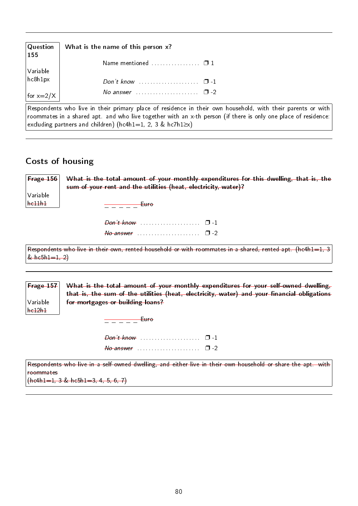| $\mid$ Question<br>155      | What is the name of this person x? |  |
|-----------------------------|------------------------------------|--|
|                             | Name mentioned $\ldots$ $\Box$ 1   |  |
| Variable<br>$\vert$ hc8h1px |                                    |  |
| for $x=2/X$                 | No answer<br>$\Box$                |  |

Respondents who live in their primary place of residence in their own household, with their parents or with roommates in a shared apt. and who live together with an x-th person (if there is only one place of residence: excluding partners and children) (hc4h1=1, 2, 3 & hc7h1≥x)

#### Costs of housing

| $ $ Frage 156 $ $ | What is the total amount of your monthly expenditures for this dwelling, that is, the |  |
|-------------------|---------------------------------------------------------------------------------------|--|
|                   | sum of your rent and the utilities (heat, electricity, water)?                        |  |
| Variable          |                                                                                       |  |
| he11h1            | <del>Luro</del>                                                                       |  |
|                   |                                                                                       |  |
|                   |                                                                                       |  |
|                   | $\theta$ answer expansion $\Box$ -2                                                   |  |

Respondents who live in their own, rented household or with roommates in a shared, rented apt. (hc4h1=1, 3  $& \text{hcbh1}=1, 2)$ 

Frage 157 Variable hc12h1 What is the total amount of your monthly expenditures for your self-owned dwelling, that is, the sum of the utilities (heat, electricity, water) and your financial obligations for mortgages or building loans?

 $\frac{\ }{\ }=\ \frac{\ }{\ }=\ \frac{\ }{\ }=\ \frac{\ }{\ }$  Euro

| $\theta$ answer expansion of $\Box$ -2 |  |  |  |  |  |  |  |  |  |  |  |  |  |  |
|----------------------------------------|--|--|--|--|--|--|--|--|--|--|--|--|--|--|

Respondents who live in a self-owned dwelling, and either live in their own household or share the apt. with roommates  $(hc4h1=1, 3 & hc5h1=3, 4, 5, 6, 7)$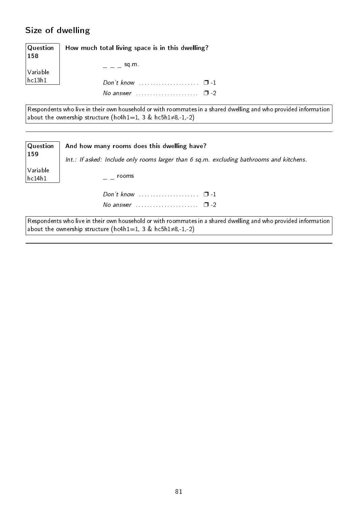#### Size of dwelling

**Question** 158 Variable hc13h1 How much total living space is in this dwelling?  $-$  sq.m. Don't know . . . . . . . . . . . . . . . . . . . . . ❐ -1 No answer  $\dots \dots \dots \dots \dots \square$  -2

Respondents who live in their own household or with roommates in a shared dwelling and who provided information about the ownership structure (hc4h1=1, 3 & hc5h1≠8,-1,-2)

| $\mid$ Question     | And how many rooms does this dwelling have?                                              |
|---------------------|------------------------------------------------------------------------------------------|
| $\vert$ 159         | Int.: If asked: Include only rooms larger than 6 sq.m. excluding bathrooms and kitchens. |
| Variable<br> hc14h1 | rooms                                                                                    |
|                     | Don't know $\ldots$ $\ldots$ $\ldots$ $\ldots$ $\Box$ -1                                 |
|                     | $\Box$ -2                                                                                |

 $\vert$  Respondents who live in their own household or with roommates in a shared dwelling and who provided information about the ownership structure (hc4h1=1, 3 & hc5h1 $\neq$ 8,-1,-2)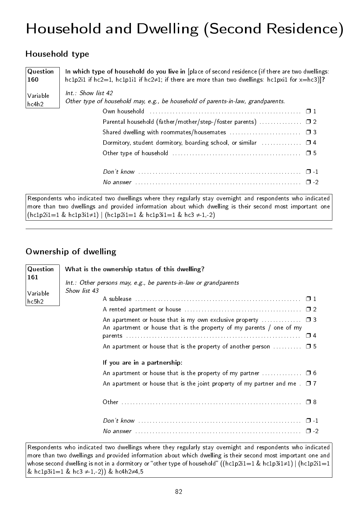# Household and Dwelling (Second Residence)

#### Household type

| Question<br>160   | In which type of household do you live in [place of second residence (if there are two dwellings:<br>hc1p2i1 if hc2=1, hc1p1i1 if hc2≠1; if there are more than two dwellings: hc1pxi1 for $x = h$ c3)]? |
|-------------------|----------------------------------------------------------------------------------------------------------------------------------------------------------------------------------------------------------|
| Variable<br>hc4h2 | $Int.$ Show list 42<br>Other type of household may, e.g., be household of parents-in-law, grandparents.                                                                                                  |
|                   |                                                                                                                                                                                                          |
|                   | Parental household (father/mother/step-/foster parents)  □ 2                                                                                                                                             |
|                   |                                                                                                                                                                                                          |
|                   | Dormitory, student dormitory, boarding school, or similar $\ldots$ $\Box$ 4                                                                                                                              |
|                   |                                                                                                                                                                                                          |
|                   |                                                                                                                                                                                                          |
|                   | No answer $\ldots$ and $\Box$ -2                                                                                                                                                                         |
|                   | Respondents who indicated two dwellings where they regularly stay overnight and respondents who indicated                                                                                                |

ents who indicated two dwellings where they regularly stay overnight and respondents who indicated more than two dwellings and provided information about which dwelling is their second most important one  $(hclp2i1=1 & hclp3i1\neq 1) | (hclp2i1=1 & hclp3i1=1 & hcl \neq -1,-2)$ 

#### Ownership of dwelling

| Question          | What is the ownership status of this dwelling?                                                                                           |
|-------------------|------------------------------------------------------------------------------------------------------------------------------------------|
| 161               | Int.: Other persons may, e.g., be parents-in-law or grandparents<br>Show list 43                                                         |
| Variable<br>hc5h2 |                                                                                                                                          |
|                   |                                                                                                                                          |
|                   | An apartment or house that is my own exclusive property $\Box$ 3<br>An apartment or house that is the property of my parents / one of my |
|                   |                                                                                                                                          |
|                   | An apartment or house that is the property of another person $\dots\dots\dots$ $\Box$ 5                                                  |
|                   | If you are in a partnership:                                                                                                             |
|                   | An apartment or house that is the property of my partner $\Box$ 6                                                                        |
|                   |                                                                                                                                          |
|                   |                                                                                                                                          |
|                   |                                                                                                                                          |
|                   | $\Box$                                                                                                                                   |

Respondents who indicated two dwellings where they regularly stay overnight and respondents who indicated more than two dwellings and provided information about which dwelling is their second most important one and whose second dwelling is not in a dormitory or "other type of household" ((hc1p2i1=1 & hc1p3i1≠1) | (hc1p2i1=1 & hc1p3i1=1 & hc3  $\neq$  1,-2)) & hc4h2 $\neq$ 4,5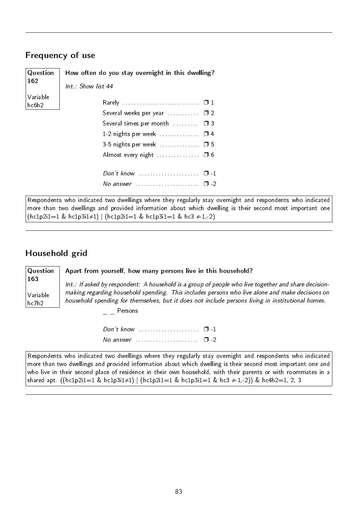#### Frequency of use

| Question          | How often do you stay overnight in this dwelling?                    |  |
|-------------------|----------------------------------------------------------------------|--|
| 162               | Int.: Show list 44                                                   |  |
| Variable<br>hc6h2 |                                                                      |  |
|                   | Several weeks per year $\dots\dots\dots \square$ 2                   |  |
|                   | Several times per month $\Box$                                       |  |
|                   | 1-2 nights per week $\Box$ 4                                         |  |
|                   | 3-5 nights per week $\ldots$ $\Box$ 5                                |  |
|                   | Almost every night $\ldots$ $\Box$ 6                                 |  |
|                   |                                                                      |  |
|                   | No answer $\ldots \ldots \ldots \ldots \ldots \square$ -2            |  |
|                   | Respondents who indicated two dwellings where they regularly stay of |  |

dents who indicated two dwellings where they regularly stay overnight and respondents who indicated more than two dwellings and provided information about which dwelling is their second most important one  $(hclp2i1=1 & hclp3i1\neq 1) | (hclp2i1=1 & hclp3i1=1 & hcl \neq 1,-2)$ 

#### Household grid

**Question** Apart from yourself, how many persons live in this household?

163 Variable hc7h2

Int.: If asked by respondent: A household is a group of people who live together and share decisionmaking regarding household spending. This includes persons who live alone and make decisions on household spending for themselves, but it does not include persons living in institutional homes.

Persons

Don't know . . . . . . . . . . . . . . . . . . . . . ❐ -1 No answer  $\ldots$  . . . . . . . . . . . . . . .  $\Box$  -2

Respondents who indicated two dwellings where they regularly stay overnight and respondents who indicated more than two dwellings and provided information about which dwelling is their second most important one and who live in their second place of residence in their own household, with their parents or with roommates in a shared apt. ((hc1p2i1=1 & hc1p3i1≠1) | (hc1p2i1=1 & hc1p3i1=1 & hc3 ≠-1,-2)) & hc4h2=1, 2, 3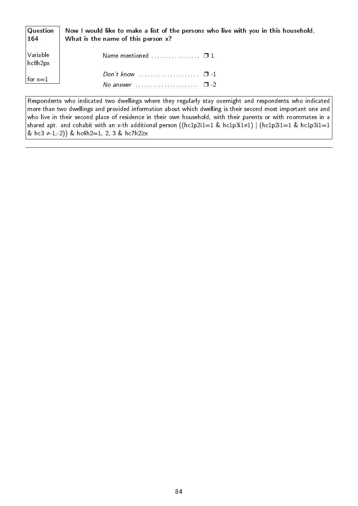| Question<br>$\mid$ 164 $\mid$ | Now I would like to make a list of the persons who live with you in this household.<br>What is the name of this person x? |  |  |
|-------------------------------|---------------------------------------------------------------------------------------------------------------------------|--|--|
| Variable<br> hc8h2px          | Name mentioned $\square$ 1                                                                                                |  |  |
| for $x=1$                     | Don't know $\cdots$ $\cdots$ $\cdots$ $\Box$ -1                                                                           |  |  |

Respondents who indicated two dwellings where they regularly stay overnight and respondents who indicated more than two dwellings and provided information about which dwelling is their second most important one and who live in their second place of residence in their own household, with their parents or with roommates in a shared apt. and cohabit with an x-th additional person ((hc1p2i1=1 & hc1p3i1≠1) | (hc1p2i1=1 & hc1p3i1=1 & hc3  $\neq$  1,-2)) & hc4h2=1, 2, 3 & hc7h2≥x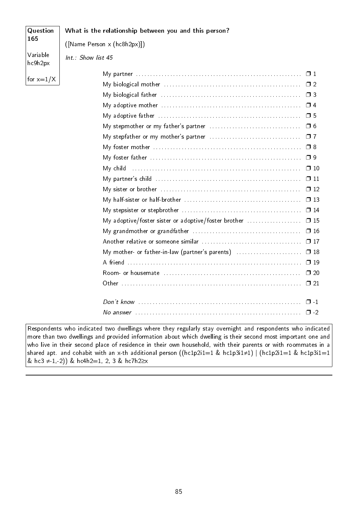| 165<br>([Name Person x (hc8h2px)])<br>Variable<br>Int.: Show list 45<br>hc9h2px<br>for $x=1/X$<br>My foster mother $\dots\dots\dots\dots\dots\dots\dots\dots\dots\dots\dots\dots\dots\Box$ 8<br>My foster father $\ldots \ldots \ldots \ldots \ldots \ldots \ldots \ldots \ldots \ldots \ldots \ldots \ldots \square$ 9<br>My child<br>My adoptive/foster sister or adoptive/foster brother<br>$\square$ 16<br>$\square$ 17<br>My mother- or father-in-law (partner's parents) | Question | What is the relationship between you and this person? |              |
|--------------------------------------------------------------------------------------------------------------------------------------------------------------------------------------------------------------------------------------------------------------------------------------------------------------------------------------------------------------------------------------------------------------------------------------------------------------------------------|----------|-------------------------------------------------------|--------------|
|                                                                                                                                                                                                                                                                                                                                                                                                                                                                                |          |                                                       |              |
|                                                                                                                                                                                                                                                                                                                                                                                                                                                                                |          |                                                       |              |
|                                                                                                                                                                                                                                                                                                                                                                                                                                                                                |          |                                                       |              |
|                                                                                                                                                                                                                                                                                                                                                                                                                                                                                |          |                                                       |              |
|                                                                                                                                                                                                                                                                                                                                                                                                                                                                                |          |                                                       |              |
|                                                                                                                                                                                                                                                                                                                                                                                                                                                                                |          |                                                       |              |
|                                                                                                                                                                                                                                                                                                                                                                                                                                                                                |          |                                                       |              |
|                                                                                                                                                                                                                                                                                                                                                                                                                                                                                |          |                                                       |              |
|                                                                                                                                                                                                                                                                                                                                                                                                                                                                                |          |                                                       |              |
|                                                                                                                                                                                                                                                                                                                                                                                                                                                                                |          |                                                       |              |
|                                                                                                                                                                                                                                                                                                                                                                                                                                                                                |          |                                                       |              |
|                                                                                                                                                                                                                                                                                                                                                                                                                                                                                |          |                                                       | $\Box$ 10    |
|                                                                                                                                                                                                                                                                                                                                                                                                                                                                                |          |                                                       | $\square$ 11 |
|                                                                                                                                                                                                                                                                                                                                                                                                                                                                                |          |                                                       | $\square$ 12 |
|                                                                                                                                                                                                                                                                                                                                                                                                                                                                                |          |                                                       | $\Box$ 13    |
|                                                                                                                                                                                                                                                                                                                                                                                                                                                                                |          |                                                       |              |
|                                                                                                                                                                                                                                                                                                                                                                                                                                                                                |          |                                                       | $\square$ 15 |
|                                                                                                                                                                                                                                                                                                                                                                                                                                                                                |          |                                                       |              |
|                                                                                                                                                                                                                                                                                                                                                                                                                                                                                |          |                                                       |              |
|                                                                                                                                                                                                                                                                                                                                                                                                                                                                                |          |                                                       | $\square$ 18 |
|                                                                                                                                                                                                                                                                                                                                                                                                                                                                                |          |                                                       | $\Box$ 19    |
|                                                                                                                                                                                                                                                                                                                                                                                                                                                                                |          |                                                       | $\square$ 20 |
|                                                                                                                                                                                                                                                                                                                                                                                                                                                                                |          |                                                       | $\square$ 21 |
|                                                                                                                                                                                                                                                                                                                                                                                                                                                                                |          |                                                       | $\Box$ 1     |
|                                                                                                                                                                                                                                                                                                                                                                                                                                                                                |          |                                                       | $\Box$ -2    |

Respondents who indicated two dwellings where they regularly stay overnight and respondents who indicated more than two dwellings and provided information about which dwelling is their second most important one and who live in their second place of residence in their own household, with their parents or with roommates in a shared apt. and cohabit with an x-th additional person ((hc1p2i1=1 & hc1p3i1≠1) | (hc1p2i1=1 & hc1p3i1=1 & hc3 ≠-1,-2)) & hc4h2=1, 2, 3 & hc7h2≥x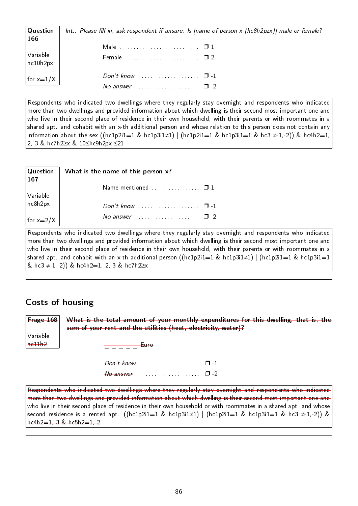| $\mid$ Question<br>166                                                 | Int.: Please fill in, ask respondent if unsure: Is [name of person x (hc8h2pzx)] male or female? |
|------------------------------------------------------------------------|--------------------------------------------------------------------------------------------------|
|                                                                        |                                                                                                  |
| $\bigg \begin{array}{c} \text{Variable} \ \text{hc10h2px} \end{array}$ |                                                                                                  |
| $ for x=1/X $                                                          |                                                                                                  |
|                                                                        | No answer $\Box$ -2                                                                              |

Respondents who indicated two dwellings where they regularly stay overnight and respondents who indicated more than two dwellings and provided information about which dwelling is their second most important one and who live in their second place of residence in their own household, with their parents or with roommates in a shared apt. and cohabit with an x-th additional person and whose relation to this person does not contain any information about the sex ((hc1p2i1=1 & hc1p3i1≠1) | (hc1p2i1=1 & hc1p3i1=1 & hc3  $\neq$  1,-2)) & hc4h2=1, 2, 3 & hc7h2≥x & 10≤hc9h2px ≤21

| $\sqrt{Q}$ uestion<br> 167 | What is the name of this person x?                                                                                                                                                                                                                                                                         |
|----------------------------|------------------------------------------------------------------------------------------------------------------------------------------------------------------------------------------------------------------------------------------------------------------------------------------------------------|
|                            | Name mentioned $\square$ 1                                                                                                                                                                                                                                                                                 |
| Variable<br>hc8h2px        |                                                                                                                                                                                                                                                                                                            |
|                            | Don't know $\ldots$ $\ldots$ $\ldots$ $\ldots$ $\Box$ -1                                                                                                                                                                                                                                                   |
| for $x=2/X$                | No answer $\ldots$ $\ldots$ $\ldots$ $\ldots$ $\Box$ -2                                                                                                                                                                                                                                                    |
| $\triangleright$           | the second contract of the second contract of the second second contract of the second second second second second second second second second second second second second second second second second second second second se<br>the contract of the contract of the<br>the company's company's company's |

Respondents who indicated two dwellings where they regularly stay overnight and respondents who indicated more than two dwellings and provided information about which dwelling is their second most important one and who live in their second place of residence in their own household, with their parents or with roommates in a shared apt. and cohabit with an x-th additional person ((hc1p2i1=1 & hc1p3i1≠1) | (hc1p2i1=1 & hc1p3i1=1 & hc3  $\neq$  1,-2)) & hc4h2=1, 2, 3 & hc7h2≥x

#### Costs of housing

Frage 168 Variable hc11h2 What is the total amount of your monthly expenditures for this dwelling, that is, the sum of your rent and the utilities (heat, electricity, water)?  $\frac{\overline{\phantom{a}}}{\phantom{a}-\phantom{a}-\phantom{a}-\phantom{a}}$ Euro Don't know . . . . . . . . . . . . . . . . . . . . . ❐ -1  $N$ o answer  $\ldots$ . . . . . . . . . . . . . . . .  $\Box$  -2 Respondents who indicated two dwellings where they regularly stay overnight and respondents who indicated more than two dwellings and provided information about which dwelling is their second most important one and

who live in their second place of residence in their own household or with roommates in a shared apt. and whose second residence is a rented apt. ((hc1p2i1=1 & hc1p3i1≠1) | (hc1p2i1=1 & hc1p3i1=1 & hc3 ≠-1,-2)) &  $he4h2=1, 3 \& he5h2=1, 2$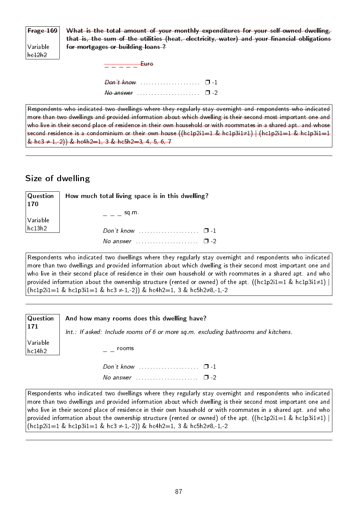| $F$ rage 169 | What is the total amount of your monthly expenditures for your self-owned dwelling,         |  |  |  |
|--------------|---------------------------------------------------------------------------------------------|--|--|--|
|              | that is, the sum of the utilities (heat, electricity, water) and your financial obligations |  |  |  |
| Variable     | for mortgages or building loans?                                                            |  |  |  |
| he12h2       |                                                                                             |  |  |  |
|              | <del>Euro</del>                                                                             |  |  |  |
|              |                                                                                             |  |  |  |

| $\theta$ $\theta$ answer $\theta$ . The summary set of $\theta$ -2 |  |
|--------------------------------------------------------------------|--|

Respondents who indicated two dwellings where they regularly stay overnight and respondents who indicated more than two dwellings and provided information about which dwelling is their second most important one and who live in their second place of residence in their own household or with roommates in a shared apt. and whose second residence is a condominium or their own house ((hc1p2i1=1 & hc1p3i1≠1) | (hc1p2i1=1 & hc1p3i1=1 & hc3  $\neq$  1,-2)) & hc4h2=1, 3 & hc5h2=3, 4, 5, 6, 7

#### Size of dwelling

| $\mid$ Question $\mid$<br> 170 | How much total living space is in this dwelling? |  |
|--------------------------------|--------------------------------------------------|--|
| Variable<br> hc13h2            | $=$ $=$ $\cdot$ sq.m.                            |  |
|                                | $Don't know$ $\Box$ -1                           |  |
|                                | No answer $\cdots$ , $\cdots$ , $\Box$ -2        |  |

Respondents who indicated two dwellings where they regularly stay overnight and respondents who indicated more than two dwellings and provided information about which dwelling is their second most important one and who live in their second place of residence in their own household or with roommates in a shared apt. and who provided information about the ownership structure (rented or owned) of the apt. ((hc1p2i1=1 & hc1p3i1≠1) |  $(hc1p2i1=1 \& hc1p3i1=1 \& hc3 ≠ 1,-2)$ ) & hc4h2=1, 3 & hc5h2≠8,-1,-2

| $\sqrt{Q}$ uestion<br>  171 | And how many rooms does this dwelling have?                                                                 |
|-----------------------------|-------------------------------------------------------------------------------------------------------------|
|                             | $Int.:$ If asked: Include rooms of 6 or more sq.m. excluding bathrooms and kitchens.                        |
| Variable<br> hc14h2         | rooms                                                                                                       |
|                             | Don't know $\ldots$ $\ldots$ $\ldots$ $\ldots$ $\Box$ -1                                                    |
|                             | No answer $\ldots \ldots \ldots \ldots \ldots \square$ -2                                                   |
|                             | Deen sudente uda indicatad tue duallism udava theu veruledu etau eus ministra na vecandente uda indicatad l |

Respondents who indicated two dwellings where they regularly stay overnight and respondents who indicated more than two dwellings and provided information about which dwelling is their second most important one and who live in their second place of residence in their own household or with roommates in a shared apt. and who provided information about the ownership structure (rented or owned) of the apt. ((hc1p2i1=1 & hc1p3i1≠1) |  $(hclp2i1=1 \& hclp3i1=1 \& hcl \neq 1,-2)$ ) & hc4h2=1, 3 & hc5h2≠8,-1,-2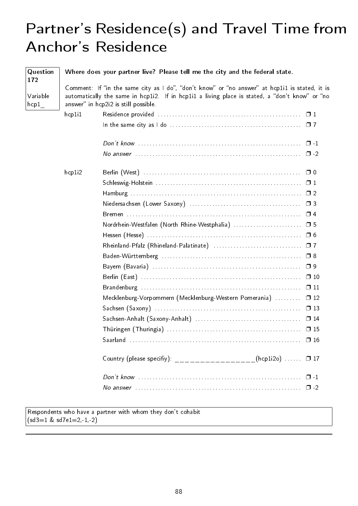## Partner's Residence(s) and Travel Time from Anchor's Residence

| Question<br>172                       |        | Where does your partner live? Please tell me the city and the federal state.                                                                                                                                                             |               |
|---------------------------------------|--------|------------------------------------------------------------------------------------------------------------------------------------------------------------------------------------------------------------------------------------------|---------------|
| Variable<br>$\lfloor$ hcp $1 \rfloor$ |        | Comment: If "in the same city as I do", "don't know" or "no answer" at hcplil is stated, it is<br>automatically the same in hcp1i2. If in hcp1i1 a living place is stated, a "don't know" or "no<br>answer" in hcp2i2 is still possible. |               |
|                                       | hcp111 |                                                                                                                                                                                                                                          |               |
|                                       |        |                                                                                                                                                                                                                                          |               |
|                                       |        |                                                                                                                                                                                                                                          |               |
|                                       |        |                                                                                                                                                                                                                                          |               |
|                                       | hcp1i2 |                                                                                                                                                                                                                                          |               |
|                                       |        |                                                                                                                                                                                                                                          |               |
|                                       |        |                                                                                                                                                                                                                                          |               |
|                                       |        |                                                                                                                                                                                                                                          |               |
|                                       |        |                                                                                                                                                                                                                                          |               |
|                                       |        | Nordrhein-Westfalen (North Rhine-Westphalia)  □ 5                                                                                                                                                                                        |               |
|                                       |        |                                                                                                                                                                                                                                          |               |
|                                       |        |                                                                                                                                                                                                                                          |               |
|                                       |        |                                                                                                                                                                                                                                          | $\square$ 8   |
|                                       |        |                                                                                                                                                                                                                                          | $\Box$ 9      |
|                                       |        |                                                                                                                                                                                                                                          | $\Box$ 10     |
|                                       |        |                                                                                                                                                                                                                                          | $\Box$ 11     |
|                                       |        | Mecklenburg-Vorpommern (Mecklenburg-Western Pomerania)                                                                                                                                                                                   | $\Box$ 12     |
|                                       |        |                                                                                                                                                                                                                                          |               |
|                                       |        |                                                                                                                                                                                                                                          |               |
|                                       |        |                                                                                                                                                                                                                                          |               |
|                                       |        |                                                                                                                                                                                                                                          |               |
|                                       |        | Country (please specifiy): __________________(hcp1i2o)  0 17                                                                                                                                                                             |               |
|                                       |        |                                                                                                                                                                                                                                          | $\Box$ $\Box$ |
|                                       |        | No answer $\ldots$ , $\ldots$ , $\ldots$ , $\ldots$ , $\ldots$ , $\ldots$ , $\ldots$ , $\ldots$ , $\ldots$ , $\ldots$ , $\Box$ -2                                                                                                        |               |

Respondents who have a partner with whom they don't cohabit  $(sd3=1 \& sd7e1=2,-1,-2)$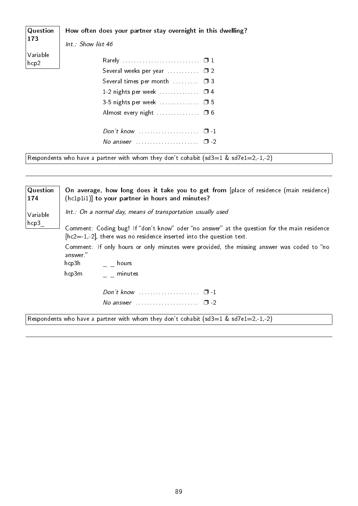| Question<br>173          | How often does your partner stay overnight in this dwelling?                           |
|--------------------------|----------------------------------------------------------------------------------------|
|                          | Int.: Show list 46                                                                     |
| Variable<br>$ $ hcp $2 $ |                                                                                        |
|                          | Several weeks per year $\ldots \ldots \square$ 2                                       |
|                          | Several times per month $\Box$ $\Box$ $\Box$ 3                                         |
|                          | 1-2 nights per week $\Box$ 4                                                           |
|                          | 3-5 nights per week $\ldots$ $\Box$ 5                                                  |
|                          |                                                                                        |
|                          | Don't know $\ldots$ $\ldots$ $\ldots$ $\ldots$ $\ldots$ $\Box$ -1                      |
|                          | No answer $\ldots \ldots \ldots \ldots \ldots \quad \Box -2$                           |
|                          | Respondents who have a partner with whom they don't cohabit $(sd3=1 \& sd7e1=2,-1,-2)$ |

| Question<br>174      | On average, how long does it take you to get from [place of residence (main residence)<br>(hc1p1i1)] to your partner in hours and minutes?                             |
|----------------------|------------------------------------------------------------------------------------------------------------------------------------------------------------------------|
| Variable             | Int.: On a normal day, means of transportation usually used                                                                                                            |
| $_1$ hcp $3_\perp$ . | Comment: Coding bug! If "don't know" oder "no answer" at the question for the main residence<br>$[hc2=1,-2]$ , there was no residence inserted into the question text. |
|                      | Comment: If only hours or only minutes were provided, the missing answer was coded to "no<br>answer."                                                                  |
|                      | hcp3h<br>$\epsilon = \epsilon$ hours                                                                                                                                   |
|                      | hcp3m<br>minutes                                                                                                                                                       |
|                      |                                                                                                                                                                        |
|                      | No answer $\ldots \ldots \ldots \ldots \ldots \square$ -2                                                                                                              |
|                      | Respondents who have a partner with whom they don't cohabit (sd3=1 & sd7e1=2,-1,-2)                                                                                    |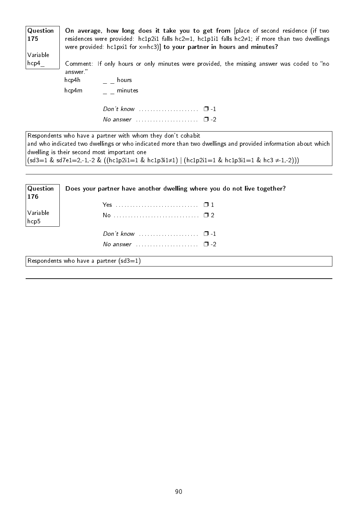| Question<br>175  | On average, how long does it take you to get from [place of second residence (if two<br>residences were provided: $hc1p2i1$ falls $hc2=1$ , $hc1p1i1$ falls $hc2\neq1$ ; if more than two dwellings<br>were provided: $hclpxi1$ for $x=hc3$ ] to your partner in hours and minutes? |
|------------------|-------------------------------------------------------------------------------------------------------------------------------------------------------------------------------------------------------------------------------------------------------------------------------------|
| Variable<br>hcp4 | Comment: If only hours or only minutes were provided, the missing answer was coded to "no<br>answer."                                                                                                                                                                               |
|                  | hcp4h<br>$\epsilon = \epsilon$ hours                                                                                                                                                                                                                                                |
|                  | hcp4m<br>minutes                                                                                                                                                                                                                                                                    |
|                  | Don't know $\ldots$ $\ldots$ $\ldots$ $\ldots$ $\ldots$ $\Box$ -1                                                                                                                                                                                                                   |
|                  | No answer $\ldots$ $\ldots$ $\ldots$ $\ldots$ $\Box$ -2                                                                                                                                                                                                                             |
|                  | Respondents who have a partner with whom they don't cohabit<br>and who indicated two dwellings or who indicated more than two dwellings and provided information about which<br>dwelling is their second most important one                                                         |
|                  | $(sd3=1 \& sd7e1=2,-1,-2 \& ((hc1p2i1=1 \& hc1p3i1≠1)   (hc1p2i1=1 \& hc1p3i1=1 \& hc3 ≠ 1,-2)))$                                                                                                                                                                                   |
| Question<br>176  | Does your partner have another dwelling where you do not live together?                                                                                                                                                                                                             |
|                  |                                                                                                                                                                                                                                                                                     |

No . . . . . . . . . . . . . . . . . . . . . . . . . . . . . . ❐ 2

Don't know . . . . . . . . . . . . . . . . . . . . . ❐ -1 No answer  $\dots\dots\dots\dots\dots\dots \quad \Box$  -2

Variable hcp5

Respondents who have a partner  $(sd3=1)$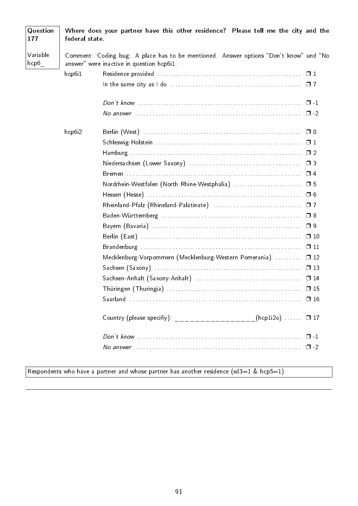| Question<br>177               | federal state. | Where does your partner have this other residence? Please tell me the city and the                                                 |  |
|-------------------------------|----------------|------------------------------------------------------------------------------------------------------------------------------------|--|
| Variable<br>$\mathsf{hcp6}_-$ |                | Comment: Coding bug: A place has to be mentioned. Answer options "Don't know" und "No<br>answer" were inactive in question hcp6i1. |  |
|                               | hcp6i1         |                                                                                                                                    |  |
|                               |                |                                                                                                                                    |  |
|                               |                |                                                                                                                                    |  |
|                               |                |                                                                                                                                    |  |
|                               | hcp6i2         |                                                                                                                                    |  |
|                               |                |                                                                                                                                    |  |
|                               |                |                                                                                                                                    |  |
|                               |                |                                                                                                                                    |  |
|                               |                |                                                                                                                                    |  |
|                               |                | Nordrhein-Westfalen (North Rhine-Westphalia)  □ 5                                                                                  |  |
|                               |                |                                                                                                                                    |  |
|                               |                |                                                                                                                                    |  |
|                               |                | $\square$ 8                                                                                                                        |  |
|                               |                | $\Box$ 9                                                                                                                           |  |
|                               |                | $\Box$ 10                                                                                                                          |  |
|                               |                | $\Box$ 11                                                                                                                          |  |
|                               |                | Mecklenburg-Vorpommern (Mecklenburg-Western Pomerania)<br>$\Box$ 12                                                                |  |
|                               |                |                                                                                                                                    |  |
|                               |                |                                                                                                                                    |  |
|                               |                |                                                                                                                                    |  |
|                               |                | $\Box$ 16                                                                                                                          |  |
|                               |                | Country (please specifiy): __________________(hcp1i2o)  0 17                                                                       |  |
|                               |                | $\Box$ -1                                                                                                                          |  |
|                               |                | $\square$ -2                                                                                                                       |  |

#### Respondents who have a partner and whose partner has another residence  $(sd3=1 \& rd)$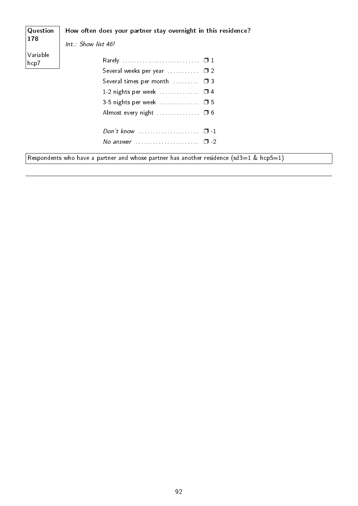| Question         | How often does your partner stay overnight in this residence?                           |
|------------------|-----------------------------------------------------------------------------------------|
| 178              | Int.: Show list 46!                                                                     |
| Variable<br>hcp7 |                                                                                         |
|                  | Several weeks per year $\ldots \ldots \ldots \square$ 2                                 |
|                  | Several times per month $\Box$ $\Box$ 3                                                 |
|                  | 1-2 nights per week $\Box$ $\Box$ 4                                                     |
|                  | 3-5 nights per week $\Box$ $\Box$ 5                                                     |
|                  |                                                                                         |
|                  |                                                                                         |
|                  | No answer $\ldots \ldots \ldots \ldots \ldots \ldots \square$ -2                        |
|                  | Respondents who have a partner and whose partner has another residence (sd3=1 & hcp5=1) |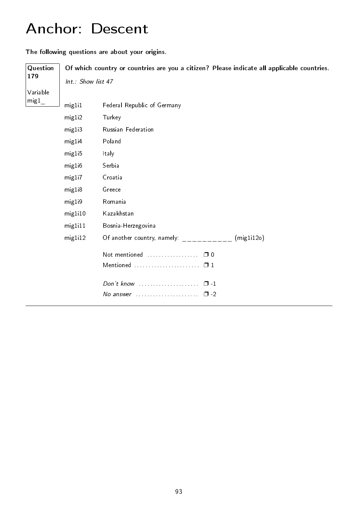## Anchor: Descent

The following questions are about your origins.

| Question         |                    | Of which country or countries are you a citizen? Please indicate all applicable countries. |
|------------------|--------------------|--------------------------------------------------------------------------------------------|
| 179              | Int.: Show list 47 |                                                                                            |
| Variable         |                    |                                                                                            |
| $\rm{mig1}_{\_}$ | mig1i1             | Federal Republic of Germany                                                                |
|                  | mig1i2             | Turkey                                                                                     |
|                  | mig1i3             | Russian Federation                                                                         |
|                  | mig1i4             | Poland                                                                                     |
|                  | mig1i5             | Italy                                                                                      |
|                  | mig1i6             | Serbia                                                                                     |
|                  | mig1i7             | Croatia                                                                                    |
|                  | mig1i8             | Greece                                                                                     |
|                  | mig1i9             | Romania                                                                                    |
|                  | mig1i10            | Kazakhstan                                                                                 |
|                  | mig1i11            | Bosnia-Herzegovina                                                                         |
|                  | mig1i12            | (mig1i12o)<br>Of another country, namely:                                                  |
|                  |                    | Not mentioned<br>$\Box$ 0                                                                  |
|                  |                    |                                                                                            |
|                  |                    | $\Box$ 1                                                                                   |
|                  |                    | $\square$ - 2                                                                              |
|                  |                    |                                                                                            |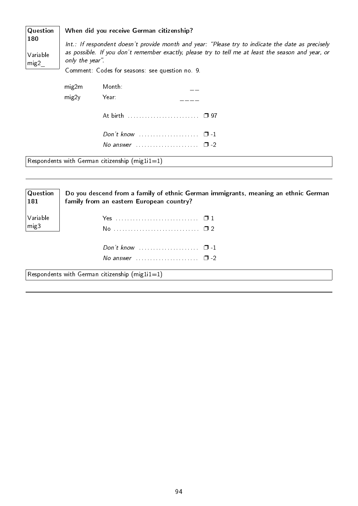| Question         | When did you receive German citizenship?                                                          |                                                                                                    |  |  |  |
|------------------|---------------------------------------------------------------------------------------------------|----------------------------------------------------------------------------------------------------|--|--|--|
| 180              | Int.: If respondent doesn't provide month and year: "Please try to indicate the date as precisely |                                                                                                    |  |  |  |
| Variable<br>mig2 | only the year".                                                                                   | as possible. If you don't remember exactly, please try to tell me at least the season and year, or |  |  |  |
|                  | Comment: Codes for seasons: see question no. 9.                                                   |                                                                                                    |  |  |  |
|                  | mig2m                                                                                             | Month:                                                                                             |  |  |  |
|                  | mig2y                                                                                             | Year:                                                                                              |  |  |  |
|                  |                                                                                                   |                                                                                                    |  |  |  |
|                  |                                                                                                   | Don't know $\ldots$ $\ldots$ $\ldots$ $\ldots$ $\Box$ -1                                           |  |  |  |
|                  |                                                                                                   | No answer $\cdots$ $\Box$ -2                                                                       |  |  |  |
|                  |                                                                                                   | Respondents with German citizenship (mig $1i1=1$ )                                                 |  |  |  |

| Question<br>$\mid$ 181 | Do you descend from a family of ethnic German immigrants, meaning an ethnic German<br>family from an eastern European country? |
|------------------------|--------------------------------------------------------------------------------------------------------------------------------|
| Variable               |                                                                                                                                |
| mig3                   |                                                                                                                                |
|                        | Don't know $\ldots$ $\ldots$ $\ldots$ $\ldots$ $\Box$ -1                                                                       |
|                        | No answer $\cdots$ $\cdots$ $\Box$ -2                                                                                          |
|                        | Respondents with German citizenship (mig $1i1=1$ )                                                                             |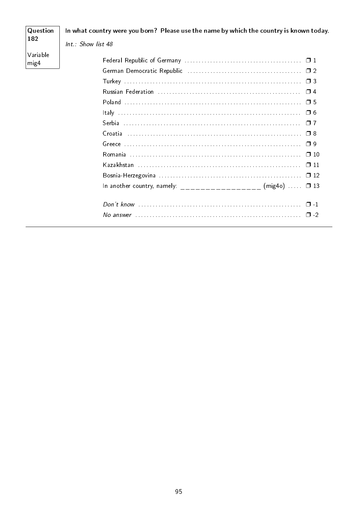#### Question In what country were you born? Please use the name by which the country is known today. 182  $Int : Show$  list 48 Variable  $mig4$ Russian Federation (1990) 74  $Don't know ...$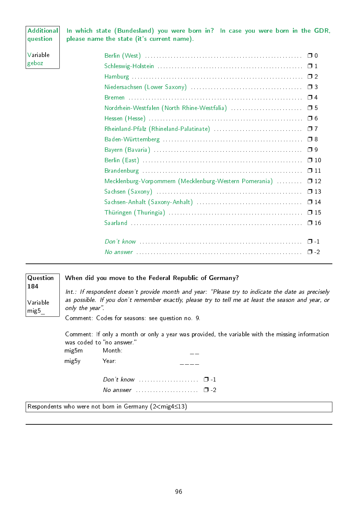#### Additional question

In which state (Bundesland) you were born in? In case you were born in the GDR, please name the state (it's current name).

Variable geboz Berlin (West) . . . . . . . . . . . . . . . . . . . . . . . . . . . . . . . . . . . . . . . . . . . . . . . . . . . . . . . ❐ 0 Schleswig-Holstein . . . . . . . . . . . . . . . . . . . . . . . . . . . . . . . . . . . . . . . . . . . . . . . . . . . ❐ 1 Hamburg . . . . . . . . . . . . . . . . . . . . . . . . . . . . . . . . . . . . . . . . . . . . . . . . . . . . . . . . . . . . ❐ 2 Niedersachsen (Lower Saxony) . . . . . . . . . . . . . . . . . . . . . . . . . . . . . . . . . . . . . . . ❐ 3 Bremen . . . . . . . . . . . . . . . . . . . . . . . . . . . . . . . . . . . . . . . . . . . . . . . . . . . . . . . . . . . . . ❐ 4 Nordrhein-Westfalen (North Rhine-Westfalia) . . . . . . . . . . . . . . . . . . . . . . . . . ❐ 5 Hessen (Hesse) . . . . . . . . . . . . . . . . . . . . . . . . . . . . . . . . . . . . . . . . . . . . . . . . . . . . . . ❐ 6 Rheinland-Pfalz (Rhineland-Palatinate) . . . . . . . . . . . . . . . . . . . . . . . . . . . . . . . ❐ 7 Baden-Württemberg . . . . . . . . . . . . . . . . . . . . . . . . . . . . . . . . . . . . . . . . . . . . . . . . . ❐ 8 Bayern (Bavaria) . . . . . . . . . . . . . . . . . . . . . . . . . . . . . . . . . . . . . . . . . . . . . . . . . . . . ❐ 9 Berlin (East) . . . . . . . . . . . . . . . . . . . . . . . . . . . . . . . . . . . . . . . . . . . . . . . . . . . . . . . . ❐ 10 Brandenburg . . . . . . . . . . . . . . . . . . . . . . . . . . . . . . . . . . . . . . . . . . . . . . . . . . . . . . . . ❐ 11 Mecklenburg-Vorpommern (Mecklenburg-Western Pomerania) ......... 0 12 Sachsen (Saxony) . . . . . . . . . . . . . . . . . . . . . . . . . . . . . . . . . . . . . . . . . . . . . . . . . . . ❐ 13 Sachsen-Anhalt (Saxony-Anhalt) . . . . . . . . . . . . . . . . . . . . . . . . . . . . . . . . . . . . . ❐ 14 Thüringen (Thuringia) . . . . . . . . . . . . . . . . . . . . . . . . . . . . . . . . . . . . . . . . . . . . . . . ❐ 15 Saarland . . . . . . . . . . . . . . . . . . . . . . . . . . . . . . . . . . . . . . . . . . . . . . . . . . . . . . . . . . . . ❐ 16 Don't know . . . . . . . . . . . . . . . . . . . . . . . . . . . . . . . . . . . . . . . . . . . . . . . . . . . . . . . . . ❐ -1 No answer . . . . . . . . . . . . . . . . . . . . . . . . . . . . . . . . . . . . . . . . . . . . . . . . . . . . . . . . . . ❐ -2

| Question                |                                                                                                                                                                                                                            | When did you move to the Federal Republic of Germany?                                                                        |  |
|-------------------------|----------------------------------------------------------------------------------------------------------------------------------------------------------------------------------------------------------------------------|------------------------------------------------------------------------------------------------------------------------------|--|
| 184<br>Variable<br>mig5 | Int.: If respondent doesn't provide month and year: "Please try to indicate the date as precisely<br>as possible. If you don't remember exactly, please try to tell me at least the season and year, or<br>only the year". |                                                                                                                              |  |
|                         |                                                                                                                                                                                                                            | Comment: Codes for seasons: see question no. 9.                                                                              |  |
|                         |                                                                                                                                                                                                                            | Comment: If only a month or only a year was provided, the variable with the missing information<br>was coded to "no answer." |  |
|                         | mig5m                                                                                                                                                                                                                      | Month:                                                                                                                       |  |
|                         | mig5y                                                                                                                                                                                                                      | Year:                                                                                                                        |  |
|                         |                                                                                                                                                                                                                            | Don't know $\ldots$ $\ldots$ $\ldots$ $\ldots$ $\ldots$ $\Box$ -1                                                            |  |
|                         |                                                                                                                                                                                                                            | No answer $\ldots \ldots \ldots \ldots \ldots \quad \Box$ -2                                                                 |  |

Respondents who were not born in Germany (2<mig4≤13)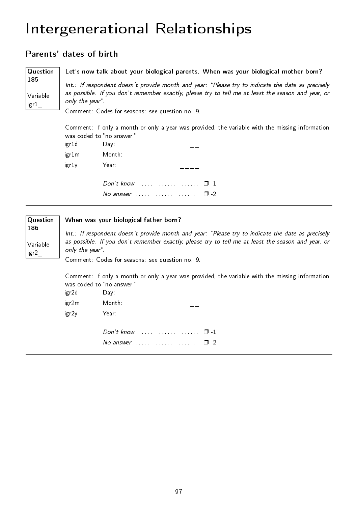### Intergenerational Relationships

#### Parents' dates of birth

185

Variable igr1\_

**Question** Let's now talk about your biological parents. When was your biological mother born?

> Int.: If respondent doesn't provide month and year: "Please try to indicate the date as precisely as possible. If you don't remember exactly, please try to tell me at least the season and year, or only the year".

Comment: Codes for seasons: see question no. 9.

Comment: If only a month or only a year was provided, the variable with the missing information was coded to "no answer."

| igr1d | Day:                                                                                                           |          |
|-------|----------------------------------------------------------------------------------------------------------------|----------|
| igr1m | Month:                                                                                                         |          |
| igrly | Year:                                                                                                          |          |
|       |                                                                                                                | $\Box$ 1 |
|       | No answer and a substitution of the set of the set of the set of the set of the set of the set of the set of t | ?- רו    |

| Question |                                                 | When was your biological father born?                                                                                        |  |
|----------|-------------------------------------------------|------------------------------------------------------------------------------------------------------------------------------|--|
| 186      |                                                 | Int.: If respondent doesn't provide month and year: "Please try to indicate the date as precisely                            |  |
| Variable | only the year".                                 | as possible. If you don't remember exactly, please try to tell me at least the season and year, or                           |  |
| igr2     | Comment: Codes for seasons: see question no. 9. |                                                                                                                              |  |
|          |                                                 | Comment: If only a month or only a year was provided, the variable with the missing information<br>was coded to "no answer." |  |
|          | igr2d                                           | Day:                                                                                                                         |  |
|          | igr2m                                           | Month:                                                                                                                       |  |
|          | igr2y                                           | Year:                                                                                                                        |  |
|          |                                                 |                                                                                                                              |  |
|          |                                                 | $\Box$ -2                                                                                                                    |  |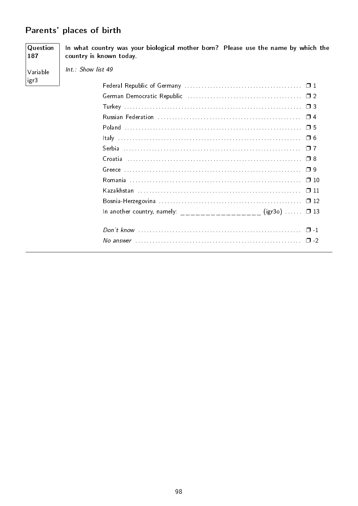#### Parents' places of birth

Question In what country was your biological mother born? Please use the name by which the 187 country is known today. Int.: Show list 49 Variable igr3 In another country, namely: \_\_\_\_\_\_\_\_\_\_\_\_\_\_\_\_\_\_ (igr30) ......  $\Box$  13 No answer  $\ldots$   $\ldots$   $\ldots$   $\ldots$   $\ldots$   $\ldots$   $\ldots$   $\ldots$   $\ldots$   $\ldots$   $\ldots$   $\ldots$   $\ldots$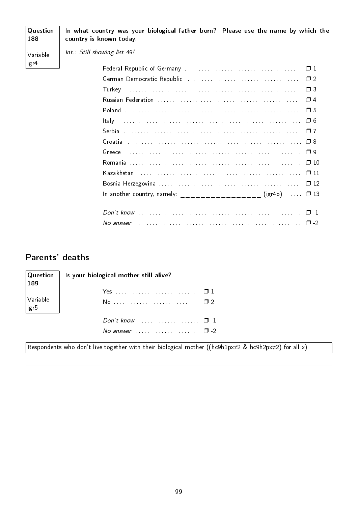| Question<br>188 | In what country was your biological father born? Please use the name by which the<br>country is known today. |
|-----------------|--------------------------------------------------------------------------------------------------------------|
| Variable        | Int.: Still showing list 49!                                                                                 |
| igr4            |                                                                                                              |
|                 |                                                                                                              |
|                 |                                                                                                              |
|                 |                                                                                                              |
|                 | $\Box$ 5                                                                                                     |
|                 | $\Box$ 6                                                                                                     |
|                 | $\Box$ 7                                                                                                     |
|                 |                                                                                                              |
|                 | $\Box$ 9                                                                                                     |
|                 | $\Box$ 10                                                                                                    |
|                 |                                                                                                              |
|                 |                                                                                                              |
|                 | In another country, namely: ___________________ (igr40) $\Box$ 13                                            |
|                 |                                                                                                              |
|                 |                                                                                                              |

### Parents' deaths

| Question<br>189  | Is your biological mother still alive?                                                                             |
|------------------|--------------------------------------------------------------------------------------------------------------------|
|                  |                                                                                                                    |
| Variable<br>igr5 | No ……………………………… □ 2                                                                                                |
|                  | Don't know $\ldots$ $\ldots$ $\ldots$ $\ldots$ $\Box$ -1                                                           |
|                  | No answer $\cdots$ $\Box$ -2                                                                                       |
|                  | Respondents who don't live together with their biological mother ((hc9h1px $\neq$ 2 & hc9h2px $\neq$ 2) for all x) |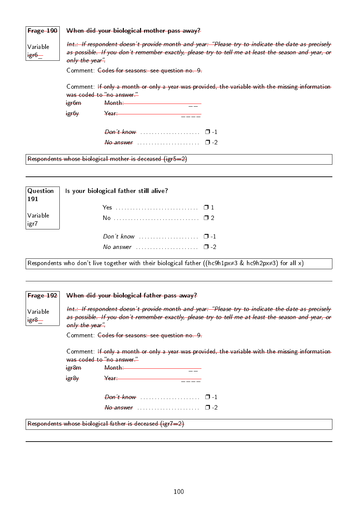| $Frage-190$        |                                                                                                                                                                                                                                                                               | When did your biological mother pass away?                                                                                                      |  |  |  |  |  |
|--------------------|-------------------------------------------------------------------------------------------------------------------------------------------------------------------------------------------------------------------------------------------------------------------------------|-------------------------------------------------------------------------------------------------------------------------------------------------|--|--|--|--|--|
| Variable<br>$+gr6$ | Int.: If respondent doesn't provide month and year: "Please try to indicate the date as precisely<br>as possible. If you don't remember exactly, please try to tell me at least the season and year, or<br>only the year".<br>Comment: Codes for seasons: see question no. 9. |                                                                                                                                                 |  |  |  |  |  |
|                    |                                                                                                                                                                                                                                                                               |                                                                                                                                                 |  |  |  |  |  |
|                    | <del>igr6m</del><br><del>igr6y</del>                                                                                                                                                                                                                                          | Comment: If only a month or only a year was provided, the variable with the missing information<br>was coded to "no answer."<br>Month:<br>Year— |  |  |  |  |  |
|                    |                                                                                                                                                                                                                                                                               |                                                                                                                                                 |  |  |  |  |  |
|                    |                                                                                                                                                                                                                                                                               |                                                                                                                                                 |  |  |  |  |  |
|                    |                                                                                                                                                                                                                                                                               | Respondents whose biological mother is deceased (igr5=2)                                                                                        |  |  |  |  |  |

|                        | $\begin{array}{ l l } \hline \textbf{Question} & \textbf{Is your biological father still alive?} \ \hline \end{array}$ |  |  |  |  |  |  |
|------------------------|------------------------------------------------------------------------------------------------------------------------|--|--|--|--|--|--|
| Variable<br>$\sqrt{1}$ | No <del>□</del> 2                                                                                                      |  |  |  |  |  |  |
|                        | No answer $\cdots$ $\cdots$ $\cdots$ $\Box$ -2                                                                         |  |  |  |  |  |  |

Respondents who don't live together with their biological father ((hc9h1px≠3 & hc9h2px≠3) for all x)

| Frage 192          | When did your biological father pass away?                                                                                                                                                                                |  |  |  |  |  |
|--------------------|---------------------------------------------------------------------------------------------------------------------------------------------------------------------------------------------------------------------------|--|--|--|--|--|
| Variable<br>$+g+8$ | Int.: If respondent doesn't provide month and year: "Please try to indicate the date as precisely<br>as possible. If you don't remember exactly, please try to tell me at least the season and year, or<br>only the year" |  |  |  |  |  |
|                    | Comment: Codes for seasons: see question no. 9                                                                                                                                                                            |  |  |  |  |  |
|                    | Comment: If only a month or only a year was provided, the variable with the missing information<br>was coded to "no answer."                                                                                              |  |  |  |  |  |
|                    | $+g + 8m$<br>Month—                                                                                                                                                                                                       |  |  |  |  |  |
|                    | $+g+8y$<br>- <del>Year - -</del>                                                                                                                                                                                          |  |  |  |  |  |
|                    |                                                                                                                                                                                                                           |  |  |  |  |  |
|                    |                                                                                                                                                                                                                           |  |  |  |  |  |
|                    | Respondents whose biological father is deceased (igr7=2)                                                                                                                                                                  |  |  |  |  |  |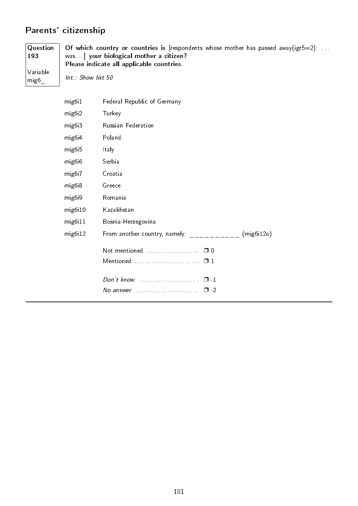### Parents' citizenship

mig6\_

**Question** 193 Variable Of which country or countries is [respondents whose mother has passed away(igr5=2): ... was. . ] your biological mother a citizen? Please indicate all applicable countries.

Int.: Show list 50

| mig6i1              | Federal Republic of Germany                           |  |
|---------------------|-------------------------------------------------------|--|
| mig6i2              | Turkey                                                |  |
| mig6i3              | Russian Federation                                    |  |
| mig6i4              | Poland                                                |  |
| mig <sub>6</sub> i5 | Italy                                                 |  |
| mig6i6              | Serbia                                                |  |
| mig6i7              | Croatia                                               |  |
| mig6i8              | Greece                                                |  |
| mig6i9              | Romania                                               |  |
| mig6i10             | Kazakhstan                                            |  |
| mig6i11             | Bosnia-Herzegovina                                    |  |
| mig6i12             | From another country, namely:<br>(mig6i12o)           |  |
|                     |                                                       |  |
|                     |                                                       |  |
|                     | Don't know $\ldots$ , $\ldots$ , $\ldots$ , $\Box$ -1 |  |
|                     | No answer $\cdots$ , $\cdots$<br>$\Box$ -2            |  |
|                     |                                                       |  |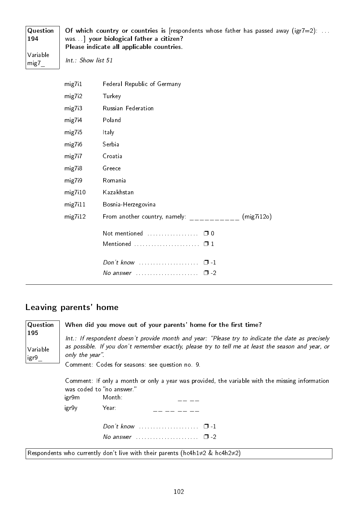| $\mid$ Question<br>  194 | Of which country or countries is [respondents whose father has passed away (igr7=2):<br>was.   your biological father a citizen?<br>Please indicate all applicable countries. |
|--------------------------|-------------------------------------------------------------------------------------------------------------------------------------------------------------------------------|
| Variable<br>$\vert$ mig7 | Int.: Show list 51                                                                                                                                                            |

| mig7i1  | <b>Federal Republic of Germany</b>          |
|---------|---------------------------------------------|
| mig7i2  | Turkey                                      |
| mig7i3  | Russian Federation                          |
| mig7i4  | Poland                                      |
| mig7i5  | Italy                                       |
| mig7i6  | Serbia                                      |
| mig7i7  | Croatia                                     |
| mig7i8  | Greece                                      |
| mig7i9  | Romania                                     |
| mig7i10 | Kazakhstan                                  |
| mig7i11 | Bosnia-Herzegovina                          |
| mig7i12 | From another country, namely:<br>(mig7i12o) |
|         | Not mentioned<br>$\Box$ 0                   |
|         | Mentioned $\square$ 1                       |
|         | $\Box$ 1                                    |
|         | $\Box$ -2<br>No answer                      |

### Leaving parents' home

| Question                | When did you move out of your parents' home for the first time?                                                                                                                                                                                                               |                                                                                           |  |  |  |  |  |
|-------------------------|-------------------------------------------------------------------------------------------------------------------------------------------------------------------------------------------------------------------------------------------------------------------------------|-------------------------------------------------------------------------------------------|--|--|--|--|--|
| 195<br>Variable<br>igr9 | Int.: If respondent doesn't provide month and year: "Please try to indicate the date as precisely<br>as possible. If you don't remember exactly, please try to tell me at least the season and year, or<br>only the year".<br>Comment: Codes for seasons: see question no. 9. |                                                                                           |  |  |  |  |  |
|                         | Comment: If only a month or only a year was provided, the variable with the missing information<br>was coded to "no answer."<br>Month:<br>igr9m                                                                                                                               |                                                                                           |  |  |  |  |  |
|                         | igr9y                                                                                                                                                                                                                                                                         | Year:                                                                                     |  |  |  |  |  |
|                         |                                                                                                                                                                                                                                                                               | Don't know $\ldots \ldots \ldots \ldots \ldots \ldots \quad \Box -1$                      |  |  |  |  |  |
|                         |                                                                                                                                                                                                                                                                               | No answer $\ldots \ldots \ldots \ldots \ldots \ldots \square$ -2                          |  |  |  |  |  |
|                         |                                                                                                                                                                                                                                                                               | Respondents who currently don't live with their parents (hc4h1 $\neq$ 2 & hc4h2 $\neq$ 2) |  |  |  |  |  |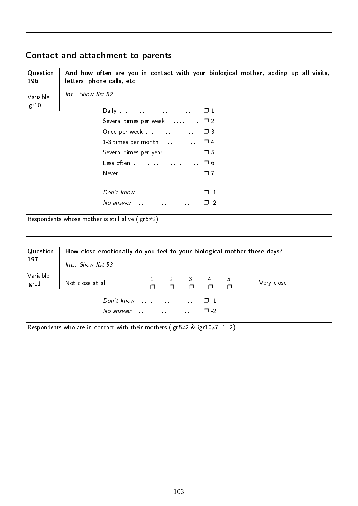#### Contact and attachment to parents

**Question** And how often are you in contact with your biological mother, adding up all visits, letters, phone calls, etc.

Variable igr10

196

Int.: Show list 52

| Several times per week  02                       |  |
|--------------------------------------------------|--|
| Once per week  03                                |  |
| 1-3 times per month $\ldots$ $\Box$ 4            |  |
| Several times per year $\ldots \ldots \square$ 5 |  |
| Less often  06                                   |  |
|                                                  |  |
|                                                  |  |
| No answer $\cdots$ , $\cdots$ , $\Box$ -2        |  |
|                                                  |  |

Respondents whose mother is still alive (igr5≠2)

| $\sf Q$ uestion                                                                          | How close emotionally do you feel to your biological mother these days? |  |  |  |                                                                                               |  |            |
|------------------------------------------------------------------------------------------|-------------------------------------------------------------------------|--|--|--|-----------------------------------------------------------------------------------------------|--|------------|
| 197                                                                                      | Int.: Show list 53                                                      |  |  |  |                                                                                               |  |            |
| Variable<br>igr11                                                                        | Not close at all                                                        |  |  |  | $\begin{array}{cccccccc}\n1 & 2 & 3 & 4 & 5 \\ \Box & \Box & \Box & \Box & \Box\n\end{array}$ |  | Very close |
|                                                                                          |                                                                         |  |  |  |                                                                                               |  |            |
| No answer $\ldots \ldots \ldots \ldots \ldots \quad \Box -2$                             |                                                                         |  |  |  |                                                                                               |  |            |
| Respondents who are in contact with their mothers (igr5 $\neq$ 2 & igr10 $\neq$ 7 -1 -2) |                                                                         |  |  |  |                                                                                               |  |            |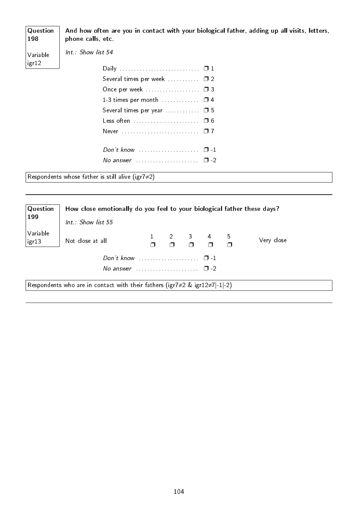| Question<br>198 | And how often are you in contact with your biological father, adding up all visits, letters,<br>phone calls, etc. |
|-----------------|-------------------------------------------------------------------------------------------------------------------|
| Variable        | Int.: Show list 54                                                                                                |
| igr12           |                                                                                                                   |
|                 |                                                                                                                   |
|                 |                                                                                                                   |
|                 | 1-3 times per month $\ldots$ $\Box$ 4                                                                             |
|                 | Several times per year $\ldots$ $\Box$ 5                                                                          |
|                 |                                                                                                                   |
|                 |                                                                                                                   |
|                 | Don't know<br>$\Box$ 1                                                                                            |
|                 | No answer $\ldots \ldots \ldots \ldots \ldots \square$ -2                                                         |
|                 | Respondents whose father is still alive (igr7 $\neq$ 2)                                                           |

| Question<br>199                                                                          | How close emotionally do you feel to your biological father these days? |  |  |  |                                                                                            |  |            |
|------------------------------------------------------------------------------------------|-------------------------------------------------------------------------|--|--|--|--------------------------------------------------------------------------------------------|--|------------|
|                                                                                          | Int.: Show list 55                                                      |  |  |  |                                                                                            |  |            |
| Variable<br>igr13                                                                        | Not close at all                                                        |  |  |  | $\begin{array}{ccccccccc}\n2 & 3 & 4 & 5 \\ \Box & \Box & \Box & \Box & \Box\n\end{array}$ |  | Very close |
|                                                                                          |                                                                         |  |  |  | $\Box$                                                                                     |  |            |
| No answer $\ldots \ldots \ldots \ldots \ldots \square$ -2                                |                                                                         |  |  |  |                                                                                            |  |            |
| Respondents who are in contact with their fathers (igr7 $\neq$ 2 & igr12 $\neq$ 7 -1 -2) |                                                                         |  |  |  |                                                                                            |  |            |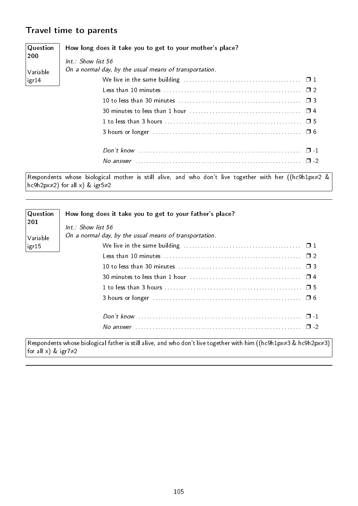#### Travel time to parents

| Question     | How long does it take you to get to your mother's place?                                                 |  |  |
|--------------|----------------------------------------------------------------------------------------------------------|--|--|
| <b>200</b>   | $Int.$ : Show list 56                                                                                    |  |  |
| Variable     | On a normal day, by the usual means of transportation.                                                   |  |  |
| $ $ igr $14$ |                                                                                                          |  |  |
|              |                                                                                                          |  |  |
|              |                                                                                                          |  |  |
|              |                                                                                                          |  |  |
|              |                                                                                                          |  |  |
|              |                                                                                                          |  |  |
|              |                                                                                                          |  |  |
|              |                                                                                                          |  |  |
|              | Decordotto udare hidroirel methro in still client and who dealt live transfers with her ((heOh 1met). In |  |  |

Respondents whose biological mother is still alive, and who don't live together with her ((hc9h1px≠2 &  $|hc9h2px{\neq}2)$  for all x) & igr5 $\neq$ 2

| Question                   | How long does it take you to get to your father's place?                                                                        |  |  |  |
|----------------------------|---------------------------------------------------------------------------------------------------------------------------------|--|--|--|
| 201                        | $Int.:$ Show list 56                                                                                                            |  |  |  |
| Variable                   | On a normal day, by the usual means of transportation.                                                                          |  |  |  |
| igr15                      |                                                                                                                                 |  |  |  |
|                            |                                                                                                                                 |  |  |  |
|                            |                                                                                                                                 |  |  |  |
|                            |                                                                                                                                 |  |  |  |
|                            |                                                                                                                                 |  |  |  |
|                            |                                                                                                                                 |  |  |  |
|                            |                                                                                                                                 |  |  |  |
|                            |                                                                                                                                 |  |  |  |
| for all x) & igr7 $\neq$ 2 | Respondents whose biological father is still alive, and who don't live together with him ((hc9h1px $\neq$ 3 & hc9h2px $\neq$ 3) |  |  |  |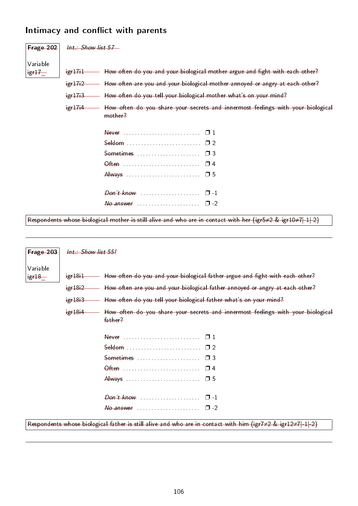#### Intimacy and conflict with parents

| Frage 202 | $Int.:$ Show list $57-$ |                                                                                                                                         |
|-----------|-------------------------|-----------------------------------------------------------------------------------------------------------------------------------------|
| Variable  |                         |                                                                                                                                         |
| $eff-$    | $+g+17+1$               | How often do you and your biological mother argue and fight with each other?                                                            |
|           | $+g+17+2$               | How often are you and your biological mother annoyed or angry at each other?                                                            |
|           | H <sub>1</sub>          | How often do you tell your biological mother what's on your mind?                                                                       |
|           | $+g + 17 + 4$           | How often do you share your secrets and innermost feelings with your biological<br>mother?                                              |
|           |                         |                                                                                                                                         |
|           |                         |                                                                                                                                         |
|           |                         |                                                                                                                                         |
|           |                         |                                                                                                                                         |
|           |                         |                                                                                                                                         |
|           |                         |                                                                                                                                         |
|           |                         |                                                                                                                                         |
|           |                         | Respondents whose biological mother is still alive and who are in contact with her (igr5 $\neq$ 2 & igr10 $\neq$ 7 $\mid$ -1 $\mid$ -2) |

| Frage 203            | Int.: Show list 55! |                                                                                                                                         |
|----------------------|---------------------|-----------------------------------------------------------------------------------------------------------------------------------------|
| Variable<br>$+g+18-$ | $+g + 18 + 1$       | How often do you and your biological father argue and fight with each other?                                                            |
|                      | $+g + 18 + 2$       | How often are you and your biological father annoyed or angry at each other?                                                            |
|                      | $+g + 18 + 3$       | How often do you tell your biological father what's on your mind?                                                                       |
|                      | $i$ gr $18i4$       | How often do you share your secrets and innermost feelings with your biological<br>father?                                              |
|                      |                     |                                                                                                                                         |
|                      |                     |                                                                                                                                         |
|                      |                     |                                                                                                                                         |
|                      |                     |                                                                                                                                         |
|                      |                     |                                                                                                                                         |
|                      |                     |                                                                                                                                         |
|                      |                     |                                                                                                                                         |
|                      |                     | Respondents whose biological father is still alive and who are in contact with him (igr7 $\neq$ 2 & igr12 $\neq$ 7 $\mid$ -1 $\mid$ -2) |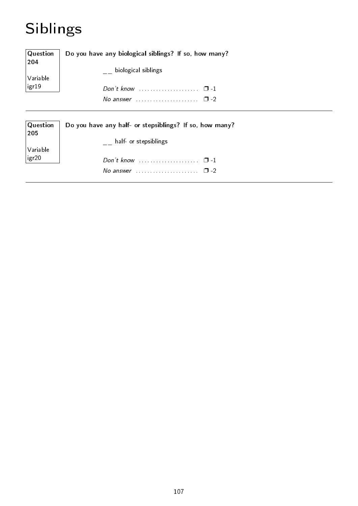# Siblings

| Question<br>204 | Do you have any biological siblings? If so, how many?     |  |
|-----------------|-----------------------------------------------------------|--|
|                 | $\overline{\phantom{a}}$ biological siblings              |  |
| Variable        |                                                           |  |
| igr19           |                                                           |  |
|                 | No answer $\ldots \ldots \ldots \ldots \ldots \square$ -2 |  |
|                 |                                                           |  |
| Question<br>205 | Do you have any half- or stepsiblings? If so, how many?   |  |
| Variable        | half- or stepsiblings                                     |  |
| igr20           |                                                           |  |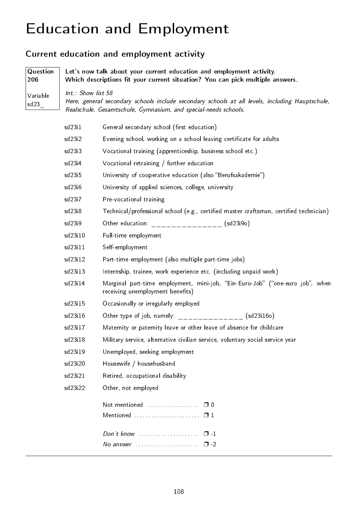# Education and Employment

### Current education and employment activity

| Question<br>206  | Let's now talk about your current education and employment activity.<br>Which descriptions fit your current situation? You can pick multiple answers. |                                                                                                                                                                    |  |
|------------------|-------------------------------------------------------------------------------------------------------------------------------------------------------|--------------------------------------------------------------------------------------------------------------------------------------------------------------------|--|
| Variable<br>sd23 | Int.: Show list 58                                                                                                                                    | Here, general secondary schools include secondary schools at all levels, including Hauptschule,<br>Realschule, Gesamtschule, Gymnasium, and special-needs schools. |  |
|                  | sd23i1                                                                                                                                                | General secondary school (first education)                                                                                                                         |  |
|                  | sd23i2                                                                                                                                                | Evening school, working on a school leaving certificate for adults                                                                                                 |  |
|                  | sd23i3                                                                                                                                                | Vocational training (apprenticeship, business school etc.)                                                                                                         |  |
|                  | sd23i4                                                                                                                                                | Vocational retraining / further education                                                                                                                          |  |
|                  | sd23i5                                                                                                                                                | University of cooperative education (also "Berufsakademie")                                                                                                        |  |
|                  | sd23i6                                                                                                                                                | University of applied sciences, college, university                                                                                                                |  |
|                  | sd23i7                                                                                                                                                | Pre-vocational training                                                                                                                                            |  |
|                  | sd23i8                                                                                                                                                | Technical/professional school (e.g., certified master craftsman, certified technician)                                                                             |  |
|                  | sd23i9                                                                                                                                                | Other education: ________________ (sd23i9o)                                                                                                                        |  |
|                  | sd23i10                                                                                                                                               | Full-time employment                                                                                                                                               |  |
|                  | sd23i11                                                                                                                                               | Self-employment                                                                                                                                                    |  |
|                  | sd23i12                                                                                                                                               | Part-time employment (also multiple part-time jobs)                                                                                                                |  |
|                  | sd23i13                                                                                                                                               | Internship, trainee, work experience etc. (including unpaid work)                                                                                                  |  |
|                  | sd23i14                                                                                                                                               | Marginal part-time employment, mini-job, "Ein-Euro-Job" ("one-euro job", when<br>receiving unemployment benefits)                                                  |  |
|                  | sd23i15                                                                                                                                               | Occasionally or irregularly employed                                                                                                                               |  |
|                  | sd23i16                                                                                                                                               | Other type of job, namely: _______________ (sd23i16o)                                                                                                              |  |
|                  | sd23i17                                                                                                                                               | Maternity or paternity leave or other leave of absence for childcare                                                                                               |  |
|                  | sd23i18                                                                                                                                               | Military service, alternative civilian service, voluntary social service year                                                                                      |  |
|                  | sd23i19                                                                                                                                               | Unemployed, seeking employment                                                                                                                                     |  |
|                  | sd23i20                                                                                                                                               | Housewife / househusband                                                                                                                                           |  |
|                  | sd23i21                                                                                                                                               | Retired, occupational disability                                                                                                                                   |  |
|                  | sd23i22                                                                                                                                               | Other, not employed                                                                                                                                                |  |
|                  |                                                                                                                                                       | Mentioned $\square$ 1                                                                                                                                              |  |
|                  |                                                                                                                                                       | Don't know $\ldots \ldots \ldots \ldots \ldots \square -1$<br>No answer $\ldots \ldots \ldots \ldots \ldots \ldots \square$ -2                                     |  |
|                  |                                                                                                                                                       |                                                                                                                                                                    |  |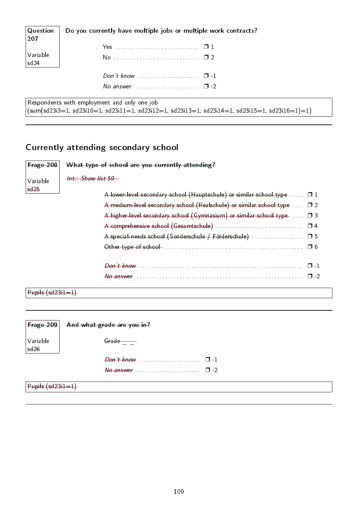| $\mid$ Question<br>207      | Do you currently have multiple jobs or multiple work contracts?                                                                                       |
|-----------------------------|-------------------------------------------------------------------------------------------------------------------------------------------------------|
|                             |                                                                                                                                                       |
| $\sqrt{}$ Variable<br> sd24 |                                                                                                                                                       |
|                             | Don't know $\ldots$ $\ldots$ $\ldots$ $\ldots$ $\ldots$ $\Box$ -1                                                                                     |
|                             | No answer $\cdots$ $\cdots$ $\cdots$ $\cdots$                                                                                                         |
|                             | Respondents with employment and only one job<br>$\mid$ (sum(sd23i3=1, sd23i10=1, sd23i11=1, sd23i12=1, sd23i13=1, sd23i14=1, sd23i15=1, sd23i16=1)=1) |

### Currently attending secondary school

| Frage 208           | What type of school are you currently attending?                                      |
|---------------------|---------------------------------------------------------------------------------------|
| Variable            | Int.: Show list 59                                                                    |
| sd25                | A lower-level secondary school (Hauptschule) or similar school type $\dots$ $\Box$ 1  |
|                     | A medium-level secondary school (Realschule) or similar school type  02               |
|                     | A higher-level secondary school (Gymnasium) or similar school type- $\ldots$ $\Box$ 3 |
|                     | $\Box$ 4                                                                              |
|                     | A special-needs school (Sonderschule / Förderschule)<br>$\square$ 5                   |
|                     | □ 6                                                                                   |
|                     | $\Box$ 1                                                                              |
|                     | $\Box$                                                                                |
| $Pupils (sd23i1=1)$ |                                                                                       |

| $ $ Frage 209 $ $       | And what grade are you in?            |  |
|-------------------------|---------------------------------------|--|
| Variable<br>sd26        | $G$ rade $\qquad \qquad \qquad$       |  |
|                         |                                       |  |
|                         | $\theta$ answer $\theta$<br>$\Box$ -2 |  |
| $ $ Pupils $(sd23,1-1)$ |                                       |  |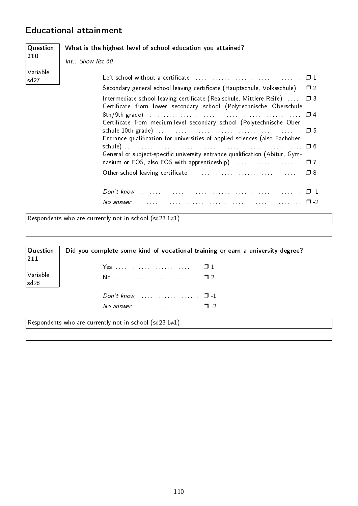#### Educational attainment

| Question                     | What is the highest level of school education you attained?                                                                                                                                                                                                                                                                                                                                                                                                                      |  |  |
|------------------------------|----------------------------------------------------------------------------------------------------------------------------------------------------------------------------------------------------------------------------------------------------------------------------------------------------------------------------------------------------------------------------------------------------------------------------------------------------------------------------------|--|--|
| 210                          | Int.: Show list 60                                                                                                                                                                                                                                                                                                                                                                                                                                                               |  |  |
| Variable<br>sd <sub>27</sub> | Secondary general school leaving certificate (Hauptschule, Volksschule) $\square$ 2<br>Intermediate school leaving certificate (Realschule, Mittlere Reife) $\Box$ 3<br>Certificate from lower secondary school (Polytechnische Oberschule<br>Certificate from medium-level secondary school (Polytechnische Ober-<br>Entrance qualification for universities of applied sciences (also Fachober-<br>General or subject-specific university entrance qualification (Abitur, Gym- |  |  |
|                              |                                                                                                                                                                                                                                                                                                                                                                                                                                                                                  |  |  |
|                              | Respondents who are currently not in school (sd23i1 $\neq$ 1)                                                                                                                                                                                                                                                                                                                                                                                                                    |  |  |

| Question<br> 211        | Did you complete some kind of vocational training or earn a university degree? |
|-------------------------|--------------------------------------------------------------------------------|
|                         |                                                                                |
| Variable<br>$ $ sd $28$ |                                                                                |
|                         | Don't know $\ldots$ $\ldots$ $\ldots$ $\ldots$ $\Box$ -1                       |
|                         | No answer $\cdots$ $\cdots$ $\Box$ -2                                          |
|                         | Respondents who are currently not in school (sd23i1 $\neq$ 1)                  |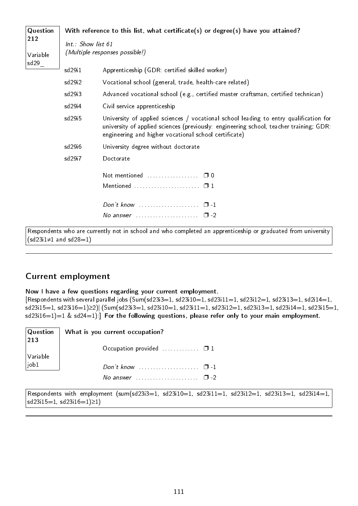| Question        |                    | With reference to this list, what certificate(s) or degree(s) have you attained?                                                                                                                                                         |
|-----------------|--------------------|------------------------------------------------------------------------------------------------------------------------------------------------------------------------------------------------------------------------------------------|
| 212<br>Variable | Int.: Show list 61 | (Multiple responses possible!)                                                                                                                                                                                                           |
| sd29            | sd29 <sub>11</sub> | Apprenticeship (GDR: certified skilled worker)                                                                                                                                                                                           |
|                 | sd29i2             | Vocational school (general, trade, health-care related)                                                                                                                                                                                  |
|                 | sd29i3             | Advanced vocational school (e.g., certified master craftsman, certified technican)                                                                                                                                                       |
|                 | sd29i4             | Civil service apprenticeship                                                                                                                                                                                                             |
|                 | sd29 <sub>15</sub> | University of applied sciences / vocational school leading to entry qualification for<br>university of applied sciences (previously: engineering school, teacher training; GDR:<br>engineering and higher vocational school certificate) |
|                 | sd29i6             | University degree without doctorate                                                                                                                                                                                                      |
|                 | sd29i7             | Doctorate                                                                                                                                                                                                                                |
|                 |                    |                                                                                                                                                                                                                                          |
|                 |                    |                                                                                                                                                                                                                                          |
|                 |                    | Don't know $\ldots \ldots \ldots \ldots \ldots \ldots \quad \Box - 1$                                                                                                                                                                    |
|                 |                    | No answer $\ldots \ldots \ldots \ldots \ldots \square$ -2                                                                                                                                                                                |
| n di C          |                    | and the state of the first terms of the state of the state of the state of the state of the state of the state                                                                                                                           |

 $|\,$ Respondents who are currently not in school and who completed an apprenticeship or graduated from university  $(sd23i1≠1$  and  $sd28=1)$ 

#### Current employment

Now I have a few questions regarding your current employment.

[Respondents with several parallel jobs  $(Sum(sd23i3=1, sd23i10=1, sd23i11=1, sd23i12=1, sd23i13=1, sd2i14=1,$ sd23i15=1, sd23i16=1)≥2)| (Sum(sd23i3=1, sd23i10=1, sd23i11=1, sd23i12=1, sd23i13=1, sd23i14=1, sd23i15=1, sd23i16=1)=1 & sd24=1):] For the following questions, please refer only to your main employment.

|                                                                     | Question   What is you current occupation?<br> 213 |            |
|---------------------------------------------------------------------|----------------------------------------------------|------------|
|                                                                     | Occupation provided $\Box$                         |            |
| $\begin{array}{c} \big  \text{Variable} \\ \text{job1} \end{array}$ |                                                    |            |
|                                                                     |                                                    | <b>C-L</b> |

Respondents with employment (sum(sd23i3=1, sd23i10=1, sd23i11=1, sd23i12=1, sd23i13=1, sd23i14=1, sd23i15=1, sd23i16=1)≥1)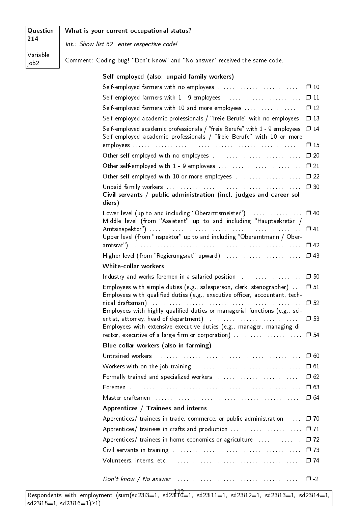| Question<br>214              | What is your current occupational status?                                 |
|------------------------------|---------------------------------------------------------------------------|
|                              | Int.: Show list 62 enter respective code!                                 |
| Variable<br>job <sub>2</sub> | Comment: Coding bug! "Don't know" and "No answer" received the same code. |
|                              | Self-employed (also: unpaid family workers)                               |

#### Self-employed farmers with no employees . . . . . . . . . . . . . . . . . . . . . . . . . . . . . ❐ 10 Self-employed farmers with 1 - 9 employees . . . . . . . . . . . . . . . . . . . . . . . . . . . ❐ 11 Self-employed farmers with 10 and more employees ...................... 0 12 Self-employed academic professionals / "freie Berufe" with no employees  $\Box$  13 Self-employed academic professionals / "freie Berufe" with  $1 - 9$  employees  $\Box$  14 Self-employed academic professionals / "freie Berufe" with 10 or more employees . . . . . . . . . . . . . . . . . . . . . . . . . . . . . . . . . . . . . . . . . . . . . . . . . . . . . . . . . . . ❐ 15 Other self-employed with no employees . . . . . . . . . . . . . . . . . . . . . . . . . . . . . . . ❐ 20 Other self-employed with 1 - 9 employees . . . . . . . . . . . . . . . . . . . . . . . . . . . . . ❐ 21 Other self-employed with 10 or more employees .................................. 0 22 Unpaid family workers . . . . . . . . . . . . . . . . . . . . . . . . . . . . . . . . . . . . . . . . . . . . . . . ❐ 30 Civil servants / public administration (incl. judges and career soldiers) Lower level (up to and including "Oberamtsmeister") . . . . . . . . . . . . . . . . □ 40 Middle level (from "Assistent" up to and including "Hauptsekretär / Amtsinspektor) . . . . . . . . . . . . . . . . . . . . . . . . . . . . . . . . . . . . . . . . . . . . . . . . . . . . . ❐ 41 Upper level (from "Inspektor" up to and including "Oberamtmann / Oberamtsrat) . . . . . . . . . . . . . . . . . . . . . . . . . . . . . . . . . . . . . . . . . . . . . . . . . . . . . . . . . . . ❐ 42 Higher level (from "Regierungsrat" upward) .................................. 0 43 White-collar workers Industry and works foremen in a salaried position  $\ldots$  . . . . . . . . . . . .  $\Box$  50 Employees with simple duties (e.g., salesperson, clerk, stenographer)  $\dots$   $\Box$  51 Employees with qualified duties (e.g., executive officer, accountant, technical draftsman) . . . . . . . . . . . . . . . . . . . . . . . . . . . . . . . . . . . . . . . . . . . . . . . . . . . . ❐ 52 Employees with highly qualified duties or managerial functions (e.g., scientist, attorney, head of department) . . . . . . . . . . . . . . . . . . . . . . . . . . . . . . . . ❐ 53 Employees with extensive executive duties (e.g., manager, managing director, executive of a large firm or corporation)  $\dots\dots\dots\dots\dots\dots\Box$  54 Blue-collar workers (also in farming) Untrained workers  $\dots\dots\dots\dots\dots\dots\dots\dots\dots\dots\dots\dots\dots\dots\dots \Box$  60 Workers with on-the-job training . . . . . . . . . . . . . . . . . . . . . . . . . . . . . . . . . . . . . ❐ 61 Formally trained and specialized workers . . . . . . . . . . . . . . . . . . . . . . . . . . . . . ❐ 62 Foremen . . . . . . . . . . . . . . . . . . . . . . . . . . . . . . . . . . . . . . . . . . . . . . . . . . . . . . . . . . . . ❐ 63 Master craftsmen . . . . . . . . . . . . . . . . . . . . . . . . . . . . . . . . . . . . . . . . . . . . . . . . . . . . ❐ 64 Apprentices / Trainees and interns Apprentices/ trainees in trade, commerce, or public administration  $\ldots$   $\Box$  70 Apprentices/ trainees in crafts and production ................................. 071 Apprentices/ trainees in home economics or agriculture  $\ldots$ . . . . . . . . . .  $\Box$  72 Civil servants in training  $\dots\dots\dots\dots\dots\dots\dots\dots\dots\dots\dots\dots\dots\qquad \square$  73 Volunteers, interns, etc. . . . . . . . . . . . . . . . . . . . . . . . . . . . . . . . . . . . . . . . . . . . . . ❐ 74

Don't know / No answer . . . . . . . . . . . . . . . . . . . . . . . . . . . . . . . . . . . . . . . . . . . . ❐ -2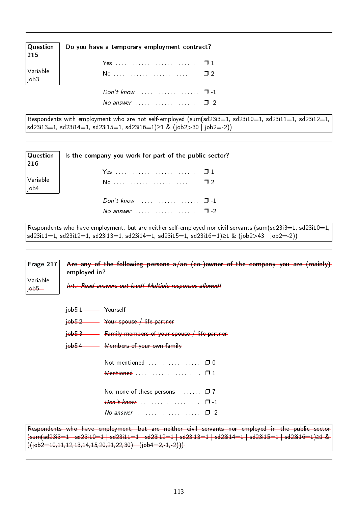| $\begin{array}{ l } \hline \text{Question} \ \hline 215 \end{array}$ | Do you have a temporary employment contract? |
|----------------------------------------------------------------------|----------------------------------------------|
|                                                                      |                                              |
| Variable<br>$ $ job3                                                 |                                              |
|                                                                      |                                              |
|                                                                      | No answer $\ldots$ , $\ldots$ , $\Box$ -2    |

Respondents with employment who are not self-employed (sum(sd23i3=1, sd23i10=1, sd23i11=1, sd23i12=1, sd23i13=1, sd23i14=1, sd23i15=1, sd23i16=1)≥1 & (job2>30 | job2=-2))

| $\begin{array}{ l } \textbf{Question} \ \hline 216 \end{array}$     | Is the company you work for part of the public sector?            |
|---------------------------------------------------------------------|-------------------------------------------------------------------|
|                                                                     |                                                                   |
| $\begin{array}{c} \big  \text{Variable} \\ \text{job4} \end{array}$ |                                                                   |
|                                                                     | Don't know $\ldots \ldots \ldots \ldots \ldots \ldots \square$ -1 |
|                                                                     | No answer $\cdots$ $\cdots$ $\cdots$ $\Box$ -2                    |

Respondents who have employment, but are neither self-employed nor civil servants (sum(sd23i3=1, sd23i10=1, sd23i11=1, sd23i12=1, sd23i13=1, sd23i14=1, sd23i15=1, sd23i16=1)≥1 & (job2>43 | job2=-2))

Frage 217 Variable  $j$  $\theta$ b5 $-$ Are any of the following persons a/an (co-)owner of the company you are (mainly) employed in? Int.: Read answers out loud! Multiple responses allowed! job5i1 Yourself job5i2 Your spouse / life partner job5i3 Family members of your spouse / life partner job5i4 Members of your own family Not mentioned . . . . . . . . . . . . . . . □ 0 Mentioned . . . . . . . . . . . . . . . . . . . . . . . ❐ 1 No, none of these persons . . . . . . . □ 7 Don't know . . . . . . . . . . . . . . . . . . . . . ❐ -1  $N_o$  answer  $\ldots$  . . . . . . . . . . . . . . .  $\Box$  -2

```
Respondents who have employment, but are neither civil servants nor employed in the public sector
(sum(sd23i3=1 | sd23i10=1 | sd23i11=1 | sd23i12=1 | sd23i13=1 | sd23i14=1 | sd23i15=1 | sd23i16=1)≥1 &
((i_0b2=10,11,12,13,14,15,20,21,22,30) ((j_0b4=2,-1,-2)))
```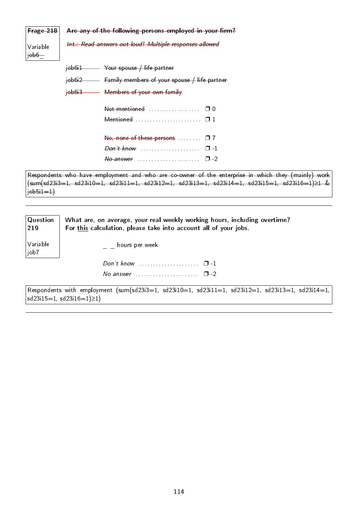| <b>Frage 218</b>           | Are any of the following persons employed in your firm?                                                                                                                                                                                                                                                                                                                                          |
|----------------------------|--------------------------------------------------------------------------------------------------------------------------------------------------------------------------------------------------------------------------------------------------------------------------------------------------------------------------------------------------------------------------------------------------|
| Variable<br>$\frac{1}{10}$ | Int.: Read answers out loud! Multiple responses allowed                                                                                                                                                                                                                                                                                                                                          |
|                            | $\frac{1}{10}$ iob6i1 - $\frac{1}{100}$ Your spouse / life partner                                                                                                                                                                                                                                                                                                                               |
|                            | $\frac{1}{10}$ job6i2 $\frac{1}{2}$ Family members of your spouse $\frac{1}{10}$ life partner                                                                                                                                                                                                                                                                                                    |
|                            | job6i3 Members of your own family                                                                                                                                                                                                                                                                                                                                                                |
|                            |                                                                                                                                                                                                                                                                                                                                                                                                  |
|                            |                                                                                                                                                                                                                                                                                                                                                                                                  |
|                            |                                                                                                                                                                                                                                                                                                                                                                                                  |
|                            |                                                                                                                                                                                                                                                                                                                                                                                                  |
|                            | $\theta$ answer $\theta$ . The summary set of $\theta$ -2                                                                                                                                                                                                                                                                                                                                        |
|                            | Respondents who have employment and who are co-owner of the enterprise in which they (mainly) work<br>$(\textsf{sum}(\textsf{sd}23\textsf{id}=1,\ \textsf{sd}23\textsf{id}=1,\ \textsf{sd}23\textsf{id}=1,\ \textsf{sd}23\textsf{id}=1,\ \textsf{sd}23\textsf{id}=1,\ \textsf{sd}23\textsf{id}=1,\ \textsf{sd}23\textsf{id}=1,\ \textsf{sd}23\textsf{id}=1,\ \textsf{sd}23\textsf{id}=1) \geq 1$ |

job5i1=1)

| $\mid$ Question<br>$ 219\rangle$ | What are, on average, your real weekly working hours, including overtime?<br>For this calculation, please take into account all of your jobs. |
|----------------------------------|-----------------------------------------------------------------------------------------------------------------------------------------------|
| Variable<br>job7                 | hours per week                                                                                                                                |
|                                  | Don't know $\ldots$ $\ldots$ $\ldots$ $\ldots$ $\Box$ -1                                                                                      |
|                                  | No answer $\ldots \ldots \ldots \ldots \ldots \ldots \square$ -2                                                                              |

 $\sqrt{\frac{3}{12}}$  Respondents with employment  $\frac{\text{(sums13i3=1, sd23i10=1, sd23i11=1, sd23i12=1, sd23i13=1, sd23i14=1, sd23i14=1, sd23i14=1, sd23i14=1, sd23i14=1, sd23i14=1, sd23i14=1, sd23i14=1, sd23i14=1, sd23i14=1, sd23i14=1, sd23i14=1, sd23i14=1, sd23i14=1, sd23$ sd23i15=1, sd23i16=1)≥1)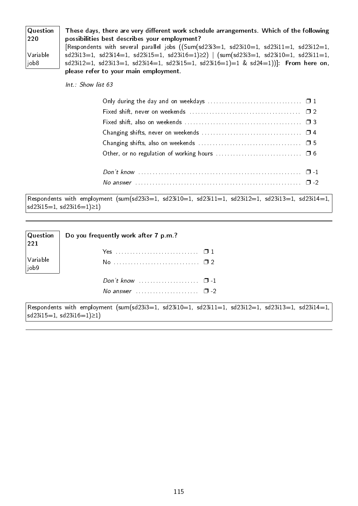| $\sqrt{Q}$ uestion | These days, there are very different work schedule arrangements. Which of the following                                                                                                                                                                                  |
|--------------------|--------------------------------------------------------------------------------------------------------------------------------------------------------------------------------------------------------------------------------------------------------------------------|
| 220                | possibilities best describes your employment?                                                                                                                                                                                                                            |
|                    | [Respondents with several parallel jobs $((Sum(sd23i3=1, sd23i10=1, sd23i11=1, sd23i12=1, sd23i12=1, sd23i12=1, sd23i12=1, sd23i12=1, sd23i12=1, sd23i12=1, sd23i12=1, sd23i12=1, sd23i12=1, sd23i12=1, sd23i12=1, sd23i12=1, sd23i12=1, sd23i12=1, sd23i12=1, sd23i12=$ |
| $\sqrt{}$ Variable | $sd23i13=1$ , $sd23i14=1$ , $sd23i15=1$ , $sd23i16=1) \ge 2$   $(sum(sd23i3=1, sd23i10=1, sd23i11=1,$                                                                                                                                                                    |
| job8               | $sd23i12=1$ , $sd23i13=1$ , $sd23i14=1$ , $sd23i15=1$ , $sd23i16=1$ )=1 & $sd24=1$ )). From here on,                                                                                                                                                                     |
|                    | please refer to your main employment.                                                                                                                                                                                                                                    |

Int.: Show list 63

Respondents with employment (sum(sd23i3=1, sd23i10=1, sd23i11=1, sd23i12=1, sd23i13=1, sd23i14=1, sd23i15=1, sd23i16=1)≥1)

| $\left \frac{\text{Question}}{\text{221}}\right $ | Do you frequently work after 7 p.m.?                      |  |
|---------------------------------------------------|-----------------------------------------------------------|--|
|                                                   |                                                           |  |
| Variable<br>job9                                  | No <u>0</u> 2                                             |  |
|                                                   |                                                           |  |
|                                                   | No answer $\ldots \ldots \ldots \ldots \ldots \square$ -2 |  |

Respondents with employment (sum(sd23i3=1, sd23i10=1, sd23i11=1, sd23i12=1, sd23i13=1, sd23i14=1,  $|sd23i15=1, sd23i16=1)≥1)$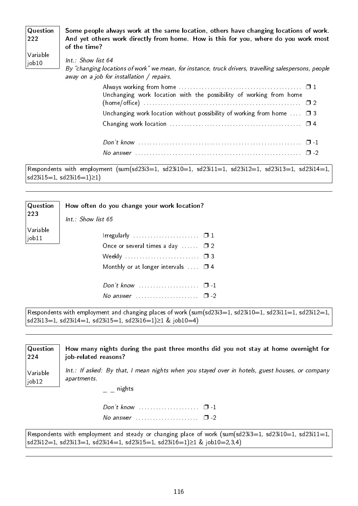| Question<br>222   | Some people always work at the same location, others have changing locations of work.<br>And yet others work directly from home. How is this for you, where do you work most<br>of the time? |
|-------------------|----------------------------------------------------------------------------------------------------------------------------------------------------------------------------------------------|
| Variable<br>job10 | Int.: Show list 64<br>By "changing locations of work" we mean, for instance, truck drivers, travelling salespersons, people<br>away on a job for installation / repairs.                     |
|                   | Always working from home $\ldots \ldots \ldots \ldots \ldots \ldots \ldots \ldots \ldots \ldots \square 1$<br>Unchanging work location with the possibility of working from home             |

| Unchanging work location without possibility of working from home $\ldots$ $\Box$ 3 |  |
|-------------------------------------------------------------------------------------|--|
|                                                                                     |  |
|                                                                                     |  |
|                                                                                     |  |
| No answer $\Box$ 2                                                                  |  |

Respondents with employment (sum(sd23i3=1, sd23i10=1, sd23i11=1, sd23i12=1, sd23i13=1, sd23i14=1, sd23i15=1, sd23i16=1)≥1)

| Question<br>223              | How often do you change your work location?<br>$Int.:$ Show list 65                                                                                         |
|------------------------------|-------------------------------------------------------------------------------------------------------------------------------------------------------------|
| Variable<br>$\vert$ job $11$ | Irregularly $\ldots \ldots \ldots \ldots \ldots \ldots \square 1$<br>Once or several times a day $\Box$ $\Box$ 2<br>Monthly or at longer intervals $\Box$ 4 |
|                              | $\Box$                                                                                                                                                      |

Respondents with employment and changing places of work (sum(sd23i3=1, sd23i10=1, sd23i11=1, sd23i12=1, sd23i13=1, sd23i14=1, sd23i15=1, sd23i16=1)≥1 & job10=4)

| Question<br> 224                   | How many nights during the past three months did you not stay at home overnight for<br>job-related reasons?                                            |
|------------------------------------|--------------------------------------------------------------------------------------------------------------------------------------------------------|
| Variable<br>$\vert$ job $12 \vert$ | Int.: If asked: By that, I mean nights when you stayed over in hotels, guest houses, or company<br>apartments.<br>$\overline{a}$ $\overline{a}$ nights |
|                                    | No answer $\ldots \ldots \ldots \ldots \ldots \square$ -2                                                                                              |

Respondents with employment and steady or changing place of work (sum(sd23i3=1, sd23i10=1, sd23i11=1, sd23i12=1, sd23i13=1, sd23i14=1, sd23i15=1, sd23i16=1)≥1 & job10=2,3,4)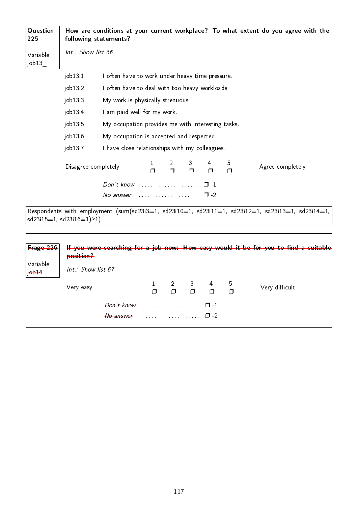| Question<br>225   |                                | following statements?                                                |                          |             |             |             | How are conditions at your current workplace? To what extent do you agree with the                |
|-------------------|--------------------------------|----------------------------------------------------------------------|--------------------------|-------------|-------------|-------------|---------------------------------------------------------------------------------------------------|
| Variable<br>job13 | Int.: Show list 66             |                                                                      |                          |             |             |             |                                                                                                   |
|                   | job13 <sub>i</sub> 1           | I often have to work under heavy time pressure.                      |                          |             |             |             |                                                                                                   |
|                   | job13i2                        | I often have to deal with too heavy workloads.                       |                          |             |             |             |                                                                                                   |
|                   | job13i3                        | My work is physically strenuous.                                     |                          |             |             |             |                                                                                                   |
|                   | job13i4                        | I am paid well for my work.                                          |                          |             |             |             |                                                                                                   |
|                   | job13i5                        | My occupation provides me with interesting tasks.                    |                          |             |             |             |                                                                                                   |
|                   | job13 <sub>i6</sub>            | My occupation is accepted and respected.                             |                          |             |             |             |                                                                                                   |
|                   | job13i7                        | I have close relationships with my colleagues.                       |                          |             |             |             |                                                                                                   |
|                   | Disagree completely            |                                                                      | $\overline{2}$<br>$\Box$ | 3<br>$\Box$ | 4<br>$\Box$ | 5<br>$\Box$ | Agree completely                                                                                  |
|                   |                                | Don't know $\ldots \ldots \ldots \ldots \ldots \ldots \quad \Box -1$ |                          |             |             |             |                                                                                                   |
|                   |                                | No answer $\ldots \ldots \ldots \ldots \ldots \square$ -2            |                          |             |             |             |                                                                                                   |
|                   | $sd23i15=1, sd23i16=1) \ge 1)$ |                                                                      |                          |             |             |             | Respondents with employment (sum(sd23i3=1, sd23i10=1, sd23i11=1, sd23i12=1, sd23i13=1, sd23i14=1, |

| Frage 226              | position?                       |  |                                                                                                               | If you were searching for a job now: How easy would it be for you to find a suitable |
|------------------------|---------------------------------|--|---------------------------------------------------------------------------------------------------------------|--------------------------------------------------------------------------------------|
| Variable<br>$jobj + 4$ | <del>Int.: Show list 67 —</del> |  |                                                                                                               |                                                                                      |
|                        | Very easy                       |  | $\begin{array}{ccccccccccccccccc}\n1 & 2 & 3 & 4 & 5 \\ \Box & \Box & \Box & \Box & \Box & \Box\n\end{array}$ | Very difficult                                                                       |
|                        |                                 |  |                                                                                                               |                                                                                      |
|                        |                                 |  |                                                                                                               |                                                                                      |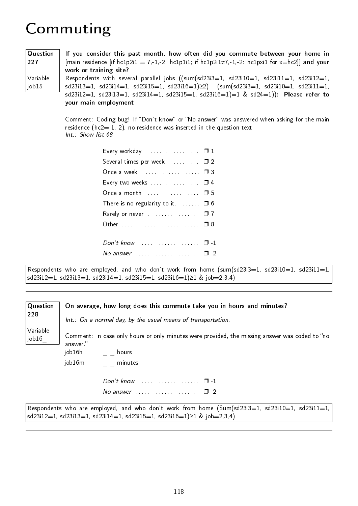### Commuting

| Question      | If you consider this past month, how often did you commute between your home in                                                                                                                                                                                          |
|---------------|--------------------------------------------------------------------------------------------------------------------------------------------------------------------------------------------------------------------------------------------------------------------------|
|               |                                                                                                                                                                                                                                                                          |
| $ 227\rangle$ | [main residence [if hc1p2i1 = 7,-1,-2: hc1p1i1; if hc1p2i1 $\neq$ 7,-1,-2: hc1pxi1 for x=hc2]] and your                                                                                                                                                                  |
|               | work or training site?                                                                                                                                                                                                                                                   |
| Variable      | Respondents with several parallel jobs $((sum(sd23i3=1, sd23i10=1, sd23i11=1, sd23i12=1, sd23i12=1, sd23i12=1, sd23i12=1, sd23i12=1, sd23i12=1, sd23i12=1, sd23i12=1, sd23i12=1, sd23i12=1, sd23i12=1, sd23i12=1, sd23i12=1, sd23i12=1, sd23i12=1, sd23i12=1, sd23i12=1$ |
| $\vert$ job15 | $sd23i13=1$ , $sd23i14=1$ , $sd23i15=1$ , $sd23i16=1) \ge 2$   $(sum(sd23i3=1, sd23i10=1, sd23i11=1,$                                                                                                                                                                    |
|               | $sd23i12=1$ , $sd23i13=1$ , $sd23i14=1$ , $sd23i15=1$ , $sd23i16=1)=1$ & $sd24=1$ ): Please refer to                                                                                                                                                                     |
|               | your main employment                                                                                                                                                                                                                                                     |

Comment: Coding bug! If "Don't know" or "No answer" was answered when asking for the main residence ( $hc2=1,-2$ ), no residence was inserted in the question text. Int.: Show list 68

| Several times per week  02<br>Once a week  03<br>Every two weeks $\ldots$ $\Box$ 4 | Every workday $\Box$ 1 |
|------------------------------------------------------------------------------------|------------------------|
|                                                                                    |                        |
|                                                                                    |                        |
|                                                                                    |                        |
| Once a month  05                                                                   |                        |
| There is no regularity to it. $\Box$ $\Box$ 6                                      |                        |
| Rarely or never  07                                                                |                        |
|                                                                                    |                        |
|                                                                                    |                        |
| No answer $\ldots$ $\ldots$ $\ldots$ $\Box$ -2                                     |                        |

Respondents who are employed, and who don't work from home (sum(sd23i3=1, sd23i10=1, sd23i11=1, sd23i12=1, sd23i13=1, sd23i14=1, sd23i15=1, sd23i16=1)≥1 & job=2,3,4)

#### **Question** 228 Variable job16\_ On average, how long does this commute take you in hours and minutes? Int.: On a normal day, by the usual means of transportation. Comment: In case only hours or only minutes were provided, the missing answer was coded to "no answer. job $16h$   $=$   $-$  hours job16m \_ \_ minutes Don't know . . . . . . . . . . . . . . . . . □ -1 No answer  $\ldots$ , . . . . . . . . . . . . . .  $\Box$  -2

Respondents who are employed, and who don't work from home  $(Sum(sd23i3=1, sd23i10=1, sd23i11=1,$ sd23i12=1, sd23i13=1, sd23i14=1, sd23i15=1, sd23i16=1)≥1 & job=2,3,4)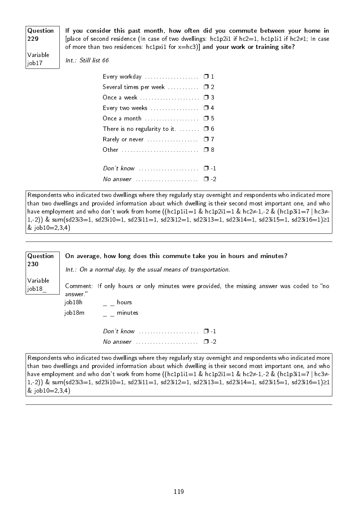**Question** If you consider this past month, how often did you commute between your home in [place of second residence (In case of two dwellings: hc1p2i1 if hc2=1, hc1p1i1 if hc2≠1; In case of more than two residences:  $hclpxi1$  for  $x=hc3$ ] and your work or training site?

Variable job17

229

Int.: Still list 66

| Every workday $\Box$ 1                                    |  |
|-----------------------------------------------------------|--|
| Several times per week  02                                |  |
| Once a week  03                                           |  |
| Every two weeks $\dots\dots\dots\dots\dots\quad\Box$ 4    |  |
|                                                           |  |
| There is no regularity to it. $\Box$ $\Box$ 6             |  |
| Rarely or never $\ldots \ldots \ldots \ldots \square$ 7   |  |
| Other  08                                                 |  |
|                                                           |  |
| Don't know $\ldots$ $\ldots$ $\ldots$ $\ldots$ $\Box$ -1  |  |
| No answer $\ldots \ldots \ldots \ldots \ldots \square$ -2 |  |

Respondents who indicated two dwellings where they regularly stay overnight and respondents who indicated more than two dwellings and provided information about which dwelling is their second most important one, and who have employment and who don't work from home ((hc1p1i1=1 & hc1p2i1=1 & hc2≠-1,-2 & (hc1p3i1=7 | hc3≠- 1,-2)) & sum(sd23i3=1, sd23i10=1, sd23i11=1, sd23i12=1, sd23i13=1, sd23i14=1, sd23i15=1, sd23i16=1)≥1 &  $job10=2,3,4)$ 

| $\sqrt{Q}$ uestion<br>230 |                             | On average, how long does this commute take you in hours and minutes?<br>Int.: On a normal day, by the usual means of transportation. |
|---------------------------|-----------------------------|---------------------------------------------------------------------------------------------------------------------------------------|
| Variable<br> job18        | answer."<br>job18h<br>hours | Comment: If only hours or only minutes were provided, the missing answer was coded to "no                                             |
|                           | job18m<br>minutes           | Don't know $\ldots$ $\ldots$ $\ldots$ $\ldots$ $\Box$ -1<br>$\Box$                                                                    |

Respondents who indicated two dwellings where they regularly stay overnight and respondents who indicated more than two dwellings and provided information about which dwelling is their second most important one, and who have employment and who don't work from home ((hc1p1i1=1 & hc1p2i1=1 & hc2≠-1,-2 & (hc1p3i1=7 | hc3≠- 1,-2)) & sum(sd23i3=1, sd23i10=1, sd23i11=1, sd23i12=1, sd23i13=1, sd23i14=1, sd23i15=1, sd23i16=1)≥1 &  $job10=2,3,4)$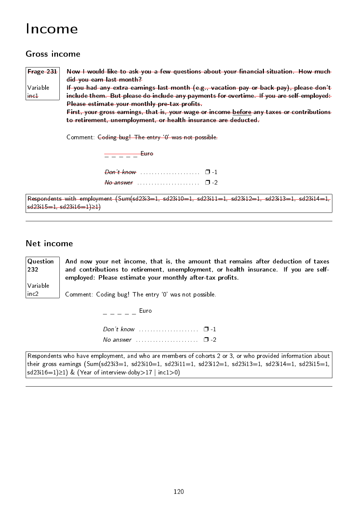### Income

#### Gross income

Frage 231 Variable inc1

Now I would like to ask you a few questions about your financial situation. How much did you earn last month?

If you had any extra earnings last month (e.g., vacation pay or back pay), please don't include them. But please do include any payments for overtime. If you are self-employed: Please estimate your monthly pre-tax profits.

First, your gross earnings, that is, your wage or income before any taxes or contributions to retirement, unemployment, or health insurance are deducted.

Comment: Coding bug! The entry `0' was not possible.

\_ \_ \_ \_ \_ Euro Don't know . . . . . . . . . . . . . . . . . . . . . ❐ -1  $N\sigma$  answer  $\ldots$  . . . . . . . . . . . . . . . . .  $\Box$  -2

Respondents with employment (Sum(sd23i3=1, sd23i10=1, sd23i11=1, sd23i12=1, sd23i13=1, sd23i14=1, sd23i15=1, sd23i16=1)≥1)

#### Net income

232

Variable inc2

Question And now your net income, that is, the amount that remains after deduction of taxes and contributions to retirement, unemployment, or health insurance. If you are selfemployed: Please estimate your monthly after-tax profits.

Comment: Coding bug! The entry `0' was not possible.

 $-$  Euro Don't know . . . . . . . . . . . . . . . . . □ -1 No answer  $\ldots$  . . . . . . . . . . . . . . .  $\Box$  -2

Respondents who have employment, and who are members of cohorts 2 or 3, or who provided information about their gross earnings (Sum(sd23i3=1, sd23i10=1, sd23i11=1, sd23i12=1, sd23i13=1, sd23i14=1, sd23i15=1, sd23i16=1)≥1) & (Year of interview-doby>17 | inc1>0)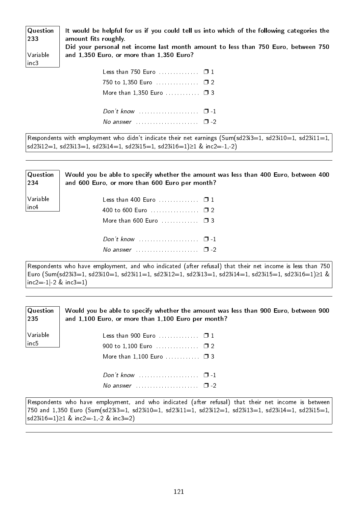| Question<br>233 | It would be helpful for us if you could tell us into which of the following categories the<br>amount fits roughly. |
|-----------------|--------------------------------------------------------------------------------------------------------------------|
|                 | Did your personal net income last month amount to less than 750 Euro, between 750                                  |
| Variable        | and 1,350 Euro, or more than 1,350 Euro?                                                                           |
| inc3            |                                                                                                                    |
|                 | Less than 750 Euro $\ldots$ . $\Box$ 1                                                                             |
|                 |                                                                                                                    |
|                 | More than $1,350$ Euro $\Box$ 3                                                                                    |
|                 |                                                                                                                    |

| Respondents with employment who didn't indicate their net earnings (Sum(sd23i3=1, sd23i10=1, sd23i11=1, |
|---------------------------------------------------------------------------------------------------------|
| $ sd23i12=1, sd23i13=1, sd23i14=1, sd23i15=1, sd23i16=1)\ge 1$ & inc2=-1,-2)                            |

No answer  $\ldots$  . . . . . . . . . . . . . . .  $\Box$  -2

| $\mid$ Question<br> 234 | Would you be able to specify whether the amount was less than 400 Euro, between 400<br>and 600 Euro, or more than 600 Euro per month? |
|-------------------------|---------------------------------------------------------------------------------------------------------------------------------------|
| Variable<br>$ $ inc $4$ | Less than 400 Euro $\ldots$ . $\Box$ 1                                                                                                |
|                         |                                                                                                                                       |
|                         | More than 600 Euro $\ldots$ $\Box$ 3                                                                                                  |
|                         |                                                                                                                                       |
|                         | No answer $\ldots$ $\ldots$ $\ldots$ $\ldots$ $\Box$ -2                                                                               |
|                         | Respondents who have employment, and who indicated (after refusal) that their net income is less than 750 l                           |

Respondents who have employment, and who indicated (after refusal) that their net income is less than 750 Euro (Sum(sd23i3=1, sd23i10=1, sd23i11=1, sd23i12=1, sd23i13=1, sd23i14=1, sd23i15=1, sd23i16=1)≥1 &  $|inc2=1| - 2 \& inc3=1)$ 

| $\sqrt{\mathsf{Q}}$ uestion<br>235 | Would you be able to specify whether the amount was less than 900 Euro, between 900<br>and 1,100 Euro, or more than 1,100 Euro per month? |
|------------------------------------|-------------------------------------------------------------------------------------------------------------------------------------------|
| Variable<br>$ $ in c5              | Less than 900 Euro $\Box$ 1                                                                                                               |
|                                    | More than $1,100$ Euro $\Box$ 3                                                                                                           |
|                                    | Don't know $\ldots$ $\ldots$ $\ldots$ $\ldots$ $\Box$ -1                                                                                  |
|                                    | No answer $\ldots \ldots \ldots \ldots \ldots \ldots \square$ -2                                                                          |

Respondents who have employment, and who indicated (after refusal) that their net income is between 750 and 1,350 Euro (Sum(sd23i3=1, sd23i10=1, sd23i11=1, sd23i12=1, sd23i13=1, sd23i14=1, sd23i15=1, sd23i16=1)≥1 & inc2=-1,-2 & inc3=2)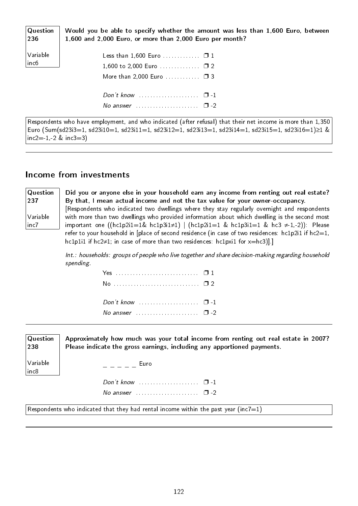| $\sqrt{Q}$ uestion<br> 236 | Would you be able to specify whether the amount was less than 1,600 Euro, between<br>1,600 and 2,000 Euro, or more than 2,000 Euro per month? |
|----------------------------|-----------------------------------------------------------------------------------------------------------------------------------------------|
| Variable<br>inc6           | Less than $1,600$ Euro $\Box$ 1<br>1,600 to 2,000 Euro $\square$ 2                                                                            |
|                            | More than 2,000 Euro $\Box$ 3                                                                                                                 |
|                            | Don't know $\cdots$ $\cdots$ $\cdots$                                                                                                         |
|                            | No answer $\ldots \ldots \ldots \ldots \ldots \ldots \square$ -2                                                                              |

Respondents who have employment, and who indicated (after refusal) that their net income is more than 1,350 Euro (Sum(sd23i3=1, sd23i10=1, sd23i11=1, sd23i12=1, sd23i13=1, sd23i14=1, sd23i15=1, sd23i16=1)≥1 & inc2= $-1,-2$  & inc3=3)

#### Income from investments

| $\mid$ Question | Did you or anyone else in your household earn any income from renting out real estate?                   |
|-----------------|----------------------------------------------------------------------------------------------------------|
| 237             | By that, I mean actual income and not the tax value for your owner-occupancy.                            |
|                 | [Respondents who indicated two dwellings where they stay regularly overnight and respondents             |
| Variable        | with more than two dwellings who provided information about which dwelling is the second most            |
| inc7            | important one ((hc1p2i1=1& hc1p3i1 $\neq$ 1)   (hc1p2i1=1 & hc1p3i1=1 & hc3 $\neq$ 1,-2)): Please        |
|                 | refer to your household in [place of second residence (in case of two residences: $hc1p2i1$ if $hc2=1$ , |
|                 | hc1p1i1 if hc2 $\neq$ 1; in case of more than two residences: hc1pxi1 for $x=hc3$ ].                     |
|                 |                                                                                                          |

Int.: households: groups of people who live together and share decision-making regarding household spending.

| Don't know $\ldots$ $\ldots$ $\ldots$ $\ldots$ $\ldots$ $\Box$ -1 |  |
|-------------------------------------------------------------------|--|
| No answer $\cdots$ $\Box$ -2                                      |  |
|                                                                   |  |

| $\sf Q$ uestion<br>238 | Approximately how much was your total income from renting out real estate in 2007?<br>Please indicate the gross earnings, including any apportioned payments. |
|------------------------|---------------------------------------------------------------------------------------------------------------------------------------------------------------|
| Variable<br>inc8       | Euro                                                                                                                                                          |
|                        |                                                                                                                                                               |
|                        | No answer $\ldots \ldots \ldots \ldots \ldots \square$ -2                                                                                                     |

Respondents who indicated that they had rental income within the past year (inc7=1)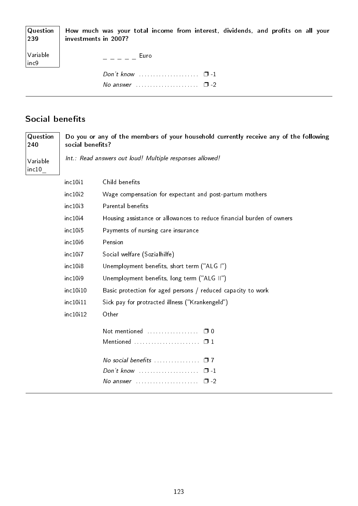| 239                  | $\sqrt{a}$ Question $\parallel$ How much was your total income from interest, dividends, and profits on all your<br>investments in 2007? |
|----------------------|------------------------------------------------------------------------------------------------------------------------------------------|
| Variable<br>$ $ inc9 | Euro                                                                                                                                     |
|                      |                                                                                                                                          |
|                      | No answer $\ldots \ldots \ldots \ldots \ldots \ldots \square$ -2                                                                         |

### Social benefits

| Question<br>240   | Do you or any of the members of your household currently receive any of the following<br>social benefits? |                                                                       |
|-------------------|-----------------------------------------------------------------------------------------------------------|-----------------------------------------------------------------------|
| Variable<br>inc10 | Int.: Read answers out loud! Multiple responses allowed!                                                  |                                                                       |
|                   | inc10i1                                                                                                   | Child benefits                                                        |
|                   | inc10i2                                                                                                   | Wage compensation for expectant and post-partum mothers               |
|                   | inc10i3                                                                                                   | Parental benefits                                                     |
|                   | inc10i4                                                                                                   | Housing assistance or allowances to reduce financial burden of owners |
|                   | inc10i5                                                                                                   | Payments of nursing care insurance                                    |
|                   | inc10i6                                                                                                   | Pension                                                               |
|                   | inc10i7                                                                                                   | Social welfare (Sozialhilfe)                                          |
|                   | inc10i8                                                                                                   | Unemployment benefits, short term ("ALG I")                           |
|                   | inc10i9                                                                                                   | Unemployment benefits, long term ("ALG II")                           |
|                   | inc10i10                                                                                                  | Basic protection for aged persons / reduced capacity to work          |
|                   | inc10i11                                                                                                  | Sick pay for protracted illness ("Krankengeld")                       |
|                   | inc10i12                                                                                                  | Other                                                                 |
|                   |                                                                                                           | Not mentioned<br>$\Box$ 0                                             |
|                   |                                                                                                           | Mentioned<br>$\Box$ 1                                                 |
|                   |                                                                                                           | No social benefits<br>$\square$ 7                                     |
|                   |                                                                                                           | Don't know<br>$\Box$ -1                                               |
|                   |                                                                                                           | $\Box$ -2                                                             |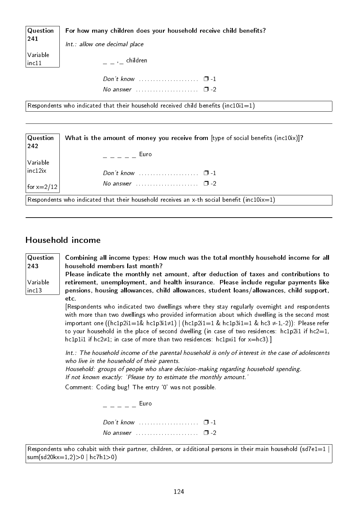| Question                                                                           | For how many children does your household receive child benefits? |
|------------------------------------------------------------------------------------|-------------------------------------------------------------------|
| 241                                                                                | Int.: allow one decimal place                                     |
| Variable<br>inc11                                                                  | $\mu = \mu$ , children                                            |
|                                                                                    | Don't know $\ldots$ $\ldots$ $\ldots$ $\ldots$ $\Box$ -1          |
|                                                                                    | No answer $\ldots \ldots \ldots \ldots \ldots \square$ -2         |
| Respondents who indicated that their household received child benefits (inc10i1=1) |                                                                   |

| Question<br>242 | What is the amount of money you receive from [type of social benefits $(inc10ix)]$ ?       |
|-----------------|--------------------------------------------------------------------------------------------|
| Variable        | Euro<br>$\mathcal{L} = \mathcal{L} = \mathcal{L}$                                          |
| inc12ix         |                                                                                            |
| for x=2/12 $ $  | No answer $\ldots \ldots \ldots \ldots \ldots \quad \Box -2$                               |
|                 | Respondents who indicated that their household receives an x-th social benefit (inc10ix=1) |

#### Household income

243

Variable inc13

**Question** Combining all income types: How much was the total monthly household income for all household members last month?

> Please indicate the monthly net amount, after deduction of taxes and contributions to retirement, unemployment, and health insurance. Please include regular payments like pensions, housing allowances, child allowances, student loans/allowances, child support, etc.

[Respondents who indicated two dwellings where they stay regularly overnight and respondents with more than two dwellings who provided information about which dwelling is the second most important one ((hc1p2i1=1& hc1p3i1≠1) | (hc1p2i1=1 & hc1p3i1=1 & hc3  $\neq$ -1,-2)): Please refer to your household in the place of second dwelling (in case of two residences: hc1p2i1 if hc2=1, hc1p1i1 if hc2≠1; in case of more than two residences: hc1pxi1 for x=hc3).]

Int.: The household income of the parental household is only of interest in the case of adolescents who live in the household of their parents.

Household: groups of people who share decision-making regarding household spending. If not known exactly: 'Please try to estimate the monthly amount.'

Comment: Coding bug! The entry `0' was not possible.

 $=$   $=$   $=$   $=$   $=$   $=$   $\epsilon$ Don't know . . . . . . . . . . . . . . . . . . . . . ❐ -1 No answer  $\cdots$  . . . . . . . . . . . . . . . .  $\Box$  -2

Respondents who cohabit with their partner, children, or additional persons in their main household (sd7e1=1  $\mid$  $sum(sd20kx=1,2)>0$  | hc7h1>0)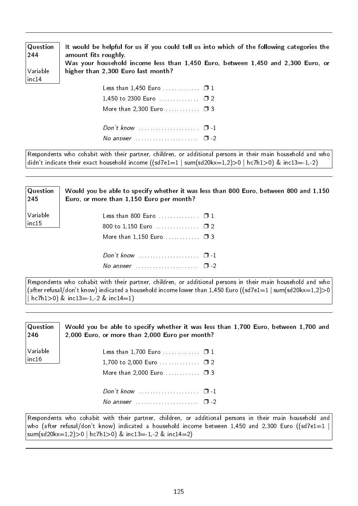| $\sqrt{Q}$ uestion<br>244 | It would be helpful for us if you could tell us into which of the following categories the<br>amount fits roughly.<br>Was your household income less than 1,450 Euro, between 1,450 and 2,300 Euro, or |
|---------------------------|--------------------------------------------------------------------------------------------------------------------------------------------------------------------------------------------------------|
| Variable                  | higher than 2,300 Euro last month?                                                                                                                                                                     |
| $ $ inc $14$              |                                                                                                                                                                                                        |
|                           |                                                                                                                                                                                                        |
|                           |                                                                                                                                                                                                        |
|                           | More than 2,300 Euro $\Box$ 3                                                                                                                                                                          |
|                           |                                                                                                                                                                                                        |

No answer  $\ldots$  . . . . . . . . . . . . . . .  $\Box$  -2

Respondents who cohabit with their partner, children, or additional persons in their main household and who didn't indicate their exact household income  $((sd7e1=1 \mid sum(sd20kx=1,2)>0 \mid hc7h1>0) \& inc13=1,-2)$ 

| $\sqrt{Q}$ uestion<br>245 | Would you be able to specify whether it was less than 800 Euro, between 800 and 1,150<br>Euro, or more than 1,150 Euro per month? |  |
|---------------------------|-----------------------------------------------------------------------------------------------------------------------------------|--|
| Variable                  | Less than 800 Euro $\blacksquare$ . $\blacksquare$ 1                                                                              |  |
| $ $ inc $15$              |                                                                                                                                   |  |
|                           | More than $1,150$ Euro $\Box$ 3                                                                                                   |  |
|                           | Don't know $\ldots$ $\ldots$ $\ldots$ $\ldots$ $\Box$ -1                                                                          |  |
|                           | No answer $\ldots \ldots \ldots \ldots \ldots \square$ -2                                                                         |  |

Respondents who cohabit with their partner, children, or additional persons in their main household and who (after refusal/don't know) indicated a household income lower than 1,450 Euro ((sd7e1=1 | sum(sd20kx=1,2)>0  $hc7h1>0$ ) & inc13=-1,-2 & inc14=1)

| Question<br>246 | Would you be able to specify whether it was less than 1,700 Euro, between 1,700 and<br>2,000 Euro, or more than 2,000 Euro per month? |
|-----------------|---------------------------------------------------------------------------------------------------------------------------------------|
| Variable        | Less than 1,700 Euro $\Box$ 1                                                                                                         |
| inc16           | 1,700 to 2,000 Euro $\square$ 2                                                                                                       |
|                 | More than 2,000 Euro $\Box$ 3                                                                                                         |
|                 |                                                                                                                                       |
|                 | No answer $\ldots$ , $\ldots$ , $\Box$ -2                                                                                             |
|                 | Respondents who cohabit with their partner, children, or additional persons in their main household and                               |

who (after refusal/don't know) indicated a household income between 1,450 and 2,300 Euro ((sd7e1=1 | sum(sd20kx=1,2)>0 | hc7h1>0) & inc13=-1,-2 & inc14=2)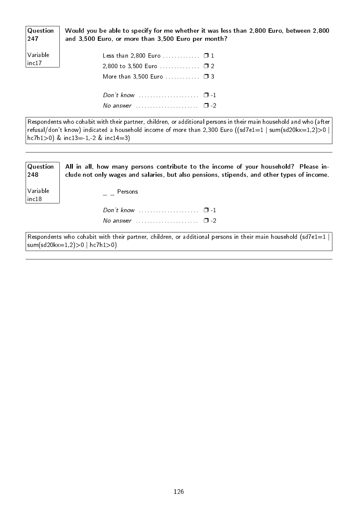Question Would you be able to specify for me whether it was less than 2,800 Euro, between 2,800 and 3,500 Euro, or more than 3,500 Euro per month?

| $\bigg \text{Variable} \ \text{inc17}$ |  | Less than 2,800 Euro $\square$ 1<br>2,800 to 3,500 Euro $\square$ 2<br>More than $3,500$ Euro $\Box$ 3 |  |
|----------------------------------------|--|--------------------------------------------------------------------------------------------------------|--|
|                                        |  | Don't know $\cdots$ $\cdots$ $\cdots$<br>No answer $\ldots \ldots \ldots \ldots \ldots \quad \Box -2$  |  |

247

Respondents who cohabit with their partner, children, or additional persons in their main household and who (after refusal/don't know) indicated a household income of more than 2,300 Euro ((sd7e1=1 | sum(sd20kx=1,2)>0 |  $hc7h1>0$ ) &  $inc13=1,-2$  &  $inc14=3$ )

| Question<br>248   | All in all, how many persons contribute to the income of your household? Please in-<br>clude not only wages and salaries, but also pensions, stipends, and other types of income. |
|-------------------|-----------------------------------------------------------------------------------------------------------------------------------------------------------------------------------|
| Variable<br>inc18 | Persons                                                                                                                                                                           |
|                   | Don't know $\ldots \ldots \ldots \ldots \ldots \quad \Box$ -1                                                                                                                     |
|                   | No answer $\cdots$ $\cdots$ $\Box$ -2                                                                                                                                             |
|                   | Respondents who cohabit with their partner, children, or additional persons in their main household (sd7e1=1 $\mid$<br>$ sum(sd20kx=1,2)>0 hc7h1>0)$                              |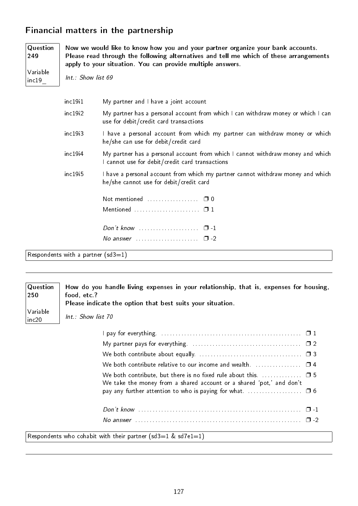#### Financial matters in the partnership

| Question<br>249   |                     | Now we would like to know how you and your partner organize your bank accounts.<br>Please read through the following alternatives and tell me which of these arrangements<br>apply to your situation. You can provide multiple answers. |  |  |  |  |  |  |  |  |  |  |  |
|-------------------|---------------------|-----------------------------------------------------------------------------------------------------------------------------------------------------------------------------------------------------------------------------------------|--|--|--|--|--|--|--|--|--|--|--|
| Variable<br>inc19 | Int.: Show list 69  |                                                                                                                                                                                                                                         |  |  |  |  |  |  |  |  |  |  |  |
|                   | inc19 <sub>11</sub> | My partner and I have a joint account                                                                                                                                                                                                   |  |  |  |  |  |  |  |  |  |  |  |
|                   | inc19i2             | My partner has a personal account from which I can withdraw money or which I can<br>use for debit/credit card transactions                                                                                                              |  |  |  |  |  |  |  |  |  |  |  |
|                   | inc19i3             | I have a personal account from which my partner can withdraw money or which<br>he/she can use for debit/credit card                                                                                                                     |  |  |  |  |  |  |  |  |  |  |  |
|                   | inc19 <sub>14</sub> | My partner has a personal account from which I cannot withdraw money and which<br>I cannot use for debit/credit card transactions                                                                                                       |  |  |  |  |  |  |  |  |  |  |  |
|                   | inc19i5             | I have a personal account from which my partner cannot withdraw money and which<br>he/she cannot use for debit/credit card                                                                                                              |  |  |  |  |  |  |  |  |  |  |  |
|                   |                     |                                                                                                                                                                                                                                         |  |  |  |  |  |  |  |  |  |  |  |
|                   |                     | Mentioned $\ldots \ldots \ldots \ldots \ldots \ldots \square 1$                                                                                                                                                                         |  |  |  |  |  |  |  |  |  |  |  |
|                   |                     | Don't know $\cdots$ $\Box$ $\Box$                                                                                                                                                                                                       |  |  |  |  |  |  |  |  |  |  |  |
|                   |                     | No answer $\ldots \ldots \ldots \ldots \ldots \square$ -2                                                                                                                                                                               |  |  |  |  |  |  |  |  |  |  |  |
|                   |                     |                                                                                                                                                                                                                                         |  |  |  |  |  |  |  |  |  |  |  |

Respondents with a partner (sd3=1)

Question 250 Variable inc20 How do you handle living expenses in your relationship, that is, expenses for housing, food, etc.? Please indicate the option that best suits your situation. Int.: Show list 70 I pay for everything. . . . . . . . . . . . . . . . . . . . . . . . . . . . . . . . . . . . . . . . . . . . . . . . . . ❐ 1 My partner pays for everything. . . . . . . . . . . . . . . . . . . . . . . . . . . . . . . . . . . . . . . ❐ 2 We both contribute about equally. . . . . . . . . . . . . . . . . . . . . . . . . . . . . . . . . . . . . ❐ 3 We both contribute relative to our income and wealth.  $\Box$ We both contribute, but there is no fixed rule about this.  $\ldots$  . . . . . . . .  $\Box$  5 We take the money from a shared account or a shared 'pot,' and don't pay any further attention to who is paying for what.  $\dots\dots\dots\dots\dots \square$  6 Don't know . . . . . . . . . . . . . . . . . . . . . . . . . . . . . . . . . . . . . . . . . . . . . . . . . . . . . . . . . ❐ -1 No answer . . . . . . . . . . . . . . . . . . . . . . . . . . . . . . . . . . . . . . . . . . . . . . . . . . . . . . . . . . ❐ -2

Respondents who cohabit with their partner (sd3=1 & sd7e1=1)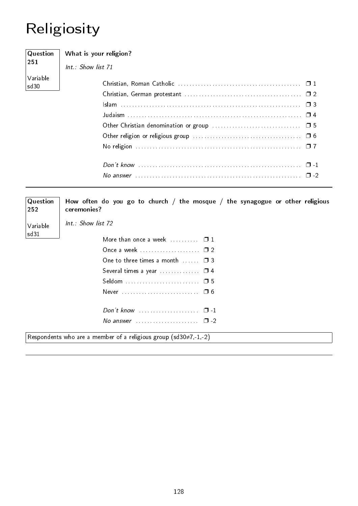# Religiosity

| Question         | What is your religion? |
|------------------|------------------------|
| 251              | $Int.:$ Show list 71   |
| Variable<br>sd30 |                        |
|                  |                        |
|                  |                        |
|                  |                        |
|                  |                        |
|                  |                        |
|                  |                        |
|                  |                        |
|                  |                        |
|                  |                        |

| Question<br>252  | How often do you go to church / the mosque / the synagogue or other religious<br>ceremonies? |
|------------------|----------------------------------------------------------------------------------------------|
| Variable<br>sd31 | $Int.$ : Show list 72                                                                        |
|                  | More than once a week $\ldots$ $\ldots$ $\Box$ 1                                             |
|                  |                                                                                              |
|                  | One to three times a month $\Box$ $\Box$ 3                                                   |
|                  | Several times a year $\ldots$ $\ldots$ $\Box$ 4                                              |
|                  |                                                                                              |
|                  |                                                                                              |
|                  | Don't know $\ldots \ldots \ldots \ldots \ldots \ldots \quad \Box$ -1                         |
|                  | No answer $\cdots$ $\cdots$ $\cdots$                                                         |
|                  | Respondents who are a member of a religious group (sd30 $\neq$ 7,-1,-2)                      |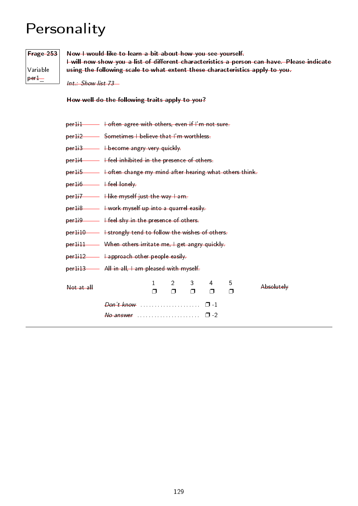### Personality

### Frage 253

Variable per1\_

Now I would like to learn a bit about how you see yourself. I will now show you a list of different characteristics a person can have. Please indicate using the following scale to what extent these characteristics apply to you.

Int.: Show list 73

How well do the following traits apply to you?

|                      | per1i2 Sometimes I believe that I'm worthless                                                          |  |  |  |  |  |  |  |  |  |  |  |  |
|----------------------|--------------------------------------------------------------------------------------------------------|--|--|--|--|--|--|--|--|--|--|--|--|
|                      | per113 - Hecome angry very quickly.                                                                    |  |  |  |  |  |  |  |  |  |  |  |  |
|                      |                                                                                                        |  |  |  |  |  |  |  |  |  |  |  |  |
|                      | per1i5 - I often change my mind after hearing what others think                                        |  |  |  |  |  |  |  |  |  |  |  |  |
| $per16$ +feel lonely |                                                                                                        |  |  |  |  |  |  |  |  |  |  |  |  |
|                      |                                                                                                        |  |  |  |  |  |  |  |  |  |  |  |  |
|                      | per1i8 - I work myself up into a quarrel easily                                                        |  |  |  |  |  |  |  |  |  |  |  |  |
|                      |                                                                                                        |  |  |  |  |  |  |  |  |  |  |  |  |
|                      | per1i10 - + strongly tend to follow the wishes of others.                                              |  |  |  |  |  |  |  |  |  |  |  |  |
|                      | per1i11 When others irritate me, I get angry quickly                                                   |  |  |  |  |  |  |  |  |  |  |  |  |
|                      | per1i12 - Happroach other people easily                                                                |  |  |  |  |  |  |  |  |  |  |  |  |
|                      | per1i13 - All in all, I am pleased with myself                                                         |  |  |  |  |  |  |  |  |  |  |  |  |
| Not at all           | $\mathbf{1}$<br>$2 \qquad 3$<br>4<br>5<br>Absolutely<br>$\Box$<br>$\Box$<br>$\Box$<br>$\Box$<br>$\Box$ |  |  |  |  |  |  |  |  |  |  |  |  |
|                      |                                                                                                        |  |  |  |  |  |  |  |  |  |  |  |  |
|                      |                                                                                                        |  |  |  |  |  |  |  |  |  |  |  |  |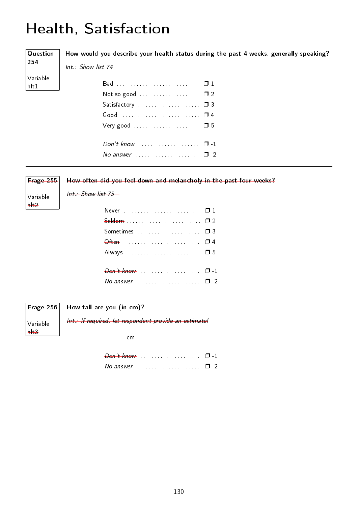# Health, Satisfaction

| $\sqrt{Q}$ uestion     | How would you describe your health status during the past 4 weeks, generally speaking? |
|------------------------|----------------------------------------------------------------------------------------|
| 254                    | Int.: Show list 74                                                                     |
| Variable<br>$h$ lt $1$ |                                                                                        |
|                        |                                                                                        |
|                        |                                                                                        |
|                        |                                                                                        |
|                        |                                                                                        |
|                        |                                                                                        |
|                        | No answer $\ldots$ $\ldots$ $\ldots$ $\ldots$ $\ldots$ $\Box$ -2                       |
|                        |                                                                                        |

| Frage 255<br>Variable | How often did you feel down and melancholy in the past four weeks?<br>$Int$ Show list 75 |
|-----------------------|------------------------------------------------------------------------------------------|
| H <sub>2</sub>        |                                                                                          |
|                       | Sometimes $\ldots$ $\Box$ 3                                                              |
|                       |                                                                                          |
|                       |                                                                                          |
|                       |                                                                                          |

Variable hlt3 Int.: If required, let respondent provide an estimate!  $\frac{1}{2}$  cm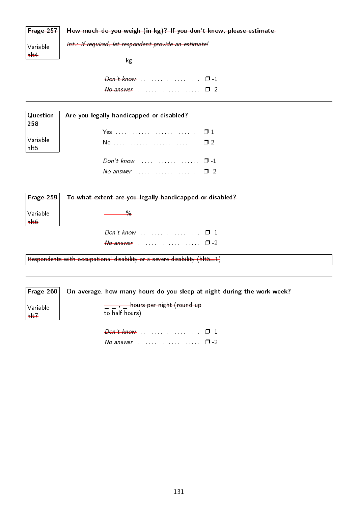|  |  |  |  | Frage 257   How much do you weigh (in kg)? If you don't know, please estimate. |  |
|--|--|--|--|--------------------------------------------------------------------------------|--|
|--|--|--|--|--------------------------------------------------------------------------------|--|

Variable  $|$  hlt4

Int.: If required, let respondent provide an estimate!

 $\frac{\ }{2}$   $\frac{\ }{2}$   $\frac{\ }{2}$   $\frac{\ }{2}$   $\frac{\ }{2}$   $\frac{\ }{2}$   $\frac{\ }{2}$   $\frac{\ }{2}$   $\frac{\ }{2}$   $\frac{\ }{2}$   $\frac{\ }{2}$   $\frac{\ }{2}$   $\frac{\ }{2}$   $\frac{\ }{2}$   $\frac{\ }{2}$   $\frac{\ }{2}$   $\frac{\ }{2}$   $\frac{\ }{2}$   $\frac{\ }{2}$   $\frac{\ }{2}$   $\frac{\ }{2}$   $\frac{\ }{2}$ 

Don't know . . . . . . . . . . . . . . . . . . . . . ❐ -1 No answer . . . . . . . . . . . . . . . . . . . . . . ❐ -2

|                                                              | Question   Are you legally handicapped or disabled?<br> 258 |  |
|--------------------------------------------------------------|-------------------------------------------------------------|--|
|                                                              |                                                             |  |
| $\begin{array}{ l } \text{Variable} \text{hlt5} \end{array}$ |                                                             |  |
|                                                              |                                                             |  |
|                                                              | No answer $\cdots$ $\Box$ -2                                |  |

| $ $ Frage 259 $ $            | To what extent are you legally handicapped or disabled?                          |
|------------------------------|----------------------------------------------------------------------------------|
| Variable<br>$h$ <sup>+</sup> | $\frac{9}{2}$                                                                    |
|                              |                                                                                  |
|                              |                                                                                  |
|                              | Respondents with occupational disability or a severe disability ( $h$ lt $5=1$ ) |

| $ $ Frage 260 $ $            | On average, how many hours do you sleep at night during the work week? |
|------------------------------|------------------------------------------------------------------------|
| Variable<br>$h$ <sup>+</sup> | - hours per night (round up<br>to half hours)                          |
|                              | $\theta$ answer equation is a set of $\theta$ -2                       |
|                              |                                                                        |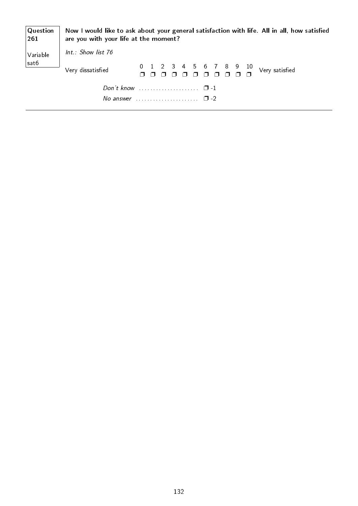| $\mid$ Question<br> 261 | are you with your life at the moment?                        |                          |  |  |  |  | Now I would like to ask about your general satisfaction with life. All in all, how satisfied |
|-------------------------|--------------------------------------------------------------|--------------------------|--|--|--|--|----------------------------------------------------------------------------------------------|
| Variable                | Int.: Show list $76$                                         |                          |  |  |  |  |                                                                                              |
| sat6                    | Very dissatisfied                                            | $0 1 2 3 4 5 6 7 8 9 10$ |  |  |  |  | Very satisfied                                                                               |
|                         | Don't know $\ldots$ $\ldots$ $\ldots$ $\ldots$ $\Box$ -1     |                          |  |  |  |  |                                                                                              |
|                         | No answer $\ldots \ldots \ldots \ldots \ldots \quad \Box -2$ |                          |  |  |  |  |                                                                                              |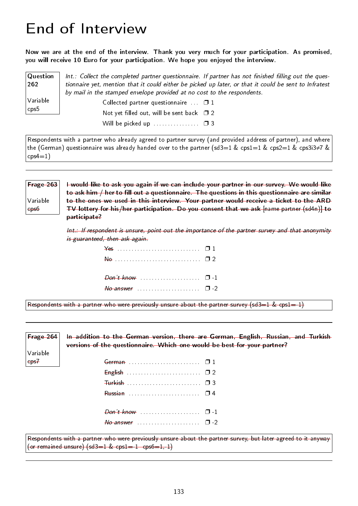### End of Interview

Now we are at the end of the interview. Thank you very much for your participation. As promised, you will receive 10 Euro for your participation. We hope you enjoyed the interview.

**Question** 262 Variable cps5  $Int.:$  Collect the completed partner questionnaire. If partner has not finished filling out the questionnaire yet, mention that it could either be picked up later, or that it could be sent to Infratest by mail in the stamped envelope provided at no cost to the respondents. Collected partner questionnaire  $\Box$  1 Not yet filled out, will be sent back  $\square$  2 Will be picked up  $\dots$ . . . . . . . . .  $\Box$  3

Respondents with a partner who already agreed to partner survey (and provided address of partner), and where the (German) questionnaire was already handed over to the partner (sd3=1 & cps1=1 & cps2=1 & cps3i3≠7 &  $\cos(4=1)$ 

Frage 263 Variable cps6 I would like to ask you again if we can include your partner in our survey. We would like to ask him / her to fill out a questionnaire. The questions in this questionnaire are similar to the ones we used in this interview. Your partner would receive a ticket to the ARD TV lottery for his/her participation. Do you consent that we ask [name partner (sd4n)] to participate?

> Int.: If respondent is unsure, point out the importance of the partner survey and that anonymity is guaranteed, then ask again.

| $\overline{\mathsf{A}}$ $\overline{\mathsf{B}}$ $\overline{\mathsf{B}}$ $\overline{\mathsf{B}}$ $\overline{\mathsf{B}}$ |  |
|-------------------------------------------------------------------------------------------------------------------------|--|
|                                                                                                                         |  |
|                                                                                                                         |  |
|                                                                                                                         |  |

Respondents with a partner who were previously unsure about the partner survey (sd3=1  $&$  cps1=-1)

Frage 264 Variable cps7 In addition to the German version, there are German, English, Russian, and Turkish versions of the questionnaire. Which one would be best for your partner? German . . . . . . . . . . . . . . . . . . . . . . . . . ❐ 1 English . . . . . . . . . . . . . . . . . . . . . . . . . . ❐ 2 Turkish . . . . . . . . . . . . . . . . . . . . . . . . . . ❐ 3 Russian . . . . . . . . . . . . . . . . . . . . . . . . . ❐ 4 Don't know . . . . . . . . . . . . . . . . . . . . . ❐ -1  $N_0$  answer  $\dots \dots \dots \dots \dots \quad \Box$  -2 Respondents with a partner who were previously unsure about the partner survey, but later agreed to it anyway

(or remained unsure)  $(sd3=1 \& cps1=-1 \quad cps6=1,-1)$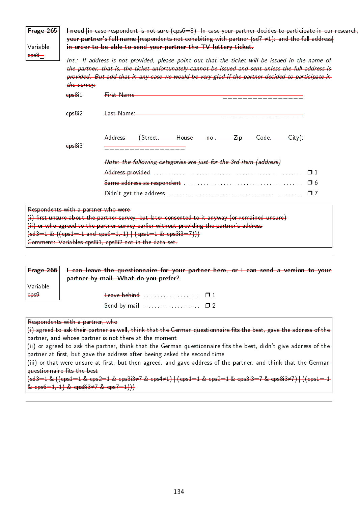| Frage 265            |              | I need [in case respondent is not sure (cps6=8): In case your partner decides to participate in our research<br>your partner's full name [respondents not cohabiting with partner $(sd7 \neq 1)$ : and the full address] |
|----------------------|--------------|--------------------------------------------------------------------------------------------------------------------------------------------------------------------------------------------------------------------------|
| Variable<br>$eps8 -$ |              | in order to be able to send your partner the TV lottery ticket.                                                                                                                                                          |
|                      |              | Int.: If address is not provided, please point out that the ticket will be issued in the name of                                                                                                                         |
|                      |              | the partner, that is, the ticket unfortunately cannot be issued and sent unless the full address is<br>provided. But add that in any case we would be very glad if the partner decided to participate in                 |
|                      | the survey.  |                                                                                                                                                                                                                          |
|                      | $e$ ps $811$ | First Name                                                                                                                                                                                                               |
|                      |              |                                                                                                                                                                                                                          |
|                      | eps8i2       | Last Name                                                                                                                                                                                                                |
|                      |              |                                                                                                                                                                                                                          |
|                      | $e$ ps $8i3$ | Address (Street, House no., Zip Code,<br>$-\mathsf{City}\}$                                                                                                                                                              |
|                      |              | Note: the following categories are just for the 3rd item (address)                                                                                                                                                       |
|                      |              |                                                                                                                                                                                                                          |
|                      |              | Same address as respondent $\ldots \ldots \ldots \ldots \ldots \ldots \ldots \ldots \ldots \ldots \ldots \quad \Box \; 6$                                                                                                |

| $\sqrt{2}$                                             |  |  |  |
|--------------------------------------------------------|--|--|--|
| Comment: Variables cps811, cps812 not in the data set. |  |  |  |
|                                                        |  |  |  |

|                   | $\vert$ Frage 266 $\vert$ + can leave the questionnaire for your partner here, or I can send a version to your<br>partner by mail. What do you prefer? |
|-------------------|--------------------------------------------------------------------------------------------------------------------------------------------------------|
| Variable          |                                                                                                                                                        |
| $\epsilon$ ps $9$ | Leave behind $\Box$                                                                                                                                    |
|                   |                                                                                                                                                        |

Respondents with a partner, who

 $(i)$  agreed to ask their partner as well, think that the German questionnaire fits the best, gave the address of the partner, and whose partner is not there at the moment

 $(i)$  or agreed to ask the partner, think that the German questionnaire fits the best, didn't give address of the partner at first, but gave the address after beeing asked the second time

(iii) or that were unsure at first, but then agreed, and gave address of the partner, and think that the German questionnaire fits the best

(sd3=1 & ((cps1=1 & cps2=1 & cps3i3≠7 & cps4≠1) | (cps1=1 & cps2=1 & cps3i3=7 & cps8i3≠7) | ((cps1=-1 & cps6=1,-1) & cps8i3≠7 & cps7=1))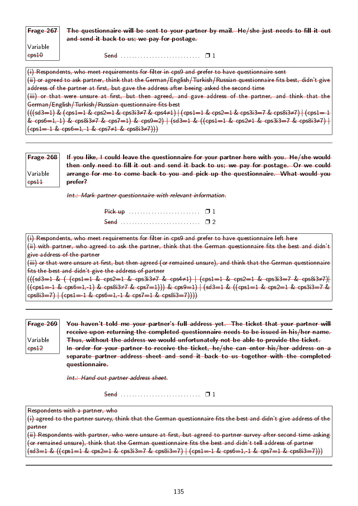| Frage $267$                   | The questionnaire will be sent to your partner by mail. He/she just needs to fill it out<br>and send it back to us; we pay for postage.                                                                                                                                                                                                                                                                                                                                                  |
|-------------------------------|------------------------------------------------------------------------------------------------------------------------------------------------------------------------------------------------------------------------------------------------------------------------------------------------------------------------------------------------------------------------------------------------------------------------------------------------------------------------------------------|
| Variable<br>ep <sub>510</sub> |                                                                                                                                                                                                                                                                                                                                                                                                                                                                                          |
|                               | $(i)$ Respondents, who meet requirements for filter in cps9 and prefer to have questionnaire sent<br>(ii) or agreed to ask partner, think that the German/English/Turkish/Russian questionnaire fits best, didn't give<br>address of the partner at first, but gave the address after beeing asked the second time<br>(iii) or that were unsure at first, but then agreed, and gave address of the partner, and think that the<br>German/English/Turkish/Russian questionnaire fits best |

 $((\text{sd3}=1) \& (\text{cps1}=1 \& \text{cps2}=1 \& \text{cps3i3}\neq 7 \& \text{cps4}\neq 1)$   $| (\text{cps1}=1 \& \text{cps2}=1 \& \text{cps3i3}=7 \& \text{cps8i3}\neq 7)$   $| (\text{cps1}=-1 \& \text{cps1})$ & cps6=1,-1) & cps8i3≠7 & cps7=1) & cps9=2)  $|$  (sd3=1 & ((cps1=1 & cps2≠1 & cps3i3=7 & cps8i3≠7)  $|$  $(\text{cps1}=-1 \& \text{cps6}=1,-1 \& \text{cps7}\neq1 \& \text{cps8}$  $(3\neq7))$ 

| $\mid$ Frage 268 $\mid$ | If you like, I could leave the questionnaire for your partner here with you. He/she would |
|-------------------------|-------------------------------------------------------------------------------------------|
|                         | then only need to fill it out and send it back to us; we pay for postage. Or we could     |
| Variable                | arrange for me to come back to you and pick up the questionnaire. What would you          |
| $e$ ps $\pm\pm$         | <del>prefer?</del>                                                                        |

Int.: Mark partner questionnaire with relevant information.

(i) Respondents, who meet requirements for filter in cps9 and prefer to have questionnaire left here (ii) with partner, who agreed to ask the partner, think that the German questionnaire fits the best and didn't give address of the partner (iii) or that were unsure at first, but then agreed (or remained unsure), and think that the German questionnaire

fits the best and didn't give the address of partner  $((\text{sd3}=1 \& (\text{cps1}=1 \& \text{cps2}=1 \& \text{cps3i3} \ne 7 \& \text{cps4} \ne 1) | (\text{cps1}=1 \& \text{cps2}=1 \& \text{cps3i3}=7 \& \text{cps8i3} \ne 7)$ 

 $((cps1=1 \& cps6=1,-1) \& cps8i3\ne 7 \& cps7=1))) \& cps9=1) + (sd3=1 \& ((cps1=1 \& cps2=1 \& cps3i3=7 \& cps3i)$  $\cos\left(\frac{3-7}{1}\right)$   $\left(\cosh\left(-\frac{1}{4} \& \cosh\left(-\frac{1}{4} \& \cosh\left(-\frac{1}{4} \& \cosh\left(-\frac{1}{4} \& \cosh\left(-\frac{1}{4} \& \cosh\left(-\frac{1}{4} \& \cosh\left(-\frac{1}{4} \& \cosh\left(-\frac{1}{4} \& \cosh\left(-\frac{1}{4} \& \cosh\left(-\frac{1}{4} \& \cosh\left(-\frac{1}{4} \& \cosh\left(-\frac{1}{4} \& \cosh\left(-\frac{1}{4} \& \cosh\left$ 

| Frage $269$ | You haven't told me your partner's full address yet. The ticket that your partner will |
|-------------|----------------------------------------------------------------------------------------|
|             | receive upon returning the completed questionnaire needs to be issued in his/her name. |
| Variable    | Thus, without the address we would unfortunately not be able to provide the ticket.    |
| $-$         | In order for your partner to receive the ticket, he/she can enter his/her address on a |
|             | separate partner address sheet and send it back to us together with the completed      |
|             | questionnaire                                                                          |

Int.: Hand out partner address sheet.

Send . . . . . . . . . . . . . . . . . . . . . . . . . . . . ❐ 1

Respondents with a partner, who

 $(i)$  agreed to the partner survey, think that the German questionnaire fits the best and didn't give address of the partner

(ii) Respondents with partner, who were unsure at first, but agreed to partner survey after second time asking (or remained unsure), think that the German questionnaire fits the best and didn't tell address of partner  $(sd3=1 \& ((cps1=1 \& cps2=1 \& cps3i3=7 \& cps8i3=7)]$   $(cps1=-1 \& cps6=1,-1 \& cps7=1 \& cps8i3=7)))$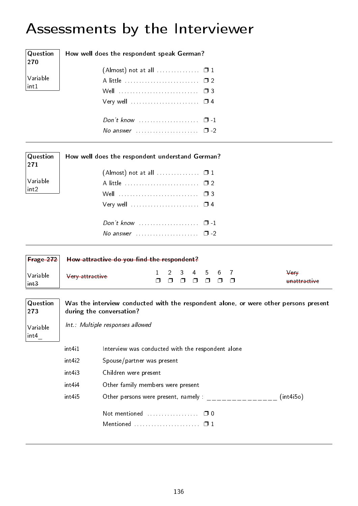# Assessments by the Interviewer

| Question<br>270  |                     | How well does the respondent speak German?                                                                       |             |             |             |             |              |             |             |                      |
|------------------|---------------------|------------------------------------------------------------------------------------------------------------------|-------------|-------------|-------------|-------------|--------------|-------------|-------------|----------------------|
|                  |                     | $($ Almost $)$ not at all $\ldots \ldots \ldots \ldots \square 1$                                                |             |             |             |             |              |             |             |                      |
| Variable         |                     | A little  02                                                                                                     |             |             |             |             |              |             |             |                      |
| int1             |                     |                                                                                                                  |             |             |             |             |              |             |             |                      |
|                  |                     |                                                                                                                  |             |             |             |             |              |             |             |                      |
|                  |                     | Don't know $\cdots$ $\cdots$ $\cdots$                                                                            |             |             |             |             |              |             |             |                      |
|                  |                     | No answer $\ldots \ldots \ldots \ldots \ldots \square$ -2                                                        |             |             |             |             |              |             |             |                      |
| Question<br>271  |                     | How well does the respondent understand German?                                                                  |             |             |             |             |              |             |             |                      |
|                  |                     | $($ Almost) not at all $\ldots \ldots \ldots \ldots \square 1$                                                   |             |             |             |             |              |             |             |                      |
| Variable         |                     | A little  02                                                                                                     |             |             |             |             |              |             |             |                      |
| $\mathsf{int2}$  |                     |                                                                                                                  |             |             |             |             |              |             |             |                      |
|                  |                     |                                                                                                                  |             |             |             |             |              |             |             |                      |
|                  |                     |                                                                                                                  |             |             |             |             |              |             |             |                      |
|                  |                     | No answer $\ldots \ldots \ldots \ldots \ldots \square$ -2                                                        |             |             |             |             |              |             |             |                      |
| Frage 272        |                     | How attractive do you find the respondent?                                                                       |             |             |             |             |              |             |             |                      |
| Variable<br>int3 | Very attractive     |                                                                                                                  | 1<br>$\Box$ | 2<br>$\Box$ | 3<br>$\Box$ | 4<br>$\Box$ | 5.<br>$\Box$ | 6<br>$\Box$ | 7<br>$\Box$ | Very<br>unattractive |
| Question<br>273  |                     | Was the interview conducted with the respondent alone, or were other persons present<br>during the conversation? |             |             |             |             |              |             |             |                      |
|                  |                     | Int.: Multiple responses allowed                                                                                 |             |             |             |             |              |             |             |                      |
| Variable<br>int4 |                     |                                                                                                                  |             |             |             |             |              |             |             |                      |
|                  | int411              | Interview was conducted with the respondent alone                                                                |             |             |             |             |              |             |             |                      |
|                  | int4 <sub>i</sub> 2 | Spouse/partner was present                                                                                       |             |             |             |             |              |             |             |                      |
|                  | int4i3              | Children were present                                                                                            |             |             |             |             |              |             |             |                      |
|                  | int44               | Other family members were present                                                                                |             |             |             |             |              |             |             |                      |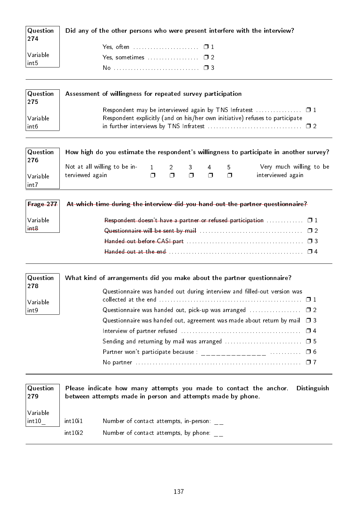| Question<br> 274                                                            | Did any of the other persons who were present interfere with the interview? |
|-----------------------------------------------------------------------------|-----------------------------------------------------------------------------|
|                                                                             |                                                                             |
| $\left  \begin{array}{l} \text{Variable} \ \text{int5} \end{array} \right $ |                                                                             |
|                                                                             |                                                                             |

| Question<br> 275 | Assessment of willingness for repeated survey participation                  |  |
|------------------|------------------------------------------------------------------------------|--|
|                  |                                                                              |  |
| Variable         | Respondent explicitly (and on his/her own initiative) refuses to participate |  |
| int6             |                                                                              |  |

| Question<br> 276  |                                                          |  |   |      | How high do you estimate the respondent's willingness to participate in another survey? |
|-------------------|----------------------------------------------------------|--|---|------|-----------------------------------------------------------------------------------------|
| Variable<br> int7 | Not at all willing to be in-<br>1 2 3<br>terviewed again |  | 4 | - 5. | Very much willing to be<br>interviewed again                                            |

| $ $ Frage 277 $ $ | At which time during the interview did you hand out the partner questionnaire?              |
|-------------------|---------------------------------------------------------------------------------------------|
| Variable          | Respondent doesn't have a partner or refused participation $\ldots \ldots \ldots \square 1$ |
| $++8$             |                                                                                             |
|                   |                                                                                             |
|                   |                                                                                             |

| Question        | What kind of arrangements did you make about the partner questionnaire?        |
|-----------------|--------------------------------------------------------------------------------|
| 278<br>Variable | Questionnaire was handed out during interview and filled-out version was       |
| $ $ in t9       |                                                                                |
|                 | Questionnaire was handed out, agreement was made about return by mail $\Box$ 3 |
|                 |                                                                                |
|                 |                                                                                |
|                 |                                                                                |
|                 |                                                                                |

| Question<br> 279 | Please indicate how many attempts you made to contact the anchor. Distinguish<br>between attempts made in person and attempts made by phone. |                                        |  |
|------------------|----------------------------------------------------------------------------------------------------------------------------------------------|----------------------------------------|--|
| Variable         | int10i1                                                                                                                                      | Number of contact attempts, in-person: |  |
| int10            | int10i2                                                                                                                                      | Number of contact attempts, by phone:  |  |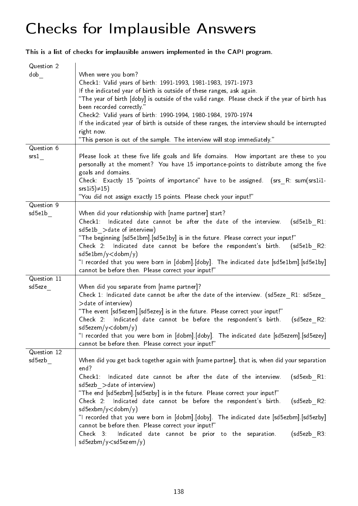### Checks for Implausible Answers

This is a list of checks for implausible answers implemented in the CAPI program.

| Question 2<br>dob     | When were you born?<br>Check1: Valid years of birth: 1991-1993, 1981-1983, 1971-1973<br>If the indicated year of birth is outside of these ranges, ask again.<br>"The year of birth [doby] is outside of the valid range. Please check if the year of birth has<br>been recorded correctly."<br>Check2: Valid years of birth: 1990-1994, 1980-1984, 1970-1974<br>If the indicated year of birth is outside of these ranges, the interview should be interrupted<br>right now.<br>"This person is out of the sample. The interview will stop immediately."                                                                                                                                                |
|-----------------------|----------------------------------------------------------------------------------------------------------------------------------------------------------------------------------------------------------------------------------------------------------------------------------------------------------------------------------------------------------------------------------------------------------------------------------------------------------------------------------------------------------------------------------------------------------------------------------------------------------------------------------------------------------------------------------------------------------|
| Question 6<br>srs 1   | Please look at these five life goals and life domains. How important are these to you<br>personally at the moment? You have 15 importance-points to distribute among the five<br>goals and domains.<br>Check: Exactly 15 "points of importance" have to be assigned. (srs R: sum(srs1i1-<br>$srs1i5 \neq 15$<br>"You did not assign exactly 15 points. Please check your input!"                                                                                                                                                                                                                                                                                                                         |
| Question 9<br>sd5e1b  | When did your relationship with [name partner] start?<br>Check1: Indicated date cannot be after the date of the interview.<br>$(sd5e1b$ R1<br>sd5e1b > date of interview)<br>"The beginning [sd5e1bm]. [sd5e1by] is in the future. Please correct your input!"<br>Check 2: Indicated date cannot be before the respondent's birth. (sd5e1b R2:<br>$sd5e1bm/y <$ dobm/y)<br>"I recorded that you were born in [dobm] [doby]. The indicated date [sd5e1bm] [sd5e1by]<br>cannot be before then. Please correct your input!"                                                                                                                                                                                 |
| Question 11<br>sd5eze | When did you separate from [name partner]?<br>Check 1: Indicated date cannot be after the date of the interview. (sd5eze R1: sd5eze<br>> date of interview)<br>"The event [sd5ezem] [sd5ezey] is in the future. Please correct your input!"<br>Check 2: Indicated date cannot be before the respondent's birth.<br>(sd5eze R2:<br>$sd5$ ezem/y $\lt$ dobm/y)<br>"I recorded that you were born in [dobm].[doby]. The indicated date [sd5ezem].[sd5ezey]<br>cannot be before then. Please correct your input!"                                                                                                                                                                                            |
| Question 12<br>sd5ezb | When did you get back together again with [name partner], that is, when did your separation<br>end?<br>Indicated date cannot be after the date of the interview.<br>$(sd5exb$ R1.<br>Check1.<br>sd5ezb > date of interview)<br>"The end [sd5ezbm] [sd5ezby] is in the future. Please correct your input!"<br>Check 2: Indicated date cannot be before the respondent's birth.<br>$(sd5ezb$ R2:<br>$sd5exbm/y <$ dobm/y)<br>"I recorded that you were born in [dobm].[doby]. The indicated date [sd5ezbm].[sd5ezby]<br>cannot be before then. Please correct your input!"<br>$Check$ 3<br>Indicated date cannot be prior to the separation.<br>$(sd5ezb$ R3<br>sd5ezbm/y <sd5ezem td="" y)<=""></sd5ezem> |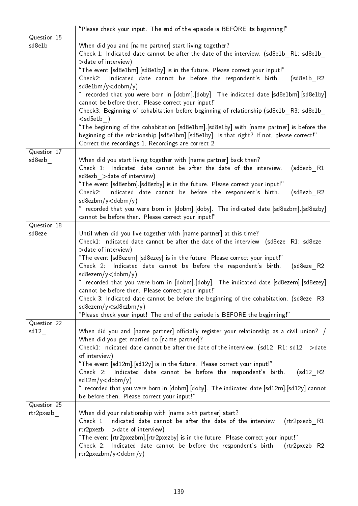|             | "Please check your input. The end of the episode is BEFORE its beginning!"                  |
|-------------|---------------------------------------------------------------------------------------------|
| Question 15 |                                                                                             |
| sd8e1b      | When did you and [name partner] start living together?                                      |
|             | Check 1: Indicated date cannot be after the date of the interview. (sd8e1b R1: sd8e1b       |
|             | > date of interview)                                                                        |
|             | "The event [sd8e1bm] [sd8e1by] is in the future. Please correct your input!"                |
|             | Indicated date cannot be before the respondent's birth.<br>Check2:<br>$(sd8e1b$ R2:         |
|             | $sd8e1bm/y <$ dobm/y)                                                                       |
|             | "I recorded that you were born in [dobm] [doby]. The indicated date [sd8e1bm] [sd8e1by]     |
|             | cannot be before then. Please correct your input!"                                          |
|             |                                                                                             |
|             | Check3: Beginning of cohabitation before beginning of relationship (sd8e1b R3: sd8e1b       |
|             | $<$ sd5e1b)                                                                                 |
|             | "The beginning of the cohabitation [sd8e1bm].[sd8e1by] with [name partner] is before the    |
|             | beginning of the relationship [sd5e1bm] [sd5e1by]. Is that right? If not, please correct!"  |
|             | Correct the recordings 1, Recordings are correct 2                                          |
| Question 17 |                                                                                             |
| sd8ezb      | When did you start living together with [name partner] back then?                           |
|             | Check 1: Indicated date cannot be after the date of the interview.<br>$(sd8ezb$ R1:         |
|             | sd8ezb > date of interview)                                                                 |
|             | "The event [sd8ezbm]. [sd8ezby] is in the future. Please correct your input!"               |
|             | Indicated date cannot be before the respondent's birth.<br>(sd8ezb R2:<br>Check2.           |
|             | sd8ezbm/y <dobm td="" y)<=""></dobm>                                                        |
|             | "I recorded that you were born in [dobm].[doby]. The indicated date [sd8ezbm].[sd8ezby]     |
|             | cannot be before then. Please correct your input!"                                          |
| Question 18 |                                                                                             |
| sd8eze      | Until when did you live together with [name partner] at this time?                          |
|             | Check1: Indicated date cannot be after the date of the interview. (sd8eze R1: sd8eze        |
|             | > date of interview)                                                                        |
|             | "The event [sd8ezem].[sd8ezey] is in the future. Please correct your input!"                |
|             | Check 2: Indicated date cannot be before the respondent's birth.<br>$(sd8eze$ R2:           |
|             | $sd8$ ezem/y $<$ dobm/y)                                                                    |
|             | "I recorded that you were born in [dobm].[doby]. The indicated date [sd8ezem].[sd8ezey]     |
|             | cannot be before then. Please correct your input!"                                          |
|             |                                                                                             |
|             | Check 3: Indicated date cannot be before the beginning of the cohabitation. (sd8eze R3:     |
|             | sd8ezem/y <sd8ezbm td="" y)<=""></sd8ezbm>                                                  |
|             | "Please check your input! The end of the periode is BEFORE the beginning!"                  |
| Question 22 |                                                                                             |
| sd12        | When did you and [name partner] officially register your relationship as a civil union? /   |
|             | When did you get married to [name partner]?                                                 |
|             | Check1: Indicated date cannot be after the date of the interview. (sd12 $R1:$ sd12 $>$ date |
|             | of interview)                                                                               |
|             | "The event [sd12m]. [sd12y] is in the future. Please correct your input!"                   |
|             | Indicated date cannot be before the respondent's birth.<br>$(sd12 \quad R2)$<br>Check 2:    |
|             | $sd12m/y <$ dobm/y)                                                                         |
|             | "I recorded that you were born in [dobm].[doby]. The indicated date [sd12m].[sd12y] cannot  |
|             | be before then. Please correct your input!"                                                 |
| Question 25 |                                                                                             |
| rtr2pxezb   | When did your relationship with [name x-th partner] start?                                  |
|             | Check 1: Indicated date cannot be after the date of the interview.<br>$(rtr2pxezb$ R1:      |
|             | rtr2pxezb > date of interview)                                                              |
|             | "The event [rtr2pxezbm].[rtr2pxezby] is in the future. Please correct your input!"          |
|             | Check 2: Indicated date cannot be before the respondent's birth.<br>$(rtr2pxezb$ R2         |
|             | rtr2pxezbm/y <dobm td="" y)<=""></dobm>                                                     |
|             |                                                                                             |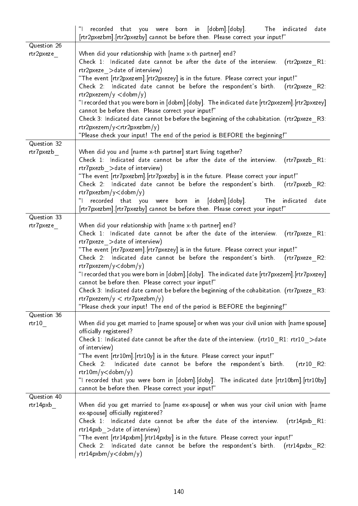|                          | "[<br>recorded that you were born in [dobm].[doby].<br>The indicated<br>date<br>[rtr2pxezbm]. [rtr2pxezby] cannot be before then. Please correct your input!"                                                                                                                                                                                                                                                                                                                                                                                                                                                                                                                                                                                            |
|--------------------------|----------------------------------------------------------------------------------------------------------------------------------------------------------------------------------------------------------------------------------------------------------------------------------------------------------------------------------------------------------------------------------------------------------------------------------------------------------------------------------------------------------------------------------------------------------------------------------------------------------------------------------------------------------------------------------------------------------------------------------------------------------|
| Question 26<br>rtr2pxeze | When did your relationship with [name x-th partner] end?<br>Check 1: Indicated date cannot be after the date of the interview.<br>(rtr2pxeze R1)<br>rtr2pxeze > date of interview)<br>"The event [rtr2pxezem].[rtr2pxezey] is in the future. Please correct your input!"<br>Check 2: Indicated date cannot be before the respondent's birth. (rtr2pxeze R2:<br>$rtr2pxezem/y <$ dobm/y)<br>"I recorded that you were born in [dobm].[doby]. The indicated date [rtr2pxezem].[rtr2pxezey]<br>cannot be before then. Please correct your input!"<br>Check 3: Indicated date cannot be before the beginning of the cohabitation. (rtr2pxeze R3:<br>rtr2pxezem/y < rtr2pxezbm/y<br>"Please check your input! The end of the period is BEFORE the beginning!" |
| Question 32<br>rtr7pxezb | When did you and [name x-th partner] start living together?<br>Check 1: Indicated date cannot be after the date of the interview.<br>(rtr7pxezb R1:<br>rtr7pxezb > date of interview)<br>"The event [rtr7pxezbm].[rtr7pxezby] is in the future. Please correct your input!"<br>Check 2: Indicated date cannot be before the respondent's birth. (rtr7pxezb R2:<br>$rtr7pxezbm/y <$ dobm/y)                                                                                                                                                                                                                                                                                                                                                               |
| Question 33              | were born in [dobm].[doby].<br>"I recorded that you<br>The<br>indicated<br>date<br>[rtr7pxezbm].[rtr7pxezby] cannot be before then. Please correct your input!"                                                                                                                                                                                                                                                                                                                                                                                                                                                                                                                                                                                          |
| rtr7pxeze                | When did your relationship with [name x-th partner] end?<br>Check 1: Indicated date cannot be after the date of the interview.<br>(rtr7pxeze R1)<br>rtr7pxeze > date of interview)<br>"The event [rtr7pxezem].[rtr7pxezey] is in the future. Please correct your input!"<br>Check 2: Indicated date cannot be before the respondent's birth. (rtr7pxeze R2:<br>$rtr7pxezem/y <$ dobm/y)<br>"I recorded that you were born in [dobm].[doby]. The indicated date [rtr7pxezem].[rtr7pxezey]<br>cannot be before then. Please correct your input!"<br>Check 3: Indicated date cannot be before the beginning of the cohabitation. (rtr7pxeze_R3:<br>rtr7pxezem/y < rtr7pxezbm/y<br>"Please check your input! The end of the period is BEFORE the beginning!" |
| Question 36<br>rtr10     | When did you get married to [name spouse] or when was your civil union with [name spouse]<br>officially registered?<br>Check 1: Indicated date cannot be after the date of the interview. (rtr10 $R1$ : rtr10 $>$ date<br>of interview)<br>"The event [rtr10m] [rtr10y] is in the future. Please correct your input!"<br>Indicated date cannot be before the respondent's birth.<br>(rtr10 R2)<br>Check 2<br>$rtr10m/y <$ dobm/y)<br>"I recorded that you were born in [dobm].[doby]. The indicated date [rtr10bm].[rtr10by]<br>cannot be before then. Please correct your input!"                                                                                                                                                                       |
| Question 40<br>rtr14pxb  | When did you get married to [name ex-spouse] or when was your civil union with [name<br>ex-spouse] officially registered?<br>Check 1: Indicated date cannot be after the date of the interview.<br>$(rtr14pxb$ R1:<br>$rtr14pxb$ > date of interview)<br>"The event [rtr14pxbm].[rtr14pxby] is in the future. Please correct your input!"<br>Check 2: Indicated date cannot be before the respondent's birth.<br>$(rtr14pxbx$ R2<br>$rtr14pxbm/y <$ dobm/y)                                                                                                                                                                                                                                                                                              |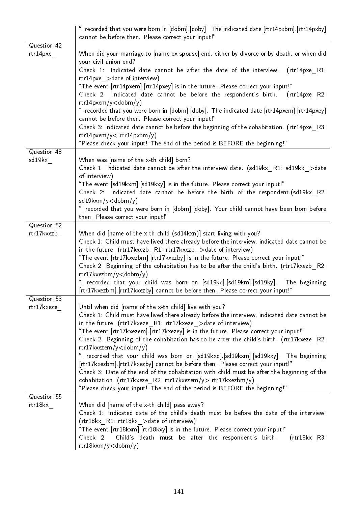|                           | "I recorded that you were born in [dobm].[doby]. The indicated date [rtr14pxbm].[rtr14pxby]<br>cannot be before then. Please correct your input!"                                                                                                                                                                                                                                                                                                                                                                                                                                                                                                                                                                                                                                                                                                                           |
|---------------------------|-----------------------------------------------------------------------------------------------------------------------------------------------------------------------------------------------------------------------------------------------------------------------------------------------------------------------------------------------------------------------------------------------------------------------------------------------------------------------------------------------------------------------------------------------------------------------------------------------------------------------------------------------------------------------------------------------------------------------------------------------------------------------------------------------------------------------------------------------------------------------------|
| Question 42<br>rtr14pxe   | When did your marriage to [name ex-spouse] end, either by divorce or by death, or when did<br>your civil union end?<br>Check 1. Indicated date cannot be after the date of the interview.<br>$(rtr14pxe$ R1:<br>rtr14pxe > date of interview)<br>"The event [rtr14pxem].[rtr14pxey] is in the future. Please correct your input!"<br>Check 2: Indicated date cannot be before the respondent's birth. (rtr14pxe R2:<br>$rtr14pxem/y <$ dobm/y)<br>"I recorded that you were born in [dobm].[doby]. The indicated date [rtr14pxem].[rtr14pxey]<br>cannot be before then. Please correct your input!"<br>Check 3: Indicated date cannot be before the beginning of the cohabitation. (rtr14pxe R3:<br>rtr14pxem/y < rtr14pxbm/y<br>"Please check your input! The end of the period is BEFORE the beginning!"                                                                  |
| Question 48<br>sd19kx     | When was [name of the x-th child] born?<br>Check 1: Indicated date cannot be after the interview date. (sd19kx R1: sd19kx >date<br>of interview)<br>"The event [sd19kxm].[sd19kxy] is in the future. Please correct your input!"<br>Check 2: Indicated date cannot be before the birth of the respondent.(sd19kx R2:<br>$sd19kxm/y <$ dobm/y)<br>"I recorded that you were born in [dobm].[doby]. Your child cannot have been born before<br>then. Please correct your input!"                                                                                                                                                                                                                                                                                                                                                                                              |
| Question 52<br>rtr17kxezb | When did [name of the x-th child (sd14kxn)] start living with you?<br>Check 1: Child must have lived there already before the interview, indicated date cannot be<br>in the future. (rtr17kxezb R1: rtr17kxezb > date of interview)<br>"The event [rtr17kxezbm].[rtr17kxezby] is in the future. Please correct your input!"<br>Check 2: Beginning of the cohabitation has to be after the child's birth. (rtr17kxezb R2:<br>rtr17kxezbm/y <dobm y)<br="">"I recorded that your child was born on [sd19kd].[sd19km].[sd19ky]. The beginning<br/>[rtr17kxezbm]. [rtr17kxezby] cannot be before then. Please correct your input!"</dobm>                                                                                                                                                                                                                                       |
| Question 53<br>rtr17kxeze | Until when did [name of the x-th child] live with you?<br>Check 1: Child must have lived there already before the interview, indicated date cannot be<br>in the future. (rtr17kxeze R1: rtr17kxeze > date of interview)<br>"The event [rtr17kxezem].[rtr17kxezey] is in the future. Please correct your input!"<br>Check 2: Beginning of the cohabitation has to be after the child's birth. (rtr17kxeze R2:<br>rtr17kxezem/y <dobm y)<br="">"I recorded that your child was born on [sd19kxd].[sd19kxm].[sd19kxy]. The beginning<br/>[rtr17kxezbm] [rtr17kxezby] cannot be before then. Please correct your input!"<br/>Check 3: Date of the end of the cohabitation with child must be after the beginning of the<br/>cohabitation. (rtr17kxeze R2: rtr17kxezem/y&gt; rtr17kxezbm/y)<br/>"Please check your input! The end of the period is BEFORE the beginning!"</dobm> |
| Question 55<br>rtr18kx    | When did [name of the x-th child] pass away?<br>Check 1: Indicated date of the child's death must be before the date of the interview.<br>(rtr18kx R1: rtr18kx > date of interview)<br>"The event [rtr18kxm].[rtr18kxy] is in the future. Please correct your input!"<br>Check 2:<br>Child's death must be after the respondent's birth.<br>$(rtr18kx$ R3:<br>rtr18kxm/y <dobm td="" y)<=""></dobm>                                                                                                                                                                                                                                                                                                                                                                                                                                                                         |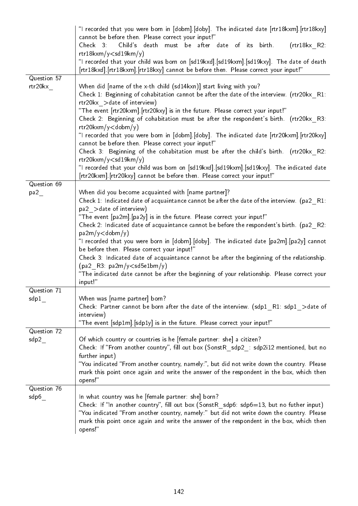|                        | "I recorded that you were born in [dobm].[doby]. The indicated date [rtr18kxm].[rtr18kxy]                                                                                                                                                                                                                                                                                                                                                                                                                                                                                                                                                                                                                                                                                                                                                           |
|------------------------|-----------------------------------------------------------------------------------------------------------------------------------------------------------------------------------------------------------------------------------------------------------------------------------------------------------------------------------------------------------------------------------------------------------------------------------------------------------------------------------------------------------------------------------------------------------------------------------------------------------------------------------------------------------------------------------------------------------------------------------------------------------------------------------------------------------------------------------------------------|
|                        | cannot be before then. Please correct your input!"<br>Child's death must be after date of its birth.<br>$(rtr18kx$ R2:<br>Check 3<br>$rtr18kxm/y <$ sd19km/y)                                                                                                                                                                                                                                                                                                                                                                                                                                                                                                                                                                                                                                                                                       |
|                        | "I recorded that your child was born on [sd19kxd].[sd19kxm].[sd19kxy]. The date of death<br>[rtr18kxd]. [rtr18kxm]. [rtr18kxy] cannot be before then. Please correct your input!"                                                                                                                                                                                                                                                                                                                                                                                                                                                                                                                                                                                                                                                                   |
| Question 57<br>rtr20kx | When did [name of the x-th child (sd14kxn)] start living with you?<br>Check 1: Beginning of cohabitation cannot be after the date of the interview. (rtr20kx R1:<br>rtr20kx > date of interview)<br>"The event [rtr20kxm].[rtr20kxy] is in the future. Please correct your input!"<br>Check 2: Beginning of cohabitation must be after the respondent's birth. (rtr20kx R3:<br>$rtr20kxm/y <$ dobm/y)<br>"I recorded that you were born in [dobm].[doby]. The indicated date [rtr20kxm].[rtr20kxy]<br>cannot be before then. Please correct your input!"<br>Check 3: Beginning of the cohabitation must be after the child's birth. (rtr20kx R2:<br>rtr20kxm/y < sd19km/y)<br>"I recorded that your child was born on [sd19kxd].[sd19kxm].[sd19kxy]. The indicated date<br>[rtr20kxm] [rtr20kxy] cannot be before then. Please correct your input!" |
| Question 69<br>pa2     | When did you become acquainted with [name partner]?<br>Check 1: Indicated date of acquaintance cannot be after the date of the interview. (pa2_R1:<br>pa2 > date of interview)<br>"The event [pa2m] [pa2y] is in the future. Please correct your input!"<br>Check 2: Indicated date of acquaintance cannot be before the respondent's birth. (pa2 R2:<br>pa2m/y <dobm y)<br="">"I recorded that you were born in [dobm].[doby]. The indicated date [pa2m].[pa2y] cannot<br/>be before then. Please correct your input!"<br/>Check 3: Indicated date of acquaintance cannot be after the beginning of the relationship.<br/><math>(pa2</math> R3: <math>pa2m/y &lt; sd5e1bm/y</math><br/>"The indicated date cannot be after the beginning of your relationship. Please correct your<br/>input!"</dobm>                                              |
| Question 71<br>sdp1    | When was [name partner] born?<br>Check: Partner cannot be born after the date of the interview. (sdp1 R1: sdp1 >date of<br>interview)<br>"The event [sdp1m] [sdp1y] is in the future. Please correct your input!"                                                                                                                                                                                                                                                                                                                                                                                                                                                                                                                                                                                                                                   |
| Question 72<br>sdp2    | Of which country or countries is he [female partner: she] a citizen?<br>Check: If "From another country", fill out box (SonstR sdp2 : sdp2i12 mentioned, but no<br>further input)<br>"You indicated "From another country, namely:", but did not write down the country. Please<br>mark this point once again and write the answer of the respondent in the box, which then<br>opens!"                                                                                                                                                                                                                                                                                                                                                                                                                                                              |
| Question 76<br>sdp6    | In what country was he [female partner: she] born?<br>Check: If "In another country", fill out box (SonstR_sdp6: sdp6=13, but no futher input)<br>"You indicated "From another country, namely:" but did not write down the country. Please<br>mark this point once again and write the answer of the respondent in the box, which then<br>opens!"                                                                                                                                                                                                                                                                                                                                                                                                                                                                                                  |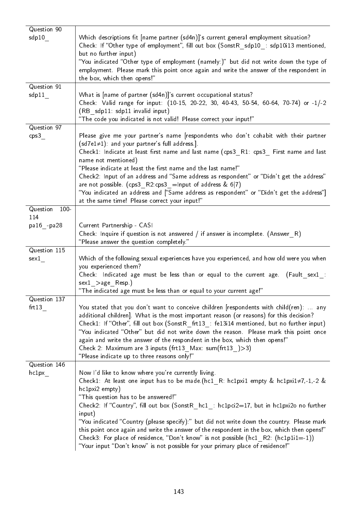| Question 90<br>sdp10  | Which descriptions fit [name partner (sd4n)]'s current general employment situation?<br>Check: If "Other type of employment", fill out box (SonstR sdp10 : sdp10i13 mentioned,<br>but no further input)<br>"You indicated "Other type of employment (namely:)" but did not write down the type of<br>employment. Please mark this point once again and write the answer of the respondent in<br>the box, which then opens!"                                                                                                                                                                                                         |
|-----------------------|-------------------------------------------------------------------------------------------------------------------------------------------------------------------------------------------------------------------------------------------------------------------------------------------------------------------------------------------------------------------------------------------------------------------------------------------------------------------------------------------------------------------------------------------------------------------------------------------------------------------------------------|
| Question 91           |                                                                                                                                                                                                                                                                                                                                                                                                                                                                                                                                                                                                                                     |
| sdp11                 | What is [name of partner (sd4n)]'s current occupational status?<br>Check: Valid range for input: (10-15, 20-22, 30, 40-43, 50-54, 60-64, 70-74) or -1/-2<br>(RB sdp11: sdp11 invalid input)<br>"The code you indicated is not valid! Please correct your input!"                                                                                                                                                                                                                                                                                                                                                                    |
| Question 97           |                                                                                                                                                                                                                                                                                                                                                                                                                                                                                                                                                                                                                                     |
| cps3                  | Please give me your partner's name [respondents who don't cohabit with their partner<br>$(sd7e1\neq1)$ : and your partner's full address.].<br>Check1: Indicate at least first name and last name (cps3 R1: cps3 First name and last<br>name not mentioned)<br>"Please indicate at least the first name and the last name!"<br>Check2: Input of an address and "Same address as respondent" or "Didn't get the address"<br>are not possible. (cps3 $R2:cps3 = Input of address & 6 7)$<br>"You indicated an address and ["Same address as respondent" or "Didn't get the address"]<br>at the same time! Please correct your input!" |
| Question<br>$100 -$   |                                                                                                                                                                                                                                                                                                                                                                                                                                                                                                                                                                                                                                     |
| 114                   |                                                                                                                                                                                                                                                                                                                                                                                                                                                                                                                                                                                                                                     |
| pa16 - pa28           | Current Partnership - CASI<br>Check: Inquire if question is not answered / if answer is incomplete. $(Answer_R)$<br>"Please answer the question completely."                                                                                                                                                                                                                                                                                                                                                                                                                                                                        |
| Question 115          |                                                                                                                                                                                                                                                                                                                                                                                                                                                                                                                                                                                                                                     |
| sex1                  | Which of the following sexual experiences have you experienced, and how old were you when<br>you experienced them?<br>Check: Indicated age must be less than or equal to the current age. (Fault sex1 :<br>$sex1 > age$ Resp)<br>"The indicated age must be less than or equal to your current age!"                                                                                                                                                                                                                                                                                                                                |
| Question 137<br>frt13 | You stated that you don't want to conceive children [respondents with child(ren):  any<br>additional children]. What is the most important reason (or reasons) for this decision?<br>Check1: If "Other", fill out box (SonstR frt13 : fe13i14 mentioned, but no further input)<br>"You indicated "Other" but did not write down the reason. Please mark this point once<br>again and write the answer of the respondent in the box, which then opens!"<br>Check 2: Maximum are 3 inputs (frt13 $Max: sum(frt13 ) > 3$ )<br>"Please indicate up to three reasons only!"                                                              |
| Question 146<br>hclpx | Now I'd like to know where you're currently living.<br>Check1: At least one input has to be made (hc1 R: hc1pxi1 empty & hc1pxi1 $\neq$ 7,-1,-2 &<br>$hclpxi2$ empty)<br>"This question has to be answered!"<br>Check2: If "Country", fill out box (SonstR hc1: hc1pci2=17, but in hc1pxi2o no further<br>input)<br>"You indicated "Country (please specify):" but did not write down the country. Please mark<br>this point once again and write the answer of the respondent in the box, which then opens!"<br>Check3: For place of residence, "Don't know" is not possible (hc1 R2: (hc1p1i1=-1))                                |
|                       | "Your input "Don't know" is not possible for your primary place of residence!"                                                                                                                                                                                                                                                                                                                                                                                                                                                                                                                                                      |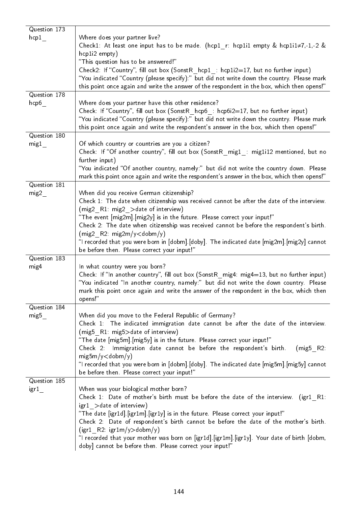| Question 173         |                                                                                                                                                                         |
|----------------------|-------------------------------------------------------------------------------------------------------------------------------------------------------------------------|
| hcp1                 | Where does your partner live?                                                                                                                                           |
|                      | Check1: At least one input has to be made. ( $hcp1$ r: $hcp1$ i1 empty & $hcp1$ i1 $\neq$ 7,-1,-2 &                                                                     |
|                      | hcp1i2 empty)                                                                                                                                                           |
|                      | "This question has to be answered!"                                                                                                                                     |
|                      | Check2: If "Country", fill out box (SonstR $\;$ hcp1 : hcp1i2=17, but no further input)                                                                                 |
|                      | "You indicated "Country (please specify):" but did not write down the country. Please mark                                                                              |
|                      | this point once again and write the answer of the respondent in the box, which then opens!"                                                                             |
| Question 178<br>hcp6 | Where does your partner have this other residence?                                                                                                                      |
|                      | Check: If "Country", fill out box (SonstR hcp6 : hcp6i2=17, but no further input)                                                                                       |
|                      | "You indicated "Country (please specify):" but did not write down the country. Please mark                                                                              |
|                      | this point once again and write the respondent's answer in the box, which then opens!"                                                                                  |
| Question 180         |                                                                                                                                                                         |
| mig1                 | Of which country or countries are you a citizen?                                                                                                                        |
|                      | Check: If "Of another country", fill out box (SonstR_mig1_: mig1i12 mentioned, but no                                                                                   |
|                      | further input)                                                                                                                                                          |
|                      | "You indicated "Of another country, namely:" but did not write the country down. Please                                                                                 |
|                      | mark this point once again and write the respondent's answer in the box, which then opens!"                                                                             |
| Question 181         |                                                                                                                                                                         |
| mig2                 | When did you receive German citizenship?                                                                                                                                |
|                      | Check 1: The date when citizenship was received cannot be after the date of the interview.                                                                              |
|                      | (mig2_R1: mig2_>date of interview)<br>"The event [mig2m] [mig2y] is in the future. Please correct your input!"                                                          |
|                      | Check 2: The date when citizenship was received cannot be before the respondent's birth.                                                                                |
|                      | $(mig2 R2 mig2m/y <$ dobm/y)                                                                                                                                            |
|                      | "I recorded that you were born in [dobm].[doby]. The indicated date [mig2m].[mig2y] cannot                                                                              |
|                      | be before then. Please correct your input!"                                                                                                                             |
| Question 183         |                                                                                                                                                                         |
| mig4                 | In what country were you born?                                                                                                                                          |
|                      | Check: If "In another country", fill out box (SonstR mig4: mig4=13, but no further input)                                                                               |
|                      | "You indicated "In another country, namely:" but did not write the down country. Please                                                                                 |
|                      | mark this point once again and write the answer of the respondent in the box, which then                                                                                |
|                      | opens!"                                                                                                                                                                 |
| Question 184         | When did you move to the Federal Republic of Germany?                                                                                                                   |
| mig5                 | Check 1: The indicated immigration date cannot be after the date of the interview.                                                                                      |
|                      | (mig5 R1: mig5>date of interview)                                                                                                                                       |
|                      | "The date [mig5m] [mig5y] is in the future. Please correct your input!"                                                                                                 |
|                      | Check 2: Immigration date cannot be before the respondent's birth.<br>$(mig5$ R2:                                                                                       |
|                      | $mig5m/y <$ dobm/y)                                                                                                                                                     |
|                      | "I recorded that you were born in [dobm].[doby]. The indicated date [mig5m].[mig5y] cannot                                                                              |
|                      | be before then. Please correct your input!"                                                                                                                             |
| Question 185         |                                                                                                                                                                         |
| igr1                 | When was your biological mother born?                                                                                                                                   |
|                      | Check 1: Date of mother's birth must be before the date of the interview. (igr1 R1:                                                                                     |
|                      | igr1 > date of interview)                                                                                                                                               |
|                      | "The date [igr1d] [igr1m] [igr1y] is in the future. Please correct your input!"<br>Check 2: Date of respondent's birth cannot be before the date of the mother's birth. |
|                      | $(igr1$ R2: $igr1m/y>$ dobm/y)                                                                                                                                          |
|                      | "I recorded that your mother was born on [igr1d] [igr1m] [igr1y]. Your date of birth [dobm,                                                                             |
|                      | doby] cannot be before then. Please correct your input!"                                                                                                                |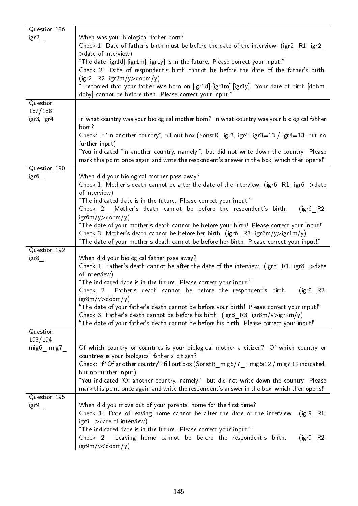| Question 186<br>igr2 | When was your biological father born?<br>Check 1: Date of father's birth must be before the date of the interview. (igr2 R1: igr2<br>> date of interview)<br>"The date [igr1d] [igr1m] [igr1y] is in the future. Please correct your input!"<br>Check 2: Date of respondent's birth cannot be before the date of the father's birth.<br>$(igr2 \ R2 \ igr2m/y >$ dobm/y)<br>"I recorded that your father was born on [igr1d] [igr1m] [igr1y]. Your date of birth [dobm,<br>doby] cannot be before then. Please correct your input!" |
|----------------------|-------------------------------------------------------------------------------------------------------------------------------------------------------------------------------------------------------------------------------------------------------------------------------------------------------------------------------------------------------------------------------------------------------------------------------------------------------------------------------------------------------------------------------------|
| Question<br>187/188  |                                                                                                                                                                                                                                                                                                                                                                                                                                                                                                                                     |
| igr3, igr4           | In what country was your biological mother born? In what country was your biological father<br>born?<br>Check: If "In another country", fill out box (SonstR igr3, igr4: igr3=13 / igr4=13, but no                                                                                                                                                                                                                                                                                                                                  |
|                      | further input)<br>"You indicated "In another country, namely:", but did not write down the country. Please<br>mark this point once again and write the respondent's answer in the box, which then opens!"                                                                                                                                                                                                                                                                                                                           |
| Question 190         |                                                                                                                                                                                                                                                                                                                                                                                                                                                                                                                                     |
| igr6                 | When did your biological mother pass away?<br>Check 1: Mother's death cannot be after the date of the interview. (igr6 $R1$ : igr6 $>$ date<br>of interview)                                                                                                                                                                                                                                                                                                                                                                        |
|                      | "The indicated date is in the future. Please correct your input!"<br>Mother's death cannot be before the respondent's birth.<br>$(igr6$ R2:<br>Check 2:<br>$igr6m/y$ >dobm/y)                                                                                                                                                                                                                                                                                                                                                       |
|                      | "The date of your mother's death cannot be before your birth! Please correct your input!"<br>Check 3: Mother's death cannot be before her birth. (igr6 R3: igr6m/y>igr1m/y)<br>"The date of your mother's death cannot be before her birth. Please correct your input!"                                                                                                                                                                                                                                                             |
| Question 192         |                                                                                                                                                                                                                                                                                                                                                                                                                                                                                                                                     |
| $igr8$ <sub>_</sub>  | When did your biological father pass away?<br>Check 1: Father's death cannot be after the date of the interview. (igr8 $R1$ : igr8 $>$ date<br>of interview)                                                                                                                                                                                                                                                                                                                                                                        |
|                      | "The indicated date is in the future. Please correct your input!"<br>Check 2: Father's death cannot be before the respondent's birth.<br>$(1gr8$ R2                                                                                                                                                                                                                                                                                                                                                                                 |
|                      | igr8m/y>dobm/y)<br>"The date of your father's death cannot be before your birth! Please correct your input!"                                                                                                                                                                                                                                                                                                                                                                                                                        |
|                      | Check 3: Father's death cannot be before his birth. (igr8 $R3$ : igr8m/y>igr2m/y)<br>"The date of your father's death cannot be before his birth. Please correct your input!"                                                                                                                                                                                                                                                                                                                                                       |
| Question<br>193/194  |                                                                                                                                                                                                                                                                                                                                                                                                                                                                                                                                     |
| $mig6$ , $mig7$      | Of which country or countries is your biological mother a citizen? Of which country or<br>countries is your biological father a citizen?                                                                                                                                                                                                                                                                                                                                                                                            |
|                      | Check: If "Of another country", fill out box (SonstR mig6/7 : mig6i12 / mig7i12 indicated,<br>but no further input)                                                                                                                                                                                                                                                                                                                                                                                                                 |
|                      | "You indicated "Of another country, namely:" but did not write down the country. Please<br>mark this point once again and write the respondent's answer in the box, which then opens!"                                                                                                                                                                                                                                                                                                                                              |
| Question 195<br>igr9 | When did you move out of your parents' home for the first time?<br>Check 1: Date of leaving home cannot be after the date of the interview.<br>$(igr9$ R1:<br>igr9 > date of interview)<br>"The indicated date is in the future. Please correct your input!"<br>Leaving home cannot be before the respondent's birth.<br>Check 2.<br>$(igr9$ R2:<br>$\frac{1}{\text{sgr}}\frac{9m}{y}$ < dobm/y)                                                                                                                                    |
|                      |                                                                                                                                                                                                                                                                                                                                                                                                                                                                                                                                     |